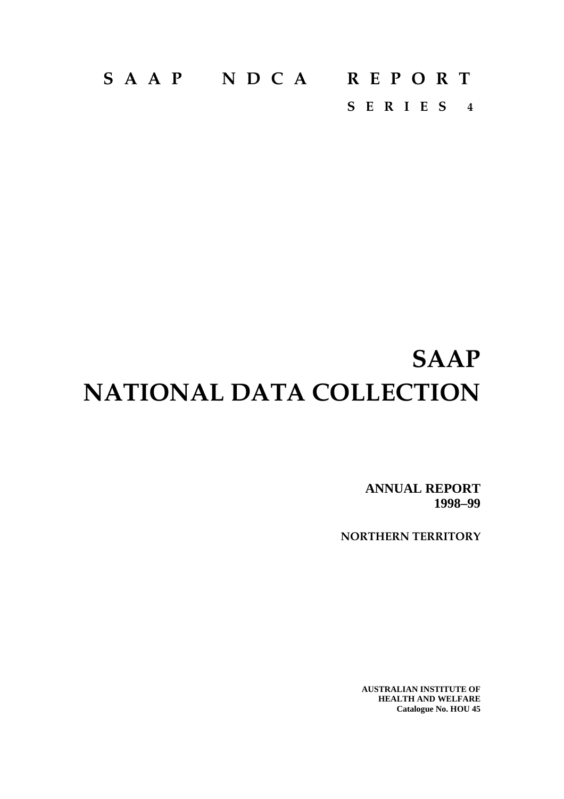## **SAAP NDCA REPORT**

**SERIES 4**

## **SAAP NATIONAL DATA COLLECTION**

**ANNUAL REPORT 1998–99**

**NORTHERN TERRITORY**

**AUSTRALIAN INSTITUTE OF HEALTH AND WELFARE Catalogue No. HOU 45**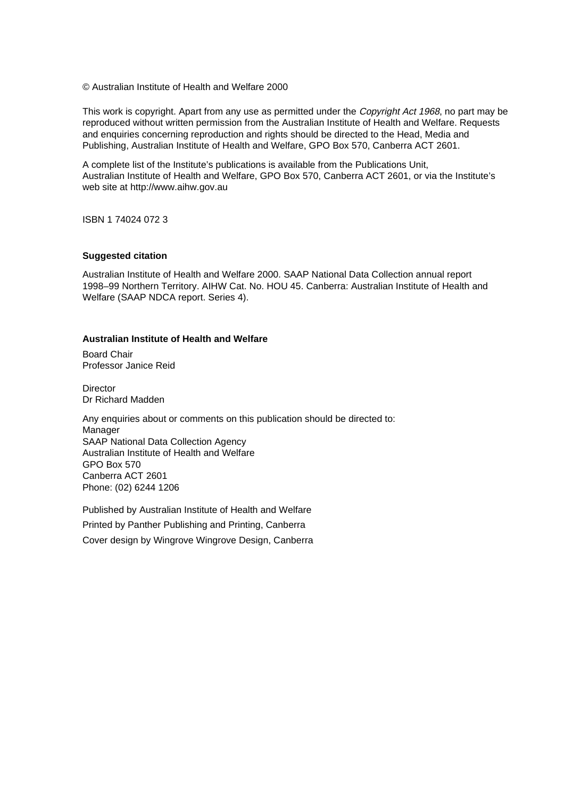© Australian Institute of Health and Welfare 2000

This work is copyright. Apart from any use as permitted under the *Copyright Act 1968*, no part may be reproduced without written permission from the Australian Institute of Health and Welfare. Requests and enquiries concerning reproduction and rights should be directed to the Head, Media and Publishing, Australian Institute of Health and Welfare, GPO Box 570, Canberra ACT 2601.

A complete list of the Institute's publications is available from the Publications Unit, Australian Institute of Health and Welfare, GPO Box 570, Canberra ACT 2601, or via the Institute's web site at http://www.aihw.gov.au

ISBN 1 74024 072 3

#### **Suggested citation**

Australian Institute of Health and Welfare 2000. SAAP National Data Collection annual report 1998–99 Northern Territory. AIHW Cat. No. HOU 45. Canberra: Australian Institute of Health and Welfare (SAAP NDCA report. Series 4).

#### **Australian Institute of Health and Welfare**

Board Chair Professor Janice Reid

**Director** Dr Richard Madden

Any enquiries about or comments on this publication should be directed to: Manager SAAP National Data Collection Agency Australian Institute of Health and Welfare GPO Box 570 Canberra ACT 2601 Phone: (02) 6244 1206

Published by Australian Institute of Health and Welfare Printed by Panther Publishing and Printing, Canberra Cover design by Wingrove Wingrove Design, Canberra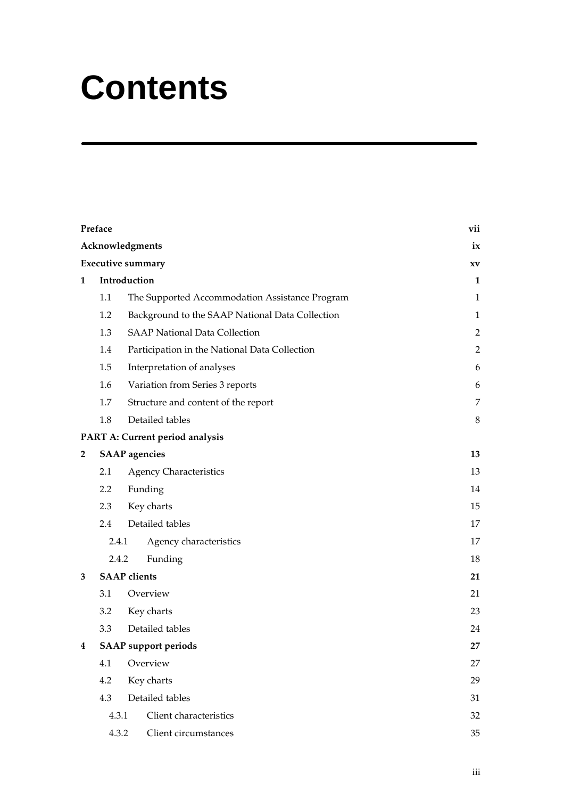# **Contents**

|                | Preface                     |                                                 | vii            |
|----------------|-----------------------------|-------------------------------------------------|----------------|
|                |                             | Acknowledgments                                 | ix             |
|                |                             | <b>Executive summary</b>                        | XV             |
| 1              |                             | Introduction                                    | $\mathbf{1}$   |
|                | 1.1                         | The Supported Accommodation Assistance Program  | $\mathbf{1}$   |
|                | 1.2                         | Background to the SAAP National Data Collection | $\mathbf{1}$   |
|                | 1.3                         | <b>SAAP National Data Collection</b>            | $\overline{2}$ |
|                | 1.4                         | Participation in the National Data Collection   | $\overline{2}$ |
|                | 1.5                         | Interpretation of analyses                      | 6              |
|                | 1.6                         | Variation from Series 3 reports                 | 6              |
|                | 1.7                         | Structure and content of the report             | 7              |
|                | 1.8                         | Detailed tables                                 | 8              |
|                |                             | PART A: Current period analysis                 |                |
| $\overline{2}$ |                             | <b>SAAP</b> agencies                            | 13             |
|                | 2.1                         | <b>Agency Characteristics</b>                   | 13             |
|                | 2.2                         | Funding                                         | 14             |
|                | 2.3                         | Key charts                                      | 15             |
|                | 2.4                         | Detailed tables                                 | 17             |
|                |                             | 2.4.1<br>Agency characteristics                 | 17             |
|                |                             | 2.4.2<br>Funding                                | 18             |
| 3              | <b>SAAP</b> clients         |                                                 | 21             |
|                | 3.1                         | Overview                                        | 21             |
|                | 3.2                         | Key charts                                      | 23             |
|                | 3.3                         | Detailed tables                                 | 24             |
| 4              | <b>SAAP</b> support periods |                                                 | 27             |
|                | 4.1<br>Overview             |                                                 | 27             |
|                | 4.2                         | Key charts                                      | 29             |
|                | 4.3                         | Detailed tables                                 | 31             |
|                |                             | 4.3.1<br>Client characteristics                 | 32             |
|                |                             | 4.3.2<br>Client circumstances                   | 35             |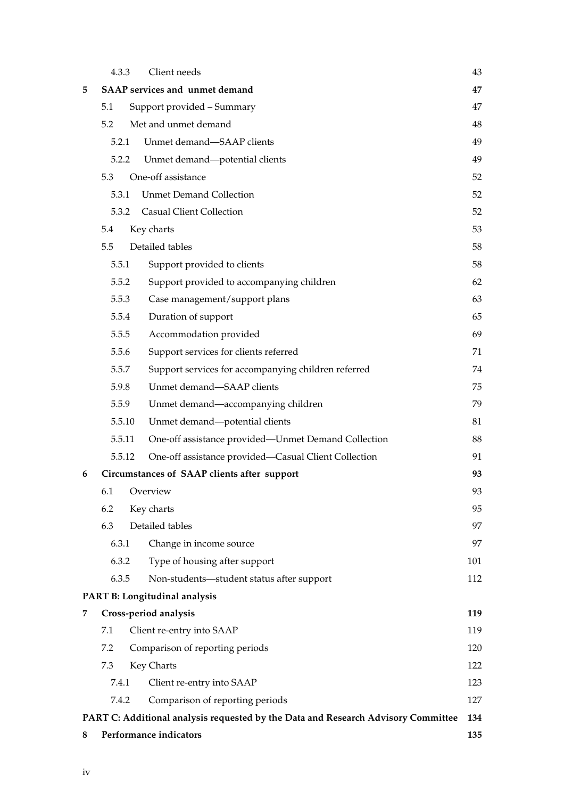|   | 4.3.3                                       | Client needs                                                                      | 43  |  |  |
|---|---------------------------------------------|-----------------------------------------------------------------------------------|-----|--|--|
| 5 |                                             | SAAP services and unmet demand                                                    | 47  |  |  |
|   | 5.1                                         | Support provided - Summary                                                        | 47  |  |  |
|   | 5.2                                         | Met and unmet demand                                                              | 48  |  |  |
|   | 5.2.1                                       | Unmet demand-SAAP clients                                                         | 49  |  |  |
|   | 5.2.2                                       | Unmet demand-potential clients                                                    | 49  |  |  |
|   | 5.3                                         | One-off assistance                                                                | 52  |  |  |
|   | 5.3.1                                       | <b>Unmet Demand Collection</b>                                                    | 52  |  |  |
|   | 5.3.2                                       | <b>Casual Client Collection</b>                                                   | 52  |  |  |
|   | 5.4                                         | Key charts                                                                        | 53  |  |  |
|   | 5.5                                         | Detailed tables                                                                   | 58  |  |  |
|   | 5.5.1                                       | Support provided to clients                                                       | 58  |  |  |
|   | 5.5.2                                       | Support provided to accompanying children                                         | 62  |  |  |
|   | 5.5.3                                       | Case management/support plans                                                     | 63  |  |  |
|   | 5.5.4                                       | Duration of support                                                               | 65  |  |  |
|   | 5.5.5                                       | Accommodation provided                                                            | 69  |  |  |
|   | 5.5.6                                       | Support services for clients referred                                             | 71  |  |  |
|   | 5.5.7                                       | Support services for accompanying children referred                               | 74  |  |  |
|   | 5.9.8                                       | Unmet demand-SAAP clients                                                         | 75  |  |  |
|   | 5.5.9                                       | Unmet demand—accompanying children                                                | 79  |  |  |
|   | 5.5.10                                      | Unmet demand-potential clients                                                    | 81  |  |  |
|   | 5.5.11                                      | One-off assistance provided—Unmet Demand Collection                               | 88  |  |  |
|   | 5.5.12                                      | One-off assistance provided-Casual Client Collection                              | 91  |  |  |
| 6 | Circumstances of SAAP clients after support |                                                                                   |     |  |  |
|   | 6.1                                         | Overview                                                                          | 93  |  |  |
|   | 6.2                                         | Key charts                                                                        | 95  |  |  |
|   | 6.3                                         | Detailed tables                                                                   | 97  |  |  |
|   | 6.3.1                                       | Change in income source                                                           | 97  |  |  |
|   | 6.3.2                                       | Type of housing after support                                                     | 101 |  |  |
|   | 6.3.5                                       | Non-students—student status after support                                         | 112 |  |  |
|   |                                             | PART B: Longitudinal analysis                                                     |     |  |  |
| 7 |                                             | Cross-period analysis                                                             | 119 |  |  |
|   | 7.1                                         | Client re-entry into SAAP                                                         | 119 |  |  |
|   | 7.2                                         | Comparison of reporting periods                                                   | 120 |  |  |
|   | 7.3                                         | Key Charts                                                                        | 122 |  |  |
|   | 7.4.1                                       | Client re-entry into SAAP                                                         | 123 |  |  |
|   | 7.4.2                                       | Comparison of reporting periods                                                   | 127 |  |  |
|   |                                             | PART C: Additional analysis requested by the Data and Research Advisory Committee | 134 |  |  |
| 8 |                                             | Performance indicators                                                            | 135 |  |  |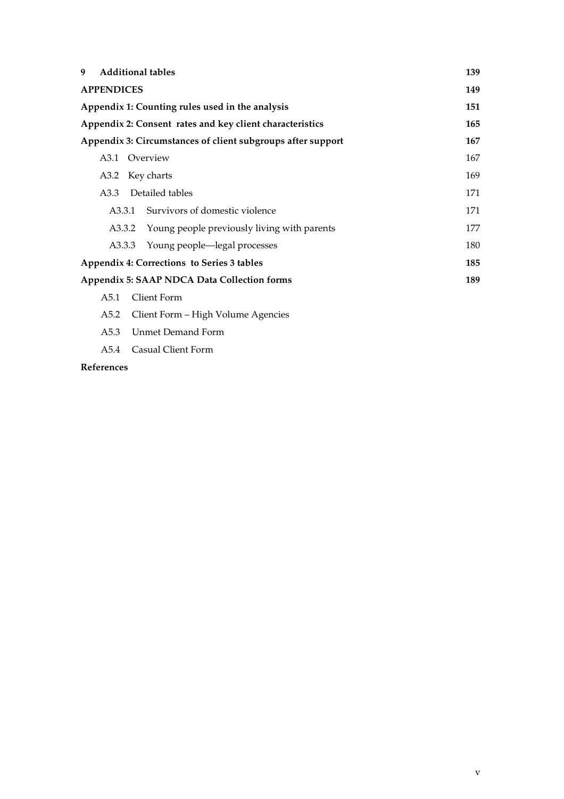| 9 | <b>Additional tables</b>                           |                                                             | 139 |
|---|----------------------------------------------------|-------------------------------------------------------------|-----|
|   | <b>APPENDICES</b>                                  |                                                             | 149 |
|   | Appendix 1: Counting rules used in the analysis    |                                                             | 151 |
|   |                                                    | Appendix 2: Consent rates and key client characteristics    | 165 |
|   |                                                    | Appendix 3: Circumstances of client subgroups after support | 167 |
|   | A3.1 Overview                                      |                                                             | 167 |
|   | A3.2 Key charts                                    |                                                             | 169 |
|   | Detailed tables<br>A3.3                            |                                                             | 171 |
|   | A3.3.1                                             | Survivors of domestic violence                              | 171 |
|   | A3.3.2                                             | Young people previously living with parents                 | 177 |
|   | A3.3.3                                             | Young people—legal processes                                | 180 |
|   | Appendix 4: Corrections to Series 3 tables         |                                                             | 185 |
|   | <b>Appendix 5: SAAP NDCA Data Collection forms</b> |                                                             | 189 |
|   | Client Form<br>A5.1                                |                                                             |     |
|   | A5.2                                               | Client Form – High Volume Agencies                          |     |

- A5.3 Unmet Demand Form
- A5.4 Casual Client Form

#### **References**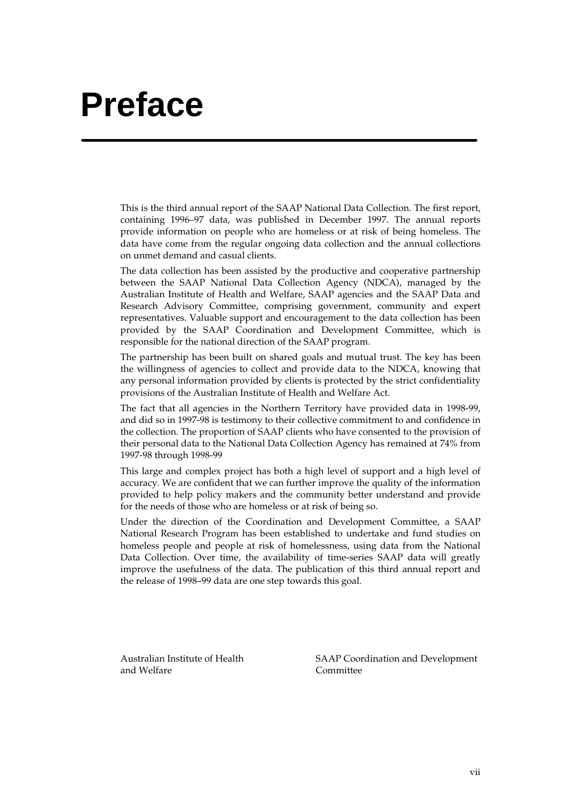## **Preface**

This is the third annual report of the SAAP National Data Collection. The first report, containing 1996–97 data, was published in December 1997. The annual reports provide information on people who are homeless or at risk of being homeless. The data have come from the regular ongoing data collection and the annual collections on unmet demand and casual clients.

The data collection has been assisted by the productive and cooperative partnership between the SAAP National Data Collection Agency (NDCA), managed by the Australian Institute of Health and Welfare, SAAP agencies and the SAAP Data and Research Advisory Committee, comprising government, community and expert representatives. Valuable support and encouragement to the data collection has been provided by the SAAP Coordination and Development Committee, which is responsible for the national direction of the SAAP program.

The partnership has been built on shared goals and mutual trust. The key has been the willingness of agencies to collect and provide data to the NDCA, knowing that any personal information provided by clients is protected by the strict confidentiality provisions of the Australian Institute of Health and Welfare Act.

The fact that all agencies in the Northern Territory have provided data in 1998-99, and did so in 1997-98 is testimony to their collective commitment to and confidence in the collection. The proportion of SAAP clients who have consented to the provision of their personal data to the National Data Collection Agency has remained at 74% from 1997-98 through 1998-99

This large and complex project has both a high level of support and a high level of accuracy. We are confident that we can further improve the quality of the information provided to help policy makers and the community better understand and provide for the needs of those who are homeless or at risk of being so.

Under the direction of the Coordination and Development Committee, a SAAP National Research Program has been established to undertake and fund studies on homeless people and people at risk of homelessness, using data from the National Data Collection. Over time, the availability of time-series SAAP data will greatly improve the usefulness of the data. The publication of this third annual report and the release of 1998–99 data are one step towards this goal.

and Welfare **Committee** 

Australian Institute of Health SAAP Coordination and Development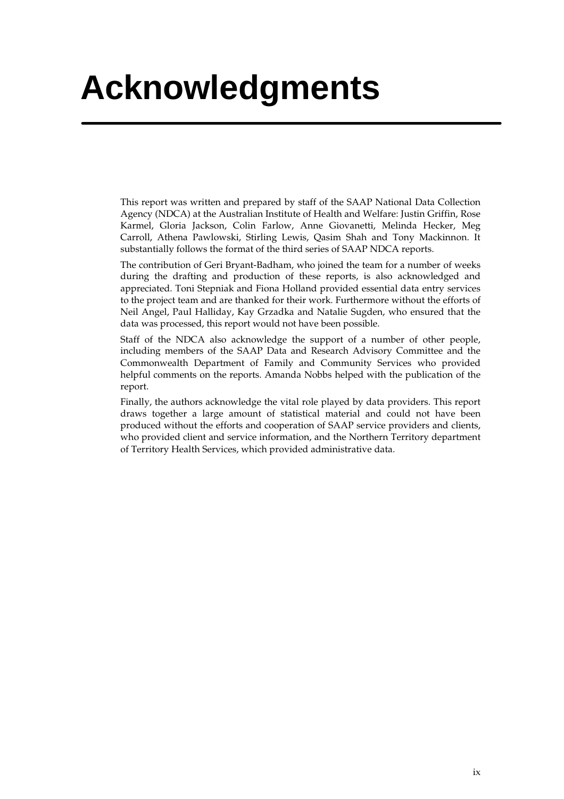# **Acknowledgments**

This report was written and prepared by staff of the SAAP National Data Collection Agency (NDCA) at the Australian Institute of Health and Welfare: Justin Griffin, Rose Karmel, Gloria Jackson, Colin Farlow, Anne Giovanetti, Melinda Hecker, Meg Carroll, Athena Pawlowski, Stirling Lewis, Qasim Shah and Tony Mackinnon. It substantially follows the format of the third series of SAAP NDCA reports.

The contribution of Geri Bryant-Badham, who joined the team for a number of weeks during the drafting and production of these reports, is also acknowledged and appreciated. Toni Stepniak and Fiona Holland provided essential data entry services to the project team and are thanked for their work. Furthermore without the efforts of Neil Angel, Paul Halliday, Kay Grzadka and Natalie Sugden, who ensured that the data was processed, this report would not have been possible.

Staff of the NDCA also acknowledge the support of a number of other people, including members of the SAAP Data and Research Advisory Committee and the Commonwealth Department of Family and Community Services who provided helpful comments on the reports. Amanda Nobbs helped with the publication of the report.

Finally, the authors acknowledge the vital role played by data providers. This report draws together a large amount of statistical material and could not have been produced without the efforts and cooperation of SAAP service providers and clients, who provided client and service information, and the Northern Territory department of Territory Health Services, which provided administrative data.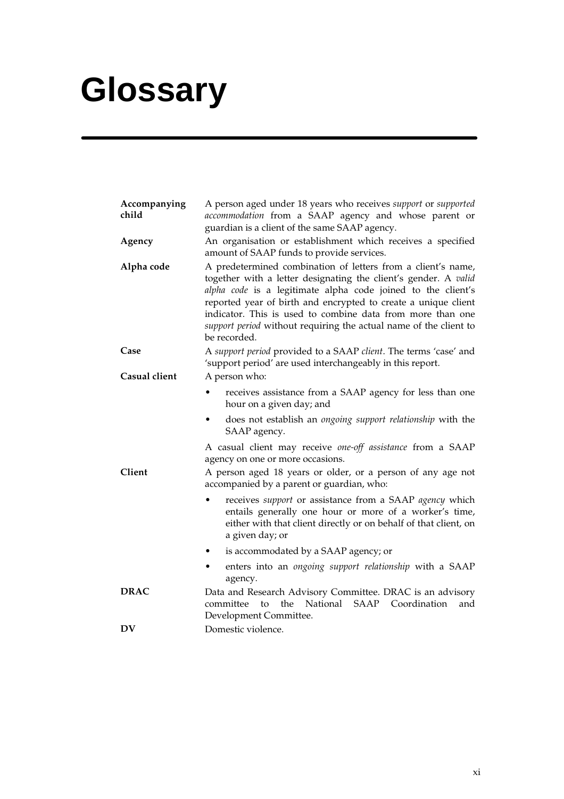# **Glossary**

| Accompanying<br>child | A person aged under 18 years who receives support or supported<br>accommodation from a SAAP agency and whose parent or<br>guardian is a client of the same SAAP agency.                                                                                                                                                                                                                                              |  |  |
|-----------------------|----------------------------------------------------------------------------------------------------------------------------------------------------------------------------------------------------------------------------------------------------------------------------------------------------------------------------------------------------------------------------------------------------------------------|--|--|
| Agency                | An organisation or establishment which receives a specified<br>amount of SAAP funds to provide services.                                                                                                                                                                                                                                                                                                             |  |  |
| Alpha code            | A predetermined combination of letters from a client's name,<br>together with a letter designating the client's gender. A valid<br>alpha code is a legitimate alpha code joined to the client's<br>reported year of birth and encrypted to create a unique client<br>indicator. This is used to combine data from more than one<br>support period without requiring the actual name of the client to<br>be recorded. |  |  |
| Case                  | A support period provided to a SAAP client. The terms 'case' and<br>'support period' are used interchangeably in this report.                                                                                                                                                                                                                                                                                        |  |  |
| Casual client         | A person who:                                                                                                                                                                                                                                                                                                                                                                                                        |  |  |
|                       | receives assistance from a SAAP agency for less than one<br>hour on a given day; and                                                                                                                                                                                                                                                                                                                                 |  |  |
|                       | does not establish an ongoing support relationship with the<br>٠<br>SAAP agency.                                                                                                                                                                                                                                                                                                                                     |  |  |
|                       | A casual client may receive one-off assistance from a SAAP<br>agency on one or more occasions.                                                                                                                                                                                                                                                                                                                       |  |  |
| Client                | A person aged 18 years or older, or a person of any age not<br>accompanied by a parent or guardian, who:                                                                                                                                                                                                                                                                                                             |  |  |
|                       | receives support or assistance from a SAAP agency which<br>entails generally one hour or more of a worker's time,<br>either with that client directly or on behalf of that client, on<br>a given day; or                                                                                                                                                                                                             |  |  |
|                       | is accommodated by a SAAP agency; or                                                                                                                                                                                                                                                                                                                                                                                 |  |  |
|                       | enters into an ongoing support relationship with a SAAP<br>agency.                                                                                                                                                                                                                                                                                                                                                   |  |  |
| <b>DRAC</b>           | Data and Research Advisory Committee. DRAC is an advisory<br>the National SAAP Coordination<br>to<br>committee<br>and<br>Development Committee.                                                                                                                                                                                                                                                                      |  |  |
| DV                    | Domestic violence.                                                                                                                                                                                                                                                                                                                                                                                                   |  |  |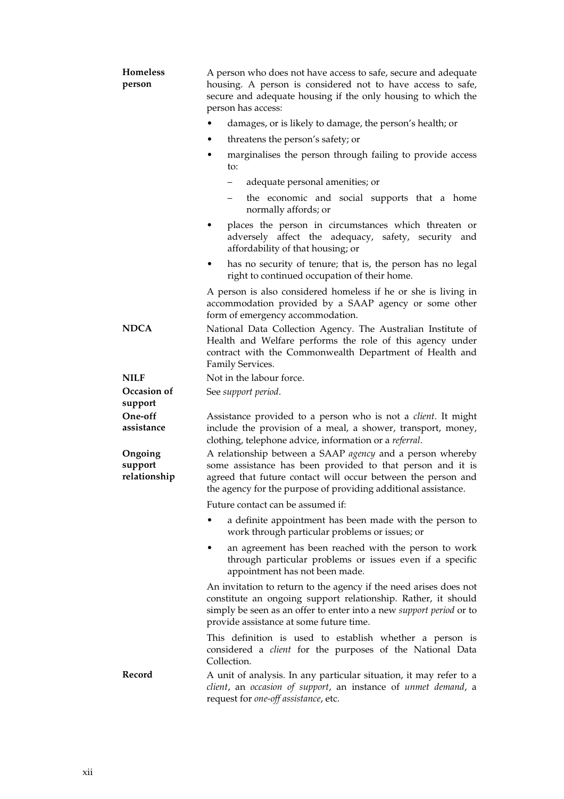| Homeless<br>person                 | A person who does not have access to safe, secure and adequate<br>housing. A person is considered not to have access to safe,<br>secure and adequate housing if the only housing to which the<br>person has access:                                       |
|------------------------------------|-----------------------------------------------------------------------------------------------------------------------------------------------------------------------------------------------------------------------------------------------------------|
|                                    | damages, or is likely to damage, the person's health; or                                                                                                                                                                                                  |
|                                    | threatens the person's safety; or<br>٠                                                                                                                                                                                                                    |
|                                    | marginalises the person through failing to provide access<br>to:                                                                                                                                                                                          |
|                                    | adequate personal amenities; or<br>-                                                                                                                                                                                                                      |
|                                    | the economic and social supports that a home<br>normally affords; or                                                                                                                                                                                      |
|                                    | places the person in circumstances which threaten or<br>adversely affect the adequacy, safety, security and<br>affordability of that housing; or                                                                                                          |
|                                    | has no security of tenure; that is, the person has no legal<br>right to continued occupation of their home.                                                                                                                                               |
|                                    | A person is also considered homeless if he or she is living in<br>accommodation provided by a SAAP agency or some other<br>form of emergency accommodation.                                                                                               |
| <b>NDCA</b>                        | National Data Collection Agency. The Australian Institute of<br>Health and Welfare performs the role of this agency under<br>contract with the Commonwealth Department of Health and<br>Family Services.                                                  |
| <b>NILF</b>                        | Not in the labour force.                                                                                                                                                                                                                                  |
| Occasion of<br>support             | See support period.                                                                                                                                                                                                                                       |
| One-off<br>assistance              | Assistance provided to a person who is not a <i>client</i> . It might<br>include the provision of a meal, a shower, transport, money,<br>clothing, telephone advice, information or a referral.                                                           |
| Ongoing<br>support<br>relationship | A relationship between a SAAP agency and a person whereby<br>some assistance has been provided to that person and it is<br>agreed that future contact will occur between the person and<br>the agency for the purpose of providing additional assistance. |
|                                    | Future contact can be assumed if:                                                                                                                                                                                                                         |
|                                    | a definite appointment has been made with the person to<br>٠<br>work through particular problems or issues; or                                                                                                                                            |
|                                    | an agreement has been reached with the person to work<br>through particular problems or issues even if a specific<br>appointment has not been made.                                                                                                       |
|                                    | An invitation to return to the agency if the need arises does not<br>constitute an ongoing support relationship. Rather, it should<br>simply be seen as an offer to enter into a new support period or to<br>provide assistance at some future time.      |
|                                    | This definition is used to establish whether a person is<br>considered a <i>client</i> for the purposes of the National Data<br>Collection.                                                                                                               |
| Record                             | A unit of analysis. In any particular situation, it may refer to a<br>client, an occasion of support, an instance of unmet demand, a<br>request for one-off assistance, etc.                                                                              |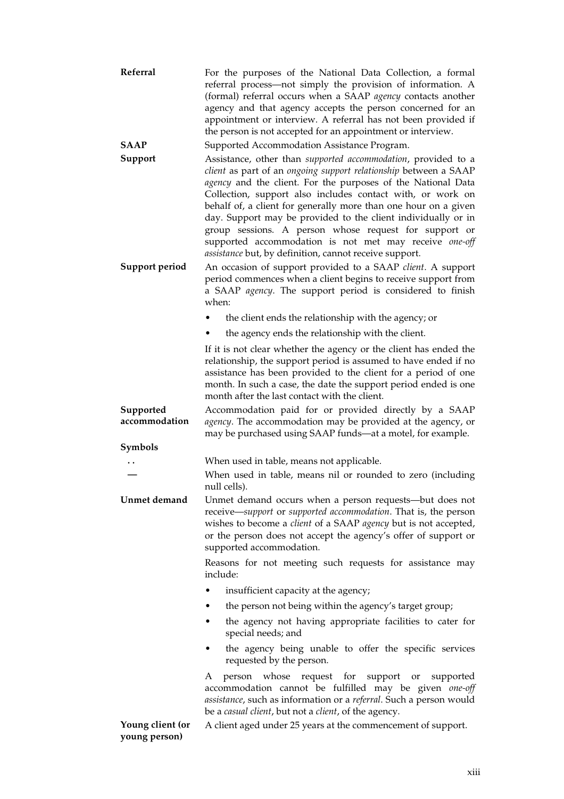| Referral                   | For the purposes of the National Data Collection, a formal<br>referral process-not simply the provision of information. A<br>(formal) referral occurs when a SAAP agency contacts another<br>agency and that agency accepts the person concerned for an<br>appointment or interview. A referral has not been provided if<br>the person is not accepted for an appointment or interview.                                                                                                                                                                                          |
|----------------------------|----------------------------------------------------------------------------------------------------------------------------------------------------------------------------------------------------------------------------------------------------------------------------------------------------------------------------------------------------------------------------------------------------------------------------------------------------------------------------------------------------------------------------------------------------------------------------------|
| <b>SAAP</b>                | Supported Accommodation Assistance Program.                                                                                                                                                                                                                                                                                                                                                                                                                                                                                                                                      |
| Support                    | Assistance, other than supported accommodation, provided to a<br>client as part of an ongoing support relationship between a SAAP<br>agency and the client. For the purposes of the National Data<br>Collection, support also includes contact with, or work on<br>behalf of, a client for generally more than one hour on a given<br>day. Support may be provided to the client individually or in<br>group sessions. A person whose request for support or<br>supported accommodation is not met may receive one-off<br>assistance but, by definition, cannot receive support. |
| Support period             | An occasion of support provided to a SAAP client. A support<br>period commences when a client begins to receive support from<br>a SAAP agency. The support period is considered to finish<br>when:                                                                                                                                                                                                                                                                                                                                                                               |
|                            | the client ends the relationship with the agency; or                                                                                                                                                                                                                                                                                                                                                                                                                                                                                                                             |
|                            | the agency ends the relationship with the client.                                                                                                                                                                                                                                                                                                                                                                                                                                                                                                                                |
|                            | If it is not clear whether the agency or the client has ended the<br>relationship, the support period is assumed to have ended if no<br>assistance has been provided to the client for a period of one<br>month. In such a case, the date the support period ended is one<br>month after the last contact with the client.                                                                                                                                                                                                                                                       |
| Supported<br>accommodation | Accommodation paid for or provided directly by a SAAP<br>agency. The accommodation may be provided at the agency, or<br>may be purchased using SAAP funds-at a motel, for example.                                                                                                                                                                                                                                                                                                                                                                                               |
| Symbols                    |                                                                                                                                                                                                                                                                                                                                                                                                                                                                                                                                                                                  |
|                            | When used in table, means not applicable.<br>When used in table, means nil or rounded to zero (including<br>null cells).                                                                                                                                                                                                                                                                                                                                                                                                                                                         |
| Unmet demand               | Unmet demand occurs when a person requests—but does not<br>receive—support or supported accommodation. That is, the person<br>wishes to become a <i>client</i> of a SAAP agency but is not accepted,<br>or the person does not accept the agency's offer of support or<br>supported accommodation.                                                                                                                                                                                                                                                                               |
|                            | Reasons for not meeting such requests for assistance may<br>include:                                                                                                                                                                                                                                                                                                                                                                                                                                                                                                             |
|                            | insufficient capacity at the agency;                                                                                                                                                                                                                                                                                                                                                                                                                                                                                                                                             |
|                            | the person not being within the agency's target group;                                                                                                                                                                                                                                                                                                                                                                                                                                                                                                                           |
|                            | the agency not having appropriate facilities to cater for<br>special needs; and                                                                                                                                                                                                                                                                                                                                                                                                                                                                                                  |
|                            | the agency being unable to offer the specific services<br>requested by the person.                                                                                                                                                                                                                                                                                                                                                                                                                                                                                               |
|                            |                                                                                                                                                                                                                                                                                                                                                                                                                                                                                                                                                                                  |
|                            | person whose request for support or<br>Α<br>supported<br>accommodation cannot be fulfilled may be given one-off<br>assistance, such as information or a referral. Such a person would<br>be a casual client, but not a client, of the agency.                                                                                                                                                                                                                                                                                                                                    |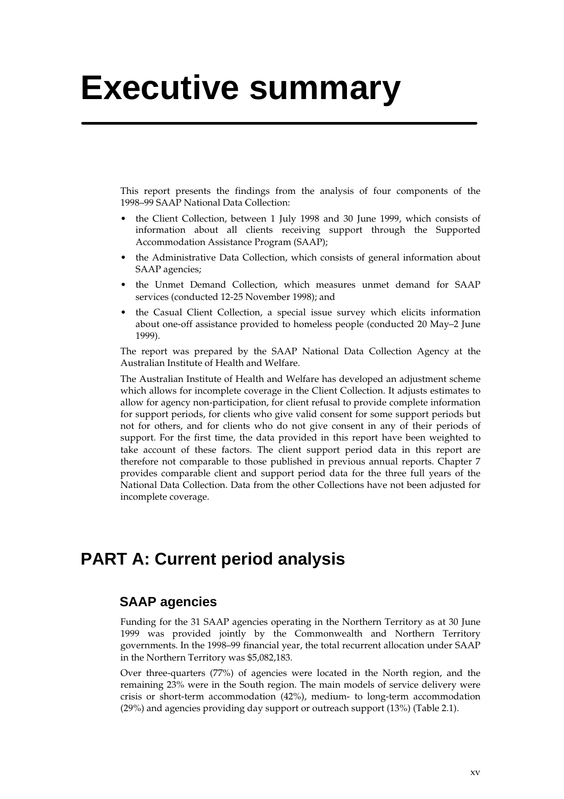# **Executive summary**

This report presents the findings from the analysis of four components of the 1998–99 SAAP National Data Collection:

- the Client Collection, between 1 July 1998 and 30 June 1999, which consists of information about all clients receiving support through the Supported Accommodation Assistance Program (SAAP);
- the Administrative Data Collection, which consists of general information about SAAP agencies;
- the Unmet Demand Collection, which measures unmet demand for SAAP services (conducted 12-25 November 1998); and
- the Casual Client Collection, a special issue survey which elicits information about one-off assistance provided to homeless people (conducted 20 May–2 June 1999).

The report was prepared by the SAAP National Data Collection Agency at the Australian Institute of Health and Welfare.

The Australian Institute of Health and Welfare has developed an adjustment scheme which allows for incomplete coverage in the Client Collection. It adjusts estimates to allow for agency non-participation, for client refusal to provide complete information for support periods, for clients who give valid consent for some support periods but not for others, and for clients who do not give consent in any of their periods of support. For the first time, the data provided in this report have been weighted to take account of these factors. The client support period data in this report are therefore not comparable to those published in previous annual reports. Chapter 7 provides comparable client and support period data for the three full years of the National Data Collection. Data from the other Collections have not been adjusted for incomplete coverage.

## **PART A: Current period analysis**

#### **SAAP agencies**

Funding for the 31 SAAP agencies operating in the Northern Territory as at 30 June 1999 was provided jointly by the Commonwealth and Northern Territory governments. In the 1998–99 financial year, the total recurrent allocation under SAAP in the Northern Territory was \$5,082,183.

Over three-quarters (77%) of agencies were located in the North region, and the remaining 23% were in the South region. The main models of service delivery were crisis or short-term accommodation (42%), medium- to long-term accommodation (29%) and agencies providing day support or outreach support (13%) (Table 2.1).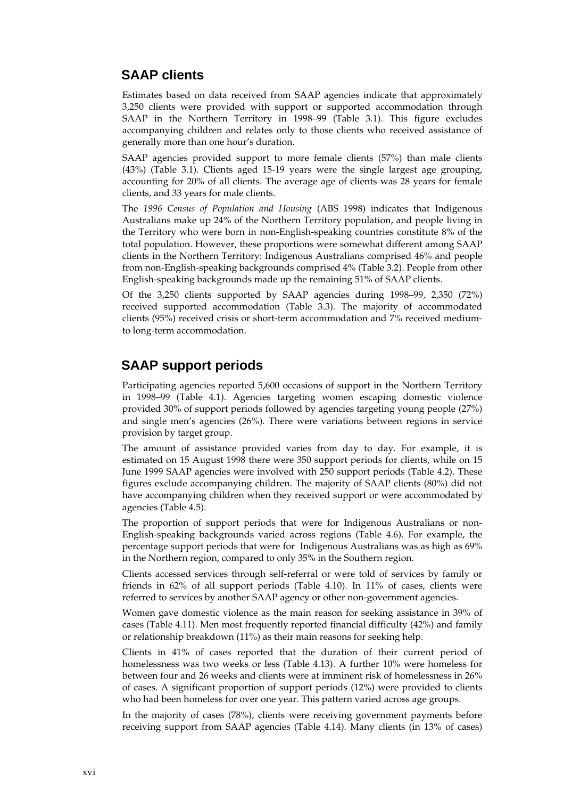### **SAAP clients**

Estimates based on data received from SAAP agencies indicate that approximately 3,250 clients were provided with support or supported accommodation through SAAP in the Northern Territory in 1998–99 (Table 3.1). This figure excludes accompanying children and relates only to those clients who received assistance of generally more than one hour's duration.

SAAP agencies provided support to more female clients (57%) than male clients (43%) (Table 3.1). Clients aged 15-19 years were the single largest age grouping, accounting for 20% of all clients. The average age of clients was 28 years for female clients, and 33 years for male clients.

The *1996 Census of Population and Housing* (ABS 1998) indicates that Indigenous Australians make up 24% of the Northern Territory population, and people living in the Territory who were born in non-English-speaking countries constitute 8% of the total population. However, these proportions were somewhat different among SAAP clients in the Northern Territory: Indigenous Australians comprised 46% and people from non-English-speaking backgrounds comprised 4% (Table 3.2). People from other English-speaking backgrounds made up the remaining 51% of SAAP clients.

Of the 3,250 clients supported by SAAP agencies during 1998–99, 2,350 (72%) received supported accommodation (Table 3.3). The majority of accommodated clients (95%) received crisis or short-term accommodation and 7% received mediumto long-term accommodation.

### **SAAP support periods**

Participating agencies reported 5,600 occasions of support in the Northern Territory in 1998–99 (Table 4.1). Agencies targeting women escaping domestic violence provided 30% of support periods followed by agencies targeting young people (27%) and single men's agencies (26%). There were variations between regions in service provision by target group.

The amount of assistance provided varies from day to day. For example, it is estimated on 15 August 1998 there were 350 support periods for clients, while on 15 June 1999 SAAP agencies were involved with 250 support periods (Table 4.2). These figures exclude accompanying children. The majority of SAAP clients (80%) did not have accompanying children when they received support or were accommodated by agencies (Table 4.5).

The proportion of support periods that were for Indigenous Australians or non-English-speaking backgrounds varied across regions (Table 4.6). For example, the percentage support periods that were for Indigenous Australians was as high as 69% in the Northern region, compared to only 35% in the Southern region.

Clients accessed services through self-referral or were told of services by family or friends in 62% of all support periods (Table 4.10). In 11% of cases, clients were referred to services by another SAAP agency or other non-government agencies.

Women gave domestic violence as the main reason for seeking assistance in 39% of cases (Table 4.11). Men most frequently reported financial difficulty (42%) and family or relationship breakdown (11%) as their main reasons for seeking help.

Clients in 41% of cases reported that the duration of their current period of homelessness was two weeks or less (Table 4.13). A further 10% were homeless for between four and 26 weeks and clients were at imminent risk of homelessness in 26% of cases. A significant proportion of support periods (12%) were provided to clients who had been homeless for over one year. This pattern varied across age groups.

In the majority of cases (78%), clients were receiving government payments before receiving support from SAAP agencies (Table 4.14). Many clients (in 13% of cases)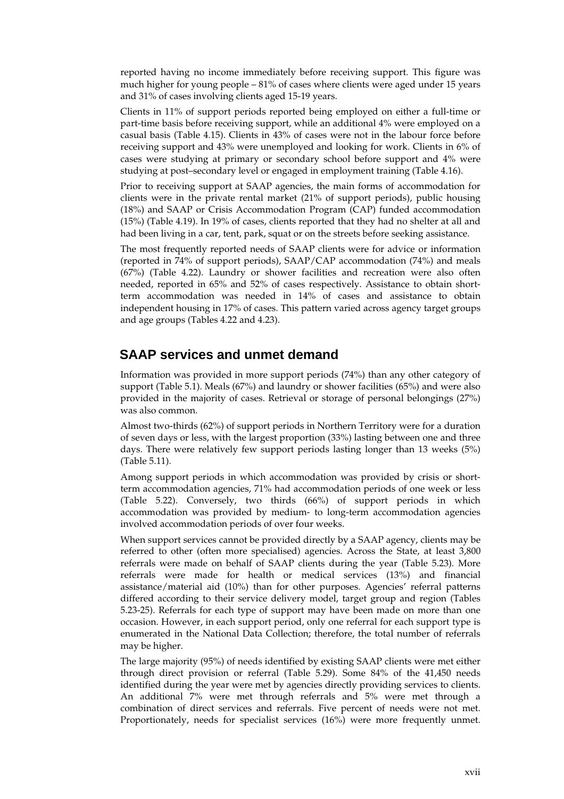reported having no income immediately before receiving support. This figure was much higher for young people – 81% of cases where clients were aged under 15 years and 31% of cases involving clients aged 15-19 years.

Clients in 11% of support periods reported being employed on either a full-time or part-time basis before receiving support, while an additional 4% were employed on a casual basis (Table 4.15). Clients in 43% of cases were not in the labour force before receiving support and 43% were unemployed and looking for work. Clients in 6% of cases were studying at primary or secondary school before support and 4% were studying at post–secondary level or engaged in employment training (Table 4.16).

Prior to receiving support at SAAP agencies, the main forms of accommodation for clients were in the private rental market (21% of support periods), public housing (18%) and SAAP or Crisis Accommodation Program (CAP) funded accommodation (15%) (Table 4.19). In 19% of cases, clients reported that they had no shelter at all and had been living in a car, tent, park, squat or on the streets before seeking assistance.

The most frequently reported needs of SAAP clients were for advice or information (reported in 74% of support periods), SAAP/CAP accommodation (74%) and meals (67%) (Table 4.22). Laundry or shower facilities and recreation were also often needed, reported in 65% and 52% of cases respectively. Assistance to obtain shortterm accommodation was needed in 14% of cases and assistance to obtain independent housing in 17% of cases. This pattern varied across agency target groups and age groups (Tables 4.22 and 4.23).

#### **SAAP services and unmet demand**

Information was provided in more support periods (74%) than any other category of support (Table 5.1). Meals (67%) and laundry or shower facilities (65%) and were also provided in the majority of cases. Retrieval or storage of personal belongings (27%) was also common.

Almost two-thirds (62%) of support periods in Northern Territory were for a duration of seven days or less, with the largest proportion (33%) lasting between one and three days. There were relatively few support periods lasting longer than 13 weeks (5%) (Table 5.11).

Among support periods in which accommodation was provided by crisis or shortterm accommodation agencies, 71% had accommodation periods of one week or less (Table 5.22). Conversely, two thirds (66%) of support periods in which accommodation was provided by medium- to long-term accommodation agencies involved accommodation periods of over four weeks.

When support services cannot be provided directly by a SAAP agency, clients may be referred to other (often more specialised) agencies. Across the State, at least 3,800 referrals were made on behalf of SAAP clients during the year (Table 5.23). More referrals were made for health or medical services (13%) and financial assistance/material aid (10%) than for other purposes. Agencies' referral patterns differed according to their service delivery model, target group and region (Tables 5.23-25). Referrals for each type of support may have been made on more than one occasion. However, in each support period, only one referral for each support type is enumerated in the National Data Collection; therefore, the total number of referrals may be higher.

The large majority (95%) of needs identified by existing SAAP clients were met either through direct provision or referral (Table 5.29). Some 84% of the 41,450 needs identified during the year were met by agencies directly providing services to clients. An additional 7% were met through referrals and 5% were met through a combination of direct services and referrals. Five percent of needs were not met. Proportionately, needs for specialist services (16%) were more frequently unmet.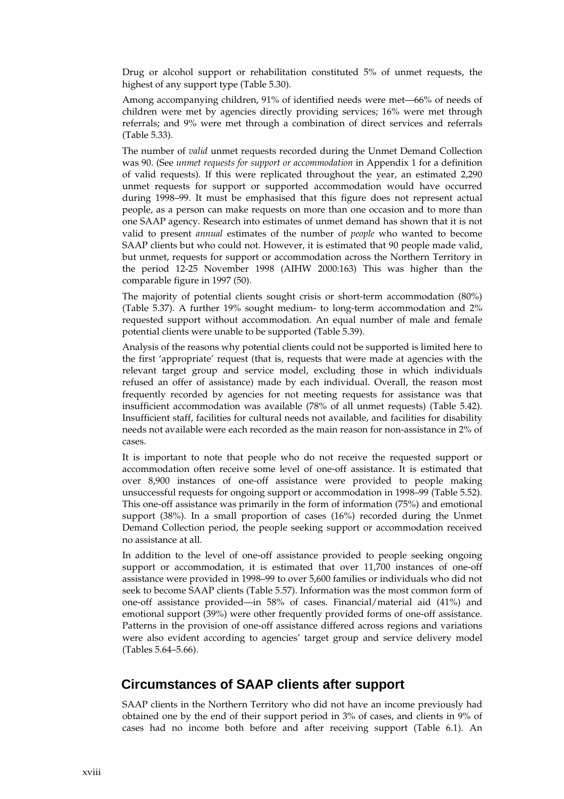Drug or alcohol support or rehabilitation constituted 5% of unmet requests, the highest of any support type (Table 5.30).

Among accompanying children, 91% of identified needs were met—66% of needs of children were met by agencies directly providing services; 16% were met through referrals; and 9% were met through a combination of direct services and referrals (Table 5.33).

The number of *valid* unmet requests recorded during the Unmet Demand Collection was 90. (See *unmet requests for support or accommodation* in Appendix 1 for a definition of valid requests). If this were replicated throughout the year, an estimated 2,290 unmet requests for support or supported accommodation would have occurred during 1998–99. It must be emphasised that this figure does not represent actual people, as a person can make requests on more than one occasion and to more than one SAAP agency. Research into estimates of unmet demand has shown that it is not valid to present *annual* estimates of the number of *people* who wanted to become SAAP clients but who could not. However, it is estimated that 90 people made valid, but unmet, requests for support or accommodation across the Northern Territory in the period 12-25 November 1998 (AIHW 2000:163) This was higher than the comparable figure in 1997 (50).

The majority of potential clients sought crisis or short-term accommodation (80%) (Table 5.37). A further 19% sought medium- to long-term accommodation and 2% requested support without accommodation. An equal number of male and female potential clients were unable to be supported (Table 5.39).

Analysis of the reasons why potential clients could not be supported is limited here to the first 'appropriate' request (that is, requests that were made at agencies with the relevant target group and service model, excluding those in which individuals refused an offer of assistance) made by each individual. Overall, the reason most frequently recorded by agencies for not meeting requests for assistance was that insufficient accommodation was available (78% of all unmet requests) (Table 5.42). Insufficient staff, facilities for cultural needs not available, and facilities for disability needs not available were each recorded as the main reason for non-assistance in 2% of cases.

It is important to note that people who do not receive the requested support or accommodation often receive some level of one-off assistance. It is estimated that over 8,900 instances of one-off assistance were provided to people making unsuccessful requests for ongoing support or accommodation in 1998–99 (Table 5.52). This one-off assistance was primarily in the form of information (75%) and emotional support (38%). In a small proportion of cases (16%) recorded during the Unmet Demand Collection period, the people seeking support or accommodation received no assistance at all.

In addition to the level of one-off assistance provided to people seeking ongoing support or accommodation, it is estimated that over 11,700 instances of one-off assistance were provided in 1998–99 to over 5,600 families or individuals who did not seek to become SAAP clients (Table 5.57). Information was the most common form of one-off assistance provided—in 58% of cases. Financial/material aid (41%) and emotional support (39%) were other frequently provided forms of one-off assistance. Patterns in the provision of one-off assistance differed across regions and variations were also evident according to agencies' target group and service delivery model (Tables 5.64–5.66).

#### **Circumstances of SAAP clients after support**

SAAP clients in the Northern Territory who did not have an income previously had obtained one by the end of their support period in 3% of cases, and clients in 9% of cases had no income both before and after receiving support (Table 6.1). An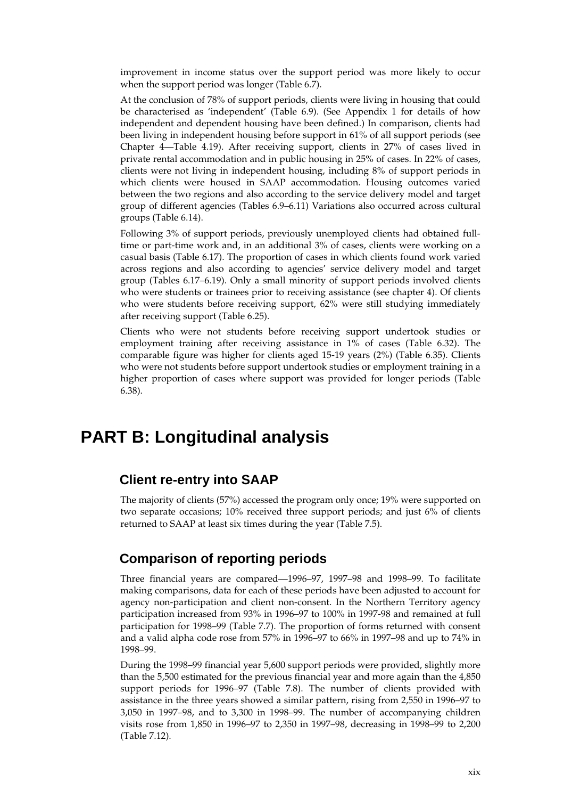improvement in income status over the support period was more likely to occur when the support period was longer (Table 6.7).

At the conclusion of 78% of support periods, clients were living in housing that could be characterised as 'independent' (Table 6.9). (See Appendix 1 for details of how independent and dependent housing have been defined.) In comparison, clients had been living in independent housing before support in 61% of all support periods (see Chapter 4—Table 4.19). After receiving support, clients in 27% of cases lived in private rental accommodation and in public housing in 25% of cases. In 22% of cases, clients were not living in independent housing, including 8% of support periods in which clients were housed in SAAP accommodation. Housing outcomes varied between the two regions and also according to the service delivery model and target group of different agencies (Tables 6.9–6.11) Variations also occurred across cultural groups (Table 6.14).

Following 3% of support periods, previously unemployed clients had obtained fulltime or part-time work and, in an additional 3% of cases, clients were working on a casual basis (Table 6.17). The proportion of cases in which clients found work varied across regions and also according to agencies' service delivery model and target group (Tables 6.17–6.19). Only a small minority of support periods involved clients who were students or trainees prior to receiving assistance (see chapter 4). Of clients who were students before receiving support, 62% were still studying immediately after receiving support (Table 6.25).

Clients who were not students before receiving support undertook studies or employment training after receiving assistance in 1% of cases (Table 6.32). The comparable figure was higher for clients aged 15-19 years (2%) (Table 6.35). Clients who were not students before support undertook studies or employment training in a higher proportion of cases where support was provided for longer periods (Table 6.38).

## **PART B: Longitudinal analysis**

### **Client re-entry into SAAP**

The majority of clients (57%) accessed the program only once; 19% were supported on two separate occasions; 10% received three support periods; and just 6% of clients returned to SAAP at least six times during the year (Table 7.5).

### **Comparison of reporting periods**

Three financial years are compared—1996–97, 1997–98 and 1998–99. To facilitate making comparisons, data for each of these periods have been adjusted to account for agency non-participation and client non-consent. In the Northern Territory agency participation increased from 93% in 1996–97 to 100% in 1997-98 and remained at full participation for 1998–99 (Table 7.7). The proportion of forms returned with consent and a valid alpha code rose from 57% in 1996–97 to 66% in 1997–98 and up to 74% in 1998–99.

During the 1998–99 financial year 5,600 support periods were provided, slightly more than the 5,500 estimated for the previous financial year and more again than the 4,850 support periods for 1996–97 (Table 7.8). The number of clients provided with assistance in the three years showed a similar pattern, rising from 2,550 in 1996–97 to 3,050 in 1997–98, and to 3,300 in 1998–99. The number of accompanying children visits rose from 1,850 in 1996–97 to 2,350 in 1997–98, decreasing in 1998–99 to 2,200 (Table 7.12).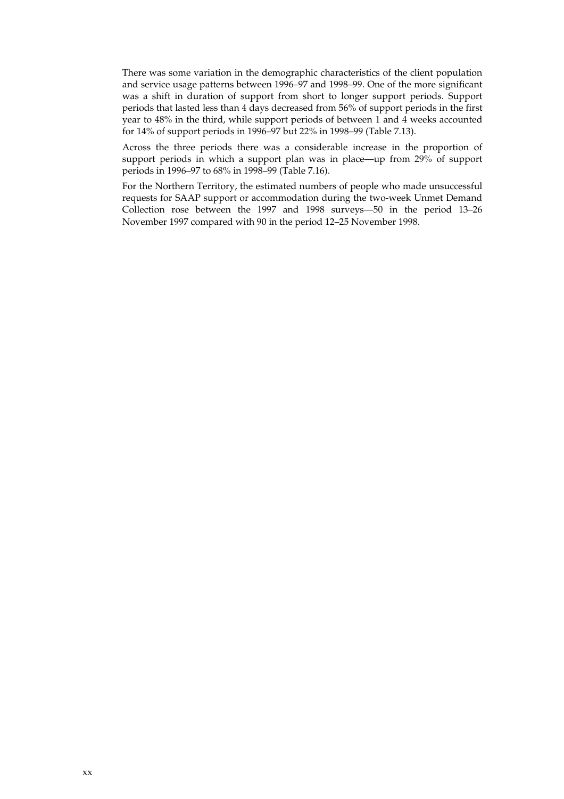There was some variation in the demographic characteristics of the client population and service usage patterns between 1996–97 and 1998–99. One of the more significant was a shift in duration of support from short to longer support periods. Support periods that lasted less than 4 days decreased from 56% of support periods in the first year to 48% in the third, while support periods of between 1 and 4 weeks accounted for 14% of support periods in 1996–97 but 22% in 1998–99 (Table 7.13).

Across the three periods there was a considerable increase in the proportion of support periods in which a support plan was in place—up from 29% of support periods in 1996–97 to 68% in 1998–99 (Table 7.16).

For the Northern Territory, the estimated numbers of people who made unsuccessful requests for SAAP support or accommodation during the two-week Unmet Demand Collection rose between the 1997 and 1998 surveys—50 in the period 13–26 November 1997 compared with 90 in the period 12–25 November 1998.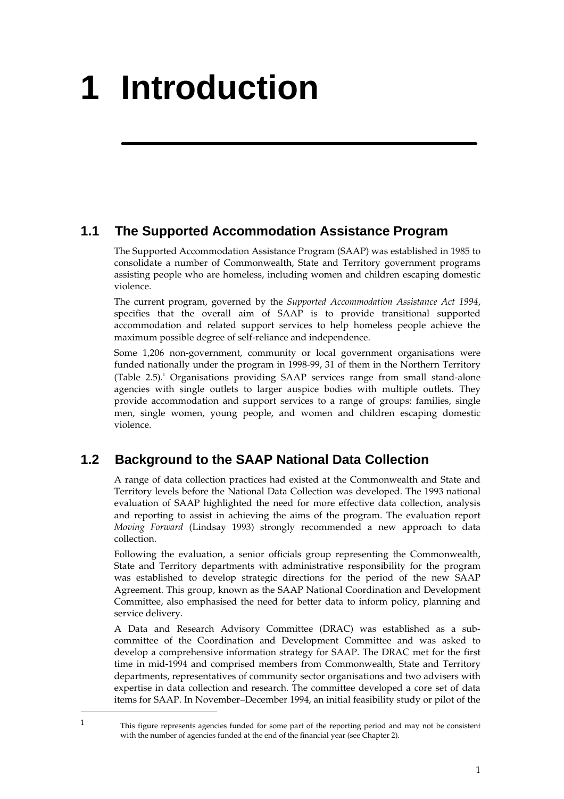# **1 Introduction**

## **1.1 The Supported Accommodation Assistance Program**

The Supported Accommodation Assistance Program (SAAP) was established in 1985 to consolidate a number of Commonwealth, State and Territory government programs assisting people who are homeless, including women and children escaping domestic violence.

The current program, governed by the *Supported Accommodation Assistance Act 1994*, specifies that the overall aim of SAAP is to provide transitional supported accommodation and related support services to help homeless people achieve the maximum possible degree of self-reliance and independence.

Some 1,206 non-government, community or local government organisations were funded nationally under the program in 1998-99, 31 of them in the Northern Territory (Table 2.5).<sup>1</sup> Organisations providing SAAP services range from small stand-alone agencies with single outlets to larger auspice bodies with multiple outlets. They provide accommodation and support services to a range of groups: families, single men, single women, young people, and women and children escaping domestic violence.

## **1.2 Background to the SAAP National Data Collection**

A range of data collection practices had existed at the Commonwealth and State and Territory levels before the National Data Collection was developed. The 1993 national evaluation of SAAP highlighted the need for more effective data collection, analysis and reporting to assist in achieving the aims of the program. The evaluation report *Moving Forward* (Lindsay 1993) strongly recommended a new approach to data collection.

Following the evaluation, a senior officials group representing the Commonwealth, State and Territory departments with administrative responsibility for the program was established to develop strategic directions for the period of the new SAAP Agreement. This group, known as the SAAP National Coordination and Development Committee, also emphasised the need for better data to inform policy, planning and service delivery.

A Data and Research Advisory Committee (DRAC) was established as a subcommittee of the Coordination and Development Committee and was asked to develop a comprehensive information strategy for SAAP. The DRAC met for the first time in mid-1994 and comprised members from Commonwealth, State and Territory departments, representatives of community sector organisations and two advisers with expertise in data collection and research. The committee developed a core set of data items for SAAP. In November–December 1994, an initial feasibility study or pilot of the

 $\overline{a}$ 

<sup>1</sup> This figure represents agencies funded for some part of the reporting period and may not be consistent with the number of agencies funded at the end of the financial year (see Chapter 2).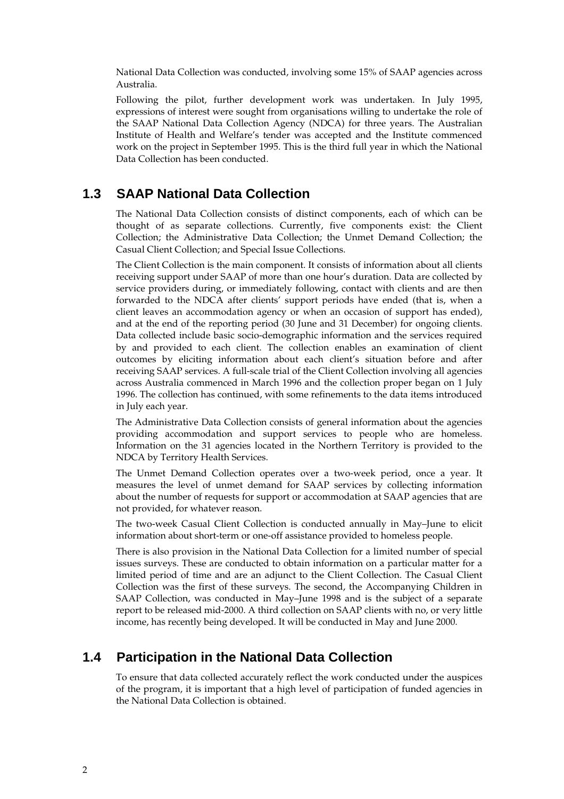National Data Collection was conducted, involving some 15% of SAAP agencies across Australia.

Following the pilot, further development work was undertaken. In July 1995, expressions of interest were sought from organisations willing to undertake the role of the SAAP National Data Collection Agency (NDCA) for three years. The Australian Institute of Health and Welfare's tender was accepted and the Institute commenced work on the project in September 1995. This is the third full year in which the National Data Collection has been conducted.

#### **1.3 SAAP National Data Collection**

The National Data Collection consists of distinct components, each of which can be thought of as separate collections. Currently, five components exist: the Client Collection; the Administrative Data Collection; the Unmet Demand Collection; the Casual Client Collection; and Special Issue Collections.

The Client Collection is the main component. It consists of information about all clients receiving support under SAAP of more than one hour's duration. Data are collected by service providers during, or immediately following, contact with clients and are then forwarded to the NDCA after clients' support periods have ended (that is, when a client leaves an accommodation agency or when an occasion of support has ended), and at the end of the reporting period (30 June and 31 December) for ongoing clients. Data collected include basic socio-demographic information and the services required by and provided to each client. The collection enables an examination of client outcomes by eliciting information about each client's situation before and after receiving SAAP services. A full-scale trial of the Client Collection involving all agencies across Australia commenced in March 1996 and the collection proper began on 1 July 1996. The collection has continued, with some refinements to the data items introduced in July each year.

The Administrative Data Collection consists of general information about the agencies providing accommodation and support services to people who are homeless. Information on the 31 agencies located in the Northern Territory is provided to the NDCA by Territory Health Services.

The Unmet Demand Collection operates over a two-week period, once a year. It measures the level of unmet demand for SAAP services by collecting information about the number of requests for support or accommodation at SAAP agencies that are not provided, for whatever reason.

The two-week Casual Client Collection is conducted annually in May–June to elicit information about short-term or one-off assistance provided to homeless people.

There is also provision in the National Data Collection for a limited number of special issues surveys. These are conducted to obtain information on a particular matter for a limited period of time and are an adjunct to the Client Collection. The Casual Client Collection was the first of these surveys. The second, the Accompanying Children in SAAP Collection, was conducted in May–June 1998 and is the subject of a separate report to be released mid-2000. A third collection on SAAP clients with no, or very little income, has recently being developed. It will be conducted in May and June 2000.

#### **1.4 Participation in the National Data Collection**

To ensure that data collected accurately reflect the work conducted under the auspices of the program, it is important that a high level of participation of funded agencies in the National Data Collection is obtained.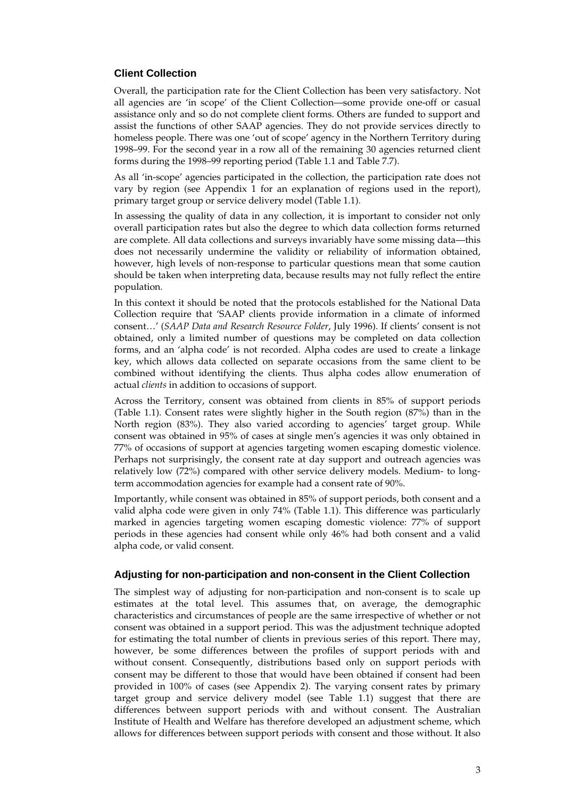#### **Client Collection**

Overall, the participation rate for the Client Collection has been very satisfactory. Not all agencies are 'in scope' of the Client Collection—some provide one-off or casual assistance only and so do not complete client forms. Others are funded to support and assist the functions of other SAAP agencies. They do not provide services directly to homeless people. There was one 'out of scope' agency in the Northern Territory during 1998–99. For the second year in a row all of the remaining 30 agencies returned client forms during the 1998–99 reporting period (Table 1.1 and Table 7.7).

As all 'in-scope' agencies participated in the collection, the participation rate does not vary by region (see Appendix 1 for an explanation of regions used in the report), primary target group or service delivery model (Table 1.1).

In assessing the quality of data in any collection, it is important to consider not only overall participation rates but also the degree to which data collection forms returned are complete. All data collections and surveys invariably have some missing data—this does not necessarily undermine the validity or reliability of information obtained, however, high levels of non-response to particular questions mean that some caution should be taken when interpreting data, because results may not fully reflect the entire population.

In this context it should be noted that the protocols established for the National Data Collection require that 'SAAP clients provide information in a climate of informed consent…' (*SAAP Data and Research Resource Folder*, July 1996). If clients' consent is not obtained, only a limited number of questions may be completed on data collection forms, and an 'alpha code' is not recorded. Alpha codes are used to create a linkage key, which allows data collected on separate occasions from the same client to be combined without identifying the clients. Thus alpha codes allow enumeration of actual *clients* in addition to occasions of support.

Across the Territory, consent was obtained from clients in 85% of support periods (Table 1.1). Consent rates were slightly higher in the South region (87%) than in the North region (83%). They also varied according to agencies' target group. While consent was obtained in 95% of cases at single men's agencies it was only obtained in 77% of occasions of support at agencies targeting women escaping domestic violence. Perhaps not surprisingly, the consent rate at day support and outreach agencies was relatively low (72%) compared with other service delivery models. Medium- to longterm accommodation agencies for example had a consent rate of 90%.

Importantly, while consent was obtained in 85% of support periods, both consent and a valid alpha code were given in only 74% (Table 1.1). This difference was particularly marked in agencies targeting women escaping domestic violence: 77% of support periods in these agencies had consent while only 46% had both consent and a valid alpha code, or valid consent.

#### **Adjusting for non-participation and non-consent in the Client Collection**

The simplest way of adjusting for non-participation and non-consent is to scale up estimates at the total level. This assumes that, on average, the demographic characteristics and circumstances of people are the same irrespective of whether or not consent was obtained in a support period. This was the adjustment technique adopted for estimating the total number of clients in previous series of this report. There may, however, be some differences between the profiles of support periods with and without consent. Consequently, distributions based only on support periods with consent may be different to those that would have been obtained if consent had been provided in 100% of cases (see Appendix 2). The varying consent rates by primary target group and service delivery model (see Table 1.1) suggest that there are differences between support periods with and without consent. The Australian Institute of Health and Welfare has therefore developed an adjustment scheme, which allows for differences between support periods with consent and those without. It also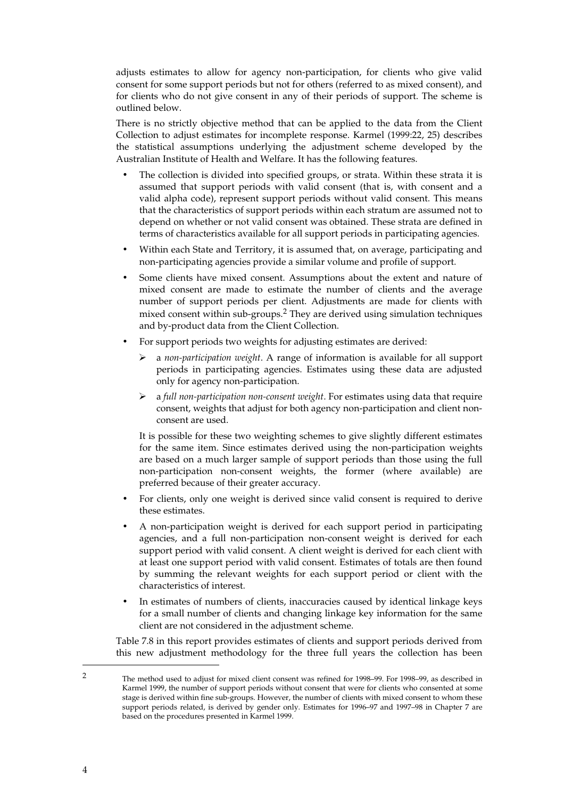adjusts estimates to allow for agency non-participation, for clients who give valid consent for some support periods but not for others (referred to as mixed consent), and for clients who do not give consent in any of their periods of support. The scheme is outlined below.

There is no strictly objective method that can be applied to the data from the Client Collection to adjust estimates for incomplete response. Karmel (1999:22, 25) describes the statistical assumptions underlying the adjustment scheme developed by the Australian Institute of Health and Welfare. It has the following features.

- The collection is divided into specified groups, or strata. Within these strata it is assumed that support periods with valid consent (that is, with consent and a valid alpha code), represent support periods without valid consent. This means that the characteristics of support periods within each stratum are assumed not to depend on whether or not valid consent was obtained. These strata are defined in terms of characteristics available for all support periods in participating agencies.
- Within each State and Territory, it is assumed that, on average, participating and non-participating agencies provide a similar volume and profile of support.
- Some clients have mixed consent. Assumptions about the extent and nature of mixed consent are made to estimate the number of clients and the average number of support periods per client. Adjustments are made for clients with mixed consent within sub-groups.2 They are derived using simulation techniques and by-product data from the Client Collection.
- For support periods two weights for adjusting estimates are derived:
	- ¾ a *non-participation weight*. A range of information is available for all support periods in participating agencies. Estimates using these data are adjusted only for agency non-participation.
	- ¾ a *full non-participation non-consent weight*. For estimates using data that require consent, weights that adjust for both agency non-participation and client nonconsent are used.

It is possible for these two weighting schemes to give slightly different estimates for the same item. Since estimates derived using the non-participation weights are based on a much larger sample of support periods than those using the full non-participation non-consent weights, the former (where available) are preferred because of their greater accuracy.

- For clients, only one weight is derived since valid consent is required to derive these estimates.
- A non-participation weight is derived for each support period in participating agencies, and a full non-participation non-consent weight is derived for each support period with valid consent. A client weight is derived for each client with at least one support period with valid consent. Estimates of totals are then found by summing the relevant weights for each support period or client with the characteristics of interest.
- In estimates of numbers of clients, inaccuracies caused by identical linkage keys for a small number of clients and changing linkage key information for the same client are not considered in the adjustment scheme.

Table 7.8 in this report provides estimates of clients and support periods derived from this new adjustment methodology for the three full years the collection has been

 $\overline{a}$ 

<sup>2</sup> The method used to adjust for mixed client consent was refined for 1998–99. For 1998–99, as described in Karmel 1999, the number of support periods without consent that were for clients who consented at some stage is derived within fine sub-groups. However, the number of clients with mixed consent to whom these support periods related, is derived by gender only. Estimates for 1996–97 and 1997–98 in Chapter 7 are based on the procedures presented in Karmel 1999.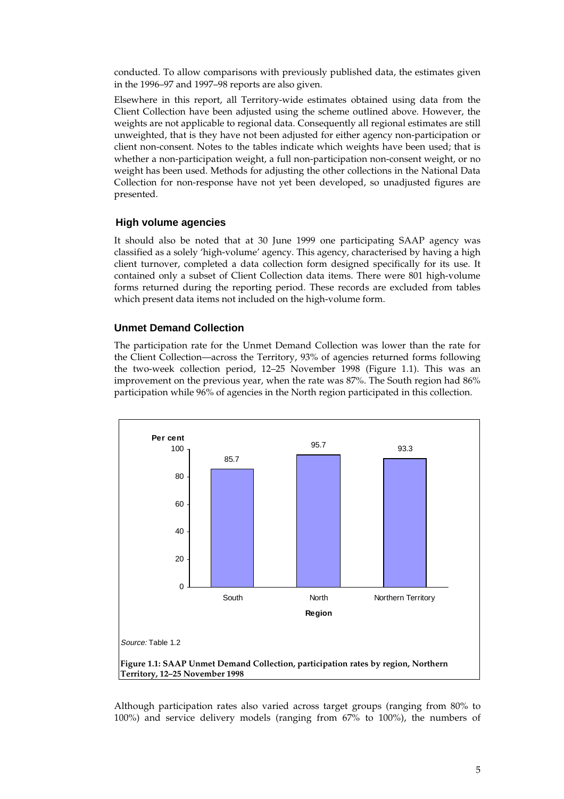conducted. To allow comparisons with previously published data, the estimates given in the 1996–97 and 1997–98 reports are also given.

Elsewhere in this report, all Territory-wide estimates obtained using data from the Client Collection have been adjusted using the scheme outlined above. However, the weights are not applicable to regional data. Consequently all regional estimates are still unweighted, that is they have not been adjusted for either agency non-participation or client non-consent. Notes to the tables indicate which weights have been used; that is whether a non-participation weight, a full non-participation non-consent weight, or no weight has been used. Methods for adjusting the other collections in the National Data Collection for non-response have not yet been developed, so unadjusted figures are presented.

#### **High volume agencies**

It should also be noted that at 30 June 1999 one participating SAAP agency was classified as a solely 'high-volume' agency. This agency, characterised by having a high client turnover, completed a data collection form designed specifically for its use. It contained only a subset of Client Collection data items. There were 801 high-volume forms returned during the reporting period. These records are excluded from tables which present data items not included on the high-volume form.

#### **Unmet Demand Collection**

The participation rate for the Unmet Demand Collection was lower than the rate for the Client Collection—across the Territory, 93% of agencies returned forms following the two-week collection period, 12–25 November 1998 (Figure 1.1). This was an improvement on the previous year, when the rate was 87%. The South region had 86% participation while 96% of agencies in the North region participated in this collection.



Although participation rates also varied across target groups (ranging from 80% to 100%) and service delivery models (ranging from 67% to 100%), the numbers of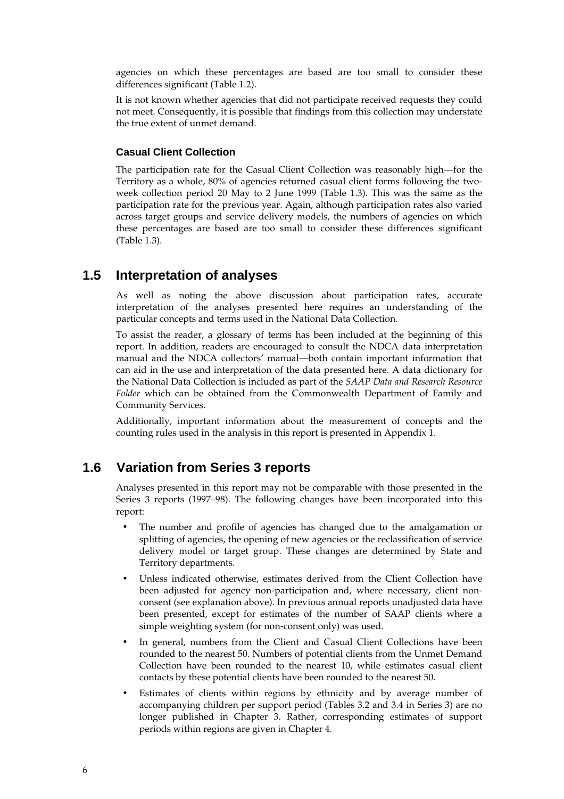agencies on which these percentages are based are too small to consider these differences significant (Table 1.2).

It is not known whether agencies that did not participate received requests they could not meet. Consequently, it is possible that findings from this collection may understate the true extent of unmet demand.

#### **Casual Client Collection**

The participation rate for the Casual Client Collection was reasonably high—for the Territory as a whole, 80% of agencies returned casual client forms following the twoweek collection period 20 May to 2 June 1999 (Table 1.3). This was the same as the participation rate for the previous year. Again, although participation rates also varied across target groups and service delivery models, the numbers of agencies on which these percentages are based are too small to consider these differences significant (Table 1.3).

#### **1.5 Interpretation of analyses**

As well as noting the above discussion about participation rates, accurate interpretation of the analyses presented here requires an understanding of the particular concepts and terms used in the National Data Collection.

To assist the reader, a glossary of terms has been included at the beginning of this report. In addition, readers are encouraged to consult the NDCA data interpretation manual and the NDCA collectors' manual—both contain important information that can aid in the use and interpretation of the data presented here. A data dictionary for the National Data Collection is included as part of the *SAAP Data and Research Resource Folder* which can be obtained from the Commonwealth Department of Family and Community Services.

Additionally, important information about the measurement of concepts and the counting rules used in the analysis in this report is presented in Appendix 1.

#### **1.6 Variation from Series 3 reports**

Analyses presented in this report may not be comparable with those presented in the Series 3 reports (1997–98). The following changes have been incorporated into this report:

- The number and profile of agencies has changed due to the amalgamation or splitting of agencies, the opening of new agencies or the reclassification of service delivery model or target group. These changes are determined by State and Territory departments.
- Unless indicated otherwise, estimates derived from the Client Collection have been adjusted for agency non-participation and, where necessary, client nonconsent (see explanation above). In previous annual reports unadjusted data have been presented, except for estimates of the number of SAAP clients where a simple weighting system (for non-consent only) was used.
- In general, numbers from the Client and Casual Client Collections have been rounded to the nearest 50. Numbers of potential clients from the Unmet Demand Collection have been rounded to the nearest 10, while estimates casual client contacts by these potential clients have been rounded to the nearest 50.
- Estimates of clients within regions by ethnicity and by average number of accompanying children per support period (Tables 3.2 and 3.4 in Series 3) are no longer published in Chapter 3. Rather, corresponding estimates of support periods within regions are given in Chapter 4.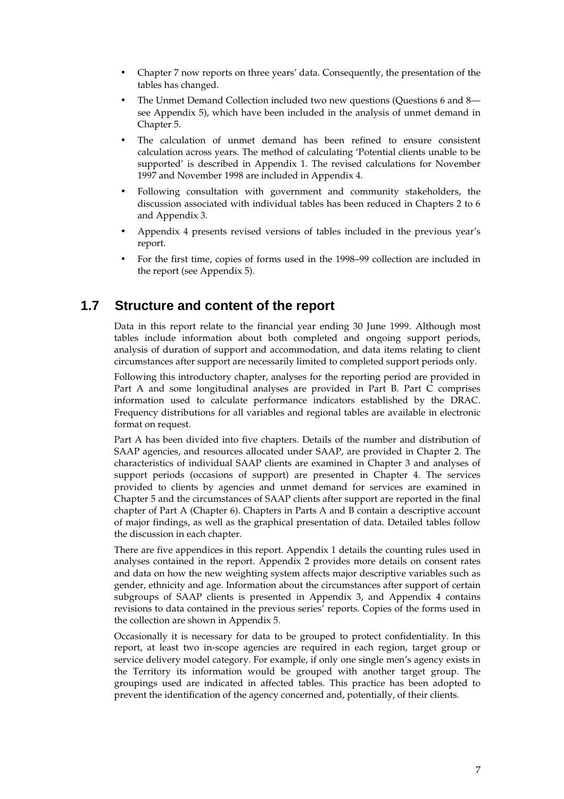- Chapter 7 now reports on three years' data. Consequently, the presentation of the tables has changed.
- The Unmet Demand Collection included two new questions (Questions 6 and 8 see Appendix 5), which have been included in the analysis of unmet demand in Chapter 5.
- The calculation of unmet demand has been refined to ensure consistent calculation across years. The method of calculating 'Potential clients unable to be supported' is described in Appendix 1. The revised calculations for November 1997 and November 1998 are included in Appendix 4.
- Following consultation with government and community stakeholders, the discussion associated with individual tables has been reduced in Chapters 2 to 6 and Appendix 3.
- Appendix 4 presents revised versions of tables included in the previous year's report.
- For the first time, copies of forms used in the 1998–99 collection are included in the report (see Appendix 5).

#### **1.7 Structure and content of the report**

Data in this report relate to the financial year ending 30 June 1999. Although most tables include information about both completed and ongoing support periods, analysis of duration of support and accommodation, and data items relating to client circumstances after support are necessarily limited to completed support periods only.

Following this introductory chapter, analyses for the reporting period are provided in Part A and some longitudinal analyses are provided in Part B. Part C comprises information used to calculate performance indicators established by the DRAC. Frequency distributions for all variables and regional tables are available in electronic format on request.

Part A has been divided into five chapters. Details of the number and distribution of SAAP agencies, and resources allocated under SAAP, are provided in Chapter 2. The characteristics of individual SAAP clients are examined in Chapter 3 and analyses of support periods (occasions of support) are presented in Chapter 4. The services provided to clients by agencies and unmet demand for services are examined in Chapter 5 and the circumstances of SAAP clients after support are reported in the final chapter of Part A (Chapter 6). Chapters in Parts A and B contain a descriptive account of major findings, as well as the graphical presentation of data. Detailed tables follow the discussion in each chapter.

There are five appendices in this report. Appendix 1 details the counting rules used in analyses contained in the report. Appendix 2 provides more details on consent rates and data on how the new weighting system affects major descriptive variables such as gender, ethnicity and age. Information about the circumstances after support of certain subgroups of SAAP clients is presented in Appendix 3, and Appendix 4 contains revisions to data contained in the previous series' reports. Copies of the forms used in the collection are shown in Appendix 5.

Occasionally it is necessary for data to be grouped to protect confidentiality. In this report, at least two in-scope agencies are required in each region, target group or service delivery model category. For example, if only one single men's agency exists in the Territory its information would be grouped with another target group. The groupings used are indicated in affected tables. This practice has been adopted to prevent the identification of the agency concerned and, potentially, of their clients.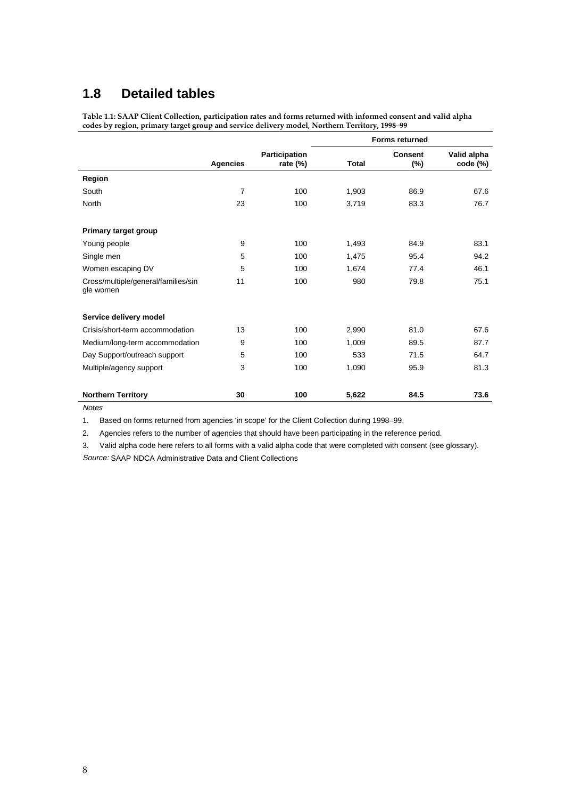## **1.8 Detailed tables**

**Table 1.1: SAAP Client Collection, participation rates and forms returned with informed consent and valid alpha codes by region, primary target group and service delivery model, Northern Territory, 1998–99**

|                                                  |                 |                              |       | <b>Forms returned</b> |                         |
|--------------------------------------------------|-----------------|------------------------------|-------|-----------------------|-------------------------|
|                                                  | <b>Agencies</b> | Participation<br>rate $(\%)$ | Total | <b>Consent</b><br>(%) | Valid alpha<br>code (%) |
| Region                                           |                 |                              |       |                       |                         |
| South                                            | $\overline{7}$  | 100                          | 1,903 | 86.9                  | 67.6                    |
| North                                            | 23              | 100                          | 3,719 | 83.3                  | 76.7                    |
| Primary target group                             |                 |                              |       |                       |                         |
| Young people                                     | 9               | 100                          | 1,493 | 84.9                  | 83.1                    |
| Single men                                       | 5               | 100                          | 1,475 | 95.4                  | 94.2                    |
| Women escaping DV                                | 5               | 100                          | 1,674 | 77.4                  | 46.1                    |
| Cross/multiple/general/families/sin<br>gle women | 11              | 100                          | 980   | 79.8                  | 75.1                    |
| Service delivery model                           |                 |                              |       |                       |                         |
| Crisis/short-term accommodation                  | 13              | 100                          | 2,990 | 81.0                  | 67.6                    |
| Medium/long-term accommodation                   | 9               | 100                          | 1.009 | 89.5                  | 87.7                    |
| Day Support/outreach support                     | 5               | 100                          | 533   | 71.5                  | 64.7                    |
| Multiple/agency support                          | 3               | 100                          | 1,090 | 95.9                  | 81.3                    |
| <b>Northern Territory</b>                        | 30              | 100                          | 5,622 | 84.5                  | 73.6                    |

Notes

1. Based on forms returned from agencies 'in scope' for the Client Collection during 1998–99.

2. Agencies refers to the number of agencies that should have been participating in the reference period.

3. Valid alpha code here refers to all forms with a valid alpha code that were completed with consent (see glossary). Source: SAAP NDCA Administrative Data and Client Collections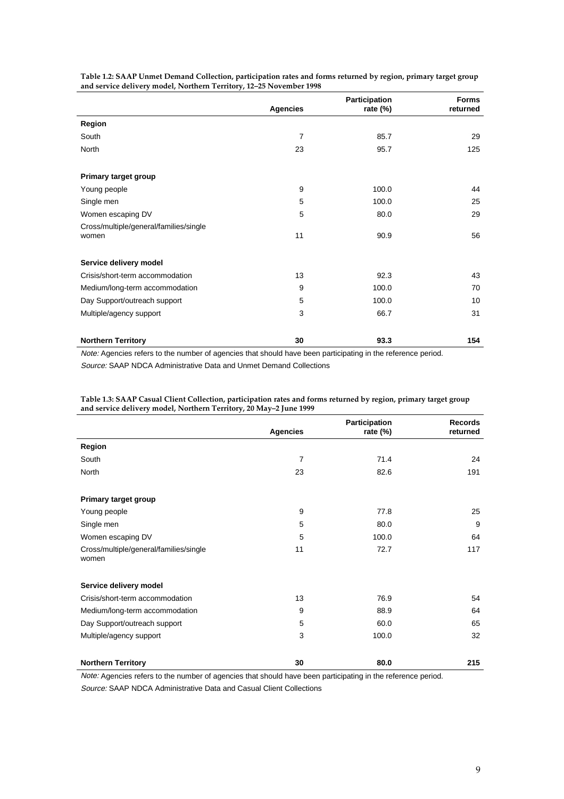|                                        |                 | Participation | <b>Forms</b> |
|----------------------------------------|-----------------|---------------|--------------|
|                                        | <b>Agencies</b> | rate $(\%)$   | returned     |
| Region                                 |                 |               |              |
| South                                  | 7               | 85.7          | 29           |
| North                                  | 23              | 95.7          | 125          |
| Primary target group                   |                 |               |              |
| Young people                           | 9               | 100.0         | 44           |
| Single men                             | 5               | 100.0         | 25           |
| Women escaping DV                      | 5               | 80.0          | 29           |
| Cross/multiple/general/families/single |                 |               |              |
| women                                  | 11              | 90.9          | 56           |
| Service delivery model                 |                 |               |              |
| Crisis/short-term accommodation        | 13              | 92.3          | 43           |
| Medium/long-term accommodation         | 9               | 100.0         | 70           |
| Day Support/outreach support           | 5               | 100.0         | 10           |
| Multiple/agency support                | 3               | 66.7          | 31           |
| <b>Northern Territory</b>              | 30              | 93.3          | 154          |

**Table 1.2: SAAP Unmet Demand Collection, participation rates and forms returned by region, primary target group and service delivery model, Northern Territory, 12–25 November 1998**

Note: Agencies refers to the number of agencies that should have been participating in the reference period.

Source: SAAP NDCA Administrative Data and Unmet Demand Collections

**Table 1.3: SAAP Casual Client Collection, participation rates and forms returned by region, primary target group and service delivery model, Northern Territory, 20 May–2 June 1999**

|                                                 | <b>Agencies</b> | Participation<br>rate $(\%)$ | <b>Records</b><br>returned |
|-------------------------------------------------|-----------------|------------------------------|----------------------------|
| Region                                          |                 |                              |                            |
| South                                           | 7               | 71.4                         | 24                         |
| North                                           | 23              | 82.6                         | 191                        |
| Primary target group                            |                 |                              |                            |
| Young people                                    | 9               | 77.8                         | 25                         |
| Single men                                      | 5               | 80.0                         | 9                          |
| Women escaping DV                               | 5               | 100.0                        | 64                         |
| Cross/multiple/general/families/single<br>women | 11              | 72.7                         | 117                        |
| Service delivery model                          |                 |                              |                            |
| Crisis/short-term accommodation                 | 13              | 76.9                         | 54                         |
| Medium/long-term accommodation                  | 9               | 88.9                         | 64                         |
| Day Support/outreach support                    | 5               | 60.0                         | 65                         |
| Multiple/agency support                         | 3               | 100.0                        | 32                         |
| <b>Northern Territory</b>                       | 30              | 80.0                         | 215                        |

Note: Agencies refers to the number of agencies that should have been participating in the reference period.

Source: SAAP NDCA Administrative Data and Casual Client Collections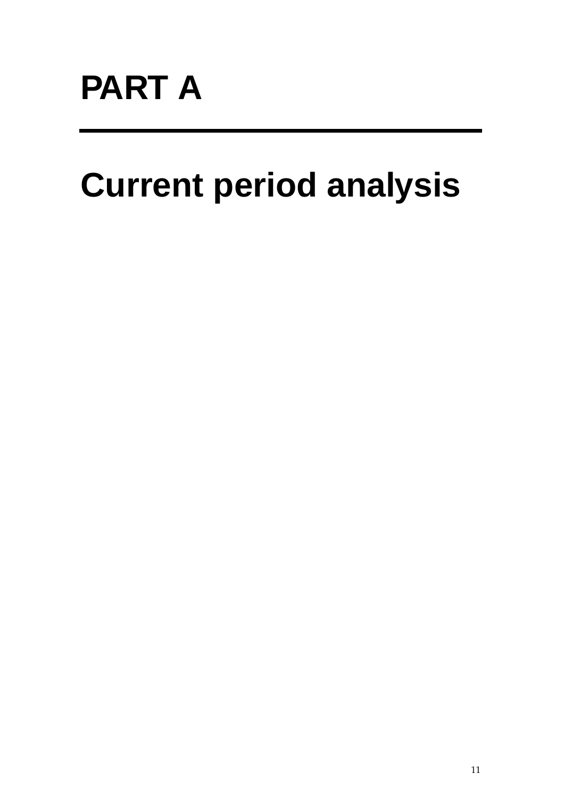# **Current period analysis**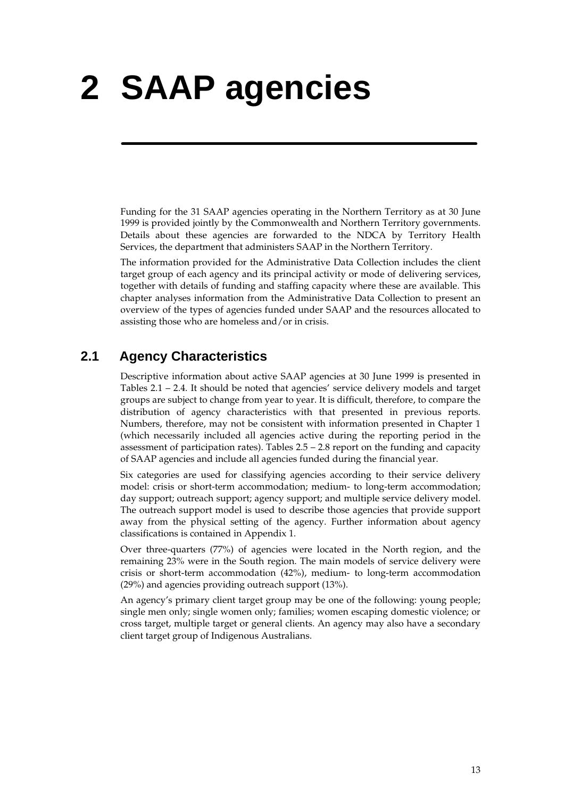# **2 SAAP agencies**

Funding for the 31 SAAP agencies operating in the Northern Territory as at 30 June 1999 is provided jointly by the Commonwealth and Northern Territory governments. Details about these agencies are forwarded to the NDCA by Territory Health Services, the department that administers SAAP in the Northern Territory.

The information provided for the Administrative Data Collection includes the client target group of each agency and its principal activity or mode of delivering services, together with details of funding and staffing capacity where these are available. This chapter analyses information from the Administrative Data Collection to present an overview of the types of agencies funded under SAAP and the resources allocated to assisting those who are homeless and/or in crisis.

### **2.1 Agency Characteristics**

Descriptive information about active SAAP agencies at 30 June 1999 is presented in Tables 2.1 – 2.4. It should be noted that agencies' service delivery models and target groups are subject to change from year to year. It is difficult, therefore, to compare the distribution of agency characteristics with that presented in previous reports. Numbers, therefore, may not be consistent with information presented in Chapter 1 (which necessarily included all agencies active during the reporting period in the assessment of participation rates). Tables 2.5 – 2.8 report on the funding and capacity of SAAP agencies and include all agencies funded during the financial year.

Six categories are used for classifying agencies according to their service delivery model: crisis or short-term accommodation; medium- to long-term accommodation; day support; outreach support; agency support; and multiple service delivery model. The outreach support model is used to describe those agencies that provide support away from the physical setting of the agency. Further information about agency classifications is contained in Appendix 1.

Over three-quarters (77%) of agencies were located in the North region, and the remaining 23% were in the South region. The main models of service delivery were crisis or short-term accommodation (42%), medium- to long-term accommodation (29%) and agencies providing outreach support (13%).

An agency's primary client target group may be one of the following: young people; single men only; single women only; families; women escaping domestic violence; or cross target, multiple target or general clients. An agency may also have a secondary client target group of Indigenous Australians.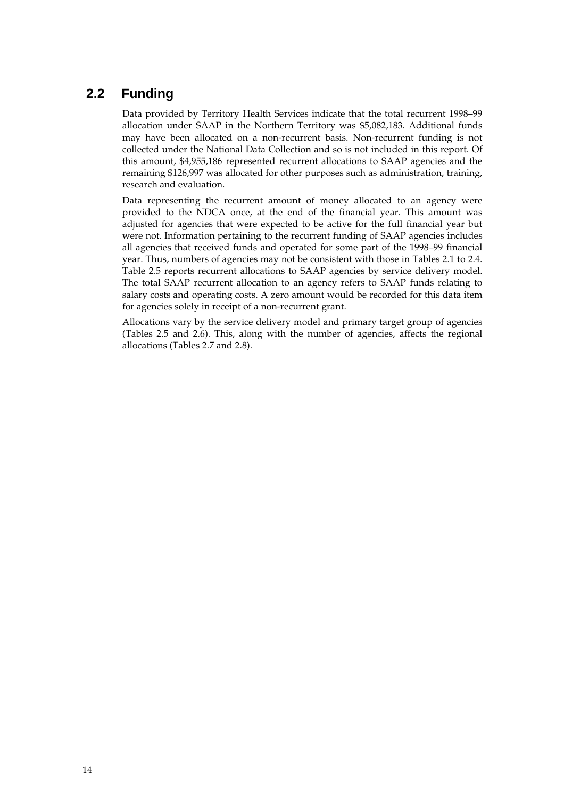## **2.2 Funding**

Data provided by Territory Health Services indicate that the total recurrent 1998–99 allocation under SAAP in the Northern Territory was \$5,082,183. Additional funds may have been allocated on a non-recurrent basis. Non-recurrent funding is not collected under the National Data Collection and so is not included in this report. Of this amount, \$4,955,186 represented recurrent allocations to SAAP agencies and the remaining \$126,997 was allocated for other purposes such as administration, training, research and evaluation.

Data representing the recurrent amount of money allocated to an agency were provided to the NDCA once, at the end of the financial year. This amount was adjusted for agencies that were expected to be active for the full financial year but were not. Information pertaining to the recurrent funding of SAAP agencies includes all agencies that received funds and operated for some part of the 1998–99 financial year. Thus, numbers of agencies may not be consistent with those in Tables 2.1 to 2.4. Table 2.5 reports recurrent allocations to SAAP agencies by service delivery model. The total SAAP recurrent allocation to an agency refers to SAAP funds relating to salary costs and operating costs. A zero amount would be recorded for this data item for agencies solely in receipt of a non-recurrent grant.

Allocations vary by the service delivery model and primary target group of agencies (Tables 2.5 and 2.6). This, along with the number of agencies, affects the regional allocations (Tables 2.7 and 2.8).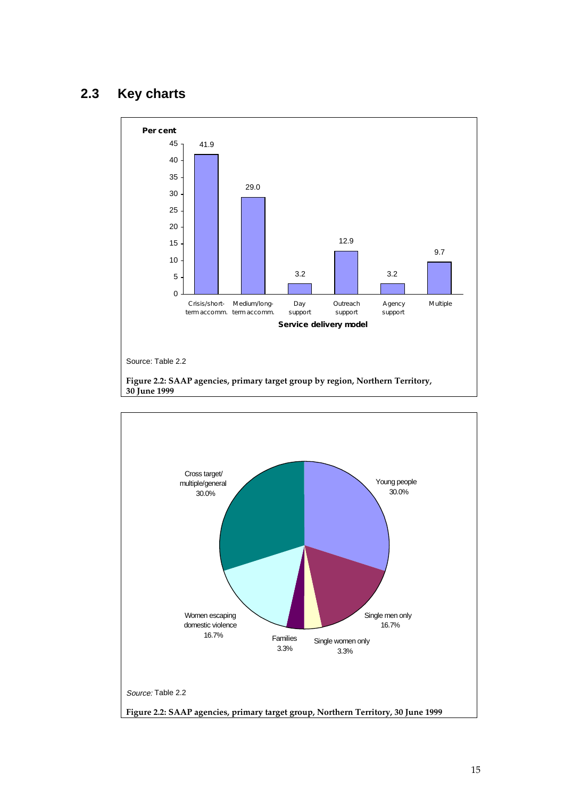## **2.3 Key charts**



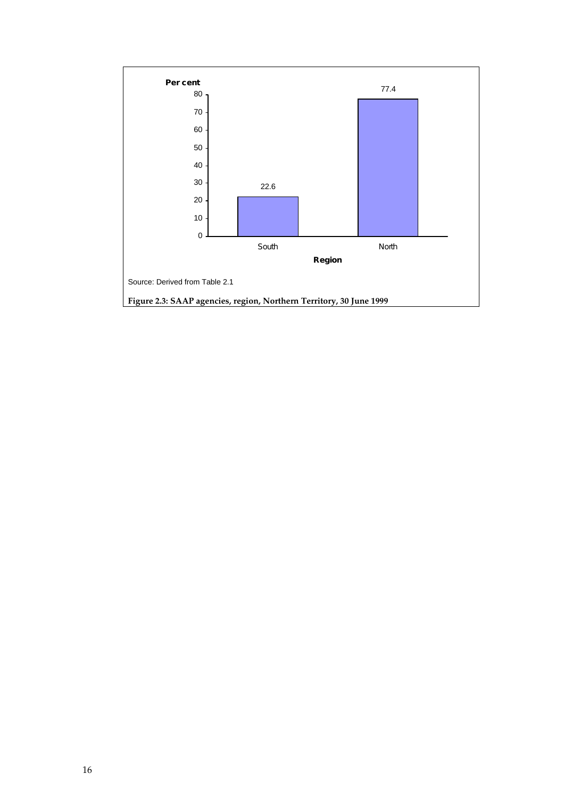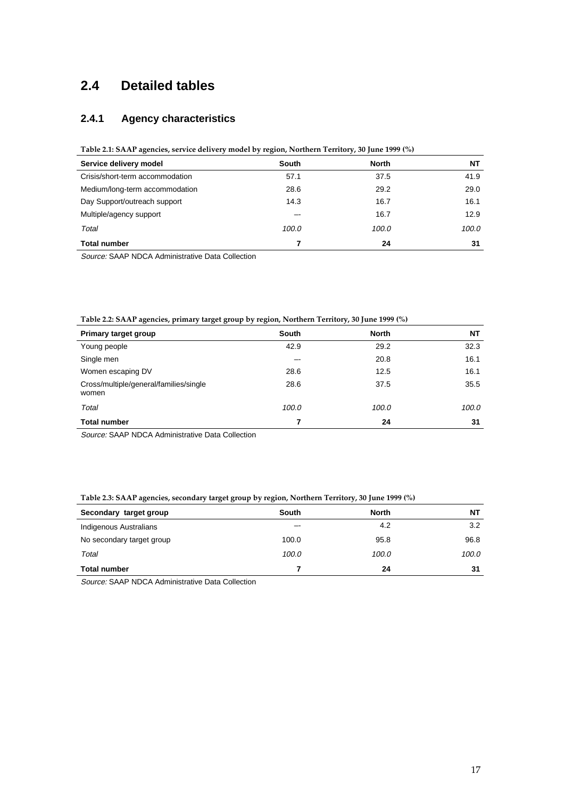# **2.4 Detailed tables**

## **2.4.1 Agency characteristics**

#### **Table 2.1: SAAP agencies, service delivery model by region, Northern Territory, 30 June 1999 (%)**

| Service delivery model          | South | <b>North</b> | NΤ    |
|---------------------------------|-------|--------------|-------|
| Crisis/short-term accommodation | 57.1  | 37.5         | 41.9  |
| Medium/long-term accommodation  | 28.6  | 29.2         | 29.0  |
| Day Support/outreach support    | 14.3  | 16.7         | 16.1  |
| Multiple/agency support         | --    | 16.7         | 12.9  |
| Total                           | 100.0 | 100.0        | 100.0 |
| <b>Total number</b>             | 7     | 24           | 31    |

Source: SAAP NDCA Administrative Data Collection

**Table 2.2: SAAP agencies, primary target group by region, Northern Territory, 30 June 1999 (%)**

| Primary target group                            | South | <b>North</b> | NΤ    |
|-------------------------------------------------|-------|--------------|-------|
| Young people                                    | 42.9  | 29.2         | 32.3  |
| Single men                                      |       | 20.8         | 16.1  |
| Women escaping DV                               | 28.6  | 12.5         | 16.1  |
| Cross/multiple/general/families/single<br>women | 28.6  | 37.5         | 35.5  |
| Total                                           | 100.0 | 100.0        | 100.0 |
| <b>Total number</b>                             | 7     | 24           | 31    |

Source: SAAP NDCA Administrative Data Collection

#### **Table 2.3: SAAP agencies, secondary target group by region, Northern Territory, 30 June 1999 (%)**

| Secondary target group    | South | North | NΤ    |
|---------------------------|-------|-------|-------|
| Indigenous Australians    |       | 4.2   | 3.2   |
| No secondary target group | 100.0 | 95.8  | 96.8  |
| Total                     | 100.0 | 100.0 | 100.0 |
| <b>Total number</b>       |       | 24    | 31    |

Source: SAAP NDCA Administrative Data Collection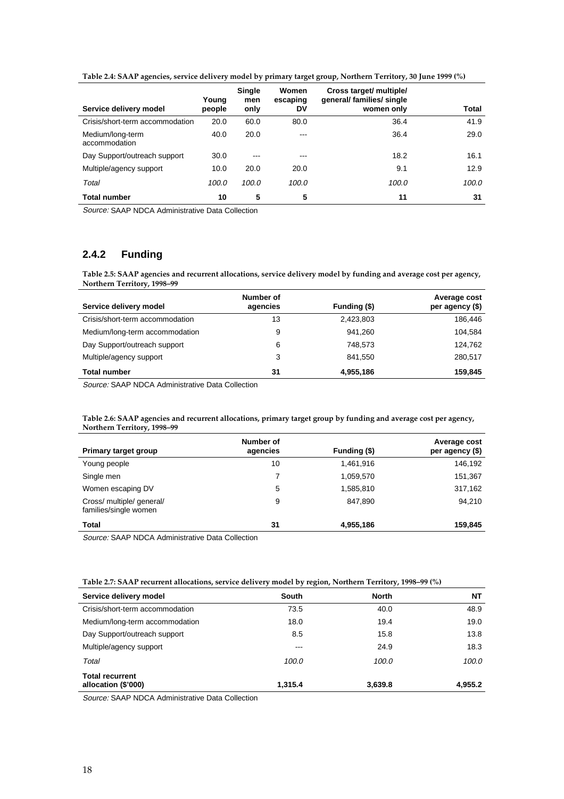|  |  | Table 2.4: SAAP agencies, service delivery model by primary target group, Northern Territory, 30 June 1999 (%) |
|--|--|----------------------------------------------------------------------------------------------------------------|
|  |  |                                                                                                                |

|                                   | Young  | <b>Single</b><br>men | Women<br>escaping | Cross target/ multiple/<br>general/ families/ single |       |
|-----------------------------------|--------|----------------------|-------------------|------------------------------------------------------|-------|
| Service delivery model            | people | only                 | DV                | women only                                           | Total |
| Crisis/short-term accommodation   | 20.0   | 60.0                 | 80.0              | 36.4                                                 | 41.9  |
| Medium/long-term<br>accommodation | 40.0   | 20.0                 | ---               | 36.4                                                 | 29.0  |
| Day Support/outreach support      | 30.0   | ---                  | ---               | 18.2                                                 | 16.1  |
| Multiple/agency support           | 10.0   | 20.0                 | 20.0              | 9.1                                                  | 12.9  |
| Total                             | 100.0  | 100.0                | 100.0             | 100.0                                                | 100.0 |
| <b>Total number</b>               | 10     | 5                    | 5                 | 11                                                   | 31    |

Source: SAAP NDCA Administrative Data Collection

## **2.4.2 Funding**

**Table 2.5: SAAP agencies and recurrent allocations, service delivery model by funding and average cost per agency, Northern Territory, 1998–99**

| Service delivery model          | Number of<br>agencies | Funding (\$) | Average cost<br>per agency (\$) |
|---------------------------------|-----------------------|--------------|---------------------------------|
| Crisis/short-term accommodation | 13                    | 2,423,803    | 186,446                         |
| Medium/long-term accommodation  | 9                     | 941.260      | 104,584                         |
| Day Support/outreach support    | 6                     | 748,573      | 124,762                         |
| Multiple/agency support         | 3                     | 841.550      | 280,517                         |
| <b>Total number</b>             | 31                    | 4,955,186    | 159,845                         |

Source: SAAP NDCA Administrative Data Collection

**Table 2.6: SAAP agencies and recurrent allocations, primary target group by funding and average cost per agency, Northern Territory, 1998–99**

| <b>Primary target group</b>                        | Number of<br>agencies | Funding (\$) | Average cost<br>per agency (\$) |
|----------------------------------------------------|-----------------------|--------------|---------------------------------|
| Young people                                       | 10                    | 1,461,916    | 146,192                         |
| Single men                                         | 7                     | 1,059,570    | 151,367                         |
| Women escaping DV                                  | 5                     | 1,585,810    | 317,162                         |
| Cross/ multiple/ general/<br>families/single women | 9                     | 847.890      | 94.210                          |
| <b>Total</b>                                       | 31                    | 4,955,186    | 159,845                         |

Source: SAAP NDCA Administrative Data Collection

| Table 2.7: SAAP recurrent allocations, service delivery model by region, Northern Territory, 1998-99 (%) |  |  |  |
|----------------------------------------------------------------------------------------------------------|--|--|--|
|                                                                                                          |  |  |  |

| Twice the commutation and activity defined $\theta$ in the $\theta$ is a contribution of $\theta$ is $\theta$ and $\theta$ |         |              |           |  |  |
|----------------------------------------------------------------------------------------------------------------------------|---------|--------------|-----------|--|--|
| Service delivery model                                                                                                     | South   | <b>North</b> | <b>NT</b> |  |  |
| Crisis/short-term accommodation                                                                                            | 73.5    | 40.0         | 48.9      |  |  |
| Medium/long-term accommodation                                                                                             | 18.0    | 19.4         | 19.0      |  |  |
| Day Support/outreach support                                                                                               | 8.5     | 15.8         | 13.8      |  |  |
| Multiple/agency support                                                                                                    | $- - -$ | 24.9         | 18.3      |  |  |
| Total                                                                                                                      | 100.0   | 100.0        | 100.0     |  |  |
| <b>Total recurrent</b><br>allocation (\$'000)                                                                              | 1.315.4 | 3,639.8      | 4,955.2   |  |  |

Source: SAAP NDCA Administrative Data Collection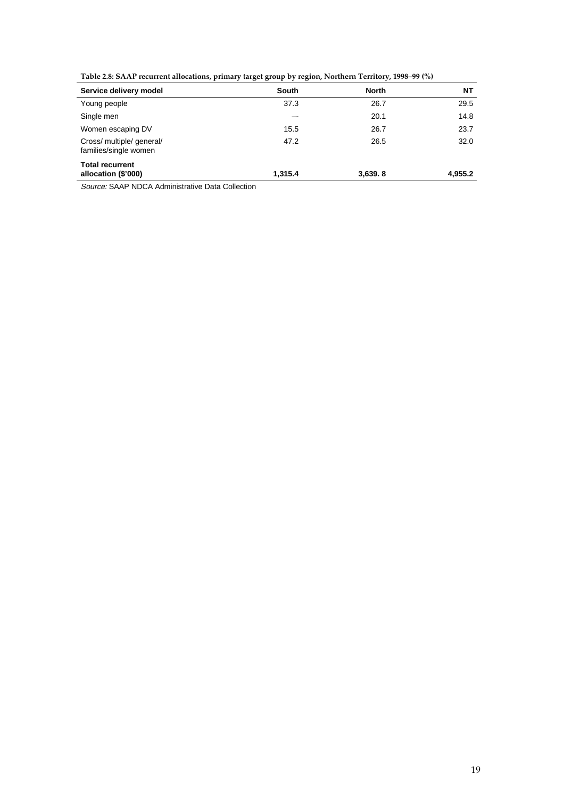| Service delivery model                             | South   | North   | NΤ      |
|----------------------------------------------------|---------|---------|---------|
| Young people                                       | 37.3    | 26.7    | 29.5    |
| Single men                                         |         | 20.1    | 14.8    |
| Women escaping DV                                  | 15.5    | 26.7    | 23.7    |
| Cross/ multiple/ general/<br>families/single women | 47.2    | 26.5    | 32.0    |
| <b>Total recurrent</b><br>allocation (\$'000)      | 1.315.4 | 3,639.8 | 4,955.2 |
| Source: SAAP NDCA Administrative Data Collection   |         |         |         |

| Table 2.8: SAAP recurrent allocations, primary target group by region, Northern Territory, 1998-99 (%) |  |  |
|--------------------------------------------------------------------------------------------------------|--|--|
|                                                                                                        |  |  |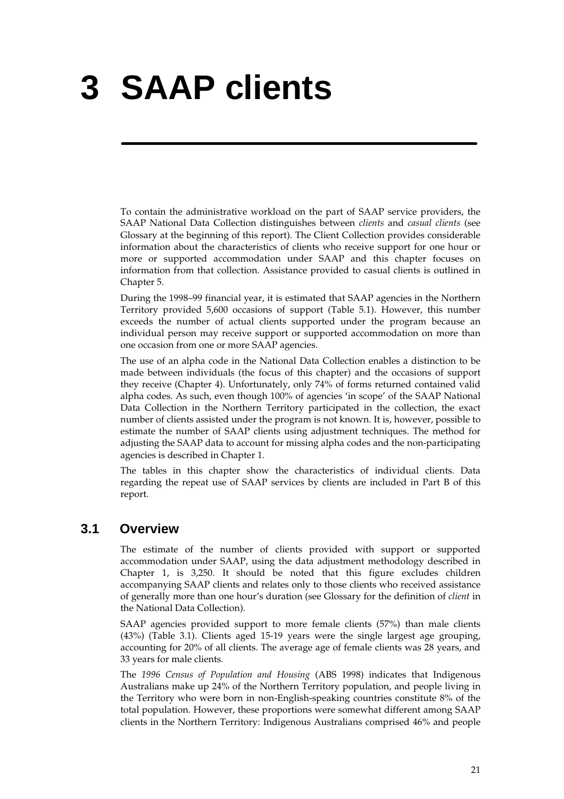To contain the administrative workload on the part of SAAP service providers, the SAAP National Data Collection distinguishes between *clients* and *casual clients* (see Glossary at the beginning of this report). The Client Collection provides considerable information about the characteristics of clients who receive support for one hour or more or supported accommodation under SAAP and this chapter focuses on information from that collection. Assistance provided to casual clients is outlined in Chapter 5.

During the 1998–99 financial year, it is estimated that SAAP agencies in the Northern Territory provided 5,600 occasions of support (Table 5.1). However, this number exceeds the number of actual clients supported under the program because an individual person may receive support or supported accommodation on more than one occasion from one or more SAAP agencies.

The use of an alpha code in the National Data Collection enables a distinction to be made between individuals (the focus of this chapter) and the occasions of support they receive (Chapter 4). Unfortunately, only 74% of forms returned contained valid alpha codes. As such, even though 100% of agencies 'in scope' of the SAAP National Data Collection in the Northern Territory participated in the collection, the exact number of clients assisted under the program is not known. It is, however, possible to estimate the number of SAAP clients using adjustment techniques. The method for adjusting the SAAP data to account for missing alpha codes and the non-participating agencies is described in Chapter 1.

The tables in this chapter show the characteristics of individual clients. Data regarding the repeat use of SAAP services by clients are included in Part B of this report.

# **3.1 Overview**

The estimate of the number of clients provided with support or supported accommodation under SAAP, using the data adjustment methodology described in Chapter 1, is 3,250. It should be noted that this figure excludes children accompanying SAAP clients and relates only to those clients who received assistance of generally more than one hour's duration (see Glossary for the definition of *client* in the National Data Collection).

SAAP agencies provided support to more female clients (57%) than male clients (43%) (Table 3.1). Clients aged 15-19 years were the single largest age grouping, accounting for 20% of all clients. The average age of female clients was 28 years, and 33 years for male clients.

The *1996 Census of Population and Housing* (ABS 1998) indicates that Indigenous Australians make up 24% of the Northern Territory population, and people living in the Territory who were born in non-English-speaking countries constitute 8% of the total population. However, these proportions were somewhat different among SAAP clients in the Northern Territory: Indigenous Australians comprised 46% and people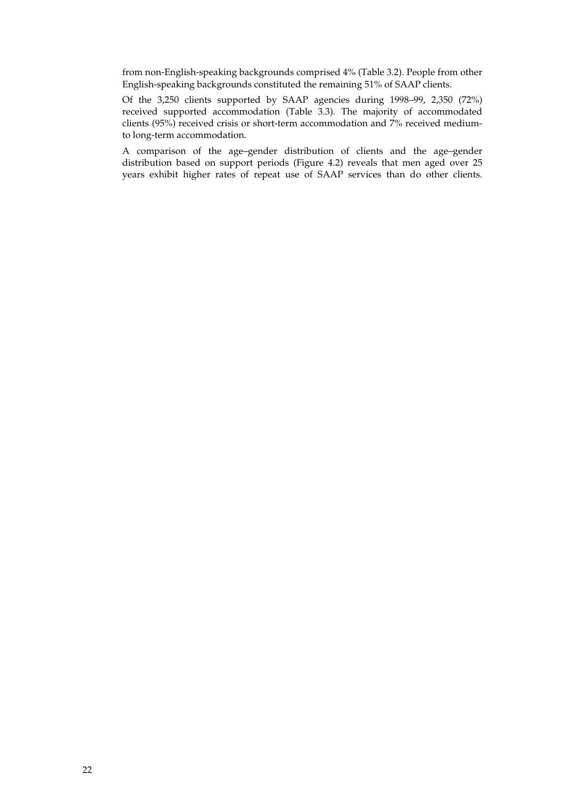from non-English-speaking backgrounds comprised 4% (Table 3.2). People from other English-speaking backgrounds constituted the remaining 51% of SAAP clients.

Of the 3,250 clients supported by SAAP agencies during 1998–99, 2,350 (72%) received supported accommodation (Table 3.3). The majority of accommodated clients (95%) received crisis or short-term accommodation and 7% received mediumto long-term accommodation.

A comparison of the age–gender distribution of clients and the age–gender distribution based on support periods (Figure 4.2) reveals that men aged over 25 years exhibit higher rates of repeat use of SAAP services than do other clients.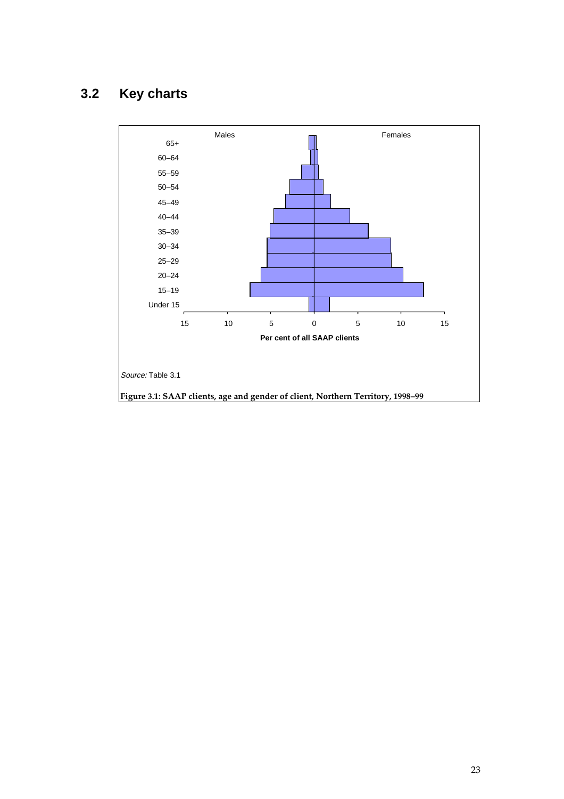# **3.2 Key charts**

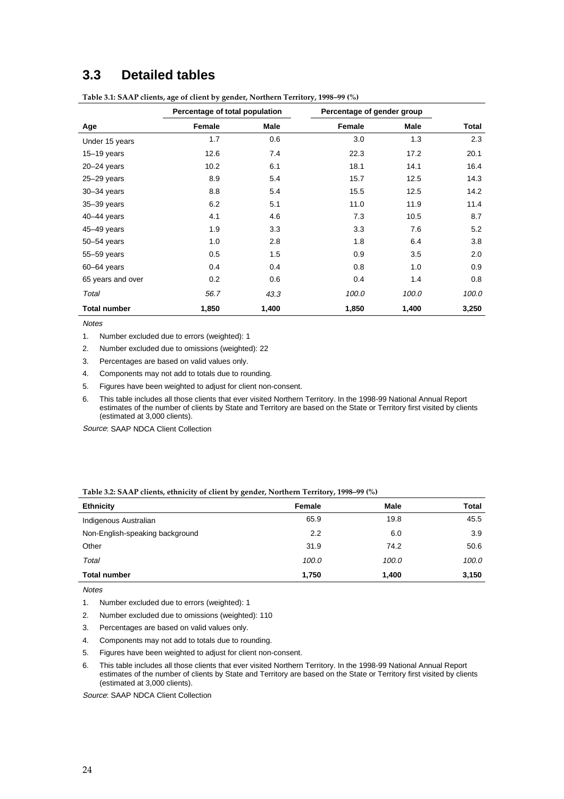# **3.3 Detailed tables**

|                     | Percentage of total population |       | Percentage of gender group |       |       |
|---------------------|--------------------------------|-------|----------------------------|-------|-------|
| Age                 | Female                         | Male  | Female                     | Male  | Total |
| Under 15 years      | 1.7                            | 0.6   | 3.0                        | 1.3   | 2.3   |
| $15-19$ years       | 12.6                           | 7.4   | 22.3                       | 17.2  | 20.1  |
| $20 - 24$ years     | 10.2                           | 6.1   | 18.1                       | 14.1  | 16.4  |
| $25 - 29$ years     | 8.9                            | 5.4   | 15.7                       | 12.5  | 14.3  |
| $30 - 34$ years     | 8.8                            | 5.4   | 15.5                       | 12.5  | 14.2  |
| $35 - 39$ years     | 6.2                            | 5.1   | 11.0                       | 11.9  | 11.4  |
| 40-44 years         | 4.1                            | 4.6   | 7.3                        | 10.5  | 8.7   |
| $45 - 49$ years     | 1.9                            | 3.3   | 3.3                        | 7.6   | 5.2   |
| 50-54 years         | 1.0                            | 2.8   | 1.8                        | 6.4   | 3.8   |
| 55-59 years         | 0.5                            | 1.5   | 0.9                        | 3.5   | 2.0   |
| $60 - 64$ years     | 0.4                            | 0.4   | 0.8                        | 1.0   | 0.9   |
| 65 years and over   | 0.2                            | 0.6   | 0.4                        | 1.4   | 0.8   |
| Total               | 56.7                           | 43.3  | 100.0                      | 100.0 | 100.0 |
| <b>Total number</b> | 1,850                          | 1,400 | 1,850                      | 1,400 | 3,250 |

**Table 3.1: SAAP clients, age of client by gender, Northern Territory, 1998–99 (%)**

**Notes** 

1. Number excluded due to errors (weighted): 1

2. Number excluded due to omissions (weighted): 22

3. Percentages are based on valid values only.

4. Components may not add to totals due to rounding.

5. Figures have been weighted to adjust for client non-consent.

6. This table includes all those clients that ever visited Northern Territory. In the 1998-99 National Annual Report estimates of the number of clients by State and Territory are based on the State or Territory first visited by clients (estimated at 3,000 clients).

Source: SAAP NDCA Client Collection

| <b>Ethnicity</b>                | Female | Male  | Total |
|---------------------------------|--------|-------|-------|
| Indigenous Australian           | 65.9   | 19.8  | 45.5  |
| Non-English-speaking background | 2.2    | 6.0   | 3.9   |
| Other                           | 31.9   | 74.2  | 50.6  |
| Total                           | 100.0  | 100.0 | 100.0 |
| <b>Total number</b>             | 1,750  | 1,400 | 3,150 |

#### **Notes**

1. Number excluded due to errors (weighted): 1

- 2. Number excluded due to omissions (weighted): 110
- 3. Percentages are based on valid values only.
- 4. Components may not add to totals due to rounding.
- 5. Figures have been weighted to adjust for client non-consent.
- 6. This table includes all those clients that ever visited Northern Territory. In the 1998-99 National Annual Report estimates of the number of clients by State and Territory are based on the State or Territory first visited by clients (estimated at 3,000 clients).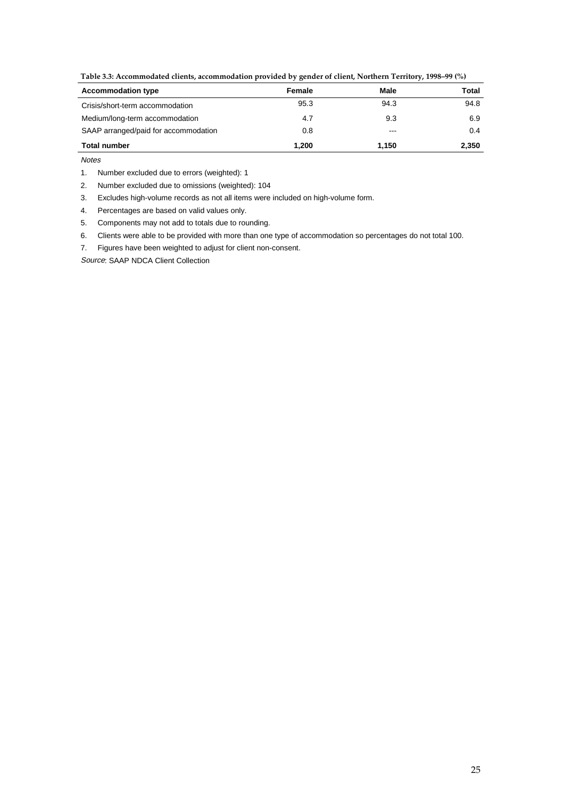| Table 3.3: Accommodated clients, accommodation provided by gender of client, Northern Territory, 1998–99 (%) |
|--------------------------------------------------------------------------------------------------------------|
|                                                                                                              |

| <b>Accommodation type</b>            | Female | Male  | Total |
|--------------------------------------|--------|-------|-------|
| Crisis/short-term accommodation      | 95.3   | 94.3  | 94.8  |
| Medium/long-term accommodation       | 4.7    | 9.3   | 6.9   |
| SAAP arranged/paid for accommodation | 0.8    | ---   | 0.4   |
| <b>Total number</b>                  | 1.200  | 1.150 | 2,350 |

1. Number excluded due to errors (weighted): 1

2. Number excluded due to omissions (weighted): 104

3. Excludes high-volume records as not all items were included on high-volume form.

4. Percentages are based on valid values only.

5. Components may not add to totals due to rounding.

6. Clients were able to be provided with more than one type of accommodation so percentages do not total 100.

7. Figures have been weighted to adjust for client non-consent.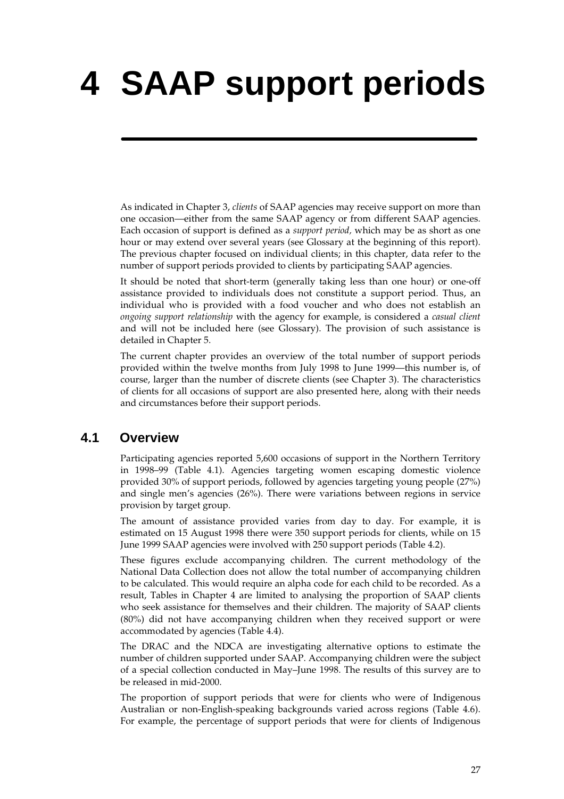# **4 SAAP support periods**

As indicated in Chapter 3, *clients* of SAAP agencies may receive support on more than one occasion—either from the same SAAP agency or from different SAAP agencies. Each occasion of support is defined as a *support period,* which may be as short as one hour or may extend over several years (see Glossary at the beginning of this report). The previous chapter focused on individual clients; in this chapter, data refer to the number of support periods provided to clients by participating SAAP agencies.

It should be noted that short-term (generally taking less than one hour) or one-off assistance provided to individuals does not constitute a support period. Thus, an individual who is provided with a food voucher and who does not establish an *ongoing support relationship* with the agency for example, is considered a *casual client* and will not be included here (see Glossary). The provision of such assistance is detailed in Chapter 5.

The current chapter provides an overview of the total number of support periods provided within the twelve months from July 1998 to June 1999—this number is, of course, larger than the number of discrete clients (see Chapter 3). The characteristics of clients for all occasions of support are also presented here, along with their needs and circumstances before their support periods.

# **4.1 Overview**

Participating agencies reported 5,600 occasions of support in the Northern Territory in 1998–99 (Table 4.1). Agencies targeting women escaping domestic violence provided 30% of support periods, followed by agencies targeting young people (27%) and single men's agencies (26%). There were variations between regions in service provision by target group.

The amount of assistance provided varies from day to day. For example, it is estimated on 15 August 1998 there were 350 support periods for clients, while on 15 June 1999 SAAP agencies were involved with 250 support periods (Table 4.2).

These figures exclude accompanying children. The current methodology of the National Data Collection does not allow the total number of accompanying children to be calculated. This would require an alpha code for each child to be recorded. As a result, Tables in Chapter 4 are limited to analysing the proportion of SAAP clients who seek assistance for themselves and their children. The majority of SAAP clients (80%) did not have accompanying children when they received support or were accommodated by agencies (Table 4.4).

The DRAC and the NDCA are investigating alternative options to estimate the number of children supported under SAAP. Accompanying children were the subject of a special collection conducted in May–June 1998. The results of this survey are to be released in mid-2000.

The proportion of support periods that were for clients who were of Indigenous Australian or non-English-speaking backgrounds varied across regions (Table 4.6). For example, the percentage of support periods that were for clients of Indigenous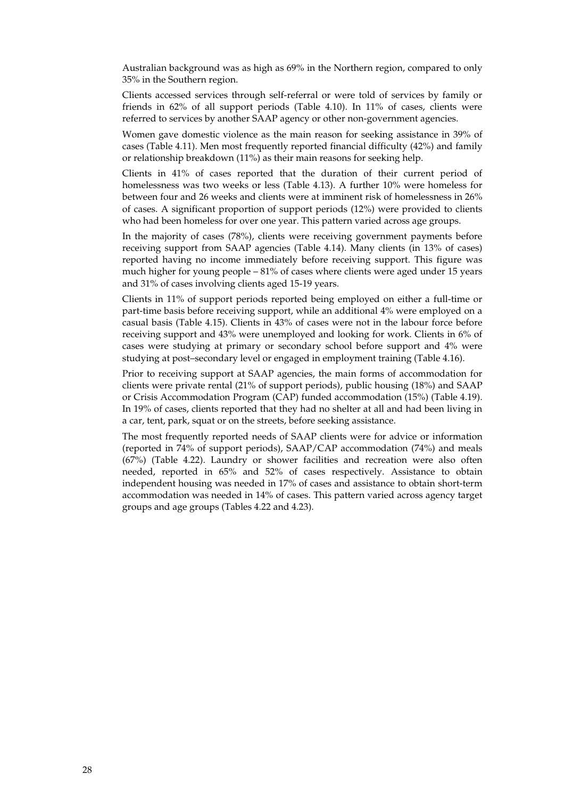Australian background was as high as 69% in the Northern region, compared to only 35% in the Southern region.

Clients accessed services through self-referral or were told of services by family or friends in 62% of all support periods (Table 4.10). In 11% of cases, clients were referred to services by another SAAP agency or other non-government agencies.

Women gave domestic violence as the main reason for seeking assistance in 39% of cases (Table 4.11). Men most frequently reported financial difficulty (42%) and family or relationship breakdown (11%) as their main reasons for seeking help.

Clients in 41% of cases reported that the duration of their current period of homelessness was two weeks or less (Table 4.13). A further 10% were homeless for between four and 26 weeks and clients were at imminent risk of homelessness in 26% of cases. A significant proportion of support periods (12%) were provided to clients who had been homeless for over one year. This pattern varied across age groups.

In the majority of cases (78%), clients were receiving government payments before receiving support from SAAP agencies (Table 4.14). Many clients (in 13% of cases) reported having no income immediately before receiving support. This figure was much higher for young people – 81% of cases where clients were aged under 15 years and 31% of cases involving clients aged 15-19 years.

Clients in 11% of support periods reported being employed on either a full-time or part-time basis before receiving support, while an additional 4% were employed on a casual basis (Table 4.15). Clients in 43% of cases were not in the labour force before receiving support and 43% were unemployed and looking for work. Clients in 6% of cases were studying at primary or secondary school before support and 4% were studying at post–secondary level or engaged in employment training (Table 4.16).

Prior to receiving support at SAAP agencies, the main forms of accommodation for clients were private rental (21% of support periods), public housing (18%) and SAAP or Crisis Accommodation Program (CAP) funded accommodation (15%) (Table 4.19). In 19% of cases, clients reported that they had no shelter at all and had been living in a car, tent, park, squat or on the streets, before seeking assistance.

The most frequently reported needs of SAAP clients were for advice or information (reported in 74% of support periods), SAAP/CAP accommodation (74%) and meals (67%) (Table 4.22). Laundry or shower facilities and recreation were also often needed, reported in 65% and 52% of cases respectively. Assistance to obtain independent housing was needed in 17% of cases and assistance to obtain short-term accommodation was needed in 14% of cases. This pattern varied across agency target groups and age groups (Tables 4.22 and 4.23).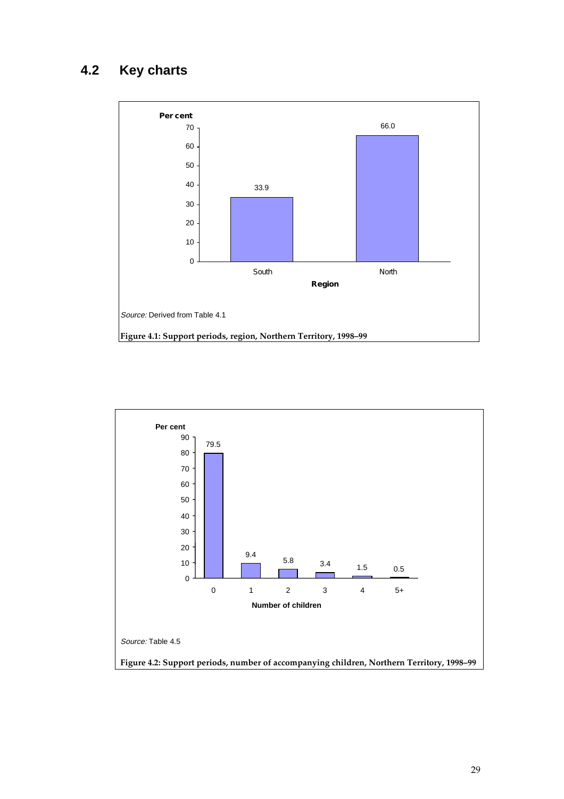# **4.2 Key charts**



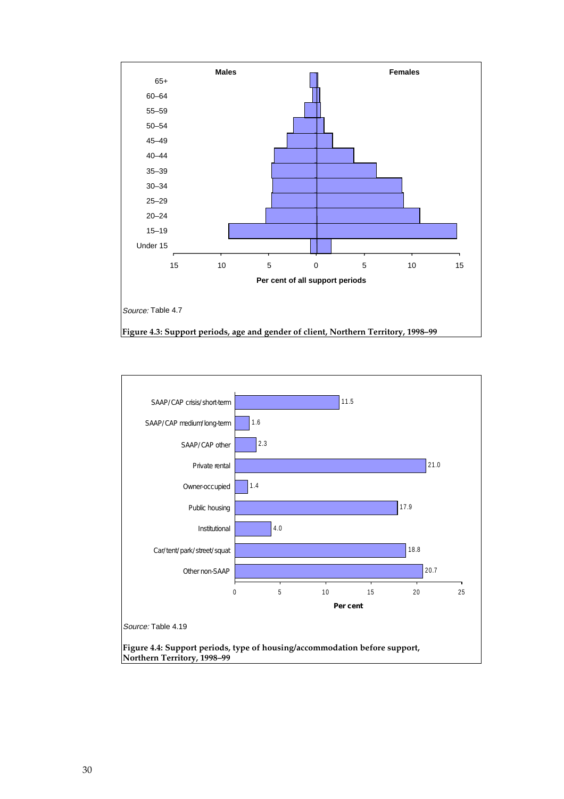

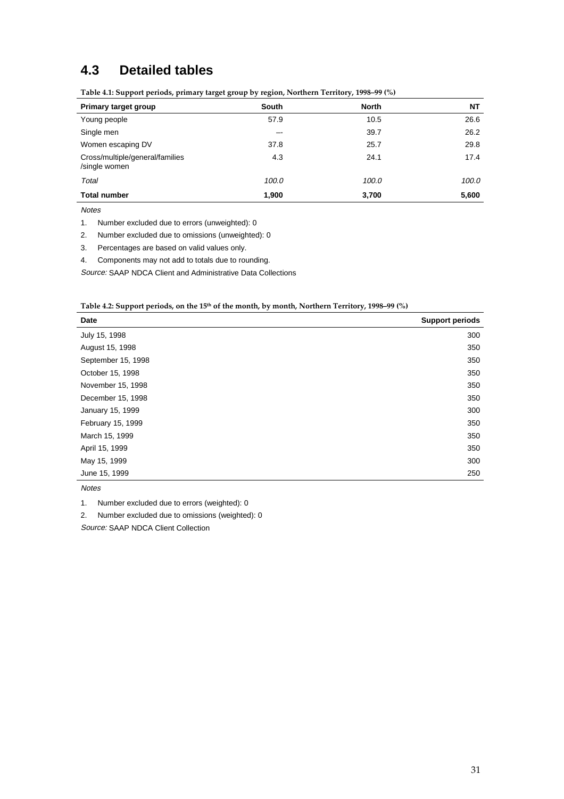# **4.3 Detailed tables**

| . .<br>. .                                       | ັ<br>ັ<br>ັ | . .          |       |
|--------------------------------------------------|-------------|--------------|-------|
| Primary target group                             | South       | <b>North</b> | NΤ    |
| Young people                                     | 57.9        | 10.5         | 26.6  |
| Single men                                       | --          | 39.7         | 26.2  |
| Women escaping DV                                | 37.8        | 25.7         | 29.8  |
| Cross/multiple/general/families<br>/single women | 4.3         | 24.1         | 17.4  |
| Total                                            | 100.0       | 100.0        | 100.0 |
| <b>Total number</b>                              | 1,900       | 3,700        | 5,600 |

**Table 4.1: Support periods, primary target group by region, Northern Territory, 1998–99 (%)**

Notes

1. Number excluded due to errors (unweighted): 0

2. Number excluded due to omissions (unweighted): 0

3. Percentages are based on valid values only.

4. Components may not add to totals due to rounding.

Source: SAAP NDCA Client and Administrative Data Collections

| Table 4.2: Support periods, on the 15 <sup>th</sup> of the month, by month, Northern Territory, 1998–99 (%) |  |
|-------------------------------------------------------------------------------------------------------------|--|
|-------------------------------------------------------------------------------------------------------------|--|

| Date               | <b>Support periods</b> |
|--------------------|------------------------|
| July 15, 1998      | 300                    |
| August 15, 1998    | 350                    |
| September 15, 1998 | 350                    |
| October 15, 1998   | 350                    |
| November 15, 1998  | 350                    |
| December 15, 1998  | 350                    |
| January 15, 1999   | 300                    |
| February 15, 1999  | 350                    |
| March 15, 1999     | 350                    |
| April 15, 1999     | 350                    |
| May 15, 1999       | 300                    |
| June 15, 1999      | 250                    |

Notes

1. Number excluded due to errors (weighted): 0

2. Number excluded due to omissions (weighted): 0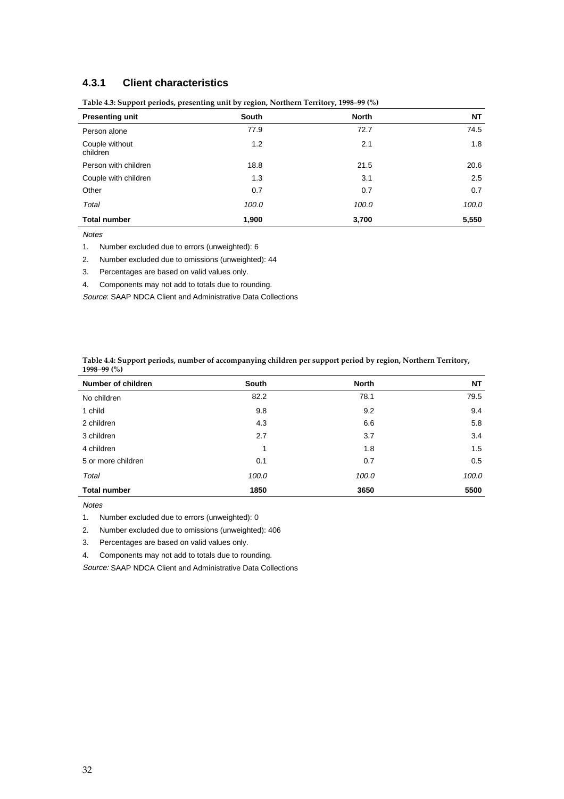# **4.3.1 Client characteristics**

| <b>Presenting unit</b>     | South | <b>North</b> | <b>NT</b> |
|----------------------------|-------|--------------|-----------|
| Person alone               | 77.9  | 72.7         | 74.5      |
| Couple without<br>children | 1.2   | 2.1          | 1.8       |
| Person with children       | 18.8  | 21.5         | 20.6      |
| Couple with children       | 1.3   | 3.1          | 2.5       |
| Other                      | 0.7   | 0.7          | 0.7       |
| Total                      | 100.0 | 100.0        | 100.0     |
| <b>Total number</b>        | 1,900 | 3,700        | 5,550     |

**Table 4.3: Support periods, presenting unit by region, Northern Territory, 1998–99 (%)**

Notes

1. Number excluded due to errors (unweighted): 6

2. Number excluded due to omissions (unweighted): 44

3. Percentages are based on valid values only.

4. Components may not add to totals due to rounding.

Source: SAAP NDCA Client and Administrative Data Collections

| Table 4.4: Support periods, number of accompanying children per support period by region, Northern Territory, |  |
|---------------------------------------------------------------------------------------------------------------|--|
| 1998–99 $(\%)$                                                                                                |  |

| Number of children  | South | <b>North</b> | NT    |
|---------------------|-------|--------------|-------|
| No children         | 82.2  | 78.1         | 79.5  |
| 1 child             | 9.8   | 9.2          | 9.4   |
| 2 children          | 4.3   | 6.6          | 5.8   |
| 3 children          | 2.7   | 3.7          | 3.4   |
| 4 children          | 1     | 1.8          | 1.5   |
| 5 or more children  | 0.1   | 0.7          | 0.5   |
| Total               | 100.0 | 100.0        | 100.0 |
| <b>Total number</b> | 1850  | 3650         | 5500  |

**Notes** 

1. Number excluded due to errors (unweighted): 0

2. Number excluded due to omissions (unweighted): 406

3. Percentages are based on valid values only.

4. Components may not add to totals due to rounding.

Source: SAAP NDCA Client and Administrative Data Collections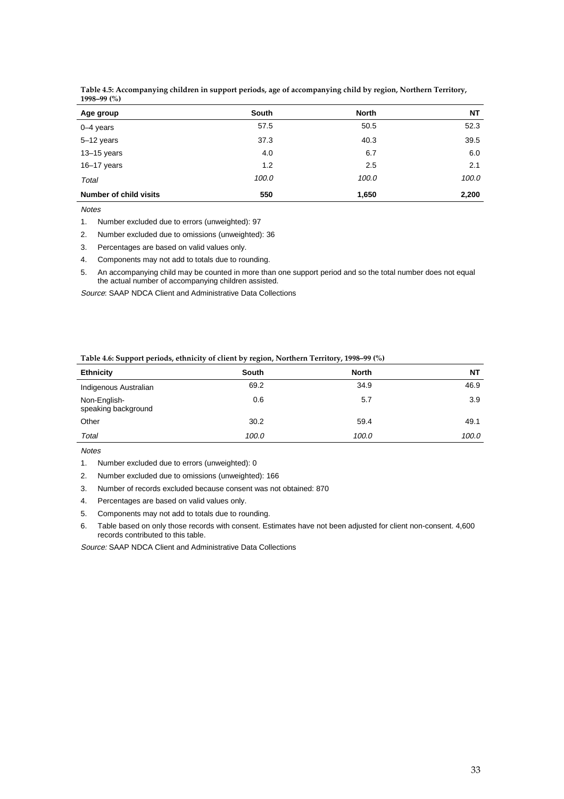| Age group                     | <b>South</b> | <b>North</b> | NΤ    |
|-------------------------------|--------------|--------------|-------|
| $0 - 4$ years                 | 57.5         | 50.5         | 52.3  |
| 5-12 years                    | 37.3         | 40.3         | 39.5  |
| $13 - 15$ years               | 4.0          | 6.7          | 6.0   |
| $16 - 17$ years               | 1.2          | 2.5          | 2.1   |
| Total                         | 100.0        | 100.0        | 100.0 |
| <b>Number of child visits</b> | 550          | 1,650        | 2,200 |

**Table 4.5: Accompanying children in support periods, age of accompanying child by region, Northern Territory, 1998–99 (%)**

**Notes** 

1. Number excluded due to errors (unweighted): 97

2. Number excluded due to omissions (unweighted): 36

3. Percentages are based on valid values only.

4. Components may not add to totals due to rounding.

5. An accompanying child may be counted in more than one support period and so the total number does not equal the actual number of accompanying children assisted.

Source: SAAP NDCA Client and Administrative Data Collections

#### **Table 4.6: Support periods, ethnicity of client by region, Northern Territory, 1998–99 (%)**

| <b>Ethnicity</b>                    | South | <b>North</b> | <b>NT</b> |
|-------------------------------------|-------|--------------|-----------|
| Indigenous Australian               | 69.2  | 34.9         | 46.9      |
| Non-English-<br>speaking background | 0.6   | 5.7          | 3.9       |
| Other                               | 30.2  | 59.4         | 49.1      |
| Total                               | 100.0 | 100.0        | 100.0     |

**Notes** 

1. Number excluded due to errors (unweighted): 0

2. Number excluded due to omissions (unweighted): 166

- 3. Number of records excluded because consent was not obtained: 870
- 4. Percentages are based on valid values only.
- 5. Components may not add to totals due to rounding.
- 6. Table based on only those records with consent. Estimates have not been adjusted for client non-consent. 4,600 records contributed to this table.

Source: SAAP NDCA Client and Administrative Data Collections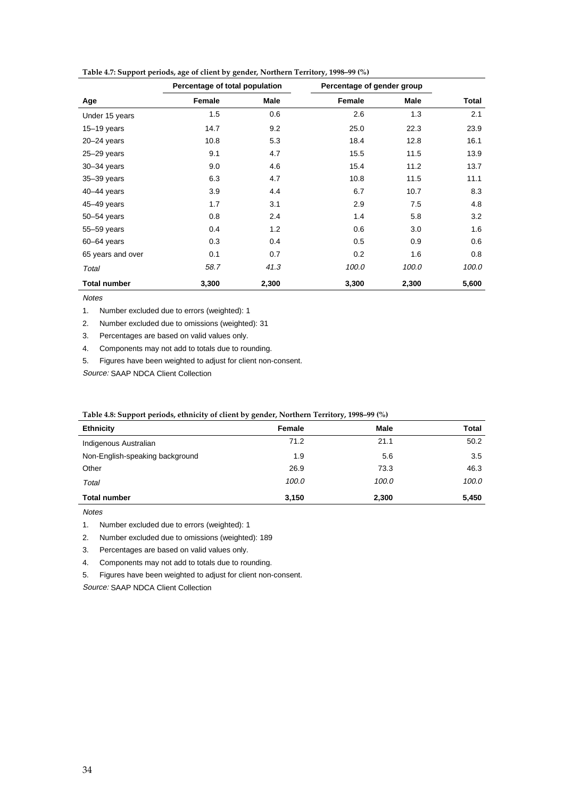|                     | Percentage of total population |             |        | Percentage of gender group |              |  |  |
|---------------------|--------------------------------|-------------|--------|----------------------------|--------------|--|--|
| Age                 | Female                         | <b>Male</b> | Female | <b>Male</b>                | <b>Total</b> |  |  |
| Under 15 years      | 1.5                            | 0.6         | 2.6    | 1.3                        | 2.1          |  |  |
| $15-19$ years       | 14.7                           | 9.2         | 25.0   | 22.3                       | 23.9         |  |  |
| $20 - 24$ years     | 10.8                           | 5.3         | 18.4   | 12.8                       | 16.1         |  |  |
| 25-29 years         | 9.1                            | 4.7         | 15.5   | 11.5                       | 13.9         |  |  |
| $30 - 34$ years     | 9.0                            | 4.6         | 15.4   | 11.2                       | 13.7         |  |  |
| $35 - 39$ years     | 6.3                            | 4.7         | 10.8   | 11.5                       | 11.1         |  |  |
| $40-44$ years       | 3.9                            | 4.4         | 6.7    | 10.7                       | 8.3          |  |  |
| 45-49 years         | 1.7                            | 3.1         | 2.9    | 7.5                        | 4.8          |  |  |
| 50-54 years         | 0.8                            | 2.4         | 1.4    | 5.8                        | 3.2          |  |  |
| 55-59 years         | 0.4                            | 1.2         | 0.6    | 3.0                        | 1.6          |  |  |
| 60-64 years         | 0.3                            | 0.4         | 0.5    | 0.9                        | 0.6          |  |  |
| 65 years and over   | 0.1                            | 0.7         | 0.2    | 1.6                        | 0.8          |  |  |
| Total               | 58.7                           | 41.3        | 100.0  | 100.0                      | 100.0        |  |  |
| <b>Total number</b> | 3,300                          | 2,300       | 3,300  | 2,300                      | 5,600        |  |  |

**Table 4.7: Support periods, age of client by gender, Northern Territory, 1998–99 (%)**

1. Number excluded due to errors (weighted): 1

2. Number excluded due to omissions (weighted): 31

3. Percentages are based on valid values only.

4. Components may not add to totals due to rounding.

5. Figures have been weighted to adjust for client non-consent.

Source: SAAP NDCA Client Collection

| Table 4.0: Support perious, ethnicity of chem by genuer, inditiem Territory, 1990–99 (70) |        |       |       |  |  |  |  |
|-------------------------------------------------------------------------------------------|--------|-------|-------|--|--|--|--|
| <b>Ethnicity</b>                                                                          | Female | Male  | Total |  |  |  |  |
| Indigenous Australian                                                                     | 71.2   | 21.1  | 50.2  |  |  |  |  |
| Non-English-speaking background                                                           | 1.9    | 5.6   | 3.5   |  |  |  |  |
| Other                                                                                     | 26.9   | 73.3  | 46.3  |  |  |  |  |
| Total                                                                                     | 100.0  | 100.0 | 100.0 |  |  |  |  |
| <b>Total number</b>                                                                       | 3.150  | 2,300 | 5,450 |  |  |  |  |

## **Table 4.8: Support periods, ethnicity of client by gender, Northern Territory, 1998–99 (%)**

**Notes** 

1. Number excluded due to errors (weighted): 1

2. Number excluded due to omissions (weighted): 189

3. Percentages are based on valid values only.

4. Components may not add to totals due to rounding.

5. Figures have been weighted to adjust for client non-consent.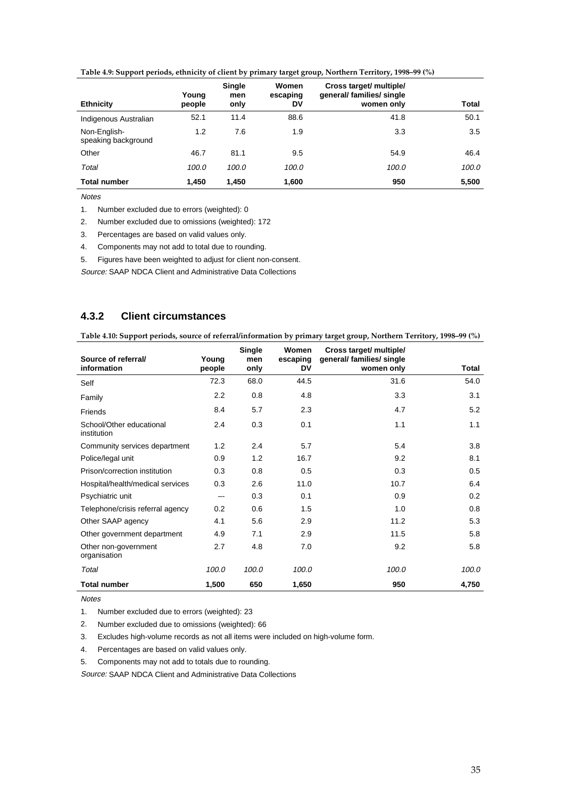**Table 4.9: Support periods, ethnicity of client by primary target group, Northern Territory, 1998–99 (%)**

| <b>Ethnicity</b>                    | Young<br>people | Single<br>men<br>only | Women<br>escaping<br>DV | Cross target/ multiple/<br>general/ families/ single<br>women only | Total |
|-------------------------------------|-----------------|-----------------------|-------------------------|--------------------------------------------------------------------|-------|
| Indigenous Australian               | 52.1            | 11.4                  | 88.6                    | 41.8                                                               | 50.1  |
| Non-English-<br>speaking background | 1.2             | 7.6                   | 1.9                     | 3.3                                                                | 3.5   |
| Other                               | 46.7            | 81.1                  | 9.5                     | 54.9                                                               | 46.4  |
| Total                               | 100.0           | 100.0                 | 100.0                   | 100.0                                                              | 100.0 |
| <b>Total number</b>                 | 1.450           | 1.450                 | 1,600                   | 950                                                                | 5,500 |

1. Number excluded due to errors (weighted): 0

2. Number excluded due to omissions (weighted): 172

3. Percentages are based on valid values only.

4. Components may not add to total due to rounding.

5. Figures have been weighted to adjust for client non-consent.

Source: SAAP NDCA Client and Administrative Data Collections

## **4.3.2 Client circumstances**

**Table 4.10: Support periods, source of referral/information by primary target group, Northern Territory, 1998–99 (%)**

| Source of referral/                     | Young  | Single<br>men | Women<br>escaping | Cross target/ multiple/<br>general/ families/ single |       |
|-----------------------------------------|--------|---------------|-------------------|------------------------------------------------------|-------|
| information                             | people | only          | DV                | women only                                           | Total |
| Self                                    | 72.3   | 68.0          | 44.5              | 31.6                                                 | 54.0  |
| Family                                  | 2.2    | 0.8           | 4.8               | 3.3                                                  | 3.1   |
| Friends                                 | 8.4    | 5.7           | 2.3               | 4.7                                                  | 5.2   |
| School/Other educational<br>institution | 2.4    | 0.3           | 0.1               | 1.1                                                  | 1.1   |
| Community services department           | 1.2    | 2.4           | 5.7               | 5.4                                                  | 3.8   |
| Police/legal unit                       | 0.9    | 1.2           | 16.7              | 9.2                                                  | 8.1   |
| Prison/correction institution           | 0.3    | 0.8           | 0.5               | 0.3                                                  | 0.5   |
| Hospital/health/medical services        | 0.3    | 2.6           | 11.0              | 10.7                                                 | 6.4   |
| Psychiatric unit                        | --     | 0.3           | 0.1               | 0.9                                                  | 0.2   |
| Telephone/crisis referral agency        | 0.2    | 0.6           | 1.5               | 1.0                                                  | 0.8   |
| Other SAAP agency                       | 4.1    | 5.6           | 2.9               | 11.2                                                 | 5.3   |
| Other government department             | 4.9    | 7.1           | 2.9               | 11.5                                                 | 5.8   |
| Other non-government<br>organisation    | 2.7    | 4.8           | 7.0               | 9.2                                                  | 5.8   |
| Total                                   | 100.0  | 100.0         | 100.0             | 100.0                                                | 100.0 |
| <b>Total number</b>                     | 1,500  | 650           | 1,650             | 950                                                  | 4,750 |

Notes

1. Number excluded due to errors (weighted): 23

2. Number excluded due to omissions (weighted): 66

3. Excludes high-volume records as not all items were included on high-volume form.

4. Percentages are based on valid values only.

5. Components may not add to totals due to rounding.

Source: SAAP NDCA Client and Administrative Data Collections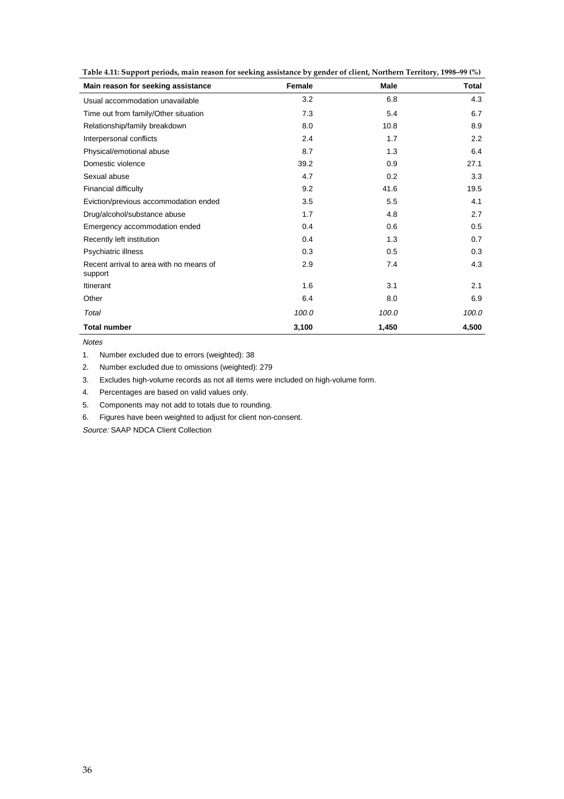| Main reason for seeking assistance                 | Female | Male  | Total            |
|----------------------------------------------------|--------|-------|------------------|
| Usual accommodation unavailable                    | 3.2    | 6.8   | 4.3              |
| Time out from family/Other situation               | 7.3    | 5.4   | 6.7              |
| Relationship/family breakdown                      | 8.0    | 10.8  | 8.9              |
| Interpersonal conflicts                            | 2.4    | 1.7   | $2.2\phantom{0}$ |
| Physical/emotional abuse                           | 8.7    | 1.3   | 6.4              |
| Domestic violence                                  | 39.2   | 0.9   | 27.1             |
| Sexual abuse                                       | 4.7    | 0.2   | 3.3              |
| Financial difficulty                               | 9.2    | 41.6  | 19.5             |
| Eviction/previous accommodation ended              | 3.5    | 5.5   | 4.1              |
| Drug/alcohol/substance abuse                       | 1.7    | 4.8   | 2.7              |
| Emergency accommodation ended                      | 0.4    | 0.6   | 0.5              |
| Recently left institution                          | 0.4    | 1.3   | 0.7              |
| Psychiatric illness                                | 0.3    | 0.5   | 0.3              |
| Recent arrival to area with no means of<br>support | 2.9    | 7.4   | 4.3              |
| Itinerant                                          | 1.6    | 3.1   | 2.1              |
| Other                                              | 6.4    | 8.0   | 6.9              |
| Total                                              | 100.0  | 100.0 | 100.0            |
| <b>Total number</b>                                | 3,100  | 1,450 | 4,500            |

**Table 4.11: Support periods, main reason for seeking assistance by gender of client, Northern Territory, 1998–99 (%)**

1. Number excluded due to errors (weighted): 38

2. Number excluded due to omissions (weighted): 279

3. Excludes high-volume records as not all items were included on high-volume form.

4. Percentages are based on valid values only.

5. Components may not add to totals due to rounding.

6. Figures have been weighted to adjust for client non-consent.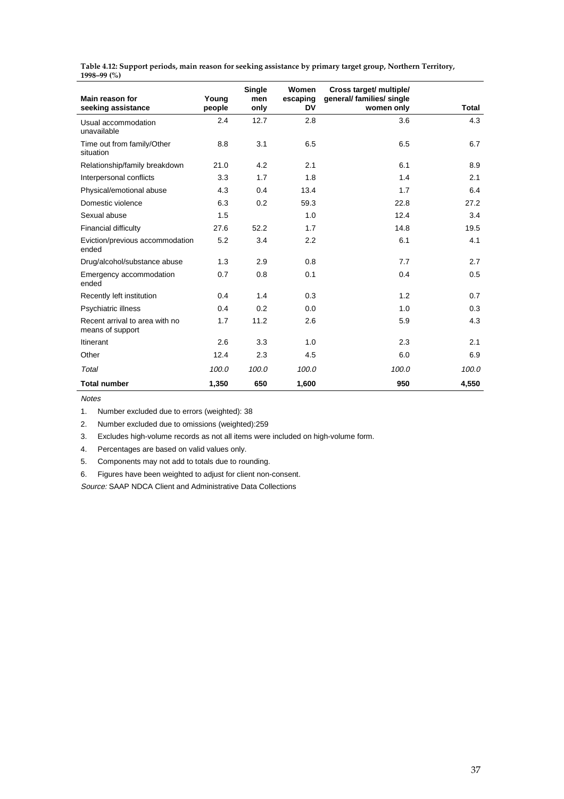| Table 4.12: Support periods, main reason for seeking assistance by primary target group, Northern Territory, |  |
|--------------------------------------------------------------------------------------------------------------|--|
| 1998–99 $(\%)$                                                                                               |  |

| Main reason for<br>seeking assistance              | Young<br>people | Single<br>men<br>only | Women<br>escaping<br>DV | Cross target/ multiple/<br>general/ families/ single<br>women only | <b>Total</b> |
|----------------------------------------------------|-----------------|-----------------------|-------------------------|--------------------------------------------------------------------|--------------|
| Usual accommodation<br>unavailable                 | 2.4             | 12.7                  | 2.8                     | 3.6                                                                | 4.3          |
| Time out from family/Other<br>situation            | 8.8             | 3.1                   | 6.5                     | 6.5                                                                | 6.7          |
| Relationship/family breakdown                      | 21.0            | 4.2                   | 2.1                     | 6.1                                                                | 8.9          |
| Interpersonal conflicts                            | 3.3             | 1.7                   | 1.8                     | 1.4                                                                | 2.1          |
| Physical/emotional abuse                           | 4.3             | 0.4                   | 13.4                    | 1.7                                                                | 6.4          |
| Domestic violence                                  | 6.3             | 0.2                   | 59.3                    | 22.8                                                               | 27.2         |
| Sexual abuse                                       | 1.5             |                       | 1.0                     | 12.4                                                               | 3.4          |
| <b>Financial difficulty</b>                        | 27.6            | 52.2                  | 1.7                     | 14.8                                                               | 19.5         |
| Eviction/previous accommodation<br>ended           | 5.2             | 3.4                   | 2.2                     | 6.1                                                                | 4.1          |
| Drug/alcohol/substance abuse                       | 1.3             | 2.9                   | 0.8                     | 7.7                                                                | 2.7          |
| Emergency accommodation<br>ended                   | 0.7             | 0.8                   | 0.1                     | 0.4                                                                | 0.5          |
| Recently left institution                          | 0.4             | 1.4                   | 0.3                     | 1.2                                                                | 0.7          |
| Psychiatric illness                                | 0.4             | 0.2                   | 0.0                     | 1.0                                                                | 0.3          |
| Recent arrival to area with no<br>means of support | 1.7             | 11.2                  | 2.6                     | 5.9                                                                | 4.3          |
| Itinerant                                          | 2.6             | 3.3                   | 1.0                     | 2.3                                                                | 2.1          |
| Other                                              | 12.4            | 2.3                   | 4.5                     | 6.0                                                                | 6.9          |
| Total                                              | 100.0           | 100.0                 | 100.0                   | 100.0                                                              | 100.0        |
| <b>Total number</b>                                | 1,350           | 650                   | 1,600                   | 950                                                                | 4,550        |

1. Number excluded due to errors (weighted): 38

2. Number excluded due to omissions (weighted):259

3. Excludes high-volume records as not all items were included on high-volume form.

4. Percentages are based on valid values only.

5. Components may not add to totals due to rounding.

6. Figures have been weighted to adjust for client non-consent.

Source: SAAP NDCA Client and Administrative Data Collections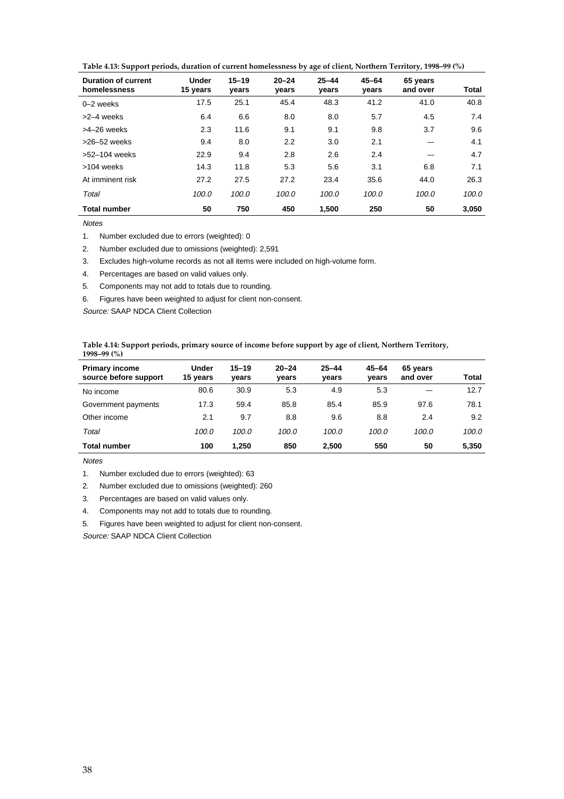**Table 4.13: Support periods, duration of current homelessness by age of client, Northern Territory, 1998–99 (%)**

| <b>Duration of current</b><br>homelessness | <b>Under</b><br>15 years | $15 - 19$<br>years | $20 - 24$<br>years | $25 - 44$<br>years | $45 - 64$<br>years | 65 years<br>and over | Total |
|--------------------------------------------|--------------------------|--------------------|--------------------|--------------------|--------------------|----------------------|-------|
| $0 - 2$ weeks                              | 17.5                     | 25.1               | 45.4               | 48.3               | 41.2               | 41.0                 | 40.8  |
| >2-4 weeks                                 | 6.4                      | 6.6                | 8.0                | 8.0                | 5.7                | 4.5                  | 7.4   |
| $>4-26$ weeks                              | 2.3                      | 11.6               | 9.1                | 9.1                | 9.8                | 3.7                  | 9.6   |
| $>26-52$ weeks                             | 9.4                      | 8.0                | 2.2                | 3.0                | 2.1                | --                   | 4.1   |
| $>52-104$ weeks                            | 22.9                     | 9.4                | 2.8                | 2.6                | 2.4                | --                   | 4.7   |
| >104 weeks                                 | 14.3                     | 11.8               | 5.3                | 5.6                | 3.1                | 6.8                  | 7.1   |
| At imminent risk                           | 27.2                     | 27.5               | 27.2               | 23.4               | 35.6               | 44.0                 | 26.3  |
| Total                                      | 100.0                    | 100.0              | 100.0              | 100.0              | 100.0              | 100.0                | 100.0 |
| <b>Total number</b>                        | 50                       | 750                | 450                | 1,500              | 250                | 50                   | 3,050 |

1. Number excluded due to errors (weighted): 0

2. Number excluded due to omissions (weighted): 2,591

3. Excludes high-volume records as not all items were included on high-volume form.

- 4. Percentages are based on valid values only.
- 5. Components may not add to totals due to rounding.
- 6. Figures have been weighted to adjust for client non-consent.

Source: SAAP NDCA Client Collection

**Table 4.14: Support periods, primary source of income before support by age of client, Northern Territory, 1998–99 (%)**

| <b>Primary income</b><br>source before support | Under<br>15 years | $15 - 19$<br>vears | $20 - 24$<br>years | $25 - 44$<br>vears | $45 - 64$<br>years | 65 years<br>and over | Total |
|------------------------------------------------|-------------------|--------------------|--------------------|--------------------|--------------------|----------------------|-------|
| No income                                      | 80.6              | 30.9               | 5.3                | 4.9                | 5.3                |                      | 12.7  |
| Government payments                            | 17.3              | 59.4               | 85.8               | 85.4               | 85.9               | 97.6                 | 78.1  |
| Other income                                   | 2.1               | 9.7                | 8.8                | 9.6                | 8.8                | 2.4                  | 9.2   |
| Total                                          | 100.0             | 100.0              | 100.0              | 100.0              | 100.0              | 100.0                | 100.0 |
| <b>Total number</b>                            | 100               | 1.250              | 850                | 2.500              | 550                | 50                   | 5.350 |

Notes

1. Number excluded due to errors (weighted): 63

2. Number excluded due to omissions (weighted): 260

3. Percentages are based on valid values only.

4. Components may not add to totals due to rounding.

5. Figures have been weighted to adjust for client non-consent.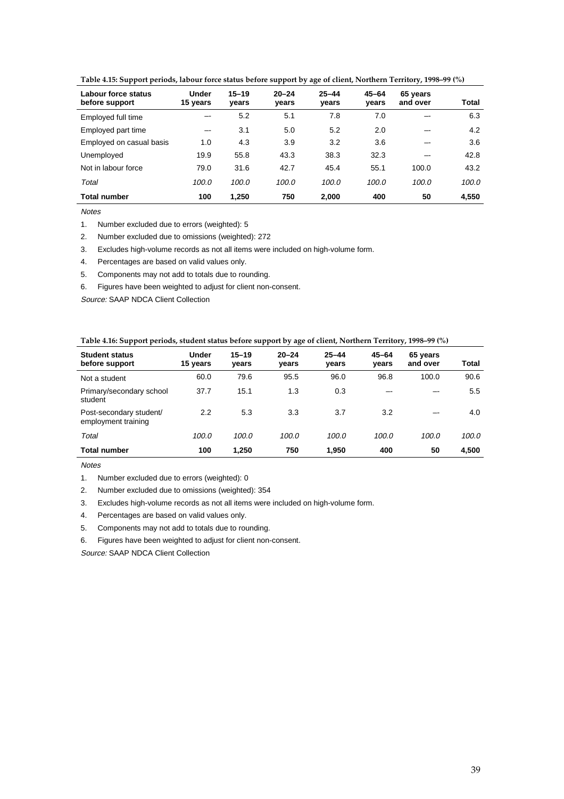| Labour force status<br>before support | <b>Under</b><br>15 years | $15 - 19$<br>years | $20 - 24$<br>years | $25 - 44$<br>years | $45 - 64$<br>years | 65 years<br>and over | <b>Total</b> |
|---------------------------------------|--------------------------|--------------------|--------------------|--------------------|--------------------|----------------------|--------------|
| Employed full time                    |                          | 5.2                | 5.1                | 7.8                | 7.0                | --                   | 6.3          |
| Employed part time                    | --                       | 3.1                | 5.0                | 5.2                | 2.0                | --                   | 4.2          |
| Employed on casual basis              | 1.0                      | 4.3                | 3.9                | 3.2                | 3.6                | --                   | 3.6          |
| Unemployed                            | 19.9                     | 55.8               | 43.3               | 38.3               | 32.3               | --                   | 42.8         |
| Not in labour force                   | 79.0                     | 31.6               | 42.7               | 45.4               | 55.1               | 100.0                | 43.2         |
| Total                                 | 100.0                    | 100.0              | 100.0              | 100.0              | 100.0              | 100.0                | 100.0        |
| <b>Total number</b>                   | 100                      | 1,250              | 750                | 2,000              | 400                | 50                   | 4,550        |

**Table 4.15: Support periods, labour force status before support by age of client, Northern Territory, 1998–99 (%)**

1. Number excluded due to errors (weighted): 5

2. Number excluded due to omissions (weighted): 272

3. Excludes high-volume records as not all items were included on high-volume form.

4. Percentages are based on valid values only.

5. Components may not add to totals due to rounding.

6. Figures have been weighted to adjust for client non-consent.

Source: SAAP NDCA Client Collection

| <b>Student status</b><br>before support        | <b>Under</b><br>15 years | $15 - 19$<br>vears | $20 - 24$<br>years | $25 - 44$<br>years | $45 - 64$<br>vears | 65 years<br>and over | Total |
|------------------------------------------------|--------------------------|--------------------|--------------------|--------------------|--------------------|----------------------|-------|
| Not a student                                  | 60.0                     | 79.6               | 95.5               | 96.0               | 96.8               | 100.0                | 90.6  |
| Primary/secondary school<br>student            | 37.7                     | 15.1               | 1.3                | 0.3                |                    | --                   | 5.5   |
| Post-secondary student/<br>employment training | 2.2                      | 5.3                | 3.3                | 3.7                | 3.2                | --                   | 4.0   |
| Total                                          | 100.0                    | 100.0              | 100.0              | 100.0              | 100.0              | 100.0                | 100.0 |
| <b>Total number</b>                            | 100                      | 1.250              | 750                | 1.950              | 400                | 50                   | 4,500 |

Notes

1. Number excluded due to errors (weighted): 0

2. Number excluded due to omissions (weighted): 354

3. Excludes high-volume records as not all items were included on high-volume form.

4. Percentages are based on valid values only.

5. Components may not add to totals due to rounding.

6. Figures have been weighted to adjust for client non-consent.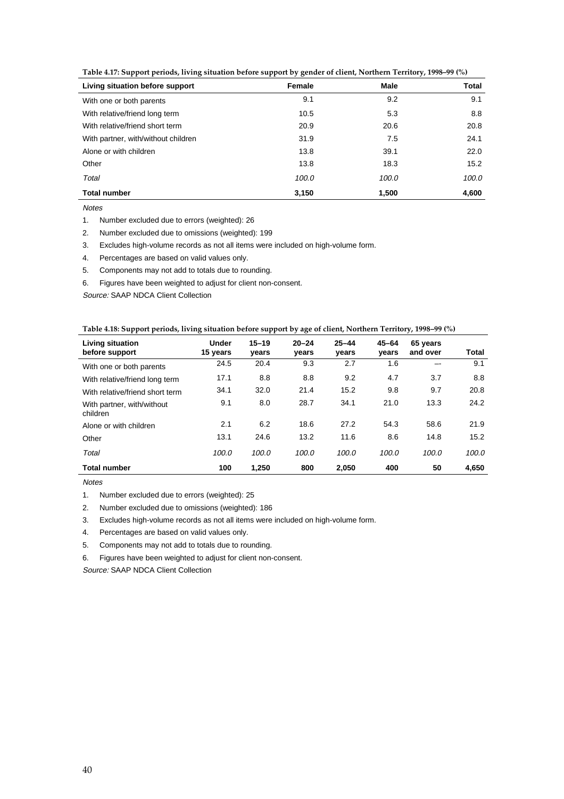**Table 4.17: Support periods, living situation before support by gender of client, Northern Territory, 1998–99 (%)**

| Living situation before support     | Female | Male  | Total |
|-------------------------------------|--------|-------|-------|
| With one or both parents            | 9.1    | 9.2   | 9.1   |
| With relative/friend long term      | 10.5   | 5.3   | 8.8   |
| With relative/friend short term     | 20.9   | 20.6  | 20.8  |
| With partner, with/without children | 31.9   | 7.5   | 24.1  |
| Alone or with children              | 13.8   | 39.1  | 22.0  |
| Other                               | 13.8   | 18.3  | 15.2  |
| Total                               | 100.0  | 100.0 | 100.0 |
| <b>Total number</b>                 | 3,150  | 1,500 | 4,600 |

- 1. Number excluded due to errors (weighted): 26
- 2. Number excluded due to omissions (weighted): 199
- 3. Excludes high-volume records as not all items were included on high-volume form.
- 4. Percentages are based on valid values only.
- 5. Components may not add to totals due to rounding.
- 6. Figures have been weighted to adjust for client non-consent.

Source: SAAP NDCA Client Collection

| Table 4.18: Support periods, living situation before support by age of client, Northern Territory, 1998-99 (%) |  |  |
|----------------------------------------------------------------------------------------------------------------|--|--|

| <b>Living situation</b><br>before support | <b>Under</b><br>15 years | $15 - 19$<br>years | $20 - 24$<br>years | $25 - 44$<br>years | $45 - 64$<br>vears | 65 years<br>and over | Total |
|-------------------------------------------|--------------------------|--------------------|--------------------|--------------------|--------------------|----------------------|-------|
| With one or both parents                  | 24.5                     | 20.4               | 9.3                | 2.7                | 1.6                |                      | 9.1   |
| With relative/friend long term            | 17.1                     | 8.8                | 8.8                | 9.2                | 4.7                | 3.7                  | 8.8   |
| With relative/friend short term           | 34.1                     | 32.0               | 21.4               | 15.2               | 9.8                | 9.7                  | 20.8  |
| With partner, with/without<br>children    | 9.1                      | 8.0                | 28.7               | 34.1               | 21.0               | 13.3                 | 24.2  |
| Alone or with children                    | 2.1                      | 6.2                | 18.6               | 27.2               | 54.3               | 58.6                 | 21.9  |
| Other                                     | 13.1                     | 24.6               | 13.2               | 11.6               | 8.6                | 14.8                 | 15.2  |
| Total                                     | 100.0                    | 100.0              | 100.0              | 100.0              | 100.0              | 100.0                | 100.0 |
| <b>Total number</b>                       | 100                      | 1,250              | 800                | 2.050              | 400                | 50                   | 4,650 |

Notes

- 1. Number excluded due to errors (weighted): 25
- 2. Number excluded due to omissions (weighted): 186
- 3. Excludes high-volume records as not all items were included on high-volume form.
- 4. Percentages are based on valid values only.
- 5. Components may not add to totals due to rounding.
- 6. Figures have been weighted to adjust for client non-consent.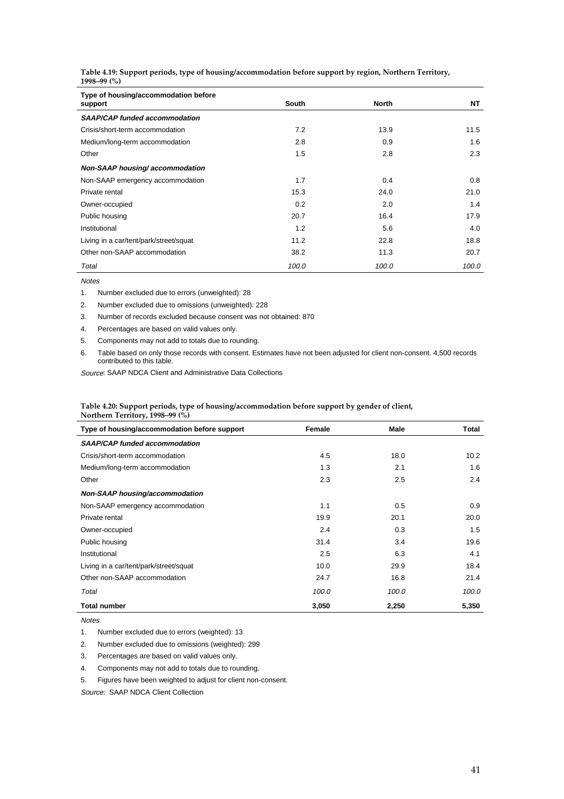**Table 4.19: Support periods, type of housing/accommodation before support by region, Northern Territory, 1998–99 (%)**

| Type of housing/accommodation before<br>support | South | <b>North</b> | NT    |
|-------------------------------------------------|-------|--------------|-------|
| <b>SAAP/CAP funded accommodation</b>            |       |              |       |
| Crisis/short-term accommodation                 | 7.2   | 13.9         | 11.5  |
| Medium/long-term accommodation                  | 2.8   | 0.9          | 1.6   |
| Other                                           | 1.5   | 2.8          | 2.3   |
| Non-SAAP housing/accommodation                  |       |              |       |
| Non-SAAP emergency accommodation                | 1.7   | 0.4          | 0.8   |
| Private rental                                  | 15.3  | 24.0         | 21.0  |
| Owner-occupied                                  | 0.2   | 2.0          | 1.4   |
| Public housing                                  | 20.7  | 16.4         | 17.9  |
| Institutional                                   | 1.2   | 5.6          | 4.0   |
| Living in a car/tent/park/street/squat          | 11.2  | 22.8         | 18.8  |
| Other non-SAAP accommodation                    | 38.2  | 11.3         | 20.7  |
| Total                                           | 100.0 | 100.0        | 100.0 |

Notes

1. Number excluded due to errors (unweighted): 28

2. Number excluded due to omissions (unweighted): 228

3. Number of records excluded because consent was not obtained: 870

4. Percentages are based on valid values only.

5. Components may not add to totals due to rounding.

6. Table based on only those records with consent. Estimates have not been adjusted for client non-consent. 4,500 records contributed to this table.

Source: SAAP NDCA Client and Administrative Data Collections

| Table 4.20: Support periods, type of housing/accommodation before support by gender of client, |
|------------------------------------------------------------------------------------------------|
| Northern Territory, 1998–99 (%)                                                                |

| Type of housing/accommodation before support | Female | Male  | Total |
|----------------------------------------------|--------|-------|-------|
| <b>SAAP/CAP funded accommodation</b>         |        |       |       |
| Crisis/short-term accommodation              | 4.5    | 18.0  | 10.2  |
| Medium/long-term accommodation               | 1.3    | 2.1   | 1.6   |
| Other                                        | 2.3    | 2.5   | 2.4   |
| Non-SAAP housing/accommodation               |        |       |       |
| Non-SAAP emergency accommodation             | 1.1    | 0.5   | 0.9   |
| Private rental                               | 19.9   | 20.1  | 20.0  |
| Owner-occupied                               | 2.4    | 0.3   | 1.5   |
| Public housing                               | 31.4   | 3.4   | 19.6  |
| Institutional                                | 2.5    | 6.3   | 4.1   |
| Living in a car/tent/park/street/squat       | 10.0   | 29.9  | 18.4  |
| Other non-SAAP accommodation                 | 24.7   | 16.8  | 21.4  |
| Total                                        | 100.0  | 100.0 | 100.0 |
| <b>Total number</b>                          | 3,050  | 2,250 | 5,350 |

Notes

1. Number excluded due to errors (weighted): 13

2. Number excluded due to omissions (weighted): 299

3. Percentages are based on valid values only.

4. Components may not add to totals due to rounding.

5. Figures have been weighted to adjust for client non-consent.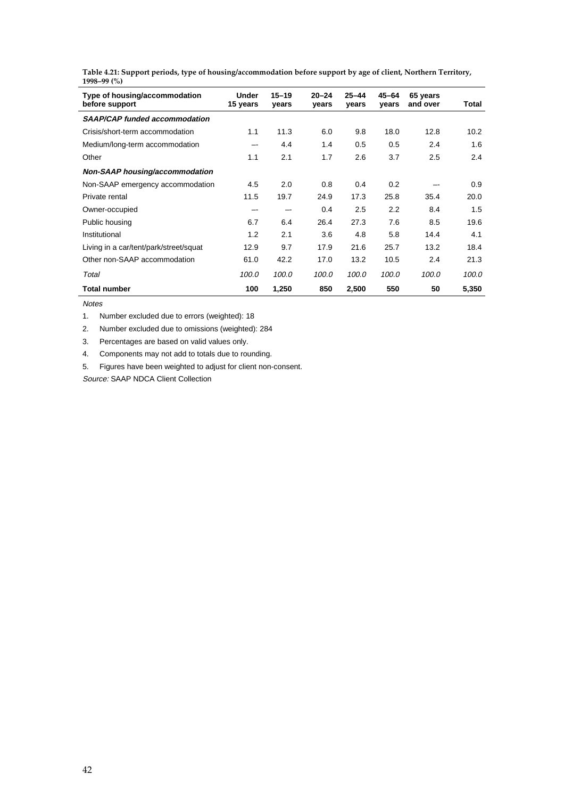| Table 4.21: Support periods, type of housing/accommodation before support by age of client, Northern Territory, |  |
|-----------------------------------------------------------------------------------------------------------------|--|
| 1998–99 $(\%)$                                                                                                  |  |

| Type of housing/accommodation<br>before support | <b>Under</b><br>15 years | $15 - 19$<br>years | $20 - 24$<br>years | $25 - 44$<br>years | $45 - 64$<br>years | 65 years<br>and over | Total |
|-------------------------------------------------|--------------------------|--------------------|--------------------|--------------------|--------------------|----------------------|-------|
| <b>SAAP/CAP funded accommodation</b>            |                          |                    |                    |                    |                    |                      |       |
| Crisis/short-term accommodation                 | 1.1                      | 11.3               | 6.0                | 9.8                | 18.0               | 12.8                 | 10.2  |
| Medium/long-term accommodation                  | --                       | 4.4                | 1.4                | 0.5                | 0.5                | 2.4                  | 1.6   |
| Other                                           | 1.1                      | 2.1                | 1.7                | 2.6                | 3.7                | 2.5                  | 2.4   |
| Non-SAAP housing/accommodation                  |                          |                    |                    |                    |                    |                      |       |
| Non-SAAP emergency accommodation                | 4.5                      | 2.0                | 0.8                | 0.4                | 0.2                |                      | 0.9   |
| Private rental                                  | 11.5                     | 19.7               | 24.9               | 17.3               | 25.8               | 35.4                 | 20.0  |
| Owner-occupied                                  |                          | --                 | 0.4                | 2.5                | 2.2                | 8.4                  | 1.5   |
| Public housing                                  | 6.7                      | 6.4                | 26.4               | 27.3               | 7.6                | 8.5                  | 19.6  |
| Institutional                                   | 1.2                      | 2.1                | 3.6                | 4.8                | 5.8                | 14.4                 | 4.1   |
| Living in a car/tent/park/street/squat          | 12.9                     | 9.7                | 17.9               | 21.6               | 25.7               | 13.2                 | 18.4  |
| Other non-SAAP accommodation                    | 61.0                     | 42.2               | 17.0               | 13.2               | 10.5               | 2.4                  | 21.3  |
| Total                                           | 100.0                    | 100.0              | 100.0              | 100.0              | 100.0              | 100.0                | 100.0 |
| <b>Total number</b>                             | 100                      | 1,250              | 850                | 2,500              | 550                | 50                   | 5,350 |

1. Number excluded due to errors (weighted): 18

2. Number excluded due to omissions (weighted): 284

3. Percentages are based on valid values only.

4. Components may not add to totals due to rounding.

5. Figures have been weighted to adjust for client non-consent.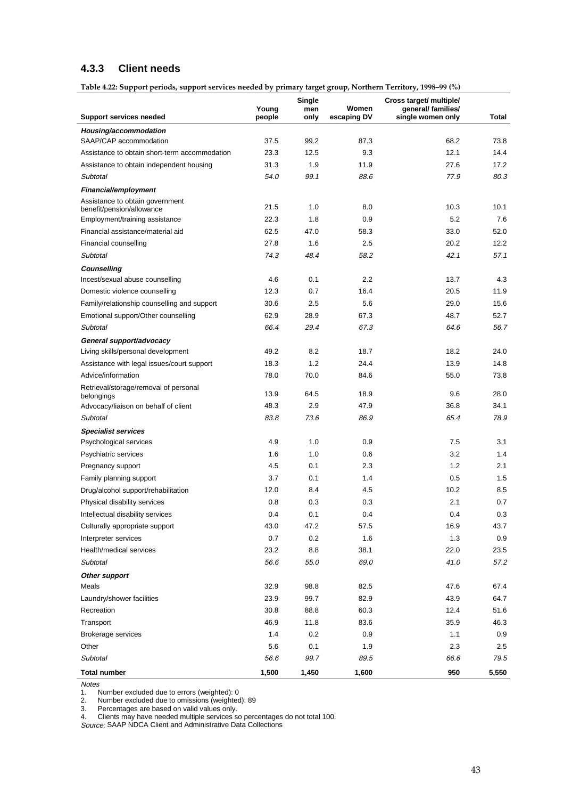# **4.3.3 Client needs**

**Table 4.22: Support periods, support services needed by primary target group, Northern Territory, 1998–99 (%)**

| <b>Support services needed</b>                               | Young<br>people | Single<br>men<br>only | Women<br>escaping DV | Cross target/ multiple/<br>general/ families/<br>single women only | <b>Total</b> |
|--------------------------------------------------------------|-----------------|-----------------------|----------------------|--------------------------------------------------------------------|--------------|
| Housing/accommodation                                        |                 |                       |                      |                                                                    |              |
| SAAP/CAP accommodation                                       | 37.5            | 99.2                  | 87.3                 | 68.2                                                               | 73.8         |
| Assistance to obtain short-term accommodation                | 23.3            | 12.5                  | 9.3                  | 12.1                                                               | 14.4         |
| Assistance to obtain independent housing                     | 31.3            | 1.9                   | 11.9                 | 27.6                                                               | 17.2         |
| Subtotal                                                     | 54.0            | 99.1                  | 88.6                 | 77.9                                                               | 80.3         |
| <b>Financial/employment</b>                                  |                 |                       |                      |                                                                    |              |
| Assistance to obtain government<br>benefit/pension/allowance | 21.5            | 1.0                   | 8.0                  | 10.3                                                               | 10.1         |
| Employment/training assistance                               | 22.3            | 1.8                   | 0.9                  | 5.2                                                                | 7.6          |
| Financial assistance/material aid                            | 62.5            | 47.0                  | 58.3                 | 33.0                                                               | 52.0         |
| Financial counselling                                        | 27.8            | 1.6                   | 2.5                  | 20.2                                                               | 12.2         |
| Subtotal                                                     | 74.3            | 48.4                  | 58.2                 | 42.1                                                               | 57.1         |
| Counselling                                                  |                 |                       |                      |                                                                    |              |
| Incest/sexual abuse counselling                              | 4.6             | 0.1                   | 2.2                  | 13.7                                                               | 4.3          |
| Domestic violence counselling                                | 12.3            | 0.7                   | 16.4                 | 20.5                                                               | 11.9         |
| Family/relationship counselling and support                  | 30.6            | 2.5                   | 5.6                  | 29.0                                                               | 15.6         |
| Emotional support/Other counselling                          | 62.9            | 28.9                  | 67.3                 | 48.7                                                               | 52.7         |
| Subtotal                                                     | 66.4            | 29.4                  | 67.3                 | 64.6                                                               | 56.7         |
| General support/advocacy                                     |                 |                       |                      |                                                                    |              |
| Living skills/personal development                           | 49.2            | 8.2                   | 18.7                 | 18.2                                                               | 24.0         |
| Assistance with legal issues/court support                   | 18.3            | 1.2                   | 24.4                 | 13.9                                                               | 14.8         |
| Advice/information                                           | 78.0            | 70.0                  | 84.6                 | 55.0                                                               | 73.8         |
| Retrieval/storage/removal of personal<br>belongings          | 13.9            | 64.5                  | 18.9                 | 9.6                                                                | 28.0         |
| Advocacy/liaison on behalf of client                         | 48.3            | 2.9                   | 47.9                 | 36.8                                                               | 34.1         |
| Subtotal                                                     | 83.8            | 73.6                  | 86.9                 | 65.4                                                               | 78.9         |
| <b>Specialist services</b>                                   |                 |                       |                      |                                                                    |              |
| Psychological services                                       | 4.9             | 1.0                   | 0.9                  | 7.5                                                                | 3.1          |
| Psychiatric services                                         | 1.6             | 1.0                   | 0.6                  | 3.2                                                                | 1.4          |
| Pregnancy support                                            | 4.5             | 0.1                   | 2.3                  | 1.2                                                                | 2.1          |
| Family planning support                                      | 3.7             | 0.1                   | 1.4                  | 0.5                                                                | 1.5          |
| Drug/alcohol support/rehabilitation                          | 12.0            | 8.4                   | 4.5                  | 10.2                                                               | 8.5          |
| Physical disability services                                 | 0.8             | 0.3                   | 0.3                  | 2.1                                                                | 0.7          |
| Intellectual disability services                             | 0.4             | 0.1                   | 0.4                  | 0.4                                                                | 0.3          |
| Culturally appropriate support                               | 43.0            | 47.2                  | 57.5                 | 16.9                                                               | 43.7         |
| Interpreter services                                         | $0.7\,$         | 0.2                   | 1.6                  | $1.3$                                                              | $0.9\,$      |
| Health/medical services                                      | 23.2            | 8.8                   | 38.1                 | 22.0                                                               | 23.5         |
| Subtotal                                                     | 56.6            | 55.0                  | 69.0                 | 41.0                                                               | 57.2         |
| Other support                                                |                 |                       |                      |                                                                    |              |
| Meals                                                        | 32.9            | 98.8                  | 82.5                 | 47.6                                                               | 67.4         |
| Laundry/shower facilities                                    | 23.9            | 99.7                  | 82.9                 | 43.9                                                               | 64.7         |
| Recreation                                                   | 30.8            | 88.8                  | 60.3                 | 12.4                                                               | 51.6         |
| Transport                                                    | 46.9            | 11.8                  | 83.6                 | 35.9                                                               | 46.3         |
| Brokerage services                                           | 1.4             | 0.2                   | 0.9                  | 1.1                                                                | 0.9          |
| Other                                                        | 5.6             | 0.1                   | 1.9                  | 2.3                                                                | $2.5\,$      |
| Subtotal                                                     | 56.6            | 99.7                  | 89.5                 | 66.6                                                               | 79.5         |
| <b>Total number</b>                                          | 1,500           | 1,450                 | 1,600                | 950                                                                | 5,550        |

Notes<br>1. N 1. Number excluded due to errors (weighted): 0

2. Number excluded due to omissions (weighted): 89

3. Percentages are based on valid values only.

4. Clients may have needed multiple services so percentages do not total 100.

Source: SAAP NDCA Client and Administrative Data Collections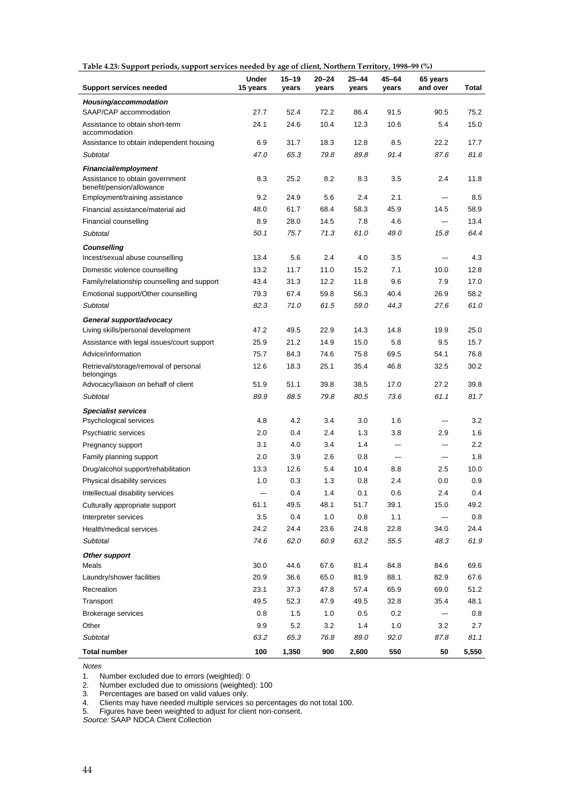| Table 4.23: Support periods, support services needed by age of client, Northern Territory, 1998-99 (%) |  |  |
|--------------------------------------------------------------------------------------------------------|--|--|
|                                                                                                        |  |  |

| on pendas, support services necueu by age or enem, romment remiory,<br><b>Support services needed</b> | Under<br>15 years | $15 - 19$<br>years | 20–24<br>years | 25–44<br>years | 45–64<br>years | 65 years<br>and over | Total        |
|-------------------------------------------------------------------------------------------------------|-------------------|--------------------|----------------|----------------|----------------|----------------------|--------------|
| Housing/accommodation                                                                                 |                   |                    |                |                |                |                      |              |
| SAAP/CAP accommodation                                                                                | 27.7              | 52.4               | 72.2           | 86.4           | 91.5           | 90.5                 | 75.2         |
| Assistance to obtain short-term<br>accommodation                                                      | 24.1              | 24.6               | 10.4           | 12.3           | 10.6           | 5.4                  | 15.0         |
| Assistance to obtain independent housing                                                              | 6.9               | 31.7               | 18.3           | 12.8           | 8.5            | 22.2                 | 17.7         |
| Subtotal                                                                                              | 47.0              | 65.3               | 79.8           | 89.8           | 91.4           | 87.6                 | 81.6         |
| Financial/employment                                                                                  |                   |                    |                |                |                |                      |              |
| Assistance to obtain government<br>benefit/pension/allowance                                          | 8.3               | 25.2               | 8.2            | 8.3            | 3.5            | 2.4                  | 11.8         |
| Employment/training assistance                                                                        | 9.2               | 24.9               | 5.6            | 2.4            | 2.1            | --                   | 8.5          |
| Financial assistance/material aid                                                                     | 48.0              | 61.7               | 68.4           | 58.3           | 45.9           | 14.5                 | 58.9         |
| Financial counselling                                                                                 | 8.9               | 28.0               | 14.5           | 7.8            | 4.6            |                      | 13.4         |
| Subtotal                                                                                              | 50.1              | 75.7               | 71.3           | 61.0           | 49.0           | 15.8                 | 64.4         |
| Counselling                                                                                           |                   |                    |                |                |                |                      |              |
| Incest/sexual abuse counselling                                                                       | 13.4              | 5.6                | 2.4            | 4.0            | 3.5            | --                   | 4.3          |
| Domestic violence counselling                                                                         | 13.2              | 11.7               | 11.0           | 15.2           | 7.1            | 10.0                 | 12.8         |
| Family/relationship counselling and support                                                           | 43.4              | 31.3               | 12.2           | 11.8           | 9.6            | 7.9                  | 17.0         |
| Emotional support/Other counselling                                                                   | 79.3              | 67.4               | 59.8           | 56.3           | 40.4           | 26.9                 | 58.2         |
| <b>Subtotal</b>                                                                                       | 82.3              | 71.0               | 61.5           | 59.0           | 44.3           | 27.6                 | 61.0         |
|                                                                                                       |                   |                    |                |                |                |                      |              |
| General support/advocacy<br>Living skills/personal development                                        | 47.2              | 49.5               | 22.9           | 14.3           | 14.8           | 19.9                 | 25.0         |
| Assistance with legal issues/court support                                                            | 25.9              | 21.2               | 14.9           | 15.0           | 5.8            | 9.5                  | 15.7         |
| Advice/information                                                                                    | 75.7              | 84.3               | 74.6           | 75.8           | 69.5           | 54.1                 | 76.8         |
|                                                                                                       |                   |                    |                |                |                |                      |              |
| Retrieval/storage/removal of personal<br>belongings<br>Advocacy/liaison on behalf of client           | 12.6<br>51.9      | 18.3<br>51.1       | 25.1<br>39.8   | 35.4<br>38.5   | 46.8<br>17.0   | 32.5<br>27.2         | 30.2<br>39.8 |
| Subtotal                                                                                              | 89.9              | 88.5               | 79.8           | 80.5           | 73.6           | 61.1                 | 81.7         |
|                                                                                                       |                   |                    |                |                |                |                      |              |
| <b>Specialist services</b>                                                                            |                   |                    |                |                |                |                      |              |
| Psychological services                                                                                | 4.8               | 4.2                | 3.4            | 3.0            | 1.6            |                      | 3.2          |
| Psychiatric services                                                                                  | 2.0               | 0.4                | 2.4            | 1.3            | 3.8            | 2.9                  | 1.6          |
| Pregnancy support                                                                                     | 3.1               | 4.0                | 3.4            | 1.4            |                | — <b>—</b>           | 2.2          |
| Family planning support                                                                               | 2.0               | 3.9                | 2.6            | 0.8            | --             | --                   | 1.8          |
| Drug/alcohol support/rehabilitation                                                                   | 13.3              | 12.6               | 5.4            | 10.4           | 8.8            | 2.5                  | 10.0         |
| Physical disability services                                                                          | 1.0               | 0.3                | 1.3            | 0.8            | 2.4            | 0.0                  | 0.9          |
| Intellectual disability services                                                                      |                   | 0.4                | 1.4            | 0.1            | 0.6            | 2.4                  | 0.4          |
| Culturally appropriate support                                                                        | 61.1              | 49.5               | 48.1           | 51.7           | 39.1           | 15.0                 | 49.2         |
| Interpreter services                                                                                  | 3.5               | 0.4                | 1.0            | 0.8            | 1.1            | --                   | 0.8          |
| Health/medical services                                                                               | 24.2              | 24.4               | 23.6           | 24.8           | 22.8           | 34.0                 | 24.4         |
| Subtotal                                                                                              | 74.6              | 62.0               | 60.9           | 63.2           | 55.5           | 48.3                 | 61.9         |
| Other support                                                                                         |                   |                    |                |                |                |                      |              |
| Meals                                                                                                 | 30.0              | 44.6               | 67.6           | 81.4           | 84.8           | 84.6                 | 69.6         |
| Laundry/shower facilities                                                                             | 20.9              | 36.6               | 65.0           | 81.9           | 88.1           | 82.9                 | 67.6         |
| Recreation                                                                                            | 23.1              | 37.3               | 47.8           | 57.4           | 65.9           | 69.0                 | 51.2         |
| Transport                                                                                             | 49.5              | 52.3               | 47.9           | 49.5           | 32.8           | 35.4                 | 48.1         |
| <b>Brokerage services</b>                                                                             | $0.8\,$           | 1.5                | 1.0            | 0.5            | 0.2            | —-                   | 0.8          |
| Other                                                                                                 | 9.9               | $5.2\,$            | 3.2            | 1.4            | 1.0            | 3.2                  | 2.7          |
| Subtotal                                                                                              | 63.2              | 65.3               | 76.8           | 89.0           | 92.0           | 87.8                 | 81.1         |
| <b>Total number</b>                                                                                   | 100               | 1,350              | 900            | 2,600          | 550            | 50                   | 5,550        |

1. Number excluded due to errors (weighted): 0

2. Number excluded due to omissions (weighted): 100

3. Percentages are based on valid values only.

4. Clients may have needed multiple services so percentages do not total 100.

5. Figures have been weighted to adjust for client non-consent.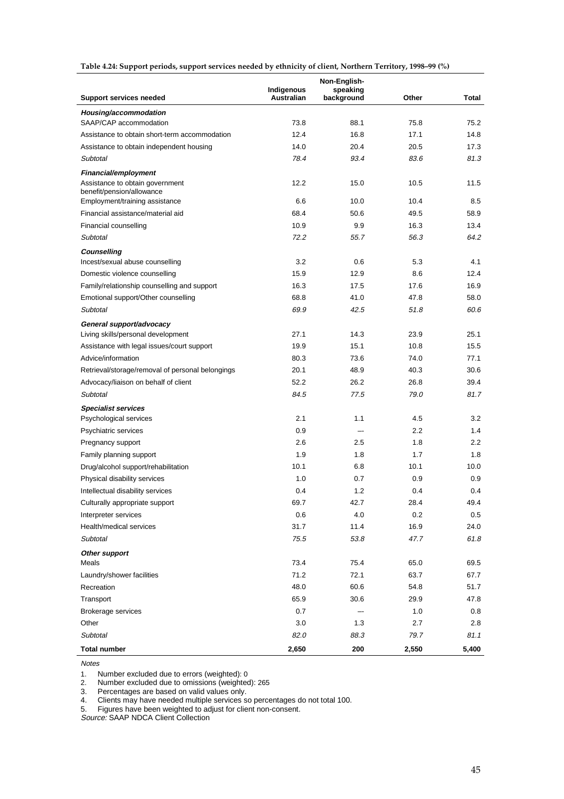|  |  | Table 4.24: Support periods, support services needed by ethnicity of client, Northern Territory, 1998–99 (%) |
|--|--|--------------------------------------------------------------------------------------------------------------|
|  |  |                                                                                                              |

| <b>Support services needed</b>                               | Indigenous<br>Australian | Non-English-<br>speaking<br>background | Other | <b>Total</b> |
|--------------------------------------------------------------|--------------------------|----------------------------------------|-------|--------------|
| Housing/accommodation                                        |                          |                                        |       |              |
| SAAP/CAP accommodation                                       | 73.8                     | 88.1                                   | 75.8  | 75.2         |
| Assistance to obtain short-term accommodation                | 12.4                     | 16.8                                   | 17.1  | 14.8         |
| Assistance to obtain independent housing                     | 14.0                     | 20.4                                   | 20.5  | 17.3         |
| Subtotal                                                     | 78.4                     | 93.4                                   | 83.6  | 81.3         |
| Financial/employment                                         |                          |                                        |       |              |
| Assistance to obtain government<br>benefit/pension/allowance | 12.2                     | 15.0                                   | 10.5  | 11.5         |
| Employment/training assistance                               | 6.6                      | 10.0                                   | 10.4  | 8.5          |
| Financial assistance/material aid                            | 68.4                     | 50.6                                   | 49.5  | 58.9         |
| Financial counselling                                        | 10.9                     | 9.9                                    | 16.3  | 13.4         |
| Subtotal                                                     | 72.2                     | 55.7                                   | 56.3  | 64.2         |
| Counselling                                                  |                          |                                        |       |              |
| Incest/sexual abuse counselling                              | 3.2                      | 0.6                                    | 5.3   | 4.1          |
| Domestic violence counselling                                | 15.9                     | 12.9                                   | 8.6   | 12.4         |
| Family/relationship counselling and support                  | 16.3                     | 17.5                                   | 17.6  | 16.9         |
| Emotional support/Other counselling                          | 68.8                     | 41.0                                   | 47.8  | 58.0         |
| Subtotal                                                     | 69.9                     | 42.5                                   | 51.8  | 60.6         |
| General support/advocacy                                     |                          |                                        |       |              |
| Living skills/personal development                           | 27.1                     | 14.3                                   | 23.9  | 25.1         |
| Assistance with legal issues/court support                   | 19.9                     | 15.1                                   | 10.8  | 15.5         |
| Advice/information                                           | 80.3                     | 73.6                                   | 74.0  | 77.1         |
| Retrieval/storage/removal of personal belongings             | 20.1                     | 48.9                                   | 40.3  | 30.6         |
| Advocacy/liaison on behalf of client                         | 52.2                     | 26.2                                   | 26.8  | 39.4         |
| Subtotal                                                     | 84.5                     | 77.5                                   | 79.0  | 81.7         |
| <b>Specialist services</b>                                   |                          |                                        |       |              |
| Psychological services                                       | 2.1                      | 1.1                                    | 4.5   | 3.2          |
| Psychiatric services                                         | 0.9                      |                                        | 2.2   | 1.4          |
| Pregnancy support                                            | 2.6                      | 2.5                                    | 1.8   | $2.2\,$      |
| Family planning support                                      | 1.9                      | 1.8                                    | 1.7   | 1.8          |
| Drug/alcohol support/rehabilitation                          | 10.1                     | 6.8                                    | 10.1  | 10.0         |
| Physical disability services                                 | 1.0                      | 0.7                                    | 0.9   | 0.9          |
| Intellectual disability services                             | 0.4                      | 1.2                                    | 0.4   | 0.4          |
| Culturally appropriate support                               | 69.7                     | 42.7                                   | 28.4  | 49.4         |
| Interpreter services                                         | 0.6                      | 4.0                                    | 0.2   | 0.5          |
| Health/medical services                                      | 31.7                     | 11.4                                   | 16.9  | 24.0         |
| Subtotal                                                     | 75.5                     | 53.8                                   | 47.7  | 61.8         |
| Other support                                                |                          |                                        |       |              |
| Meals                                                        | 73.4                     | 75.4                                   | 65.0  | 69.5         |
| Laundry/shower facilities                                    | 71.2                     | 72.1                                   | 63.7  | 67.7         |
| Recreation                                                   | 48.0                     | 60.6                                   | 54.8  | 51.7         |
| Transport                                                    | 65.9                     | 30.6                                   | 29.9  | 47.8         |
| <b>Brokerage services</b>                                    | 0.7                      |                                        | 1.0   | 0.8          |
| Other                                                        | 3.0                      | 1.3                                    | 2.7   | 2.8          |
| Subtotal                                                     | 82.0                     | 88.3                                   | 79.7  | 81.1         |
| <b>Total number</b>                                          | 2,650                    | 200                                    | 2,550 | 5,400        |

1. Number excluded due to errors (weighted): 0

2. Number excluded due to omissions (weighted): 265

3. Percentages are based on valid values only.

4. Clients may have needed multiple services so percentages do not total 100.

<sup>5.</sup> Figures have been weighted to adjust for client non-consent.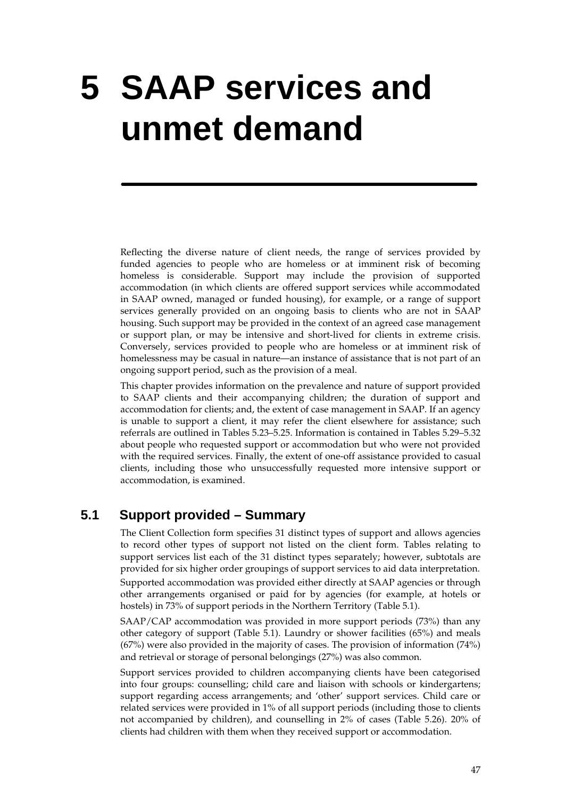# **5 SAAP services and unmet demand**

Reflecting the diverse nature of client needs, the range of services provided by funded agencies to people who are homeless or at imminent risk of becoming homeless is considerable. Support may include the provision of supported accommodation (in which clients are offered support services while accommodated in SAAP owned, managed or funded housing), for example, or a range of support services generally provided on an ongoing basis to clients who are not in SAAP housing. Such support may be provided in the context of an agreed case management or support plan, or may be intensive and short-lived for clients in extreme crisis. Conversely, services provided to people who are homeless or at imminent risk of homelessness may be casual in nature—an instance of assistance that is not part of an ongoing support period, such as the provision of a meal.

This chapter provides information on the prevalence and nature of support provided to SAAP clients and their accompanying children; the duration of support and accommodation for clients; and, the extent of case management in SAAP. If an agency is unable to support a client, it may refer the client elsewhere for assistance; such referrals are outlined in Tables 5.23–5.25. Information is contained in Tables 5.29–5.32 about people who requested support or accommodation but who were not provided with the required services. Finally, the extent of one-off assistance provided to casual clients, including those who unsuccessfully requested more intensive support or accommodation, is examined.

# **5.1 Support provided – Summary**

The Client Collection form specifies 31 distinct types of support and allows agencies to record other types of support not listed on the client form. Tables relating to support services list each of the 31 distinct types separately; however, subtotals are provided for six higher order groupings of support services to aid data interpretation. Supported accommodation was provided either directly at SAAP agencies or through other arrangements organised or paid for by agencies (for example, at hotels or hostels) in 73% of support periods in the Northern Territory (Table 5.1).

SAAP/CAP accommodation was provided in more support periods (73%) than any other category of support (Table 5.1). Laundry or shower facilities (65%) and meals (67%) were also provided in the majority of cases. The provision of information (74%) and retrieval or storage of personal belongings (27%) was also common.

Support services provided to children accompanying clients have been categorised into four groups: counselling; child care and liaison with schools or kindergartens; support regarding access arrangements; and 'other' support services. Child care or related services were provided in 1% of all support periods (including those to clients not accompanied by children), and counselling in 2% of cases (Table 5.26). 20% of clients had children with them when they received support or accommodation.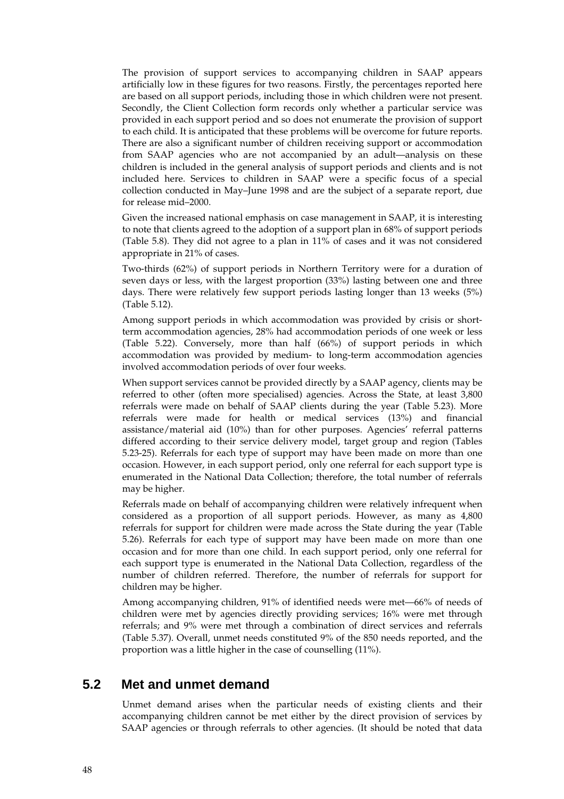The provision of support services to accompanying children in SAAP appears artificially low in these figures for two reasons. Firstly, the percentages reported here are based on all support periods, including those in which children were not present. Secondly, the Client Collection form records only whether a particular service was provided in each support period and so does not enumerate the provision of support to each child. It is anticipated that these problems will be overcome for future reports. There are also a significant number of children receiving support or accommodation from SAAP agencies who are not accompanied by an adult—analysis on these children is included in the general analysis of support periods and clients and is not included here. Services to children in SAAP were a specific focus of a special collection conducted in May–June 1998 and are the subject of a separate report, due for release mid–2000.

Given the increased national emphasis on case management in SAAP, it is interesting to note that clients agreed to the adoption of a support plan in 68% of support periods (Table 5.8). They did not agree to a plan in 11% of cases and it was not considered appropriate in 21% of cases.

Two-thirds (62%) of support periods in Northern Territory were for a duration of seven days or less, with the largest proportion (33%) lasting between one and three days. There were relatively few support periods lasting longer than 13 weeks (5%) (Table 5.12).

Among support periods in which accommodation was provided by crisis or shortterm accommodation agencies, 28% had accommodation periods of one week or less (Table 5.22). Conversely, more than half (66%) of support periods in which accommodation was provided by medium- to long-term accommodation agencies involved accommodation periods of over four weeks.

When support services cannot be provided directly by a SAAP agency, clients may be referred to other (often more specialised) agencies. Across the State, at least 3,800 referrals were made on behalf of SAAP clients during the year (Table 5.23). More referrals were made for health or medical services (13%) and financial assistance/material aid (10%) than for other purposes. Agencies' referral patterns differed according to their service delivery model, target group and region (Tables 5.23-25). Referrals for each type of support may have been made on more than one occasion. However, in each support period, only one referral for each support type is enumerated in the National Data Collection; therefore, the total number of referrals may be higher.

Referrals made on behalf of accompanying children were relatively infrequent when considered as a proportion of all support periods. However, as many as 4,800 referrals for support for children were made across the State during the year (Table 5.26). Referrals for each type of support may have been made on more than one occasion and for more than one child. In each support period, only one referral for each support type is enumerated in the National Data Collection, regardless of the number of children referred. Therefore, the number of referrals for support for children may be higher.

Among accompanying children, 91% of identified needs were met—66% of needs of children were met by agencies directly providing services; 16% were met through referrals; and 9% were met through a combination of direct services and referrals (Table 5.37). Overall, unmet needs constituted 9% of the 850 needs reported, and the proportion was a little higher in the case of counselling (11%).

# **5.2 Met and unmet demand**

Unmet demand arises when the particular needs of existing clients and their accompanying children cannot be met either by the direct provision of services by SAAP agencies or through referrals to other agencies. (It should be noted that data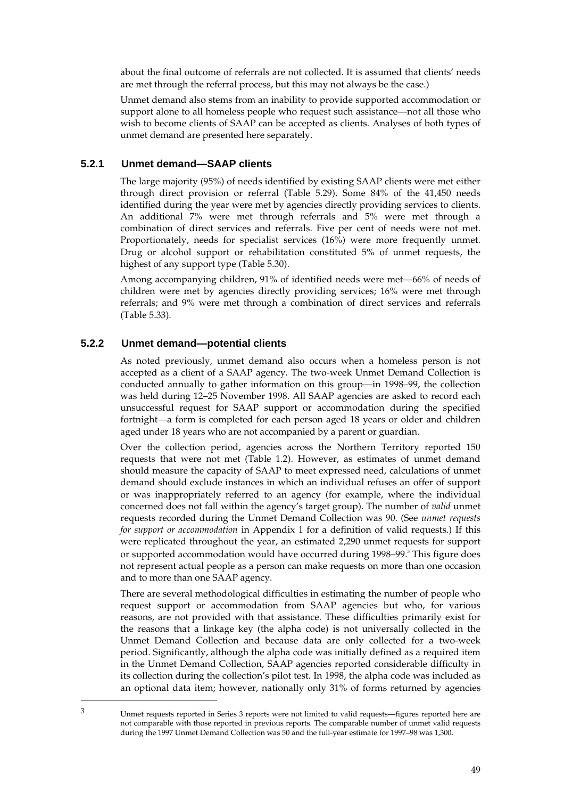about the final outcome of referrals are not collected. It is assumed that clients' needs are met through the referral process, but this may not always be the case.)

Unmet demand also stems from an inability to provide supported accommodation or support alone to all homeless people who request such assistance—not all those who wish to become clients of SAAP can be accepted as clients. Analyses of both types of unmet demand are presented here separately.

## **5.2.1 Unmet demand—SAAP clients**

The large majority (95%) of needs identified by existing SAAP clients were met either through direct provision or referral (Table 5.29). Some 84% of the 41,450 needs identified during the year were met by agencies directly providing services to clients. An additional 7% were met through referrals and 5% were met through a combination of direct services and referrals. Five per cent of needs were not met. Proportionately, needs for specialist services (16%) were more frequently unmet. Drug or alcohol support or rehabilitation constituted 5% of unmet requests, the highest of any support type (Table 5.30).

Among accompanying children, 91% of identified needs were met—66% of needs of children were met by agencies directly providing services; 16% were met through referrals; and 9% were met through a combination of direct services and referrals (Table 5.33).

## **5.2.2 Unmet demand—potential clients**

 $\overline{a}$ 

As noted previously, unmet demand also occurs when a homeless person is not accepted as a client of a SAAP agency. The two-week Unmet Demand Collection is conducted annually to gather information on this group—in 1998–99, the collection was held during 12–25 November 1998. All SAAP agencies are asked to record each unsuccessful request for SAAP support or accommodation during the specified fortnight—a form is completed for each person aged 18 years or older and children aged under 18 years who are not accompanied by a parent or guardian.

Over the collection period, agencies across the Northern Territory reported 150 requests that were not met (Table 1.2). However, as estimates of unmet demand should measure the capacity of SAAP to meet expressed need, calculations of unmet demand should exclude instances in which an individual refuses an offer of support or was inappropriately referred to an agency (for example, where the individual concerned does not fall within the agency's target group). The number of *valid* unmet requests recorded during the Unmet Demand Collection was 90. (See *unmet requests for support or accommodation* in Appendix 1 for a definition of valid requests.) If this were replicated throughout the year, an estimated 2,290 unmet requests for support or supported accommodation would have occurred during 1998–99.<sup>3</sup> This figure does not represent actual people as a person can make requests on more than one occasion and to more than one SAAP agency.

There are several methodological difficulties in estimating the number of people who request support or accommodation from SAAP agencies but who, for various reasons, are not provided with that assistance. These difficulties primarily exist for the reasons that a linkage key (the alpha code) is not universally collected in the Unmet Demand Collection and because data are only collected for a two-week period. Significantly, although the alpha code was initially defined as a required item in the Unmet Demand Collection, SAAP agencies reported considerable difficulty in its collection during the collection's pilot test. In 1998, the alpha code was included as an optional data item; however, nationally only 31% of forms returned by agencies

<sup>3</sup> Unmet requests reported in Series 3 reports were not limited to valid requests—figures reported here are not comparable with those reported in previous reports. The comparable number of unmet valid requests during the 1997 Unmet Demand Collection was 50 and the full-year estimate for 1997–98 was 1,300.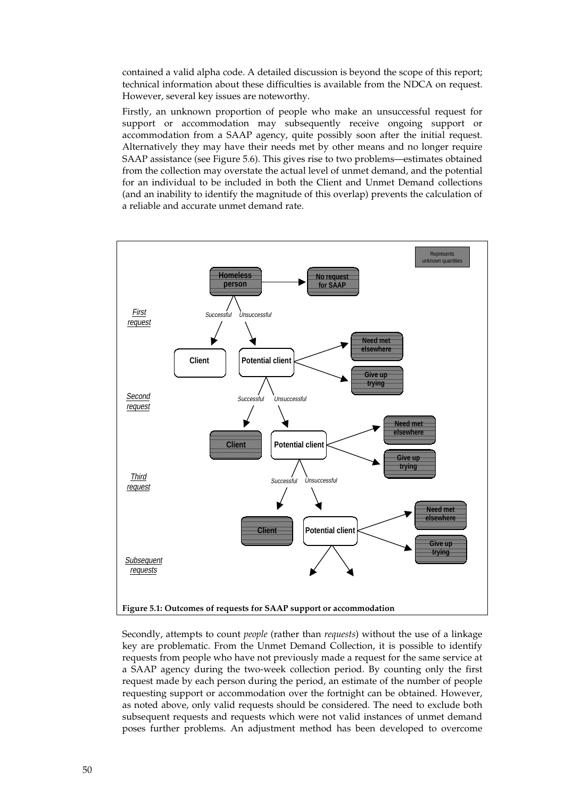contained a valid alpha code. A detailed discussion is beyond the scope of this report; technical information about these difficulties is available from the NDCA on request. However, several key issues are noteworthy.

Firstly, an unknown proportion of people who make an unsuccessful request for support or accommodation may subsequently receive ongoing support or accommodation from a SAAP agency, quite possibly soon after the initial request. Alternatively they may have their needs met by other means and no longer require SAAP assistance (see Figure 5.6). This gives rise to two problems—estimates obtained from the collection may overstate the actual level of unmet demand, and the potential for an individual to be included in both the Client and Unmet Demand collections (and an inability to identify the magnitude of this overlap) prevents the calculation of a reliable and accurate unmet demand rate.



Secondly, attempts to count *people* (rather than *requests*) without the use of a linkage key are problematic. From the Unmet Demand Collection, it is possible to identify requests from people who have not previously made a request for the same service at a SAAP agency during the two-week collection period. By counting only the first request made by each person during the period, an estimate of the number of people requesting support or accommodation over the fortnight can be obtained. However, as noted above, only valid requests should be considered. The need to exclude both subsequent requests and requests which were not valid instances of unmet demand poses further problems. An adjustment method has been developed to overcome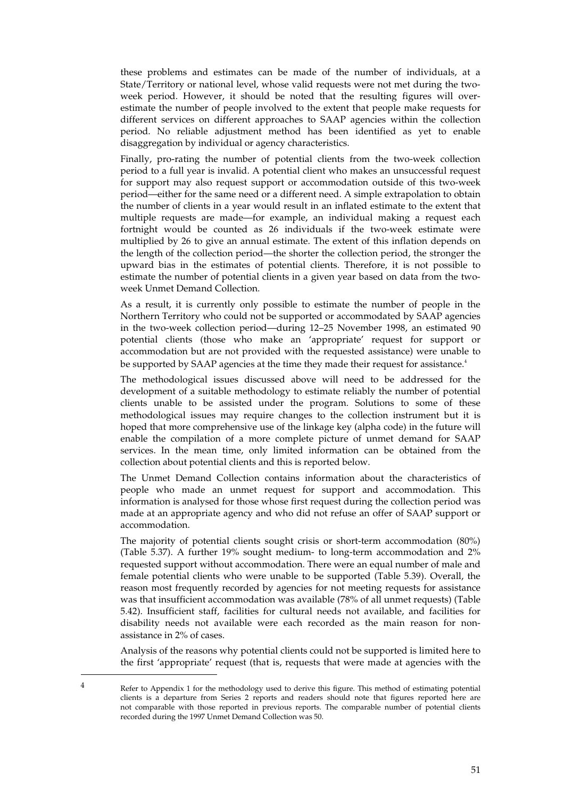these problems and estimates can be made of the number of individuals, at a State/Territory or national level, whose valid requests were not met during the twoweek period. However, it should be noted that the resulting figures will overestimate the number of people involved to the extent that people make requests for different services on different approaches to SAAP agencies within the collection period. No reliable adjustment method has been identified as yet to enable disaggregation by individual or agency characteristics.

Finally, pro-rating the number of potential clients from the two-week collection period to a full year is invalid. A potential client who makes an unsuccessful request for support may also request support or accommodation outside of this two-week period—either for the same need or a different need. A simple extrapolation to obtain the number of clients in a year would result in an inflated estimate to the extent that multiple requests are made—for example, an individual making a request each fortnight would be counted as 26 individuals if the two-week estimate were multiplied by 26 to give an annual estimate. The extent of this inflation depends on the length of the collection period—the shorter the collection period, the stronger the upward bias in the estimates of potential clients. Therefore, it is not possible to estimate the number of potential clients in a given year based on data from the twoweek Unmet Demand Collection.

As a result, it is currently only possible to estimate the number of people in the Northern Territory who could not be supported or accommodated by SAAP agencies in the two-week collection period—during 12–25 November 1998, an estimated 90 potential clients (those who make an 'appropriate' request for support or accommodation but are not provided with the requested assistance) were unable to be supported by SAAP agencies at the time they made their request for assistance.<sup>4</sup>

The methodological issues discussed above will need to be addressed for the development of a suitable methodology to estimate reliably the number of potential clients unable to be assisted under the program. Solutions to some of these methodological issues may require changes to the collection instrument but it is hoped that more comprehensive use of the linkage key (alpha code) in the future will enable the compilation of a more complete picture of unmet demand for SAAP services. In the mean time, only limited information can be obtained from the collection about potential clients and this is reported below.

The Unmet Demand Collection contains information about the characteristics of people who made an unmet request for support and accommodation. This information is analysed for those whose first request during the collection period was made at an appropriate agency and who did not refuse an offer of SAAP support or accommodation.

The majority of potential clients sought crisis or short-term accommodation (80%) (Table 5.37). A further 19% sought medium- to long-term accommodation and 2% requested support without accommodation. There were an equal number of male and female potential clients who were unable to be supported (Table 5.39). Overall, the reason most frequently recorded by agencies for not meeting requests for assistance was that insufficient accommodation was available (78% of all unmet requests) (Table 5.42). Insufficient staff, facilities for cultural needs not available, and facilities for disability needs not available were each recorded as the main reason for nonassistance in 2% of cases.

Analysis of the reasons why potential clients could not be supported is limited here to the first 'appropriate' request (that is, requests that were made at agencies with the

 $\overline{a}$ 

51

<sup>4</sup> Refer to Appendix 1 for the methodology used to derive this figure. This method of estimating potential clients is a departure from Series 2 reports and readers should note that figures reported here are not comparable with those reported in previous reports. The comparable number of potential clients recorded during the 1997 Unmet Demand Collection was 50.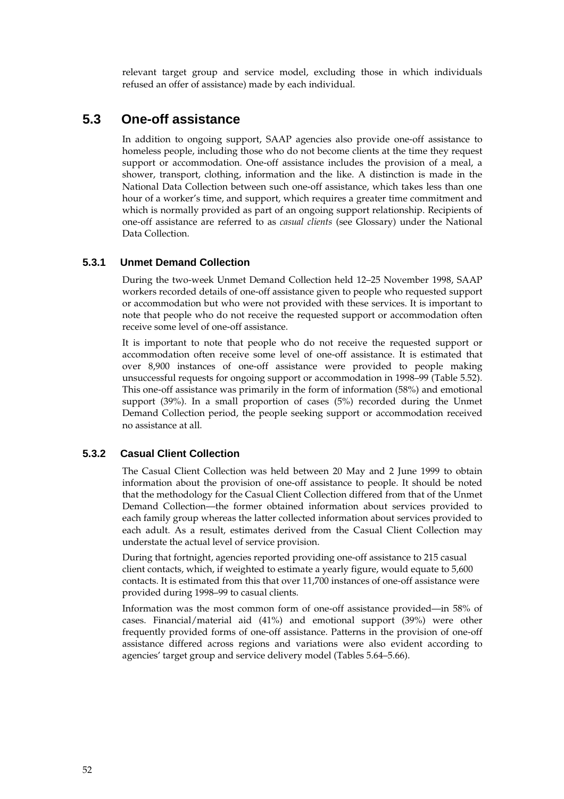relevant target group and service model, excluding those in which individuals refused an offer of assistance) made by each individual.

# **5.3 One-off assistance**

In addition to ongoing support, SAAP agencies also provide one-off assistance to homeless people, including those who do not become clients at the time they request support or accommodation. One-off assistance includes the provision of a meal, a shower, transport, clothing, information and the like. A distinction is made in the National Data Collection between such one-off assistance, which takes less than one hour of a worker's time, and support, which requires a greater time commitment and which is normally provided as part of an ongoing support relationship. Recipients of one-off assistance are referred to as *casual clients* (see Glossary) under the National Data Collection.

# **5.3.1 Unmet Demand Collection**

During the two-week Unmet Demand Collection held 12–25 November 1998, SAAP workers recorded details of one-off assistance given to people who requested support or accommodation but who were not provided with these services. It is important to note that people who do not receive the requested support or accommodation often receive some level of one-off assistance.

It is important to note that people who do not receive the requested support or accommodation often receive some level of one-off assistance. It is estimated that over 8,900 instances of one-off assistance were provided to people making unsuccessful requests for ongoing support or accommodation in 1998–99 (Table 5.52). This one-off assistance was primarily in the form of information (58%) and emotional support (39%). In a small proportion of cases (5%) recorded during the Unmet Demand Collection period, the people seeking support or accommodation received no assistance at all.

## **5.3.2 Casual Client Collection**

The Casual Client Collection was held between 20 May and 2 June 1999 to obtain information about the provision of one-off assistance to people. It should be noted that the methodology for the Casual Client Collection differed from that of the Unmet Demand Collection—the former obtained information about services provided to each family group whereas the latter collected information about services provided to each adult. As a result, estimates derived from the Casual Client Collection may understate the actual level of service provision.

During that fortnight, agencies reported providing one-off assistance to 215 casual client contacts, which, if weighted to estimate a yearly figure, would equate to 5,600 contacts. It is estimated from this that over 11,700 instances of one-off assistance were provided during 1998–99 to casual clients.

Information was the most common form of one-off assistance provided—in 58% of cases. Financial/material aid (41%) and emotional support (39%) were other frequently provided forms of one-off assistance. Patterns in the provision of one-off assistance differed across regions and variations were also evident according to agencies' target group and service delivery model (Tables 5.64–5.66).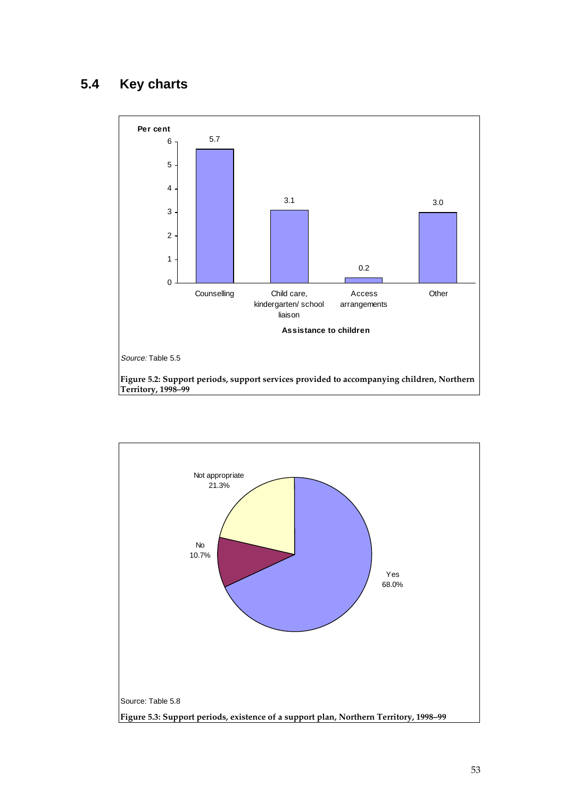# **5.4 Key charts**



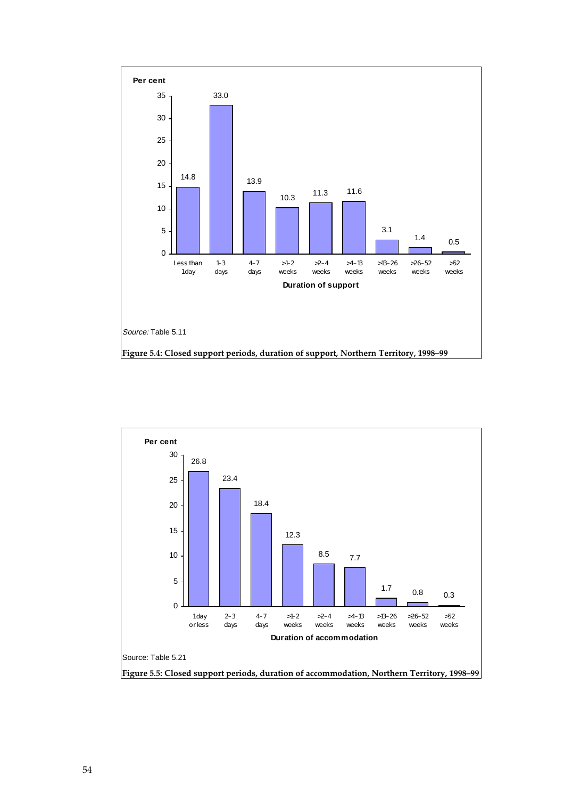

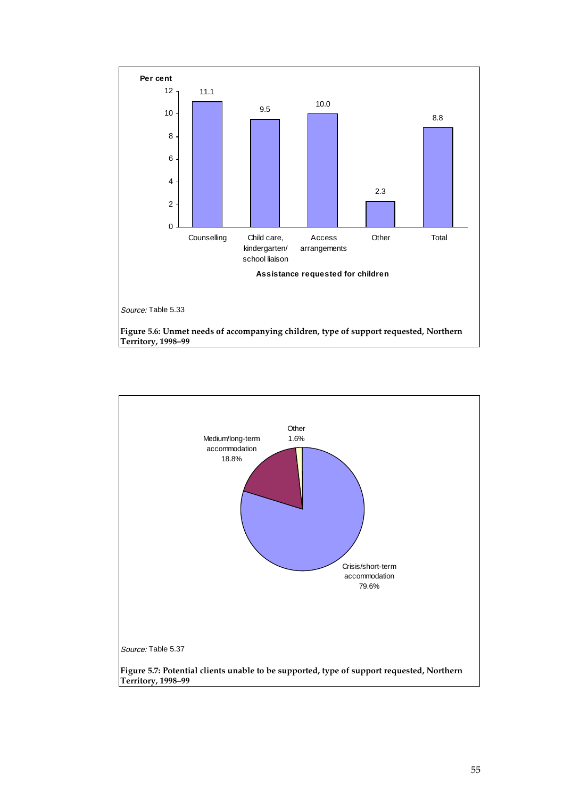

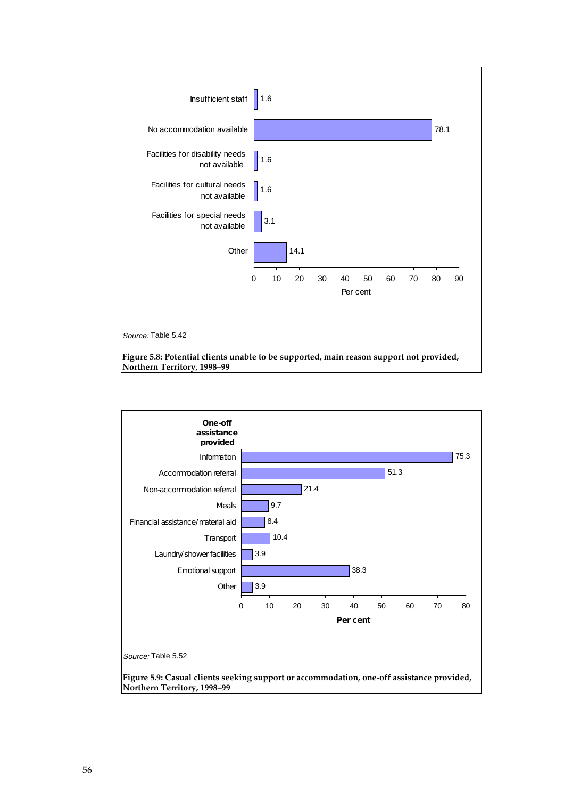

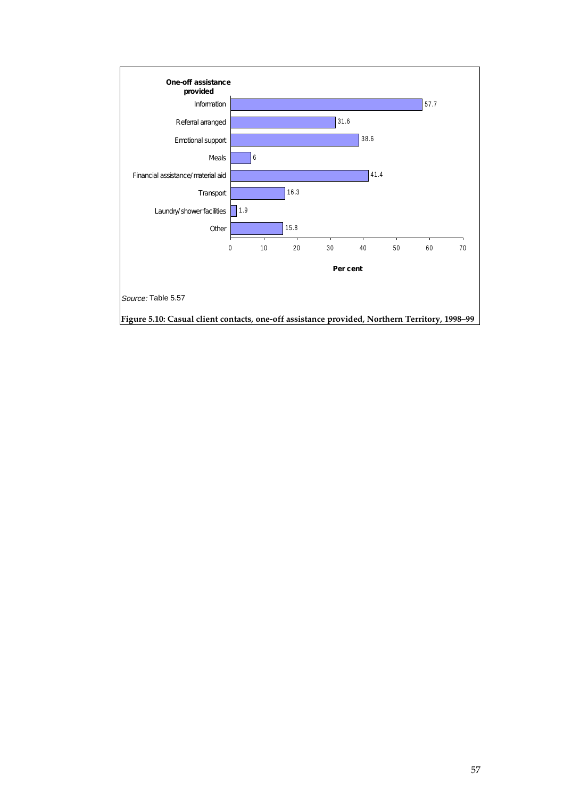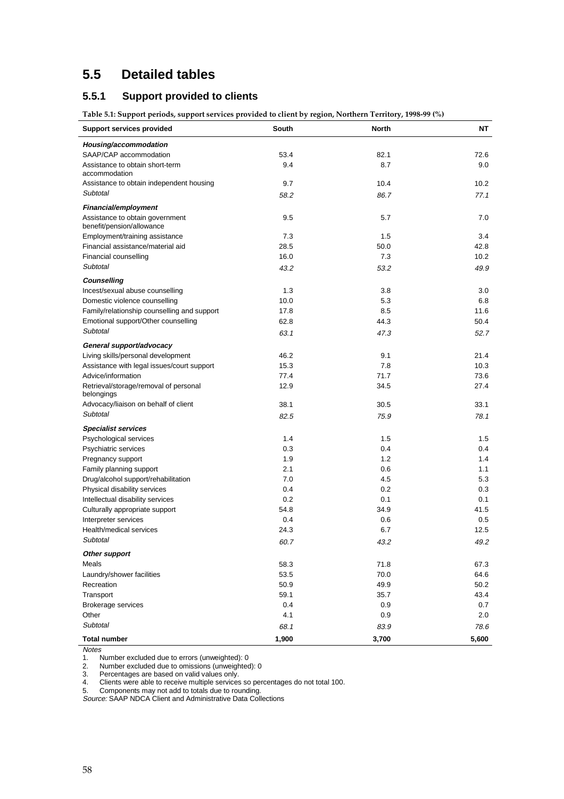# **5.5 Detailed tables**

# **5.5.1 Support provided to clients**

**Table 5.1: Support periods, support services provided to client by region, Northern Territory, 1998-99 (%)**

| <b>Support services provided</b>                             | <b>South</b> | <b>North</b> | NT    |
|--------------------------------------------------------------|--------------|--------------|-------|
| Housing/accommodation                                        |              |              |       |
| SAAP/CAP accommodation                                       | 53.4         | 82.1         | 72.6  |
| Assistance to obtain short-term<br>accommodation             | 9.4          | 8.7          | 9.0   |
| Assistance to obtain independent housing                     | 9.7          | 10.4         | 10.2  |
| Subtotal                                                     | 58.2         | 86.7         | 77.1  |
| Financial/employment                                         |              |              |       |
| Assistance to obtain government<br>benefit/pension/allowance | 9.5          | 5.7          | 7.0   |
| Employment/training assistance                               | 7.3          | 1.5          | 3.4   |
| Financial assistance/material aid                            | 28.5         | 50.0         | 42.8  |
| Financial counselling                                        | 16.0         | 7.3          | 10.2  |
| Subtotal                                                     | 43.2         | 53.2         | 49.9  |
| Counselling                                                  |              |              |       |
| Incest/sexual abuse counselling                              | 1.3          | 3.8          | 3.0   |
| Domestic violence counselling                                | 10.0         | 5.3          | 6.8   |
| Family/relationship counselling and support                  | 17.8         | 8.5          | 11.6  |
| Emotional support/Other counselling                          | 62.8         | 44.3         | 50.4  |
| Subtotal                                                     | 63.1         | 47.3         | 52.7  |
| General support/advocacy                                     |              |              |       |
| Living skills/personal development                           | 46.2         | 9.1          | 21.4  |
| Assistance with legal issues/court support                   | 15.3         | 7.8          | 10.3  |
| Advice/information                                           | 77.4         | 71.7         | 73.6  |
| Retrieval/storage/removal of personal<br>belongings          | 12.9         | 34.5         | 27.4  |
| Advocacy/liaison on behalf of client                         | 38.1         | 30.5         | 33.1  |
| Subtotal                                                     | 82.5         | 75.9         | 78.1  |
| <b>Specialist services</b>                                   |              |              |       |
| Psychological services                                       | 1.4          | 1.5          | 1.5   |
| Psychiatric services                                         | 0.3          | 0.4          | 0.4   |
| Pregnancy support                                            | 1.9          | 1.2          | 1.4   |
| Family planning support                                      | 2.1          | 0.6          | 1.1   |
| Drug/alcohol support/rehabilitation                          | 7.0          | 4.5          | 5.3   |
| Physical disability services                                 | 0.4          | 0.2          | 0.3   |
| Intellectual disability services                             | 0.2          | 0.1          | 0.1   |
| Culturally appropriate support                               | 54.8         | 34.9         | 41.5  |
| Interpreter services                                         | 0.4          | 0.6          | 0.5   |
| Health/medical services                                      | 24.3         | 6.7          | 12.5  |
| Subtotal                                                     | 60.7         | 43.2         | 49.2  |
| <b>Other support</b>                                         |              |              |       |
| Meals                                                        | 58.3         | 71.8         | 67.3  |
| Laundry/shower facilities                                    | 53.5         | 70.0         | 64.6  |
| Recreation                                                   | 50.9         | 49.9         | 50.2  |
| Transport                                                    | 59.1         | 35.7         | 43.4  |
| <b>Brokerage services</b>                                    | 0.4          | 0.9          | 0.7   |
| Other                                                        | 4.1          | 0.9          | 2.0   |
| Subtotal                                                     | 68.1         | 83.9         | 78.6  |
| <b>Total number</b>                                          | 1,900        | 3,700        | 5,600 |

**Notes** 

1. Number excluded due to errors (unweighted): 0<br>2. Number excluded due to omissions (unweighted<br>3. Percentages are based on valid values only.

2. Number excluded due to omissions (unweighted): 0

3. Percentages are based on valid values only.

4. Clients were able to receive multiple services so percentages do not total 100.

5. Components may not add to totals due to rounding.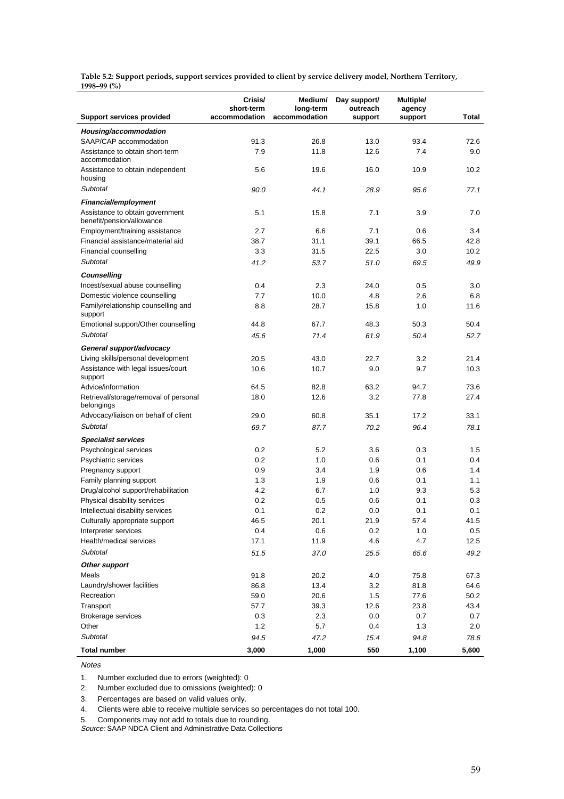**Table 5.2: Support periods, support services provided to client by service delivery model, Northern Territory, 1998–99 (%)**

| <b>Support services provided</b>                             | Crisis/<br>short-term<br>accommodation | Medium/<br>long-term<br>accommodation | Day support/<br>outreach<br>support | Multiple/<br>agency<br>support | <b>Total</b> |
|--------------------------------------------------------------|----------------------------------------|---------------------------------------|-------------------------------------|--------------------------------|--------------|
|                                                              |                                        |                                       |                                     |                                |              |
| Housing/accommodation                                        | 91.3                                   | 26.8                                  |                                     |                                |              |
| SAAP/CAP accommodation<br>Assistance to obtain short-term    | 7.9                                    | 11.8                                  | 13.0<br>12.6                        | 93.4<br>7.4                    | 72.6<br>9.0  |
| accommodation                                                |                                        |                                       |                                     |                                |              |
| Assistance to obtain independent<br>housing                  | 5.6                                    | 19.6                                  | 16.0                                | 10.9                           | 10.2         |
| <b>Subtotal</b>                                              | 90.0                                   | 44.1                                  | 28.9                                | 95.6                           | 77.1         |
| Financial/employment                                         |                                        |                                       |                                     |                                |              |
| Assistance to obtain government<br>benefit/pension/allowance | 5.1                                    | 15.8                                  | 7.1                                 | 3.9                            | 7.0          |
| Employment/training assistance                               | 2.7                                    | 6.6                                   | 7.1                                 | 0.6                            | 3.4          |
| Financial assistance/material aid                            | 38.7                                   | 31.1                                  | 39.1                                | 66.5                           | 42.8         |
| Financial counselling                                        | 3.3                                    | 31.5                                  | 22.5                                | 3.0                            | 10.2         |
| Subtotal                                                     | 41.2                                   | 53.7                                  | 51.0                                | 69.5                           | 49.9         |
| <b>Counselling</b>                                           |                                        |                                       |                                     |                                |              |
| Incest/sexual abuse counselling                              | 0.4                                    | 2.3                                   | 24.0                                | 0.5                            | 3.0          |
| Domestic violence counselling                                | 7.7                                    | 10.0                                  | 4.8                                 | 2.6                            | 6.8          |
| Family/relationship counselling and<br>support               | 8.8                                    | 28.7                                  | 15.8                                | 1.0                            | 11.6         |
| Emotional support/Other counselling                          | 44.8                                   | 67.7                                  | 48.3                                | 50.3                           | 50.4         |
| Subtotal                                                     | 45.6                                   | 71.4                                  | 61.9                                | 50.4                           | 52.7         |
| General support/advocacy                                     |                                        |                                       |                                     |                                |              |
| Living skills/personal development                           | 20.5                                   | 43.0                                  | 22.7                                | 3.2                            | 21.4         |
| Assistance with legal issues/court<br>support                | 10.6                                   | 10.7                                  | 9.0                                 | 9.7                            | 10.3         |
| Advice/information                                           | 64.5                                   | 82.8                                  | 63.2                                | 94.7                           | 73.6         |
| Retrieval/storage/removal of personal<br>belongings          | 18.0                                   | 12.6                                  | 3.2                                 | 77.8                           | 27.4         |
| Advocacy/liaison on behalf of client                         | 29.0                                   | 60.8                                  | 35.1                                | 17.2                           | 33.1         |
| Subtotal                                                     | 69.7                                   | 87.7                                  | 70.2                                | 96.4                           | 78.1         |
| <b>Specialist services</b>                                   |                                        |                                       |                                     |                                |              |
| Psychological services                                       | 0.2                                    | 5.2                                   | 3.6                                 | 0.3                            | 1.5          |
| Psychiatric services                                         | 0.2                                    | 1.0                                   | 0.6                                 | 0.1                            | 0.4          |
| Pregnancy support                                            | 0.9                                    | 3.4                                   | 1.9                                 | 0.6                            | 1.4          |
| Family planning support                                      | 1.3                                    | 1.9                                   | 0.6                                 | 0.1                            | 1.1          |
| Drug/alcohol support/rehabilitation                          | 4.2                                    | 6.7                                   | 1.0                                 | 9.3                            | 5.3          |
| Physical disability services                                 | 0.2                                    | 0.5                                   | 0.6                                 | 0.1                            | 0.3          |
| Intellectual disability services                             | 0.1                                    | 0.2                                   | 0.0                                 | 0.1                            | 0.1          |
| Culturally appropriate support<br>Interpreter services       | 46.5<br>0.4                            | 20.1<br>0.6                           | 21.9                                | 57.4<br>1.0                    | 41.5         |
| Health/medical services                                      | 17.1                                   | 11.9                                  | 0.2<br>4.6                          | 4.7                            | 0.5<br>12.5  |
| Subtotal                                                     |                                        |                                       |                                     |                                |              |
|                                                              | 51.5                                   | 37.0                                  | 25.5                                | 65.6                           | 49.2         |
| Other support                                                |                                        |                                       |                                     |                                |              |
| Meals                                                        | 91.8                                   | 20.2                                  | 4.0                                 | 75.8                           | 67.3         |
| Laundry/shower facilities<br>Recreation                      | 86.8<br>59.0                           | 13.4<br>20.6                          | 3.2<br>1.5                          | 81.8<br>77.6                   | 64.6<br>50.2 |
| Transport                                                    | 57.7                                   | 39.3                                  | 12.6                                | 23.8                           | 43.4         |
| <b>Brokerage services</b>                                    | 0.3                                    | 2.3                                   | 0.0                                 | 0.7                            | 0.7          |
| Other                                                        | $1.2$                                  | 5.7                                   | 0.4                                 | 1.3                            | 2.0          |
| Subtotal                                                     | 94.5                                   | 47.2                                  | 15.4                                | 94.8                           | 78.6         |
| <b>Total number</b>                                          | 3,000                                  | 1,000                                 | 550                                 | 1,100                          | 5,600        |

Notes

1. Number excluded due to errors (weighted): 0

2. Number excluded due to omissions (weighted): 0

3. Percentages are based on valid values only.

4. Clients were able to receive multiple services so percentages do not total 100.

5. Components may not add to totals due to rounding.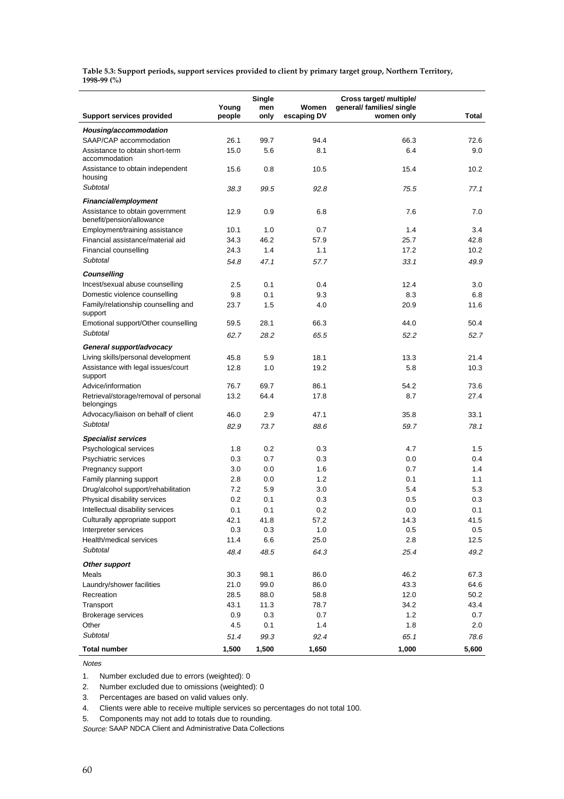**Table 5.3: Support periods, support services provided to client by primary target group, Northern Territory, 1998-99 (%)**

| Housing/accommodation<br>SAAP/CAP accommodation<br>94.4<br>26.1<br>99.7<br>66.3<br>72.6<br>Assistance to obtain short-term<br>5.6<br>8.1<br>6.4<br>9.0<br>15.0<br>accommodation<br>Assistance to obtain independent<br>15.6<br>0.8<br>10.5<br>15.4<br>10.2<br>housing<br>Subtotal<br>99.5<br>92.8<br>38.3<br>75.5<br>77.1<br>Financial/employment<br>Assistance to obtain government<br>12.9<br>0.9<br>6.8<br>7.6<br>7.0<br>benefit/pension/allowance<br>Employment/training assistance<br>10.1<br>1.0<br>0.7<br>1.4<br>3.4<br>Financial assistance/material aid<br>57.9<br>34.3<br>46.2<br>25.7<br>42.8<br>Financial counselling<br>17.2<br>24.3<br>1.4<br>1.1<br>10.2<br>Subtotal<br>54.8<br>47.1<br>49.9<br>57.7<br>33.1<br><b>Counselling</b><br>Incest/sexual abuse counselling<br>0.1<br>12.4<br>2.5<br>0.4<br>3.0<br>Domestic violence counselling<br>9.8<br>9.3<br>0.1<br>8.3<br>6.8<br>20.9<br>Family/relationship counselling and<br>23.7<br>1.5<br>4.0<br>11.6<br>support<br>28.1<br>Emotional support/Other counselling<br>59.5<br>66.3<br>44.0<br>50.4<br>Subtotal<br>65.5<br>62.7<br>28.2<br>52.2<br>52.7<br>General support/advocacy<br>Living skills/personal development<br>45.8<br>5.9<br>18.1<br>13.3<br>21.4<br>1.0<br>5.8<br>Assistance with legal issues/court<br>12.8<br>19.2<br>10.3<br>support<br>Advice/information<br>76.7<br>69.7<br>86.1<br>54.2<br>73.6<br>Retrieval/storage/removal of personal<br>13.2<br>64.4<br>17.8<br>8.7<br>27.4<br>belongings<br>Advocacy/liaison on behalf of client<br>46.0<br>2.9<br>47.1<br>35.8<br>33.1<br>Subtotal<br>82.9<br>73.7<br>88.6<br>59.7<br>78.1<br><b>Specialist services</b><br>Psychological services<br>1.8<br>0.2<br>0.3<br>4.7<br>1.5<br>Psychiatric services<br>0.3<br>0.7<br>0.3<br>0.0<br>0.4<br>3.0<br>0.0<br>1.6<br>0.7<br>1.4<br>Pregnancy support<br>Family planning support<br>2.8<br>0.0<br>1.2<br>0.1<br>1.1<br>7.2<br>Drug/alcohol support/rehabilitation<br>5.9<br>3.0<br>5.4<br>5.3<br>Physical disability services<br>0.2<br>0.5<br>0.3<br>0.1<br>0.3<br>0.1<br>0.1<br>0.2<br>0.0<br>0.1<br>Intellectual disability services<br>Culturally appropriate support<br>42.1<br>41.8<br>57.2<br>14.3<br>41.5<br>$1.0$<br>Interpreter services<br>0.3<br>0.3<br>0.5<br>0.5<br>Health/medical services<br>25.0<br>11.4<br>6.6<br>2.8<br>12.5<br>Subtotal<br>48.5<br>64.3<br>48.4<br>25.4<br>49.2<br>Other support<br>Meals<br>30.3<br>98.1<br>86.0<br>46.2<br>67.3<br>Laundry/shower facilities<br>86.0<br>21.0<br>99.0<br>43.3<br>64.6<br>Recreation<br>28.5<br>88.0<br>58.8<br>12.0<br>50.2<br>Transport<br>43.1<br>11.3<br>78.7<br>34.2<br>43.4<br><b>Brokerage services</b><br>0.9<br>0.3<br>0.7<br>1.2<br>0.7<br>Other<br>4.5<br>0.1<br>1.4<br>1.8<br>2.0<br>Subtotal<br>51.4<br>99.3<br>92.4<br>65.1<br>78.6 | Support services provided | Young<br>people | Single<br>men<br>only | Women<br>escaping DV | Cross target/ multiple/<br>general/ families/ single<br>women only | Total |
|------------------------------------------------------------------------------------------------------------------------------------------------------------------------------------------------------------------------------------------------------------------------------------------------------------------------------------------------------------------------------------------------------------------------------------------------------------------------------------------------------------------------------------------------------------------------------------------------------------------------------------------------------------------------------------------------------------------------------------------------------------------------------------------------------------------------------------------------------------------------------------------------------------------------------------------------------------------------------------------------------------------------------------------------------------------------------------------------------------------------------------------------------------------------------------------------------------------------------------------------------------------------------------------------------------------------------------------------------------------------------------------------------------------------------------------------------------------------------------------------------------------------------------------------------------------------------------------------------------------------------------------------------------------------------------------------------------------------------------------------------------------------------------------------------------------------------------------------------------------------------------------------------------------------------------------------------------------------------------------------------------------------------------------------------------------------------------------------------------------------------------------------------------------------------------------------------------------------------------------------------------------------------------------------------------------------------------------------------------------------------------------------------------------------------------------------------------------------------------------------------------------------------------------------------------------------------------------------------------------------------------------------------------------------------------------------------------------------------------------------------------------------------------------------------|---------------------------|-----------------|-----------------------|----------------------|--------------------------------------------------------------------|-------|
|                                                                                                                                                                                                                                                                                                                                                                                                                                                                                                                                                                                                                                                                                                                                                                                                                                                                                                                                                                                                                                                                                                                                                                                                                                                                                                                                                                                                                                                                                                                                                                                                                                                                                                                                                                                                                                                                                                                                                                                                                                                                                                                                                                                                                                                                                                                                                                                                                                                                                                                                                                                                                                                                                                                                                                                                      |                           |                 |                       |                      |                                                                    |       |
|                                                                                                                                                                                                                                                                                                                                                                                                                                                                                                                                                                                                                                                                                                                                                                                                                                                                                                                                                                                                                                                                                                                                                                                                                                                                                                                                                                                                                                                                                                                                                                                                                                                                                                                                                                                                                                                                                                                                                                                                                                                                                                                                                                                                                                                                                                                                                                                                                                                                                                                                                                                                                                                                                                                                                                                                      |                           |                 |                       |                      |                                                                    |       |
|                                                                                                                                                                                                                                                                                                                                                                                                                                                                                                                                                                                                                                                                                                                                                                                                                                                                                                                                                                                                                                                                                                                                                                                                                                                                                                                                                                                                                                                                                                                                                                                                                                                                                                                                                                                                                                                                                                                                                                                                                                                                                                                                                                                                                                                                                                                                                                                                                                                                                                                                                                                                                                                                                                                                                                                                      |                           |                 |                       |                      |                                                                    |       |
|                                                                                                                                                                                                                                                                                                                                                                                                                                                                                                                                                                                                                                                                                                                                                                                                                                                                                                                                                                                                                                                                                                                                                                                                                                                                                                                                                                                                                                                                                                                                                                                                                                                                                                                                                                                                                                                                                                                                                                                                                                                                                                                                                                                                                                                                                                                                                                                                                                                                                                                                                                                                                                                                                                                                                                                                      |                           |                 |                       |                      |                                                                    |       |
|                                                                                                                                                                                                                                                                                                                                                                                                                                                                                                                                                                                                                                                                                                                                                                                                                                                                                                                                                                                                                                                                                                                                                                                                                                                                                                                                                                                                                                                                                                                                                                                                                                                                                                                                                                                                                                                                                                                                                                                                                                                                                                                                                                                                                                                                                                                                                                                                                                                                                                                                                                                                                                                                                                                                                                                                      |                           |                 |                       |                      |                                                                    |       |
|                                                                                                                                                                                                                                                                                                                                                                                                                                                                                                                                                                                                                                                                                                                                                                                                                                                                                                                                                                                                                                                                                                                                                                                                                                                                                                                                                                                                                                                                                                                                                                                                                                                                                                                                                                                                                                                                                                                                                                                                                                                                                                                                                                                                                                                                                                                                                                                                                                                                                                                                                                                                                                                                                                                                                                                                      |                           |                 |                       |                      |                                                                    |       |
|                                                                                                                                                                                                                                                                                                                                                                                                                                                                                                                                                                                                                                                                                                                                                                                                                                                                                                                                                                                                                                                                                                                                                                                                                                                                                                                                                                                                                                                                                                                                                                                                                                                                                                                                                                                                                                                                                                                                                                                                                                                                                                                                                                                                                                                                                                                                                                                                                                                                                                                                                                                                                                                                                                                                                                                                      |                           |                 |                       |                      |                                                                    |       |
|                                                                                                                                                                                                                                                                                                                                                                                                                                                                                                                                                                                                                                                                                                                                                                                                                                                                                                                                                                                                                                                                                                                                                                                                                                                                                                                                                                                                                                                                                                                                                                                                                                                                                                                                                                                                                                                                                                                                                                                                                                                                                                                                                                                                                                                                                                                                                                                                                                                                                                                                                                                                                                                                                                                                                                                                      |                           |                 |                       |                      |                                                                    |       |
|                                                                                                                                                                                                                                                                                                                                                                                                                                                                                                                                                                                                                                                                                                                                                                                                                                                                                                                                                                                                                                                                                                                                                                                                                                                                                                                                                                                                                                                                                                                                                                                                                                                                                                                                                                                                                                                                                                                                                                                                                                                                                                                                                                                                                                                                                                                                                                                                                                                                                                                                                                                                                                                                                                                                                                                                      |                           |                 |                       |                      |                                                                    |       |
|                                                                                                                                                                                                                                                                                                                                                                                                                                                                                                                                                                                                                                                                                                                                                                                                                                                                                                                                                                                                                                                                                                                                                                                                                                                                                                                                                                                                                                                                                                                                                                                                                                                                                                                                                                                                                                                                                                                                                                                                                                                                                                                                                                                                                                                                                                                                                                                                                                                                                                                                                                                                                                                                                                                                                                                                      |                           |                 |                       |                      |                                                                    |       |
|                                                                                                                                                                                                                                                                                                                                                                                                                                                                                                                                                                                                                                                                                                                                                                                                                                                                                                                                                                                                                                                                                                                                                                                                                                                                                                                                                                                                                                                                                                                                                                                                                                                                                                                                                                                                                                                                                                                                                                                                                                                                                                                                                                                                                                                                                                                                                                                                                                                                                                                                                                                                                                                                                                                                                                                                      |                           |                 |                       |                      |                                                                    |       |
|                                                                                                                                                                                                                                                                                                                                                                                                                                                                                                                                                                                                                                                                                                                                                                                                                                                                                                                                                                                                                                                                                                                                                                                                                                                                                                                                                                                                                                                                                                                                                                                                                                                                                                                                                                                                                                                                                                                                                                                                                                                                                                                                                                                                                                                                                                                                                                                                                                                                                                                                                                                                                                                                                                                                                                                                      |                           |                 |                       |                      |                                                                    |       |
|                                                                                                                                                                                                                                                                                                                                                                                                                                                                                                                                                                                                                                                                                                                                                                                                                                                                                                                                                                                                                                                                                                                                                                                                                                                                                                                                                                                                                                                                                                                                                                                                                                                                                                                                                                                                                                                                                                                                                                                                                                                                                                                                                                                                                                                                                                                                                                                                                                                                                                                                                                                                                                                                                                                                                                                                      |                           |                 |                       |                      |                                                                    |       |
|                                                                                                                                                                                                                                                                                                                                                                                                                                                                                                                                                                                                                                                                                                                                                                                                                                                                                                                                                                                                                                                                                                                                                                                                                                                                                                                                                                                                                                                                                                                                                                                                                                                                                                                                                                                                                                                                                                                                                                                                                                                                                                                                                                                                                                                                                                                                                                                                                                                                                                                                                                                                                                                                                                                                                                                                      |                           |                 |                       |                      |                                                                    |       |
|                                                                                                                                                                                                                                                                                                                                                                                                                                                                                                                                                                                                                                                                                                                                                                                                                                                                                                                                                                                                                                                                                                                                                                                                                                                                                                                                                                                                                                                                                                                                                                                                                                                                                                                                                                                                                                                                                                                                                                                                                                                                                                                                                                                                                                                                                                                                                                                                                                                                                                                                                                                                                                                                                                                                                                                                      |                           |                 |                       |                      |                                                                    |       |
|                                                                                                                                                                                                                                                                                                                                                                                                                                                                                                                                                                                                                                                                                                                                                                                                                                                                                                                                                                                                                                                                                                                                                                                                                                                                                                                                                                                                                                                                                                                                                                                                                                                                                                                                                                                                                                                                                                                                                                                                                                                                                                                                                                                                                                                                                                                                                                                                                                                                                                                                                                                                                                                                                                                                                                                                      |                           |                 |                       |                      |                                                                    |       |
|                                                                                                                                                                                                                                                                                                                                                                                                                                                                                                                                                                                                                                                                                                                                                                                                                                                                                                                                                                                                                                                                                                                                                                                                                                                                                                                                                                                                                                                                                                                                                                                                                                                                                                                                                                                                                                                                                                                                                                                                                                                                                                                                                                                                                                                                                                                                                                                                                                                                                                                                                                                                                                                                                                                                                                                                      |                           |                 |                       |                      |                                                                    |       |
|                                                                                                                                                                                                                                                                                                                                                                                                                                                                                                                                                                                                                                                                                                                                                                                                                                                                                                                                                                                                                                                                                                                                                                                                                                                                                                                                                                                                                                                                                                                                                                                                                                                                                                                                                                                                                                                                                                                                                                                                                                                                                                                                                                                                                                                                                                                                                                                                                                                                                                                                                                                                                                                                                                                                                                                                      |                           |                 |                       |                      |                                                                    |       |
|                                                                                                                                                                                                                                                                                                                                                                                                                                                                                                                                                                                                                                                                                                                                                                                                                                                                                                                                                                                                                                                                                                                                                                                                                                                                                                                                                                                                                                                                                                                                                                                                                                                                                                                                                                                                                                                                                                                                                                                                                                                                                                                                                                                                                                                                                                                                                                                                                                                                                                                                                                                                                                                                                                                                                                                                      |                           |                 |                       |                      |                                                                    |       |
|                                                                                                                                                                                                                                                                                                                                                                                                                                                                                                                                                                                                                                                                                                                                                                                                                                                                                                                                                                                                                                                                                                                                                                                                                                                                                                                                                                                                                                                                                                                                                                                                                                                                                                                                                                                                                                                                                                                                                                                                                                                                                                                                                                                                                                                                                                                                                                                                                                                                                                                                                                                                                                                                                                                                                                                                      |                           |                 |                       |                      |                                                                    |       |
|                                                                                                                                                                                                                                                                                                                                                                                                                                                                                                                                                                                                                                                                                                                                                                                                                                                                                                                                                                                                                                                                                                                                                                                                                                                                                                                                                                                                                                                                                                                                                                                                                                                                                                                                                                                                                                                                                                                                                                                                                                                                                                                                                                                                                                                                                                                                                                                                                                                                                                                                                                                                                                                                                                                                                                                                      |                           |                 |                       |                      |                                                                    |       |
|                                                                                                                                                                                                                                                                                                                                                                                                                                                                                                                                                                                                                                                                                                                                                                                                                                                                                                                                                                                                                                                                                                                                                                                                                                                                                                                                                                                                                                                                                                                                                                                                                                                                                                                                                                                                                                                                                                                                                                                                                                                                                                                                                                                                                                                                                                                                                                                                                                                                                                                                                                                                                                                                                                                                                                                                      |                           |                 |                       |                      |                                                                    |       |
|                                                                                                                                                                                                                                                                                                                                                                                                                                                                                                                                                                                                                                                                                                                                                                                                                                                                                                                                                                                                                                                                                                                                                                                                                                                                                                                                                                                                                                                                                                                                                                                                                                                                                                                                                                                                                                                                                                                                                                                                                                                                                                                                                                                                                                                                                                                                                                                                                                                                                                                                                                                                                                                                                                                                                                                                      |                           |                 |                       |                      |                                                                    |       |
|                                                                                                                                                                                                                                                                                                                                                                                                                                                                                                                                                                                                                                                                                                                                                                                                                                                                                                                                                                                                                                                                                                                                                                                                                                                                                                                                                                                                                                                                                                                                                                                                                                                                                                                                                                                                                                                                                                                                                                                                                                                                                                                                                                                                                                                                                                                                                                                                                                                                                                                                                                                                                                                                                                                                                                                                      |                           |                 |                       |                      |                                                                    |       |
|                                                                                                                                                                                                                                                                                                                                                                                                                                                                                                                                                                                                                                                                                                                                                                                                                                                                                                                                                                                                                                                                                                                                                                                                                                                                                                                                                                                                                                                                                                                                                                                                                                                                                                                                                                                                                                                                                                                                                                                                                                                                                                                                                                                                                                                                                                                                                                                                                                                                                                                                                                                                                                                                                                                                                                                                      |                           |                 |                       |                      |                                                                    |       |
|                                                                                                                                                                                                                                                                                                                                                                                                                                                                                                                                                                                                                                                                                                                                                                                                                                                                                                                                                                                                                                                                                                                                                                                                                                                                                                                                                                                                                                                                                                                                                                                                                                                                                                                                                                                                                                                                                                                                                                                                                                                                                                                                                                                                                                                                                                                                                                                                                                                                                                                                                                                                                                                                                                                                                                                                      |                           |                 |                       |                      |                                                                    |       |
|                                                                                                                                                                                                                                                                                                                                                                                                                                                                                                                                                                                                                                                                                                                                                                                                                                                                                                                                                                                                                                                                                                                                                                                                                                                                                                                                                                                                                                                                                                                                                                                                                                                                                                                                                                                                                                                                                                                                                                                                                                                                                                                                                                                                                                                                                                                                                                                                                                                                                                                                                                                                                                                                                                                                                                                                      |                           |                 |                       |                      |                                                                    |       |
|                                                                                                                                                                                                                                                                                                                                                                                                                                                                                                                                                                                                                                                                                                                                                                                                                                                                                                                                                                                                                                                                                                                                                                                                                                                                                                                                                                                                                                                                                                                                                                                                                                                                                                                                                                                                                                                                                                                                                                                                                                                                                                                                                                                                                                                                                                                                                                                                                                                                                                                                                                                                                                                                                                                                                                                                      |                           |                 |                       |                      |                                                                    |       |
|                                                                                                                                                                                                                                                                                                                                                                                                                                                                                                                                                                                                                                                                                                                                                                                                                                                                                                                                                                                                                                                                                                                                                                                                                                                                                                                                                                                                                                                                                                                                                                                                                                                                                                                                                                                                                                                                                                                                                                                                                                                                                                                                                                                                                                                                                                                                                                                                                                                                                                                                                                                                                                                                                                                                                                                                      |                           |                 |                       |                      |                                                                    |       |
|                                                                                                                                                                                                                                                                                                                                                                                                                                                                                                                                                                                                                                                                                                                                                                                                                                                                                                                                                                                                                                                                                                                                                                                                                                                                                                                                                                                                                                                                                                                                                                                                                                                                                                                                                                                                                                                                                                                                                                                                                                                                                                                                                                                                                                                                                                                                                                                                                                                                                                                                                                                                                                                                                                                                                                                                      |                           |                 |                       |                      |                                                                    |       |
|                                                                                                                                                                                                                                                                                                                                                                                                                                                                                                                                                                                                                                                                                                                                                                                                                                                                                                                                                                                                                                                                                                                                                                                                                                                                                                                                                                                                                                                                                                                                                                                                                                                                                                                                                                                                                                                                                                                                                                                                                                                                                                                                                                                                                                                                                                                                                                                                                                                                                                                                                                                                                                                                                                                                                                                                      |                           |                 |                       |                      |                                                                    |       |
|                                                                                                                                                                                                                                                                                                                                                                                                                                                                                                                                                                                                                                                                                                                                                                                                                                                                                                                                                                                                                                                                                                                                                                                                                                                                                                                                                                                                                                                                                                                                                                                                                                                                                                                                                                                                                                                                                                                                                                                                                                                                                                                                                                                                                                                                                                                                                                                                                                                                                                                                                                                                                                                                                                                                                                                                      |                           |                 |                       |                      |                                                                    |       |
|                                                                                                                                                                                                                                                                                                                                                                                                                                                                                                                                                                                                                                                                                                                                                                                                                                                                                                                                                                                                                                                                                                                                                                                                                                                                                                                                                                                                                                                                                                                                                                                                                                                                                                                                                                                                                                                                                                                                                                                                                                                                                                                                                                                                                                                                                                                                                                                                                                                                                                                                                                                                                                                                                                                                                                                                      |                           |                 |                       |                      |                                                                    |       |
|                                                                                                                                                                                                                                                                                                                                                                                                                                                                                                                                                                                                                                                                                                                                                                                                                                                                                                                                                                                                                                                                                                                                                                                                                                                                                                                                                                                                                                                                                                                                                                                                                                                                                                                                                                                                                                                                                                                                                                                                                                                                                                                                                                                                                                                                                                                                                                                                                                                                                                                                                                                                                                                                                                                                                                                                      |                           |                 |                       |                      |                                                                    |       |
|                                                                                                                                                                                                                                                                                                                                                                                                                                                                                                                                                                                                                                                                                                                                                                                                                                                                                                                                                                                                                                                                                                                                                                                                                                                                                                                                                                                                                                                                                                                                                                                                                                                                                                                                                                                                                                                                                                                                                                                                                                                                                                                                                                                                                                                                                                                                                                                                                                                                                                                                                                                                                                                                                                                                                                                                      |                           |                 |                       |                      |                                                                    |       |
|                                                                                                                                                                                                                                                                                                                                                                                                                                                                                                                                                                                                                                                                                                                                                                                                                                                                                                                                                                                                                                                                                                                                                                                                                                                                                                                                                                                                                                                                                                                                                                                                                                                                                                                                                                                                                                                                                                                                                                                                                                                                                                                                                                                                                                                                                                                                                                                                                                                                                                                                                                                                                                                                                                                                                                                                      |                           |                 |                       |                      |                                                                    |       |
|                                                                                                                                                                                                                                                                                                                                                                                                                                                                                                                                                                                                                                                                                                                                                                                                                                                                                                                                                                                                                                                                                                                                                                                                                                                                                                                                                                                                                                                                                                                                                                                                                                                                                                                                                                                                                                                                                                                                                                                                                                                                                                                                                                                                                                                                                                                                                                                                                                                                                                                                                                                                                                                                                                                                                                                                      |                           |                 |                       |                      |                                                                    |       |
|                                                                                                                                                                                                                                                                                                                                                                                                                                                                                                                                                                                                                                                                                                                                                                                                                                                                                                                                                                                                                                                                                                                                                                                                                                                                                                                                                                                                                                                                                                                                                                                                                                                                                                                                                                                                                                                                                                                                                                                                                                                                                                                                                                                                                                                                                                                                                                                                                                                                                                                                                                                                                                                                                                                                                                                                      |                           |                 |                       |                      |                                                                    |       |
|                                                                                                                                                                                                                                                                                                                                                                                                                                                                                                                                                                                                                                                                                                                                                                                                                                                                                                                                                                                                                                                                                                                                                                                                                                                                                                                                                                                                                                                                                                                                                                                                                                                                                                                                                                                                                                                                                                                                                                                                                                                                                                                                                                                                                                                                                                                                                                                                                                                                                                                                                                                                                                                                                                                                                                                                      |                           |                 |                       |                      |                                                                    |       |
|                                                                                                                                                                                                                                                                                                                                                                                                                                                                                                                                                                                                                                                                                                                                                                                                                                                                                                                                                                                                                                                                                                                                                                                                                                                                                                                                                                                                                                                                                                                                                                                                                                                                                                                                                                                                                                                                                                                                                                                                                                                                                                                                                                                                                                                                                                                                                                                                                                                                                                                                                                                                                                                                                                                                                                                                      |                           |                 |                       |                      |                                                                    |       |
|                                                                                                                                                                                                                                                                                                                                                                                                                                                                                                                                                                                                                                                                                                                                                                                                                                                                                                                                                                                                                                                                                                                                                                                                                                                                                                                                                                                                                                                                                                                                                                                                                                                                                                                                                                                                                                                                                                                                                                                                                                                                                                                                                                                                                                                                                                                                                                                                                                                                                                                                                                                                                                                                                                                                                                                                      |                           |                 |                       |                      |                                                                    |       |
|                                                                                                                                                                                                                                                                                                                                                                                                                                                                                                                                                                                                                                                                                                                                                                                                                                                                                                                                                                                                                                                                                                                                                                                                                                                                                                                                                                                                                                                                                                                                                                                                                                                                                                                                                                                                                                                                                                                                                                                                                                                                                                                                                                                                                                                                                                                                                                                                                                                                                                                                                                                                                                                                                                                                                                                                      |                           |                 |                       |                      |                                                                    |       |
|                                                                                                                                                                                                                                                                                                                                                                                                                                                                                                                                                                                                                                                                                                                                                                                                                                                                                                                                                                                                                                                                                                                                                                                                                                                                                                                                                                                                                                                                                                                                                                                                                                                                                                                                                                                                                                                                                                                                                                                                                                                                                                                                                                                                                                                                                                                                                                                                                                                                                                                                                                                                                                                                                                                                                                                                      |                           |                 |                       |                      |                                                                    |       |
|                                                                                                                                                                                                                                                                                                                                                                                                                                                                                                                                                                                                                                                                                                                                                                                                                                                                                                                                                                                                                                                                                                                                                                                                                                                                                                                                                                                                                                                                                                                                                                                                                                                                                                                                                                                                                                                                                                                                                                                                                                                                                                                                                                                                                                                                                                                                                                                                                                                                                                                                                                                                                                                                                                                                                                                                      |                           |                 |                       |                      |                                                                    |       |
|                                                                                                                                                                                                                                                                                                                                                                                                                                                                                                                                                                                                                                                                                                                                                                                                                                                                                                                                                                                                                                                                                                                                                                                                                                                                                                                                                                                                                                                                                                                                                                                                                                                                                                                                                                                                                                                                                                                                                                                                                                                                                                                                                                                                                                                                                                                                                                                                                                                                                                                                                                                                                                                                                                                                                                                                      |                           |                 |                       |                      |                                                                    |       |
|                                                                                                                                                                                                                                                                                                                                                                                                                                                                                                                                                                                                                                                                                                                                                                                                                                                                                                                                                                                                                                                                                                                                                                                                                                                                                                                                                                                                                                                                                                                                                                                                                                                                                                                                                                                                                                                                                                                                                                                                                                                                                                                                                                                                                                                                                                                                                                                                                                                                                                                                                                                                                                                                                                                                                                                                      | <b>Total number</b>       | 1,500           | 1,500                 | 1,650                | 1,000                                                              | 5,600 |

Notes

1. Number excluded due to errors (weighted): 0

2. Number excluded due to omissions (weighted): 0

3. Percentages are based on valid values only.

4. Clients were able to receive multiple services so percentages do not total 100.

5. Components may not add to totals due to rounding.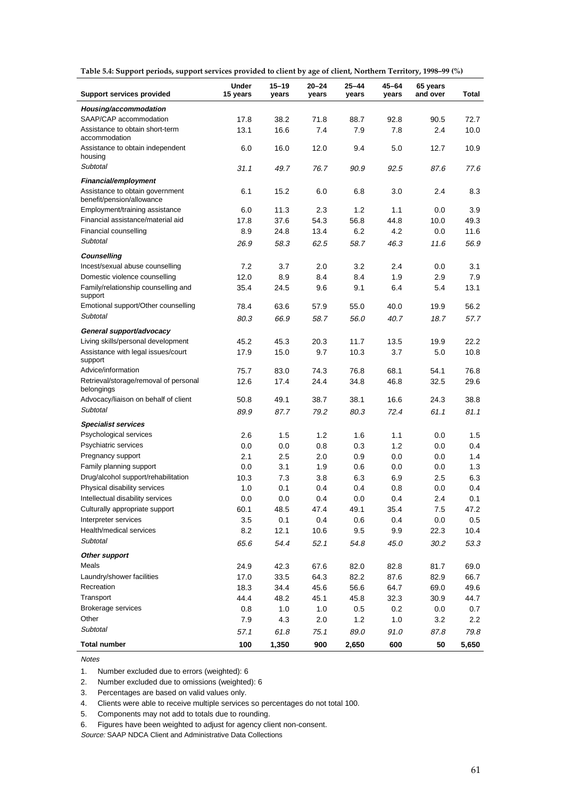| Table 5.4: Support periods, support services provided to client by age of client, Northern Territory, 1998-99 (%) |  |  |  |  |  |  |  |  |  |  |  |  |
|-------------------------------------------------------------------------------------------------------------------|--|--|--|--|--|--|--|--|--|--|--|--|
|-------------------------------------------------------------------------------------------------------------------|--|--|--|--|--|--|--|--|--|--|--|--|

| <b>Support services provided</b>                             | Under<br>15 years | $15 - 19$<br>years | 20-24<br>years | $25 - 44$<br>years | 45-64<br>years | 65 years<br>and over | <b>Total</b> |
|--------------------------------------------------------------|-------------------|--------------------|----------------|--------------------|----------------|----------------------|--------------|
| Housing/accommodation                                        |                   |                    |                |                    |                |                      |              |
| SAAP/CAP accommodation                                       | 17.8              | 38.2               | 71.8           | 88.7               | 92.8           | 90.5                 | 72.7         |
| Assistance to obtain short-term<br>accommodation             | 13.1              | 16.6               | 7.4            | 7.9                | 7.8            | 2.4                  | 10.0         |
| Assistance to obtain independent<br>housing                  | 6.0               | 16.0               | 12.0           | 9.4                | 5.0            | 12.7                 | 10.9         |
| Subtotal                                                     | 31.1              | 49.7               | 76.7           | 90.9               | 92.5           | 87.6                 | 77.6         |
| Financial/employment                                         |                   |                    |                |                    |                |                      |              |
| Assistance to obtain government<br>benefit/pension/allowance | 6.1               | 15.2               | 6.0            | 6.8                | 3.0            | 2.4                  | 8.3          |
| Employment/training assistance                               | 6.0               | 11.3               | 2.3            | 1.2                | 1.1            | 0.0                  | 3.9          |
| Financial assistance/material aid                            | 17.8              | 37.6               | 54.3           | 56.8               | 44.8           | 10.0                 | 49.3         |
| Financial counselling                                        | 8.9               | 24.8               | 13.4           | 6.2                | 4.2            | 0.0                  | 11.6         |
| Subtotal                                                     | 26.9              | 58.3               | 62.5           | 58.7               | 46.3           | 11.6                 | 56.9         |
| Counselling                                                  |                   |                    |                |                    |                |                      |              |
| Incest/sexual abuse counselling                              | 7.2               | 3.7                | 2.0            | 3.2                | 2.4            | 0.0                  | 3.1          |
| Domestic violence counselling                                | 12.0              | 8.9                | 8.4            | 8.4                | 1.9            | 2.9                  | 7.9          |
| Family/relationship counselling and<br>support               | 35.4              | 24.5               | 9.6            | 9.1                | 6.4            | 5.4                  | 13.1         |
| Emotional support/Other counselling                          | 78.4              | 63.6               | 57.9           | 55.0               | 40.0           | 19.9                 | 56.2         |
| Subtotal                                                     | 80.3              | 66.9               | 58.7           | 56.0               | 40.7           | 18.7                 | 57.7         |
| General support/advocacy                                     |                   |                    |                |                    |                |                      |              |
| Living skills/personal development                           | 45.2              | 45.3               | 20.3           | 11.7               | 13.5           | 19.9                 | 22.2         |
| Assistance with legal issues/court                           | 17.9              | 15.0               | 9.7            | 10.3               | 3.7            | 5.0                  | 10.8         |
| support                                                      |                   |                    |                |                    |                |                      |              |
| Advice/information                                           | 75.7              | 83.0               | 74.3           | 76.8               | 68.1           | 54.1                 | 76.8         |
| Retrieval/storage/removal of personal<br>belongings          | 12.6              | 17.4               | 24.4           | 34.8               | 46.8           | 32.5                 | 29.6         |
| Advocacy/liaison on behalf of client                         | 50.8              | 49.1               | 38.7           | 38.1               | 16.6           | 24.3                 | 38.8         |
| Subtotal                                                     | 89.9              | 87.7               | 79.2           | 80.3               | 72.4           | 61.1                 | 81.1         |
| <b>Specialist services</b>                                   |                   |                    |                |                    |                |                      |              |
| Psychological services                                       | 2.6               | 1.5                | 1.2            | 1.6                | 1.1            | 0.0                  | 1.5          |
| Psychiatric services                                         | 0.0               | 0.0                | 0.8            | 0.3                | 1.2            | 0.0                  | 0.4          |
| Pregnancy support                                            | 2.1               | 2.5                | 2.0            | 0.9                | 0.0            | 0.0                  | 1.4          |
| Family planning support                                      | 0.0               | 3.1                | 1.9            | 0.6                | 0.0            | 0.0                  | 1.3          |
| Drug/alcohol support/rehabilitation                          | 10.3              | 7.3                | 3.8            | 6.3                | 6.9            | 2.5                  | 6.3          |
| Physical disability services                                 | 1.0               | 0.1                | 0.4            | 0.4                | 0.8            | 0.0                  | 0.4          |
| Intellectual disability services                             | 0.0               | 0.0                | 0.4            | 0.0                | 0.4            | 2.4                  | 0.1          |
| Culturally appropriate support                               | 60.1              | 48.5               | 47.4           | 49.1               | 35.4           | 7.5                  | 47.2         |
| Interpreter services                                         | 3.5               | 0.1                | 0.4            | 0.6                | 0.4            | 0.0                  | 0.5          |
| Health/medical services                                      | 8.2               | 12.1               | 10.6           | 9.5                | 9.9            | 22.3                 | 10.4         |
| Subtotal                                                     | 65.6              | 54.4               | 52.1           | 54.8               | 45.0           | 30.2                 | 53.3         |
| Other support                                                |                   |                    |                |                    |                |                      |              |
| Meals                                                        | 24.9              | 42.3               | 67.6           | 82.0               | 82.8           | 81.7                 | 69.0         |
| Laundry/shower facilities                                    | 17.0              | 33.5               | 64.3           | 82.2               | 87.6           | 82.9                 | 66.7         |
| Recreation                                                   | 18.3              | 34.4               | 45.6           | 56.6               | 64.7           | 69.0                 | 49.6         |
| Transport                                                    | 44.4              | 48.2               | 45.1           | 45.8               | 32.3           | 30.9                 | 44.7         |
| <b>Brokerage services</b><br>Other                           | 0.8               | 1.0                | 1.0            | 0.5                | 0.2            | 0.0                  | 0.7          |
| Subtotal                                                     | 7.9               | 4.3                | 2.0            | 1.2                | 1.0            | 3.2                  | 2.2          |
|                                                              | 57.1              | 61.8               | 75.1           | 89.0               | 91.0           | 87.8                 | 79.8         |
| <b>Total number</b>                                          | 100               | 1,350              | 900            | 2,650              | 600            | 50                   | 5,650        |

Notes

1. Number excluded due to errors (weighted): 6

2. Number excluded due to omissions (weighted): 6

3. Percentages are based on valid values only.

4. Clients were able to receive multiple services so percentages do not total 100.

5. Components may not add to totals due to rounding.

6. Figures have been weighted to adjust for agency client non-consent.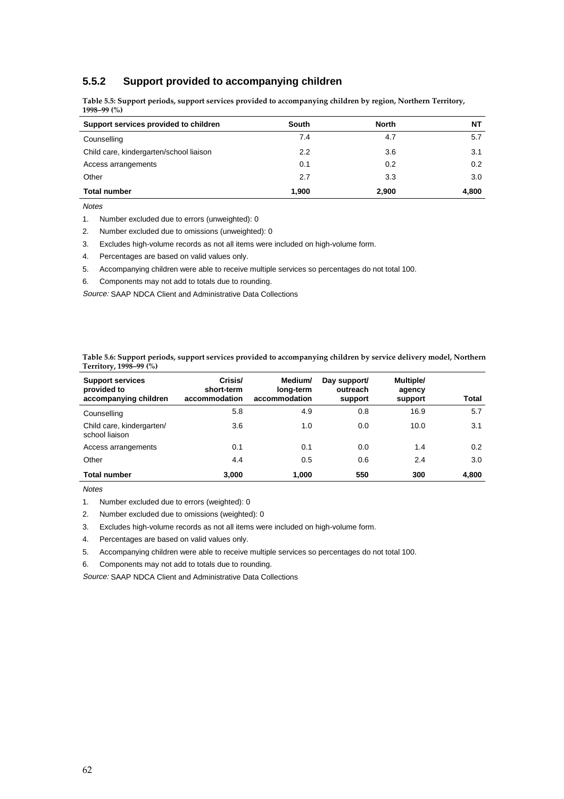## **5.5.2 Support provided to accompanying children**

**Table 5.5: Support periods, support services provided to accompanying children by region, Northern Territory, 1998–99 (%)**

| Support services provided to children   | South | <b>North</b> | NΤ               |
|-----------------------------------------|-------|--------------|------------------|
| Counselling                             | 7.4   | 4.7          | 5.7              |
| Child care, kindergarten/school liaison | 2.2   | 3.6          | 3.1              |
| Access arrangements                     | 0.1   | 0.2          | 0.2 <sub>0</sub> |
| Other                                   | 2.7   | 3.3          | 3.0              |
| <b>Total number</b>                     | 1,900 | 2.900        | 4,800            |

**Notes** 

- 1. Number excluded due to errors (unweighted): 0
- 2. Number excluded due to omissions (unweighted): 0
- 3. Excludes high-volume records as not all items were included on high-volume form.
- 4. Percentages are based on valid values only.
- 5. Accompanying children were able to receive multiple services so percentages do not total 100.
- 6. Components may not add to totals due to rounding.

Source: SAAP NDCA Client and Administrative Data Collections

**Table 5.6: Support periods, support services provided to accompanying children by service delivery model, Northern Territory, 1998–99 (%)**

| <b>Support services</b><br>provided to<br>accompanying children | Crisis/<br>short-term<br>accommodation | Medium/<br>long-term<br>accommodation | Day support/<br>outreach<br>support | Multiple/<br>agency<br>support | Total |
|-----------------------------------------------------------------|----------------------------------------|---------------------------------------|-------------------------------------|--------------------------------|-------|
| Counselling                                                     | 5.8                                    | 4.9                                   | 0.8                                 | 16.9                           | 5.7   |
| Child care, kindergarten/<br>school liaison                     | 3.6                                    | 1.0                                   | 0.0                                 | 10.0                           | 3.1   |
| Access arrangements                                             | 0.1                                    | 0.1                                   | 0.0                                 | 1.4                            | 0.2   |
| Other                                                           | 4.4                                    | 0.5                                   | 0.6                                 | 2.4                            | 3.0   |
| <b>Total number</b>                                             | 3,000                                  | 1.000                                 | 550                                 | 300                            | 4,800 |

**Notes** 

- 2. Number excluded due to omissions (weighted): 0
- 3. Excludes high-volume records as not all items were included on high-volume form.
- 4. Percentages are based on valid values only.
- 5. Accompanying children were able to receive multiple services so percentages do not total 100.
- 6. Components may not add to totals due to rounding.

<sup>1.</sup> Number excluded due to errors (weighted): 0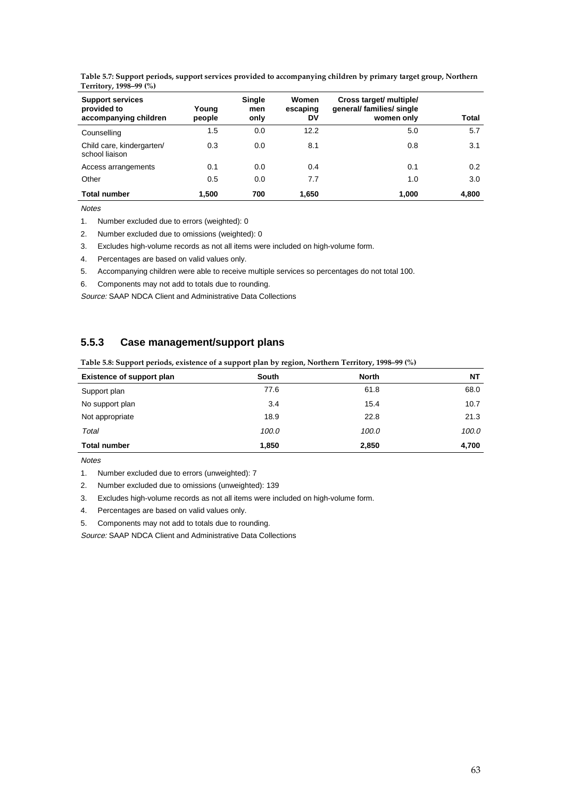| <u>.</u>                                                        |                 |                              |                         |                                                                    |       |
|-----------------------------------------------------------------|-----------------|------------------------------|-------------------------|--------------------------------------------------------------------|-------|
| <b>Support services</b><br>provided to<br>accompanying children | Young<br>people | <b>Single</b><br>men<br>only | Women<br>escaping<br>DV | Cross target/ multiple/<br>general/ families/ single<br>women only | Total |
| Counselling                                                     | 1.5             | 0.0                          | 12.2                    | 5.0                                                                | 5.7   |
| Child care, kindergarten/<br>school liaison                     | 0.3             | 0.0                          | 8.1                     | 0.8                                                                | 3.1   |
| Access arrangements                                             | 0.1             | 0.0                          | 0.4                     | 0.1                                                                | 0.2   |
| Other                                                           | 0.5             | 0.0                          | 7.7                     | 1.0                                                                | 3.0   |
| <b>Total number</b>                                             | 1.500           | 700                          | 1.650                   | 1.000                                                              | 4.800 |

**Table 5.7: Support periods, support services provided to accompanying children by primary target group, Northern Territory, 1998–99 (%)**

**Notes** 

1. Number excluded due to errors (weighted): 0

2. Number excluded due to omissions (weighted): 0

3. Excludes high-volume records as not all items were included on high-volume form.

4. Percentages are based on valid values only.

5. Accompanying children were able to receive multiple services so percentages do not total 100.

6. Components may not add to totals due to rounding.

Source: SAAP NDCA Client and Administrative Data Collections

## **5.5.3 Case management/support plans**

**Table 5.8: Support periods, existence of a support plan by region, Northern Territory, 1998–99 (%)**

| <b>Existence of support plan</b> | South | <b>North</b> | NΤ    |
|----------------------------------|-------|--------------|-------|
| Support plan                     | 77.6  | 61.8         | 68.0  |
| No support plan                  | 3.4   | 15.4         | 10.7  |
| Not appropriate                  | 18.9  | 22.8         | 21.3  |
| Total                            | 100.0 | 100.0        | 100.0 |
| <b>Total number</b>              | 1,850 | 2,850        | 4,700 |

**Notes** 

1. Number excluded due to errors (unweighted): 7

2. Number excluded due to omissions (unweighted): 139

3. Excludes high-volume records as not all items were included on high-volume form.

4. Percentages are based on valid values only.

5. Components may not add to totals due to rounding.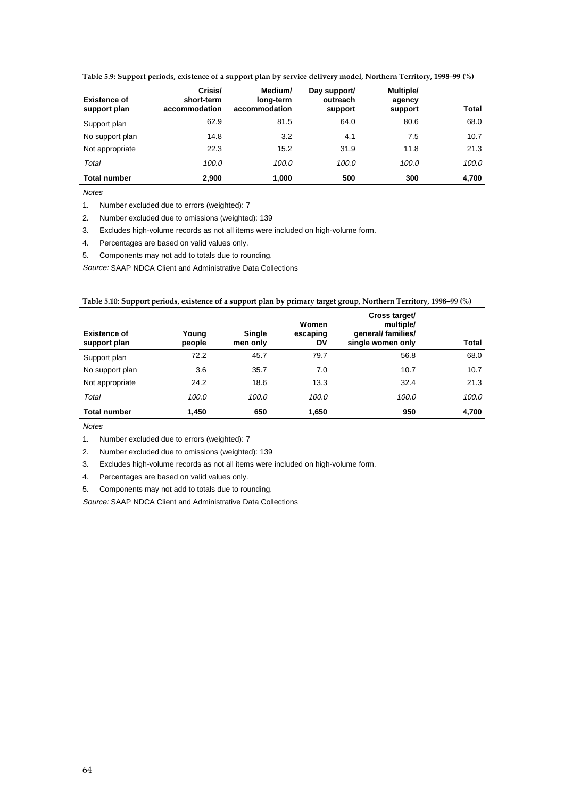| <b>Existence of</b><br>support plan | Crisis/<br>short-term<br>accommodation | Medium/<br>long-term<br>accommodation | Day support/<br>outreach<br>support | Multiple/<br>agency<br>support | Total |
|-------------------------------------|----------------------------------------|---------------------------------------|-------------------------------------|--------------------------------|-------|
| Support plan                        | 62.9                                   | 81.5                                  | 64.0                                | 80.6                           | 68.0  |
| No support plan                     | 14.8                                   | 3.2                                   | 4.1                                 | 7.5                            | 10.7  |
| Not appropriate                     | 22.3                                   | 15.2                                  | 31.9                                | 11.8                           | 21.3  |
| Total                               | 100.0                                  | 100.0                                 | 100.0                               | 100.0                          | 100.0 |
| <b>Total number</b>                 | 2.900                                  | 1.000                                 | 500                                 | 300                            | 4.700 |

**Table 5.9: Support periods, existence of a support plan by service delivery model, Northern Territory, 1998–99 (%)**

**Notes** 

1. Number excluded due to errors (weighted): 7

2. Number excluded due to omissions (weighted): 139

3. Excludes high-volume records as not all items were included on high-volume form.

4. Percentages are based on valid values only.

5. Components may not add to totals due to rounding.

Source: SAAP NDCA Client and Administrative Data Collections

#### **Table 5.10: Support periods, existence of a support plan by primary target group, Northern Territory, 1998–99 (%)**

| <b>Existence of</b><br>support plan | Young<br>people | Single<br>men only | Women<br>escaping<br>DV | Cross target/<br>multiple/<br>general/ families/<br>single women only | Total |
|-------------------------------------|-----------------|--------------------|-------------------------|-----------------------------------------------------------------------|-------|
| Support plan                        | 72.2            | 45.7               | 79.7                    | 56.8                                                                  | 68.0  |
| No support plan                     | 3.6             | 35.7               | 7.0                     | 10.7                                                                  | 10.7  |
| Not appropriate                     | 24.2            | 18.6               | 13.3                    | 32.4                                                                  | 21.3  |
| Total                               | 100.0           | 100.0              | 100.0                   | 100.0                                                                 | 100.0 |
| <b>Total number</b>                 | 1.450           | 650                | 1,650                   | 950                                                                   | 4,700 |

**Notes** 

1. Number excluded due to errors (weighted): 7

2. Number excluded due to omissions (weighted): 139

3. Excludes high-volume records as not all items were included on high-volume form.

4. Percentages are based on valid values only.

5. Components may not add to totals due to rounding.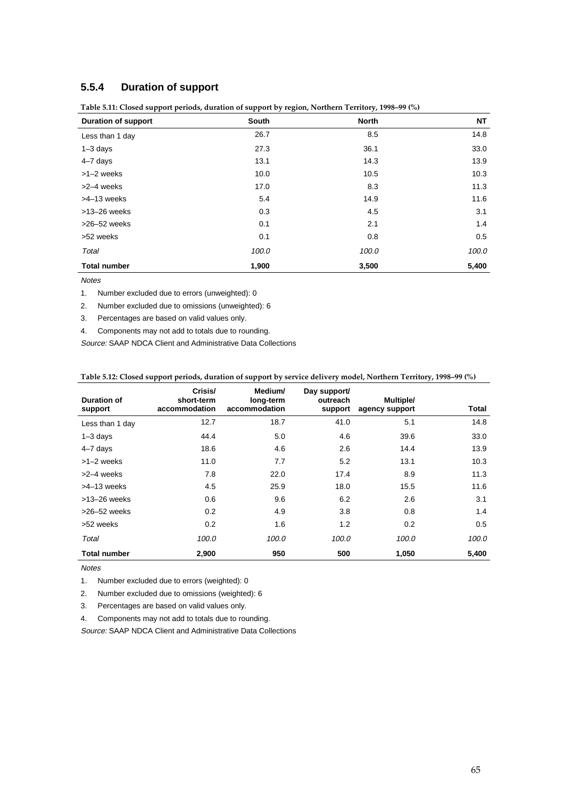### **5.5.4 Duration of support**

| <b>Duration of support</b> | <b>South</b> | <b>North</b> | <b>NT</b> |
|----------------------------|--------------|--------------|-----------|
| Less than 1 day            | 26.7         | 8.5          | 14.8      |
| $1 - 3$ days               | 27.3         | 36.1         | 33.0      |
| 4-7 days                   | 13.1         | 14.3         | 13.9      |
| $>1-2$ weeks               | 10.0         | 10.5         | 10.3      |
| >2-4 weeks                 | 17.0         | 8.3          | 11.3      |
| >4-13 weeks                | 5.4          | 14.9         | 11.6      |
| $>13-26$ weeks             | 0.3          | 4.5          | 3.1       |
| $>26-52$ weeks             | 0.1          | 2.1          | 1.4       |
| >52 weeks                  | 0.1          | 0.8          | 0.5       |
| Total                      | 100.0        | 100.0        | 100.0     |
| <b>Total number</b>        | 1,900        | 3,500        | 5,400     |

**Table 5.11: Closed support periods, duration of support by region, Northern Territory, 1998–99 (%)**

**Notes** 

1. Number excluded due to errors (unweighted): 0

2. Number excluded due to omissions (unweighted): 6

3. Percentages are based on valid values only.

4. Components may not add to totals due to rounding.

Source: SAAP NDCA Client and Administrative Data Collections

| Table 5.12: Closed support periods, duration of support by service delivery model, Northern Territory, 1998-99 (%) |  |  |
|--------------------------------------------------------------------------------------------------------------------|--|--|
|                                                                                                                    |  |  |

| Duration of<br>support | Crisis/<br>short-term<br>accommodation | Medium/<br>long-term<br>accommodation | Day support/<br>outreach<br>support | Multiple/<br>agency support | Total |
|------------------------|----------------------------------------|---------------------------------------|-------------------------------------|-----------------------------|-------|
| Less than 1 day        | 12.7                                   | 18.7                                  | 41.0                                | 5.1                         | 14.8  |
| $1 - 3$ days           | 44.4                                   | 5.0                                   | 4.6                                 | 39.6                        | 33.0  |
| 4-7 days               | 18.6                                   | 4.6                                   | 2.6                                 | 14.4                        | 13.9  |
| $>1-2$ weeks           | 11.0                                   | 7.7                                   | 5.2                                 | 13.1                        | 10.3  |
| >2-4 weeks             | 7.8                                    | 22.0                                  | 17.4                                | 8.9                         | 11.3  |
| >4-13 weeks            | 4.5                                    | 25.9                                  | 18.0                                | 15.5                        | 11.6  |
| $>13-26$ weeks         | 0.6                                    | 9.6                                   | 6.2                                 | 2.6                         | 3.1   |
| $>26-52$ weeks         | 0.2                                    | 4.9                                   | 3.8                                 | 0.8                         | 1.4   |
| >52 weeks              | 0.2                                    | 1.6                                   | 1.2                                 | 0.2                         | 0.5   |
| Total                  | 100.0                                  | 100.0                                 | 100.0                               | 100.0                       | 100.0 |
| <b>Total number</b>    | 2,900                                  | 950                                   | 500                                 | 1,050                       | 5,400 |

Notes

1. Number excluded due to errors (weighted): 0

2. Number excluded due to omissions (weighted): 6

3. Percentages are based on valid values only.

4. Components may not add to totals due to rounding.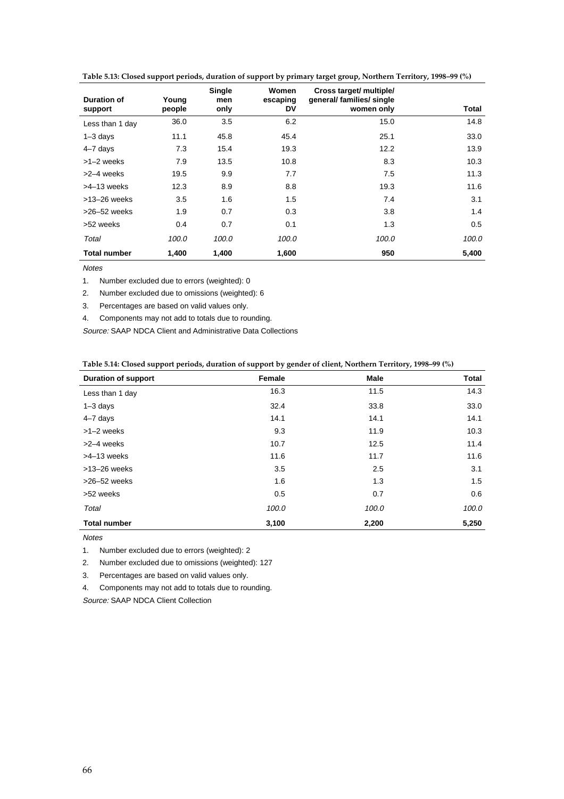| Duration of         | Young  | Single<br>men | Women<br>escaping | Cross target/ multiple/<br>general/ families/ single |       |
|---------------------|--------|---------------|-------------------|------------------------------------------------------|-------|
| support             | people | only          | DV                | women only                                           | Total |
| Less than 1 day     | 36.0   | 3.5           | 6.2               | 15.0                                                 | 14.8  |
| $1 - 3$ days        | 11.1   | 45.8          | 45.4              | 25.1                                                 | 33.0  |
| 4-7 days            | 7.3    | 15.4          | 19.3              | 12.2                                                 | 13.9  |
| >1-2 weeks          | 7.9    | 13.5          | 10.8              | 8.3                                                  | 10.3  |
| >2-4 weeks          | 19.5   | 9.9           | 7.7               | 7.5                                                  | 11.3  |
| >4-13 weeks         | 12.3   | 8.9           | 8.8               | 19.3                                                 | 11.6  |
| $>13-26$ weeks      | 3.5    | 1.6           | 1.5               | 7.4                                                  | 3.1   |
| $>26-52$ weeks      | 1.9    | 0.7           | 0.3               | 3.8                                                  | 1.4   |
| >52 weeks           | 0.4    | 0.7           | 0.1               | 1.3                                                  | 0.5   |
| Total               | 100.0  | 100.0         | 100.0             | 100.0                                                | 100.0 |
| <b>Total number</b> | 1,400  | 1,400         | 1,600             | 950                                                  | 5,400 |

#### **Table 5.13: Closed support periods, duration of support by primary target group, Northern Territory, 1998–99 (%)**

**Notes** 

1. Number excluded due to errors (weighted): 0

2. Number excluded due to omissions (weighted): 6

3. Percentages are based on valid values only.

4. Components may not add to totals due to rounding.

Source: SAAP NDCA Client and Administrative Data Collections

| (%) Table 5.14: Closed support periods, duration of support by gender of client, Northern Territory, 1998–99 |        |      |       |  |  |
|--------------------------------------------------------------------------------------------------------------|--------|------|-------|--|--|
| <b>Duration of support</b>                                                                                   | Female | Male | Total |  |  |
| Less than 1 day                                                                                              | 16.3   | 11.5 | 14.3  |  |  |
| $1 - 3$ days                                                                                                 | 32.4   | 33.8 | 33.0  |  |  |
| 4–7 days                                                                                                     | 14.1   | 14.1 | 14.1  |  |  |
| >1-2 weeks                                                                                                   | 9.3    | 11.9 | 10.3  |  |  |

>2–4 weeks 10.7 12.5 11.4 >4–13 weeks 11.6 11.7 11.6 >13–26 weeks 3.5 2.5 3.1 >26–52 weeks 1.6 1.3 1.5 >52 weeks 0.5 0.7 0.6 Total 100.0 100.0 100.0 **Total number 3,100 2,200 5,250**

| Table 5.14: Closed support periods, duration of support by gender of client, Northern Territory, 1998-99 (%) |  |  |
|--------------------------------------------------------------------------------------------------------------|--|--|
|                                                                                                              |  |  |

Notes

1. Number excluded due to errors (weighted): 2

2. Number excluded due to omissions (weighted): 127

3. Percentages are based on valid values only.

4. Components may not add to totals due to rounding.

Source: SAAP NDCA Client Collection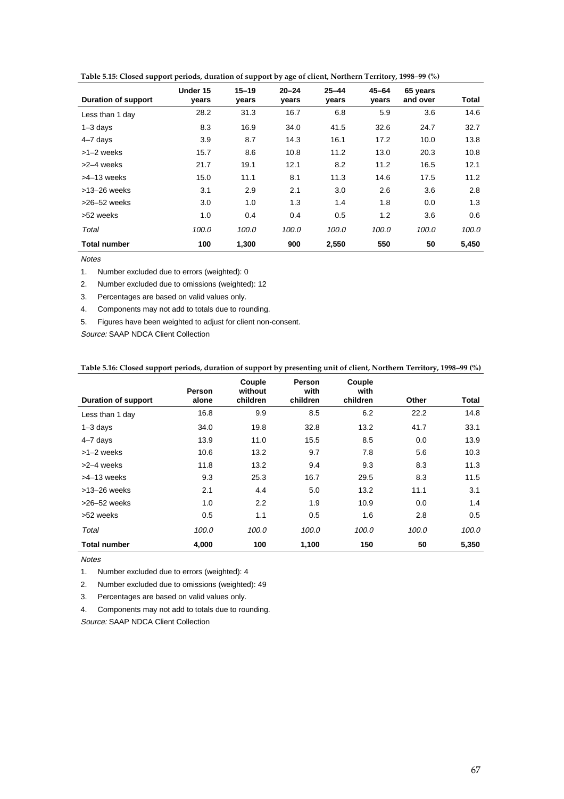| Table 5.15: Closed support periods, duration of support by age of client, Northern Territory, 1998-99 (%) |
|-----------------------------------------------------------------------------------------------------------|
|                                                                                                           |

| <b>Duration of support</b> | Under 15<br>vears | $15 - 19$<br>years | $20 - 24$<br>years | $25 - 44$<br>years | $45 - 64$<br>years | 65 years<br>and over | <b>Total</b> |
|----------------------------|-------------------|--------------------|--------------------|--------------------|--------------------|----------------------|--------------|
| Less than 1 day            | 28.2              | 31.3               | 16.7               | 6.8                | 5.9                | 3.6                  | 14.6         |
| $1 - 3$ days               | 8.3               | 16.9               | 34.0               | 41.5               | 32.6               | 24.7                 | 32.7         |
| 4-7 days                   | 3.9               | 8.7                | 14.3               | 16.1               | 17.2               | 10.0                 | 13.8         |
| >1-2 weeks                 | 15.7              | 8.6                | 10.8               | 11.2               | 13.0               | 20.3                 | 10.8         |
| >2-4 weeks                 | 21.7              | 19.1               | 12.1               | 8.2                | 11.2               | 16.5                 | 12.1         |
| >4-13 weeks                | 15.0              | 11.1               | 8.1                | 11.3               | 14.6               | 17.5                 | 11.2         |
| $>13-26$ weeks             | 3.1               | 2.9                | 2.1                | 3.0                | 2.6                | 3.6                  | 2.8          |
| $>26-52$ weeks             | 3.0               | 1.0                | 1.3                | 1.4                | 1.8                | 0.0                  | 1.3          |
| >52 weeks                  | 1.0               | 0.4                | 0.4                | 0.5                | 1.2                | 3.6                  | 0.6          |
| Total                      | 100.0             | 100.0              | 100.0              | 100.0              | 100.0              | 100.0                | 100.0        |
| <b>Total number</b>        | 100               | 1,300              | 900                | 2,550              | 550                | 50                   | 5,450        |

Notes

1. Number excluded due to errors (weighted): 0

2. Number excluded due to omissions (weighted): 12

3. Percentages are based on valid values only.

4. Components may not add to totals due to rounding.

5. Figures have been weighted to adjust for client non-consent.

Source: SAAP NDCA Client Collection

| Table 5.16: Closed support periods, duration of support by presenting unit of client, Northern Territory, 1998-99 (%) |  |  |  |
|-----------------------------------------------------------------------------------------------------------------------|--|--|--|
|                                                                                                                       |  |  |  |

|                            | Person | Couple<br>without | Person<br>with | Couple<br>with |       |       |
|----------------------------|--------|-------------------|----------------|----------------|-------|-------|
| <b>Duration of support</b> | alone  | children          | children       | children       | Other | Total |
| Less than 1 day            | 16.8   | 9.9               | 8.5            | 6.2            | 22.2  | 14.8  |
| $1 - 3$ days               | 34.0   | 19.8              | 32.8           | 13.2           | 41.7  | 33.1  |
| 4-7 days                   | 13.9   | 11.0              | 15.5           | 8.5            | 0.0   | 13.9  |
| $>1-2$ weeks               | 10.6   | 13.2              | 9.7            | 7.8            | 5.6   | 10.3  |
| >2-4 weeks                 | 11.8   | 13.2              | 9.4            | 9.3            | 8.3   | 11.3  |
| >4-13 weeks                | 9.3    | 25.3              | 16.7           | 29.5           | 8.3   | 11.5  |
| $>13-26$ weeks             | 2.1    | 4.4               | 5.0            | 13.2           | 11.1  | 3.1   |
| $>26-52$ weeks             | 1.0    | 2.2               | 1.9            | 10.9           | 0.0   | 1.4   |
| >52 weeks                  | 0.5    | 1.1               | 0.5            | 1.6            | 2.8   | 0.5   |
| Total                      | 100.0  | 100.0             | 100.0          | 100.0          | 100.0 | 100.0 |
| <b>Total number</b>        | 4,000  | 100               | 1,100          | 150            | 50    | 5,350 |

**Notes** 

1. Number excluded due to errors (weighted): 4

2. Number excluded due to omissions (weighted): 49

3. Percentages are based on valid values only.

4. Components may not add to totals due to rounding. Source: SAAP NDCA Client Collection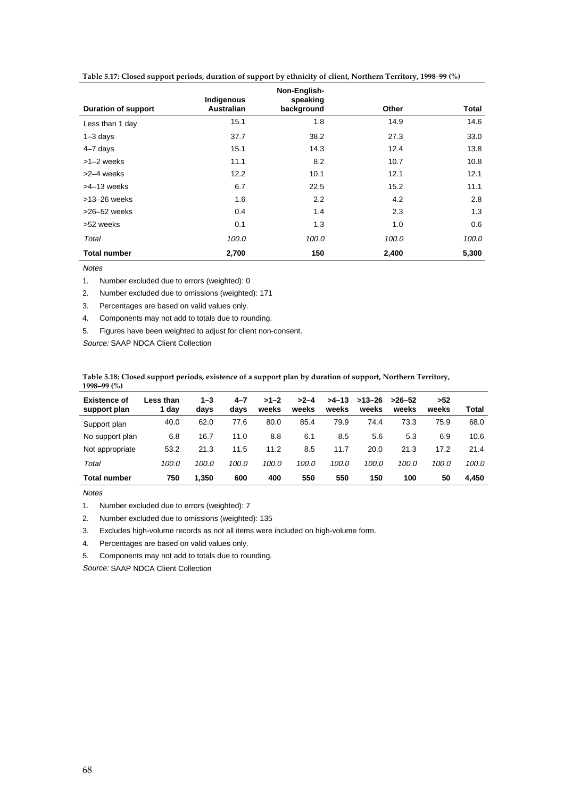|                            |                                 | Non-English-           |       |       |
|----------------------------|---------------------------------|------------------------|-------|-------|
| <b>Duration of support</b> | Indigenous<br><b>Australian</b> | speaking<br>background | Other | Total |
| Less than 1 day            | 15.1                            | 1.8                    | 14.9  | 14.6  |
| $1 - 3$ days               | 37.7                            | 38.2                   | 27.3  | 33.0  |
| $4 - 7$ days               | 15.1                            | 14.3                   | 12.4  | 13.8  |
| >1-2 weeks                 | 11.1                            | 8.2                    | 10.7  | 10.8  |
| >2-4 weeks                 | 12.2                            | 10.1                   | 12.1  | 12.1  |
| >4-13 weeks                | 6.7                             | 22.5                   | 15.2  | 11.1  |
| $>13-26$ weeks             | 1.6                             | 2.2                    | 4.2   | 2.8   |
| $>26-52$ weeks             | 0.4                             | 1.4                    | 2.3   | 1.3   |
| >52 weeks                  | 0.1                             | 1.3                    | 1.0   | 0.6   |
| <b>Total</b>               | 100.0                           | 100.0                  | 100.0 | 100.0 |
| <b>Total number</b>        | 2,700                           | 150                    | 2,400 | 5,300 |

| Table 5.17: Closed support periods, duration of support by ethnicity of client, Northern Territory, 1998-99 (%) |  |  |
|-----------------------------------------------------------------------------------------------------------------|--|--|
|                                                                                                                 |  |  |

#### **Notes**

1. Number excluded due to errors (weighted): 0

2. Number excluded due to omissions (weighted): 171

3. Percentages are based on valid values only.

4. Components may not add to totals due to rounding.

5. Figures have been weighted to adjust for client non-consent.

Source: SAAP NDCA Client Collection

|                | Table 5.18: Closed support periods, existence of a support plan by duration of support, Northern Territory, |  |
|----------------|-------------------------------------------------------------------------------------------------------------|--|
| 1998–99 $(\%)$ |                                                                                                             |  |

| <b>Existence of</b><br>support plan | Less than<br>1 dav | $1 - 3$<br>days | $4 - 7$<br>days | $>1-2$<br>weeks | $>2-4$<br>weeks | $>4-13$<br>weeks | $>13-26$<br>weeks | $>26-52$<br>weeks | >52<br>weeks | Total |
|-------------------------------------|--------------------|-----------------|-----------------|-----------------|-----------------|------------------|-------------------|-------------------|--------------|-------|
| Support plan                        | 40.0               | 62.0            | 77.6            | 80.0            | 85.4            | 79.9             | 74.4              | 73.3              | 75.9         | 68.0  |
| No support plan                     | 6.8                | 16.7            | 11.0            | 8.8             | 6.1             | 8.5              | 5.6               | 5.3               | 6.9          | 10.6  |
| Not appropriate                     | 53.2               | 21.3            | 11.5            | 11.2            | 8.5             | 11.7             | 20.0              | 21.3              | 17.2         | 21.4  |
| Total                               | 100.0              | 100.0           | 100.0           | 100.0           | 100.0           | 100.0            | 100.0             | 100.0             | 100.0        | 100.0 |
| <b>Total number</b>                 | 750                | 1.350           | 600             | 400             | 550             | 550              | 150               | 100               | 50           | 4.450 |

Notes

1. Number excluded due to errors (weighted): 7

2. Number excluded due to omissions (weighted): 135

3. Excludes high-volume records as not all items were included on high-volume form.

4. Percentages are based on valid values only.

5. Components may not add to totals due to rounding.

Source: SAAP NDCA Client Collection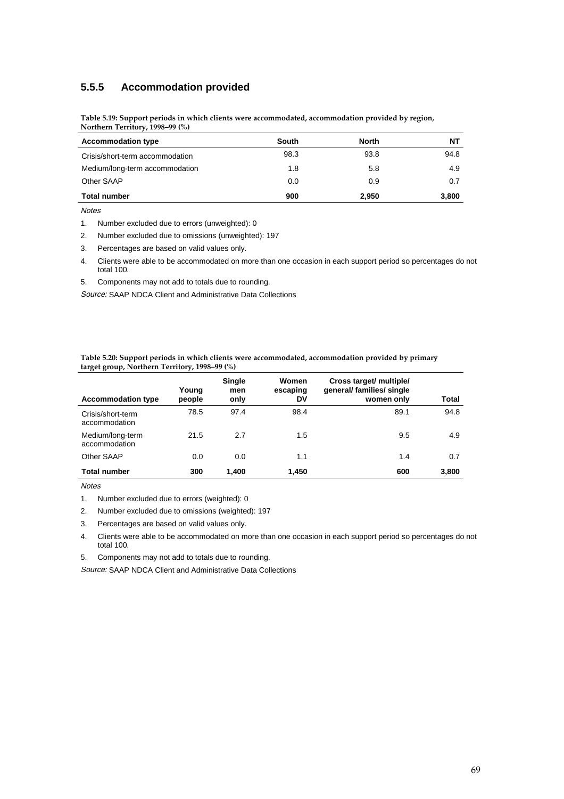### **5.5.5 Accommodation provided**

**Table 5.19: Support periods in which clients were accommodated, accommodation provided by region, Northern Territory, 1998–99 (%)**

| <b>Accommodation type</b>       | South | <b>North</b> | ΝT    |
|---------------------------------|-------|--------------|-------|
| Crisis/short-term accommodation | 98.3  | 93.8         | 94.8  |
| Medium/long-term accommodation  | 1.8   | 5.8          | 4.9   |
| Other SAAP                      | 0.0   | 0.9          | 0.7   |
| <b>Total number</b>             | 900   | 2.950        | 3,800 |

**Notes** 

1. Number excluded due to errors (unweighted): 0

2. Number excluded due to omissions (unweighted): 197

3. Percentages are based on valid values only.

4. Clients were able to be accommodated on more than one occasion in each support period so percentages do not total 100.

5. Components may not add to totals due to rounding.

Source: SAAP NDCA Client and Administrative Data Collections

**Table 5.20: Support periods in which clients were accommodated, accommodation provided by primary target group, Northern Territory, 1998–99 (%)**

| <b>Accommodation type</b>          | Young<br>people | Single<br>men<br>only | Women<br>escaping<br>DV | Cross target/ multiple/<br>general/ families/ single<br>women only | Total |
|------------------------------------|-----------------|-----------------------|-------------------------|--------------------------------------------------------------------|-------|
| Crisis/short-term<br>accommodation | 78.5            | 97.4                  | 98.4                    | 89.1                                                               | 94.8  |
| Medium/long-term<br>accommodation  | 21.5            | 2.7                   | 1.5                     | 9.5                                                                | 4.9   |
| Other SAAP                         | 0.0             | 0.0                   | 1.1                     | 1.4                                                                | 0.7   |
| <b>Total number</b>                | 300             | 1.400                 | 1,450                   | 600                                                                | 3,800 |

**Notes** 

1. Number excluded due to errors (weighted): 0

2. Number excluded due to omissions (weighted): 197

3. Percentages are based on valid values only.

4. Clients were able to be accommodated on more than one occasion in each support period so percentages do not total 100.

5. Components may not add to totals due to rounding.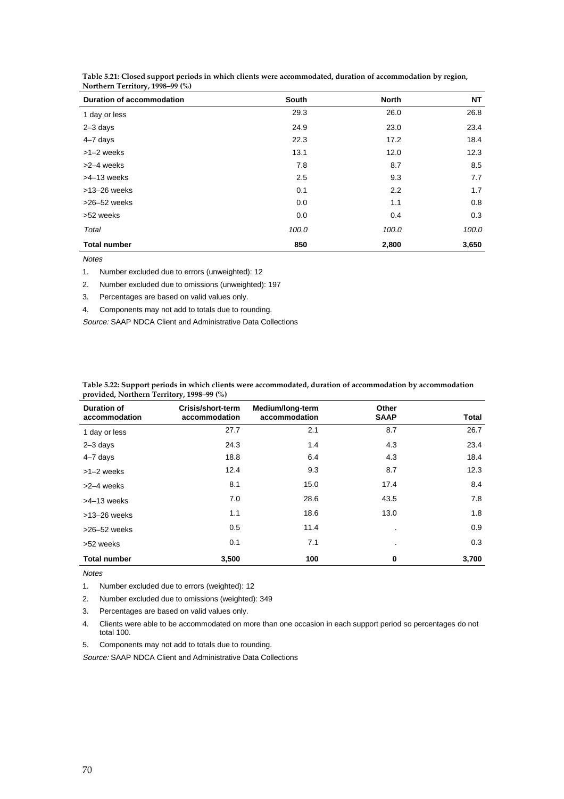| <b>Duration of accommodation</b> | <b>South</b> | <b>North</b> | <b>NT</b> |
|----------------------------------|--------------|--------------|-----------|
| 1 day or less                    | 29.3         | 26.0         | 26.8      |
| $2 - 3$ days                     | 24.9         | 23.0         | 23.4      |
| 4-7 days                         | 22.3         | 17.2         | 18.4      |
| >1-2 weeks                       | 13.1         | 12.0         | 12.3      |
| >2-4 weeks                       | 7.8          | 8.7          | 8.5       |
| >4-13 weeks                      | 2.5          | 9.3          | 7.7       |
| $>13-26$ weeks                   | 0.1          | 2.2          | 1.7       |
| $>26-52$ weeks                   | 0.0          | 1.1          | 0.8       |
| >52 weeks                        | 0.0          | 0.4          | 0.3       |
| Total                            | 100.0        | 100.0        | 100.0     |
| <b>Total number</b>              | 850          | 2,800        | 3,650     |

**Table 5.21: Closed support periods in which clients were accommodated, duration of accommodation by region, Northern Territory, 1998–99 (%)**

**Notes** 

1. Number excluded due to errors (unweighted): 12

2. Number excluded due to omissions (unweighted): 197

3. Percentages are based on valid values only.

4. Components may not add to totals due to rounding.

Source: SAAP NDCA Client and Administrative Data Collections

| Table 5.22: Support periods in which clients were accommodated, duration of accommodation by accommodation |  |
|------------------------------------------------------------------------------------------------------------|--|
| provided, Northern Territory, 1998–99 (%)                                                                  |  |

| <b>Duration of</b><br>accommodation | Crisis/short-term<br>accommodation | Medium/long-term<br>accommodation | Other<br><b>SAAP</b> | Total |
|-------------------------------------|------------------------------------|-----------------------------------|----------------------|-------|
| 1 day or less                       | 27.7                               | 2.1                               | 8.7                  | 26.7  |
| $2 - 3$ days                        | 24.3                               | 1.4                               | 4.3                  | 23.4  |
| 4-7 days                            | 18.8                               | 6.4                               | 4.3                  | 18.4  |
| >1-2 weeks                          | 12.4                               | 9.3                               | 8.7                  | 12.3  |
| >2-4 weeks                          | 8.1                                | 15.0                              | 17.4                 | 8.4   |
| >4-13 weeks                         | 7.0                                | 28.6                              | 43.5                 | 7.8   |
| $>13-26$ weeks                      | 1.1                                | 18.6                              | 13.0                 | 1.8   |
| $>26-52$ weeks                      | 0.5                                | 11.4                              |                      | 0.9   |
| >52 weeks                           | 0.1                                | 7.1                               | ٠                    | 0.3   |
| <b>Total number</b>                 | 3,500                              | 100                               | 0                    | 3,700 |

**Notes** 

1. Number excluded due to errors (weighted): 12

2. Number excluded due to omissions (weighted): 349

3. Percentages are based on valid values only.

4. Clients were able to be accommodated on more than one occasion in each support period so percentages do not total 100.

5. Components may not add to totals due to rounding.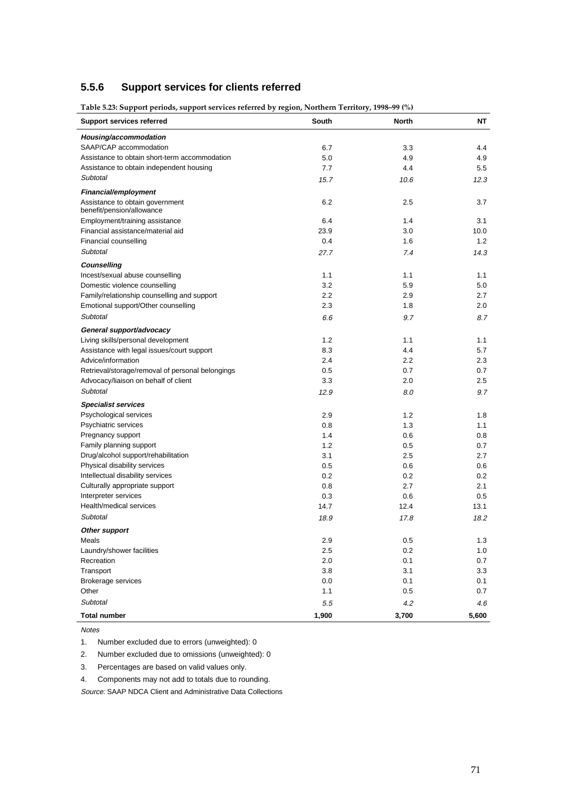# **5.5.6 Support services for clients referred**

**Table 5.23: Support periods, support services referred by region, Northern Territory, 1998–99 (%)**

| Support services referred                                    | South   | <b>North</b> | NΤ    |
|--------------------------------------------------------------|---------|--------------|-------|
| Housing/accommodation                                        |         |              |       |
| SAAP/CAP accommodation                                       | 6.7     | 3.3          | 4.4   |
| Assistance to obtain short-term accommodation                | 5.0     | 4.9          | 4.9   |
| Assistance to obtain independent housing                     | 7.7     | 4.4          | 5.5   |
| Subtotal                                                     | 15.7    | 10.6         | 12.3  |
| <b>Financial/employment</b>                                  |         |              |       |
| Assistance to obtain government<br>benefit/pension/allowance | 6.2     | 2.5          | 3.7   |
| Employment/training assistance                               | 6.4     | 1.4          | 3.1   |
| Financial assistance/material aid                            | 23.9    | 3.0          | 10.0  |
| Financial counselling                                        | 0.4     | 1.6          | 1.2   |
| Subtotal                                                     | 27.7    | 7.4          | 14.3  |
| <b>Counselling</b>                                           |         |              |       |
| Incest/sexual abuse counselling                              | 1.1     | 1.1          | 1.1   |
| Domestic violence counselling                                | 3.2     | 5.9          | 5.0   |
| Family/relationship counselling and support                  | 2.2     | 2.9          | 2.7   |
| Emotional support/Other counselling                          | 2.3     | 1.8          | 2.0   |
| Subtotal                                                     | 6.6     | 9.7          | 8.7   |
| General support/advocacy                                     |         |              |       |
| Living skills/personal development                           | 1.2     | 1.1          | 1.1   |
| Assistance with legal issues/court support                   | 8.3     | 4.4          | 5.7   |
| Advice/information                                           | 2.4     | 2.2          | 2.3   |
| Retrieval/storage/removal of personal belongings             | 0.5     | 0.7          | 0.7   |
| Advocacy/liaison on behalf of client                         | 3.3     | 2.0          | 2.5   |
| <b>Subtotal</b>                                              | 12.9    | 8.0          | 9.7   |
|                                                              |         |              |       |
| <b>Specialist services</b>                                   |         |              |       |
| Psychological services                                       | 2.9     | 1.2          | 1.8   |
| Psychiatric services                                         | 0.8     | 1.3          | 1.1   |
| Pregnancy support                                            | 1.4     | 0.6          | 0.8   |
| Family planning support                                      | 1.2     | 0.5          | 0.7   |
| Drug/alcohol support/rehabilitation                          | 3.1     | 2.5          | 2.7   |
| Physical disability services                                 | 0.5     | 0.6          | 0.6   |
| Intellectual disability services                             | 0.2     | 0.2          | 0.2   |
| Culturally appropriate support                               | 0.8     | 2.7          | 2.1   |
| Interpreter services<br>Health/medical services              | 0.3     | 0.6          | 0.5   |
| Subtotal                                                     | 14.7    | 12.4         | 13.1  |
|                                                              | 18.9    | 17.8         | 18.2  |
| Other support                                                |         |              |       |
| Meals                                                        | 2.9     | 0.5          | 1.3   |
| Laundry/shower facilities                                    | $2.5\,$ | 0.2          | $1.0$ |
| Recreation                                                   | 2.0     | 0.1          | 0.7   |
| Transport                                                    | 3.8     | 3.1          | 3.3   |
| <b>Brokerage services</b>                                    | 0.0     | 0.1          | 0.1   |
| Other                                                        | 1.1     | 0.5          | 0.7   |
| Subtotal                                                     | 5.5     | 4.2          | 4.6   |
| <b>Total number</b>                                          | 1,900   | 3,700        | 5,600 |

Notes

1. Number excluded due to errors (unweighted): 0

2. Number excluded due to omissions (unweighted): 0

3. Percentages are based on valid values only.

4. Components may not add to totals due to rounding.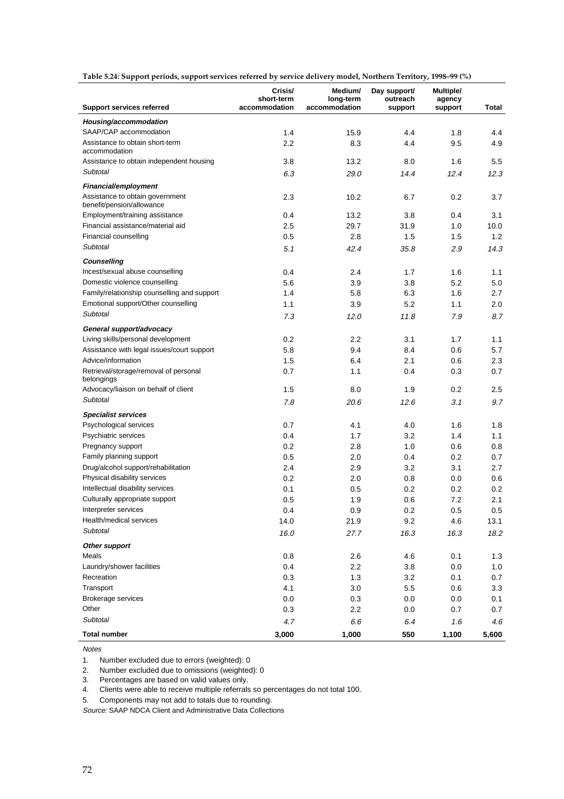| Table 5.24: Support periods, support services referred by service delivery model, Northern Territory, 1998-99 (%) |  |  |
|-------------------------------------------------------------------------------------------------------------------|--|--|
|                                                                                                                   |  |  |

| <b>Support services referred</b>                             | Crisis/<br>short-term<br>accommodation | Medium/<br>long-term<br>accommodation | Day support/<br>outreach<br>support | Multiple/<br>agency<br>support | <b>Total</b> |
|--------------------------------------------------------------|----------------------------------------|---------------------------------------|-------------------------------------|--------------------------------|--------------|
|                                                              |                                        |                                       |                                     |                                |              |
| Housing/accommodation<br>SAAP/CAP accommodation              |                                        |                                       |                                     |                                |              |
| Assistance to obtain short-term                              | 1.4<br>$2.2\,$                         | 15.9                                  | 4.4<br>4.4                          | 1.8                            | 4.4<br>4.9   |
| accommodation                                                |                                        | 8.3                                   |                                     | 9.5                            |              |
| Assistance to obtain independent housing                     | 3.8                                    | 13.2                                  | 8.0                                 | 1.6                            | 5.5          |
| Subtotal                                                     | 6.3                                    | 29.0                                  | 14.4                                | 12.4                           | 12.3         |
| Financial/employment                                         |                                        |                                       |                                     |                                |              |
| Assistance to obtain government<br>benefit/pension/allowance | 2.3                                    | 10.2                                  | 6.7                                 | 0.2                            | 3.7          |
| Employment/training assistance                               | 0.4                                    | 13.2                                  | 3.8                                 | 0.4                            | 3.1          |
| Financial assistance/material aid                            | 2.5                                    | 29.7                                  | 31.9                                | 1.0                            | 10.0         |
| Financial counselling                                        | 0.5                                    | 2.8                                   | 1.5                                 | 1.5                            | 1.2          |
| Subtotal                                                     | 5.1                                    | 42.4                                  | 35.8                                | 2.9                            | 14.3         |
| Counselling                                                  |                                        |                                       |                                     |                                |              |
| Incest/sexual abuse counselling                              | 0.4                                    | 2.4                                   | 1.7                                 | 1.6                            | 1.1          |
| Domestic violence counselling                                | 5.6                                    | 3.9                                   | 3.8                                 | 5.2                            | 5.0          |
| Family/relationship counselling and support                  | 1.4                                    | 5.8                                   | 6.3                                 | 1.6                            | 2.7          |
| Emotional support/Other counselling                          | 1.1                                    | 3.9                                   | 5.2                                 | 1.1                            | 2.0          |
| Subtotal                                                     | 7.3                                    | 12.0                                  | 11.8                                | 7.9                            | 8.7          |
| General support/advocacy                                     |                                        |                                       |                                     |                                |              |
| Living skills/personal development                           | 0.2                                    | 2.2                                   | 3.1                                 | 1.7                            | 1.1          |
| Assistance with legal issues/court support                   | 5.8                                    | 9.4                                   | 8.4                                 | 0.6                            | 5.7          |
| Advice/information                                           | 1.5                                    | 6.4                                   | 2.1                                 | 0.6                            | 2.3          |
| Retrieval/storage/removal of personal<br>belongings          | 0.7                                    | 1.1                                   | 0.4                                 | 0.3                            | 0.7          |
| Advocacy/liaison on behalf of client                         | 1.5                                    | 8.0                                   | 1.9                                 | 0.2                            | 2.5          |
| Subtotal                                                     | 7.8                                    | 20.6                                  | 12.6                                | 3.1                            | 9.7          |
| Specialist services                                          |                                        |                                       |                                     |                                |              |
| Psychological services                                       | 0.7                                    | 4.1                                   | 4.0                                 | 1.6                            | 1.8          |
| Psychiatric services                                         | 0.4                                    | 1.7                                   | 3.2                                 | 1.4                            | 1.1          |
| Pregnancy support                                            | 0.2                                    | 2.8                                   | 1.0                                 | 0.6                            | 0.8          |
| Family planning support                                      | 0.5                                    | 2.0                                   | 0.4                                 | 0.2                            | 0.7          |
| Drug/alcohol support/rehabilitation                          | 2.4                                    | 2.9                                   | 3.2                                 | 3.1                            | 2.7          |
| Physical disability services                                 | 0.2                                    | 2.0                                   | 0.8                                 | 0.0                            | 0.6          |
| Intellectual disability services                             | 0.1                                    | 0.5                                   | 0.2                                 | 0.2                            | 0.2          |
| Culturally appropriate support                               | 0.5                                    | 1.9                                   | 0.6                                 | 7.2                            | 2.1          |
| Interpreter services                                         | 0.4                                    | 0.9                                   | 0.2                                 | 0.5                            | 0.5          |
| Health/medical services                                      | 14.0                                   | 21.9                                  | 9.2                                 | 4.6                            | 13.1         |
| Subtotal                                                     | 16.0                                   | 27.7                                  | 16.3                                | 16.3                           | 18.2         |
| Other support                                                |                                        |                                       |                                     |                                |              |
| Meals                                                        | 0.8                                    | 2.6                                   | 4.6                                 | 0.1                            | 1.3          |
| Laundry/shower facilities                                    | 0.4                                    | 2.2                                   | 3.8                                 | 0.0                            | 1.0          |
| Recreation                                                   | 0.3                                    | 1.3                                   | 3.2                                 | 0.1                            | 0.7          |
| Transport                                                    | 4.1                                    | 3.0                                   | 5.5                                 | 0.6                            | 3.3          |
| Brokerage services                                           | 0.0                                    | 0.3                                   | 0.0                                 | 0.0                            | 0.1          |
| Other                                                        | 0.3                                    | 2.2                                   | 0.0                                 | 0.7                            | 0.7          |
| Subtotal                                                     | 4.7                                    | 6.6                                   | 6.4                                 | 1.6                            | 4.6          |
| <b>Total number</b>                                          | 3,000                                  | 1,000                                 | 550                                 | 1,100                          | 5,600        |

Notes

1. Number excluded due to errors (weighted): 0

2. Number excluded due to omissions (weighted): 0

3. Percentages are based on valid values only.

4. Clients were able to receive multiple referrals so percentages do not total 100.

5. Components may not add to totals due to rounding.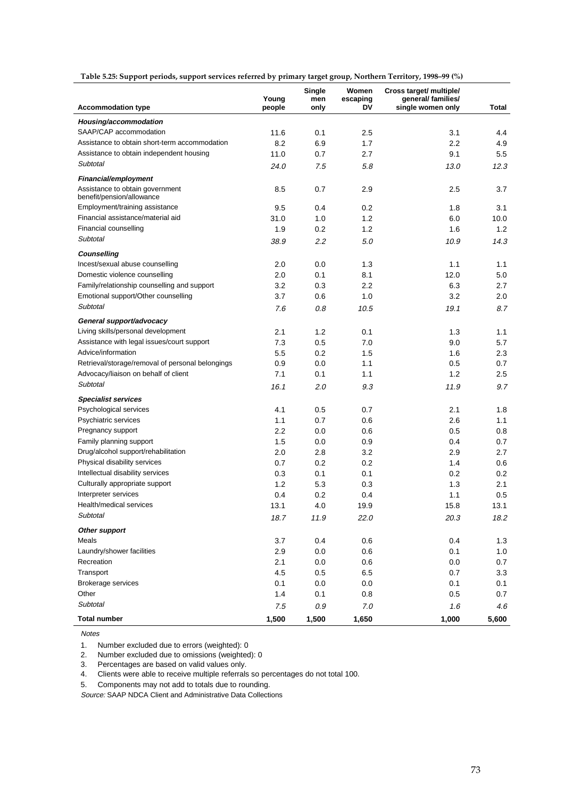**Table 5.25: Support periods, support services referred by primary target group, Northern Territory, 1998–99 (%)**

| <b>Accommodation type</b>                                    | Young<br>people | Single<br>men<br>only | Women<br>escaping<br>DV | Cross target/ multiple/<br>general/ families/<br>single women only | <b>Total</b> |
|--------------------------------------------------------------|-----------------|-----------------------|-------------------------|--------------------------------------------------------------------|--------------|
| Housing/accommodation                                        |                 |                       |                         |                                                                    |              |
| SAAP/CAP accommodation                                       | 11.6            | 0.1                   | 2.5                     | 3.1                                                                | 4.4          |
| Assistance to obtain short-term accommodation                | 8.2             | 6.9                   | 1.7                     | 2.2                                                                | 4.9          |
| Assistance to obtain independent housing                     | 11.0            | 0.7                   | 2.7                     | 9.1                                                                | 5.5          |
| Subtotal                                                     | 24.0            | 7.5                   | 5.8                     | 13.0                                                               | 12.3         |
| Financial/employment                                         |                 |                       |                         |                                                                    |              |
| Assistance to obtain government<br>benefit/pension/allowance | 8.5             | 0.7                   | 2.9                     | 2.5                                                                | 3.7          |
| Employment/training assistance                               | 9.5             | 0.4                   | 0.2                     | 1.8                                                                | 3.1          |
| Financial assistance/material aid                            | 31.0            | 1.0                   | 1.2                     | 6.0                                                                | 10.0         |
| Financial counselling                                        | 1.9             | 0.2                   | 1.2                     | 1.6                                                                | 1.2          |
| Subtotal                                                     | 38.9            | 2.2                   | 5.0                     | 10.9                                                               | 14.3         |
| Counselling                                                  |                 |                       |                         |                                                                    |              |
| Incest/sexual abuse counselling                              | 2.0             | 0.0                   | 1.3                     | 1.1                                                                | 1.1          |
| Domestic violence counselling                                | 2.0             | 0.1                   | 8.1                     | 12.0                                                               | 5.0          |
| Family/relationship counselling and support                  | 3.2             | 0.3                   | 2.2                     | 6.3                                                                | 2.7          |
| Emotional support/Other counselling                          | 3.7             | 0.6                   | 1.0                     | 3.2                                                                | 2.0          |
| Subtotal                                                     | 7.6             | 0.8                   | 10.5                    | 19.1                                                               | 8.7          |
| General support/advocacy                                     |                 |                       |                         |                                                                    |              |
| Living skills/personal development                           | 2.1             | 1.2                   | 0.1                     | 1.3                                                                | 1.1          |
| Assistance with legal issues/court support                   | 7.3             | 0.5                   | 7.0                     | 9.0                                                                | 5.7          |
| Advice/information                                           | 5.5             | 0.2                   | 1.5                     | 1.6                                                                | 2.3          |
| Retrieval/storage/removal of personal belongings             | 0.9             | 0.0                   | 1.1                     | 0.5                                                                | 0.7          |
| Advocacy/liaison on behalf of client                         | 7.1             | 0.1                   | 1.1                     | 1.2                                                                | 2.5          |
| Subtotal                                                     | 16.1            | 2.0                   | 9.3                     | 11.9                                                               | 9.7          |
| <b>Specialist services</b>                                   |                 |                       |                         |                                                                    |              |
| Psychological services                                       | 4.1             | 0.5                   | 0.7                     | 2.1                                                                | 1.8          |
| Psychiatric services                                         | 1.1             | 0.7                   | 0.6                     | 2.6                                                                | 1.1          |
| Pregnancy support                                            | 2.2             | 0.0                   | 0.6                     | 0.5                                                                | 0.8          |
| Family planning support                                      | 1.5             | 0.0                   | 0.9                     | 0.4                                                                | 0.7          |
| Drug/alcohol support/rehabilitation                          | 2.0             | 2.8                   | 3.2                     | 2.9                                                                | 2.7          |
| Physical disability services                                 | 0.7             | 0.2                   | 0.2                     | 1.4                                                                | 0.6          |
| Intellectual disability services                             | 0.3             | 0.1                   | 0.1                     | 0.2                                                                | 0.2          |
| Culturally appropriate support                               | 1.2             | 5.3                   | 0.3                     | 1.3                                                                | 2.1          |
| Interpreter services                                         | 0.4             | 0.2                   | 0.4                     | 1.1                                                                | 0.5          |
| Health/medical services                                      | 13.1            | 4.0                   | 19.9                    | 15.8                                                               | 13.1         |
| Subtotal                                                     | 18.7            | 11.9                  | 22.0                    | 20.3                                                               | 18.2         |
| Other support                                                |                 |                       |                         |                                                                    |              |
| Meals                                                        | 3.7             | 0.4                   | 0.6                     | 0.4                                                                | 1.3          |
| Laundry/shower facilities                                    | 2.9             | 0.0                   | 0.6                     | 0.1                                                                | $1.0$        |
| Recreation                                                   | 2.1             | 0.0                   | 0.6                     | 0.0                                                                | 0.7          |
| Transport                                                    | 4.5             | 0.5                   | 6.5                     | 0.7                                                                | 3.3          |
| Brokerage services                                           | 0.1             | 0.0                   | 0.0                     | 0.1                                                                | 0.1          |
| Other                                                        | 1.4             | 0.1                   | 0.8                     | 0.5                                                                | 0.7          |
| Subtotal                                                     | 7.5             | $0.9\,$               | 7.0                     | 1.6                                                                | 4.6          |
| <b>Total number</b>                                          | 1,500           | 1,500                 | 1,650                   | 1,000                                                              | 5,600        |

Notes

1. Number excluded due to errors (weighted): 0

2. Number excluded due to omissions (weighted): 0

3. Percentages are based on valid values only.

4. Clients were able to receive multiple referrals so percentages do not total 100.

5. Components may not add to totals due to rounding.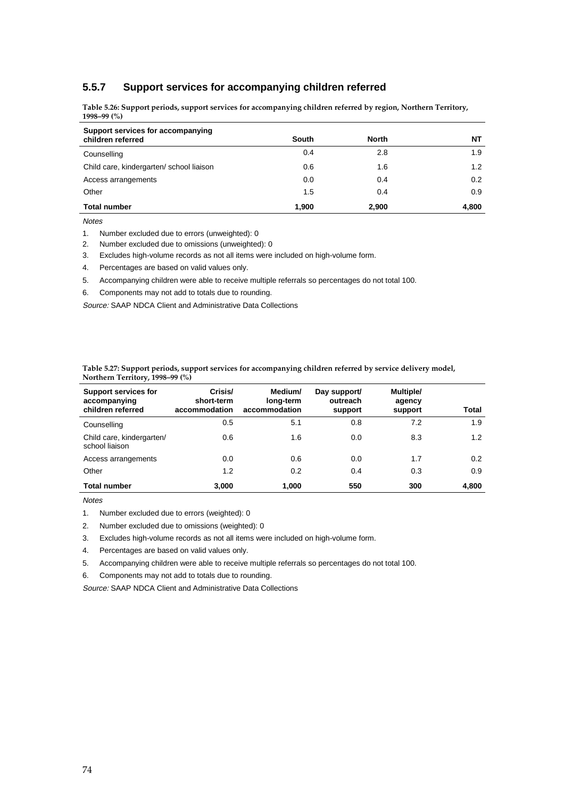### **5.5.7 Support services for accompanying children referred**

**Table 5.26: Support periods, support services for accompanying children referred by region, Northern Territory, 1998–99 (%)**

| Support services for accompanying<br>children referred | South | <b>North</b> | NΤ            |
|--------------------------------------------------------|-------|--------------|---------------|
| Counselling                                            | 0.4   | 2.8          | 1.9           |
| Child care, kindergarten/school liaison                | 0.6   | 1.6          | $1.2^{\circ}$ |
| Access arrangements                                    | 0.0   | 0.4          | 0.2           |
| Other                                                  | 1.5   | 0.4          | 0.9           |
| <b>Total number</b>                                    | 1.900 | 2,900        | 4.800         |

**Notes** 

- 1. Number excluded due to errors (unweighted): 0
- 2. Number excluded due to omissions (unweighted): 0
- 3. Excludes high-volume records as not all items were included on high-volume form.
- 4. Percentages are based on valid values only.
- 5. Accompanying children were able to receive multiple referrals so percentages do not total 100.
- 6. Components may not add to totals due to rounding.

Source: SAAP NDCA Client and Administrative Data Collections

**Table 5.27: Support periods, support services for accompanying children referred by service delivery model, Northern Territory, 1998–99 (%)**

| <b>Support services for</b><br>accompanying<br>children referred | Crisis/<br>short-term<br>accommodation | Medium/<br>long-term<br>accommodation | Day support/<br>outreach<br>support | Multiple/<br>agency<br>support | Total |
|------------------------------------------------------------------|----------------------------------------|---------------------------------------|-------------------------------------|--------------------------------|-------|
| Counselling                                                      | 0.5                                    | 5.1                                   | 0.8                                 | 7.2                            | 1.9   |
| Child care, kindergarten/<br>school liaison                      | 0.6                                    | 1.6                                   | 0.0                                 | 8.3                            | 1.2   |
| Access arrangements                                              | 0.0                                    | 0.6                                   | 0.0                                 | 1.7                            | 0.2   |
| Other                                                            | 1.2                                    | 0.2                                   | 0.4                                 | 0.3                            | 0.9   |
| <b>Total number</b>                                              | 3.000                                  | 1,000                                 | 550                                 | 300                            | 4,800 |

**Notes** 

1. Number excluded due to errors (weighted): 0

- 2. Number excluded due to omissions (weighted): 0
- 3. Excludes high-volume records as not all items were included on high-volume form.
- 4. Percentages are based on valid values only.
- 5. Accompanying children were able to receive multiple referrals so percentages do not total 100.
- 6. Components may not add to totals due to rounding.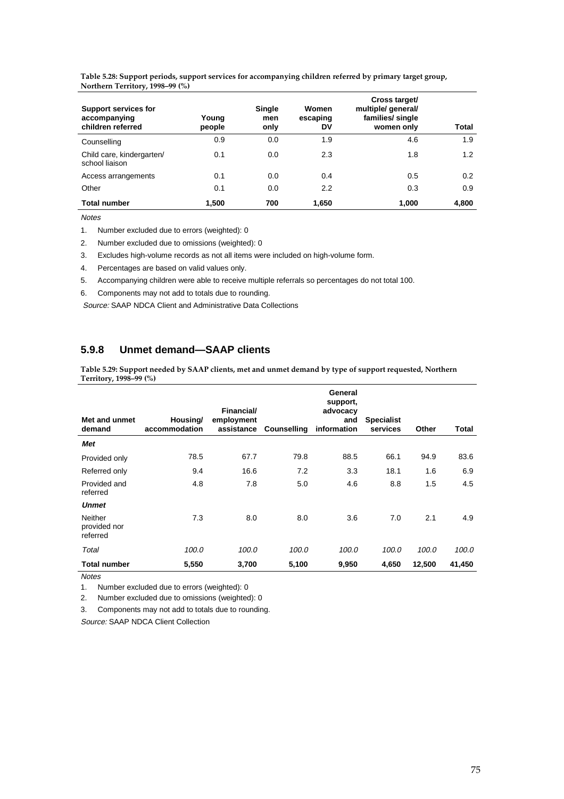|                                 | Table 5.28: Support periods, support services for accompanying children referred by primary target group, |
|---------------------------------|-----------------------------------------------------------------------------------------------------------|
| Northern Territory, 1998–99 (%) |                                                                                                           |

| Support services for<br>accompanying<br>children referred | Young<br>people | <b>Single</b><br>men<br>only | Women<br>escaping<br>DV | Cross target/<br>multiple/ general/<br>families/single<br>women only | <b>Total</b> |
|-----------------------------------------------------------|-----------------|------------------------------|-------------------------|----------------------------------------------------------------------|--------------|
| Counselling                                               | 0.9             | 0.0                          | 1.9                     | 4.6                                                                  | 1.9          |
| Child care, kindergarten/<br>school liaison               | 0.1             | 0.0                          | 2.3                     | 1.8                                                                  | 1.2          |
| Access arrangements                                       | 0.1             | 0.0                          | 0.4                     | 0.5                                                                  | 0.2          |
| Other                                                     | 0.1             | 0.0                          | 2.2                     | 0.3                                                                  | 0.9          |
| <b>Total number</b>                                       | 1.500           | 700                          | 1,650                   | 1,000                                                                | 4,800        |

Notes

1. Number excluded due to errors (weighted): 0

2. Number excluded due to omissions (weighted): 0

3. Excludes high-volume records as not all items were included on high-volume form.

4. Percentages are based on valid values only.

5. Accompanying children were able to receive multiple referrals so percentages do not total 100.

6. Components may not add to totals due to rounding.

Source: SAAP NDCA Client and Administrative Data Collections

### **5.9.8 Unmet demand—SAAP clients**

**Table 5.29: Support needed by SAAP clients, met and unmet demand by type of support requested, Northern Territory, 1998–99 (%)**

| Met and unmet<br>demand             | Housing/<br>accommodation | Financial/<br>employment<br>assistance | <b>Counselling</b> | General<br>support,<br>advocacy<br>and<br>information | <b>Specialist</b><br>services | Other  | Total  |
|-------------------------------------|---------------------------|----------------------------------------|--------------------|-------------------------------------------------------|-------------------------------|--------|--------|
| Met                                 |                           |                                        |                    |                                                       |                               |        |        |
| Provided only                       | 78.5                      | 67.7                                   | 79.8               | 88.5                                                  | 66.1                          | 94.9   | 83.6   |
| Referred only                       | 9.4                       | 16.6                                   | 7.2                | 3.3                                                   | 18.1                          | 1.6    | 6.9    |
| Provided and<br>referred            | 4.8                       | 7.8                                    | 5.0                | 4.6                                                   | 8.8                           | 1.5    | 4.5    |
| <b>Unmet</b>                        |                           |                                        |                    |                                                       |                               |        |        |
| Neither<br>provided nor<br>referred | 7.3                       | 8.0                                    | 8.0                | 3.6                                                   | 7.0                           | 2.1    | 4.9    |
| Total                               | 100.0                     | 100.0                                  | 100.0              | 100.0                                                 | 100.0                         | 100.0  | 100.0  |
| <b>Total number</b>                 | 5,550                     | 3,700                                  | 5,100              | 9,950                                                 | 4,650                         | 12,500 | 41,450 |

**Notes** 

1. Number excluded due to errors (weighted): 0

2. Number excluded due to omissions (weighted): 0

3. Components may not add to totals due to rounding.

Source: SAAP NDCA Client Collection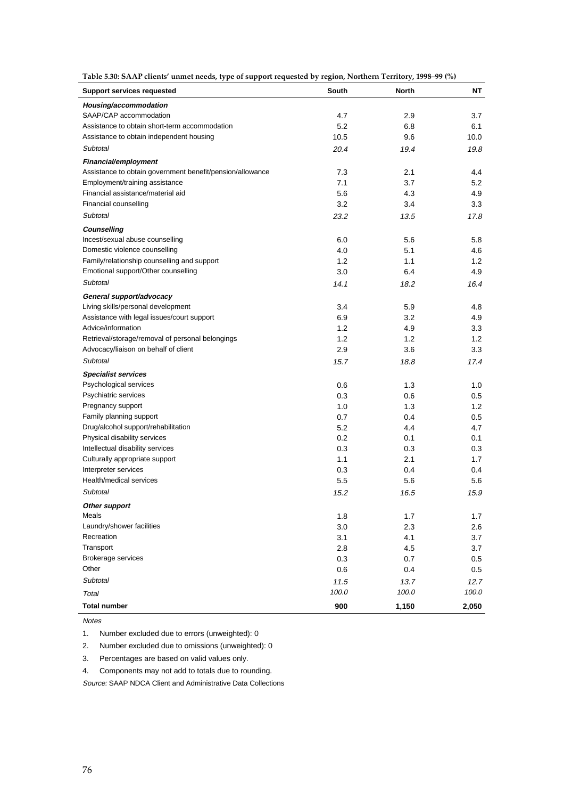| <b>Support services requested</b>                         | South | <b>North</b> | NT    |
|-----------------------------------------------------------|-------|--------------|-------|
| Housing/accommodation                                     |       |              |       |
| SAAP/CAP accommodation                                    | 4.7   | 2.9          | 3.7   |
| Assistance to obtain short-term accommodation             | 5.2   | 6.8          | 6.1   |
| Assistance to obtain independent housing                  | 10.5  | 9.6          | 10.0  |
| Subtotal                                                  | 20.4  | 19.4         | 19.8  |
| Financial/employment                                      |       |              |       |
| Assistance to obtain government benefit/pension/allowance | 7.3   | 2.1          | 4.4   |
| Employment/training assistance                            | 7.1   | 3.7          | 5.2   |
| Financial assistance/material aid                         | 5.6   | 4.3          | 4.9   |
| Financial counselling                                     | 3.2   | 3.4          | 3.3   |
| Subtotal                                                  | 23.2  | 13.5         | 17.8  |
| Counselling                                               |       |              |       |
| Incest/sexual abuse counselling                           | 6.0   | 5.6          | 5.8   |
| Domestic violence counselling                             | 4.0   | 5.1          | 4.6   |
| Family/relationship counselling and support               | 1.2   | 1.1          | 1.2   |
| Emotional support/Other counselling                       | 3.0   | 6.4          | 4.9   |
| Subtotal                                                  | 14.1  | 18.2         | 16.4  |
| General support/advocacy                                  |       |              |       |
| Living skills/personal development                        | 3.4   | 5.9          | 4.8   |
| Assistance with legal issues/court support                | 6.9   | 3.2          | 4.9   |
| Advice/information                                        | 1.2   | 4.9          | 3.3   |
| Retrieval/storage/removal of personal belongings          | 1.2   | 1.2          | 1.2   |
| Advocacy/liaison on behalf of client                      | 2.9   | 3.6          | 3.3   |
| <b>Subtotal</b>                                           | 15.7  | 18.8         | 17.4  |
| <b>Specialist services</b>                                |       |              |       |
| Psychological services                                    | 0.6   | 1.3          | 1.0   |
| Psychiatric services                                      | 0.3   | 0.6          | 0.5   |
| Pregnancy support                                         | 1.0   | 1.3          | 1.2   |
| Family planning support                                   | 0.7   | 0.4          | 0.5   |
| Drug/alcohol support/rehabilitation                       | 5.2   | 4.4          | 4.7   |
| Physical disability services                              | 0.2   | 0.1          | 0.1   |
| Intellectual disability services                          | 0.3   | 0.3          | 0.3   |
| Culturally appropriate support                            | 1.1   | 2.1          | 1.7   |
| Interpreter services                                      | 0.3   | 0.4          | 0.4   |
| Health/medical services                                   | 5.5   | 5.6          | 5.6   |
| Subtotal                                                  | 15.2  | 16.5         | 15.9  |
| Other support                                             |       |              |       |
| Meals                                                     | 1.8   | 1.7          | 1.7   |
| Laundry/shower facilities                                 | 3.0   | 2.3          | 2.6   |
| Recreation                                                | 3.1   | 4.1          | 3.7   |
| Transport                                                 | 2.8   | 4.5          | 3.7   |
| <b>Brokerage services</b>                                 | 0.3   | 0.7          | 0.5   |
| Other                                                     | 0.6   | 0.4          | 0.5   |
| Subtotal                                                  | 11.5  | 13.7         | 12.7  |
| Total                                                     | 100.0 | 100.0        | 100.0 |
| <b>Total number</b>                                       | 900   | 1,150        | 2,050 |

**Table 5.30: SAAP clients' unmet needs, type of support requested by region, Northern Territory, 1998–99 (%)**

Notes

1. Number excluded due to errors (unweighted): 0

2. Number excluded due to omissions (unweighted): 0

3. Percentages are based on valid values only.

4. Components may not add to totals due to rounding.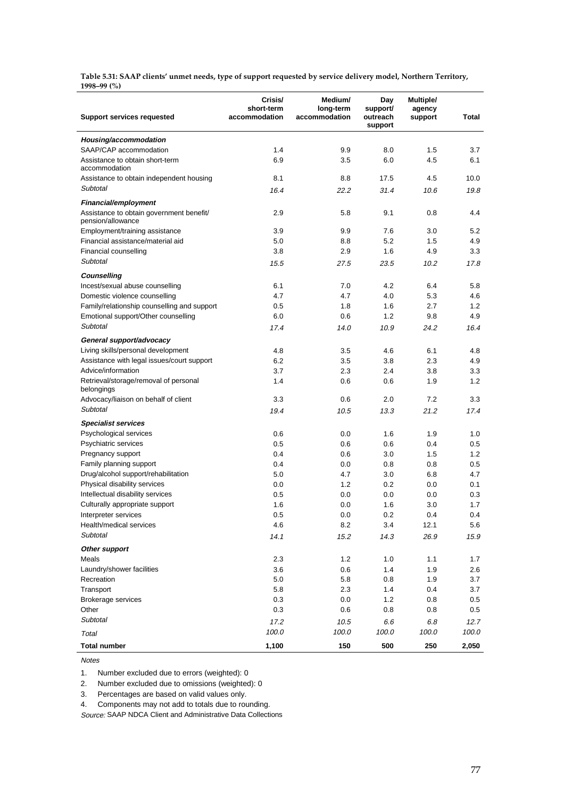**Table 5.31: SAAP clients' unmet needs, type of support requested by service delivery model, Northern Territory, 1998–99 (%)**

| <b>Support services requested</b>                             | Crisis/<br>short-term<br>accommodation | Medium/<br>long-term<br>accommodation | Day<br>support/<br>outreach<br>support | Multiple/<br>agency<br>support | Total |
|---------------------------------------------------------------|----------------------------------------|---------------------------------------|----------------------------------------|--------------------------------|-------|
| Housing/accommodation                                         |                                        |                                       |                                        |                                |       |
| SAAP/CAP accommodation                                        | 1.4                                    | 9.9                                   | 8.0                                    | 1.5                            | 3.7   |
| Assistance to obtain short-term<br>accommodation              | 6.9                                    | 3.5                                   | 6.0                                    | 4.5                            | 6.1   |
| Assistance to obtain independent housing                      | 8.1                                    | 8.8                                   | 17.5                                   | 4.5                            | 10.0  |
| Subtotal                                                      | 16.4                                   | 22.2                                  | 31.4                                   | 10.6                           | 19.8  |
| Financial/employment                                          |                                        |                                       |                                        |                                |       |
| Assistance to obtain government benefit/<br>pension/allowance | 2.9                                    | 5.8                                   | 9.1                                    | 0.8                            | 4.4   |
| Employment/training assistance                                | 3.9                                    | 9.9                                   | 7.6                                    | 3.0                            | 5.2   |
| Financial assistance/material aid                             | 5.0                                    | 8.8                                   | 5.2                                    | 1.5                            | 4.9   |
| Financial counselling                                         | 3.8                                    | 2.9                                   | 1.6                                    | 4.9                            | 3.3   |
| Subtotal                                                      | 15.5                                   | 27.5                                  | 23.5                                   | 10.2                           | 17.8  |
| Counselling                                                   |                                        |                                       |                                        |                                |       |
| Incest/sexual abuse counselling                               | 6.1                                    | 7.0                                   | 4.2                                    | 6.4                            | 5.8   |
| Domestic violence counselling                                 | 4.7                                    | 4.7                                   | 4.0                                    | 5.3                            | 4.6   |
| Family/relationship counselling and support                   | 0.5                                    | 1.8                                   | 1.6                                    | 2.7                            | 1.2   |
| Emotional support/Other counselling                           | 6.0                                    | 0.6                                   | 1.2                                    | 9.8                            | 4.9   |
| Subtotal                                                      | 17.4                                   | 14.0                                  | 10.9                                   | 24.2                           | 16.4  |
| General support/advocacy                                      |                                        |                                       |                                        |                                |       |
| Living skills/personal development                            | 4.8                                    | 3.5                                   | 4.6                                    | 6.1                            | 4.8   |
| Assistance with legal issues/court support                    | 6.2                                    | 3.5                                   | 3.8                                    | 2.3                            | 4.9   |
| Advice/information                                            | 3.7                                    | 2.3                                   | 2.4                                    | 3.8                            | 3.3   |
| Retrieval/storage/removal of personal<br>belongings           | 1.4                                    | 0.6                                   | 0.6                                    | 1.9                            | 1.2   |
| Advocacy/liaison on behalf of client                          | 3.3                                    | 0.6                                   | 2.0                                    | 7.2                            | 3.3   |
| Subtotal                                                      | 19.4                                   | 10.5                                  | 13.3                                   | 21.2                           | 17.4  |
| <b>Specialist services</b>                                    |                                        |                                       |                                        |                                |       |
| Psychological services                                        | 0.6                                    | 0.0                                   | 1.6                                    | 1.9                            | 1.0   |
| Psychiatric services                                          | 0.5                                    | 0.6                                   | 0.6                                    | 0.4                            | 0.5   |
| Pregnancy support                                             | 0.4                                    | 0.6                                   | 3.0                                    | 1.5                            | 1.2   |
| Family planning support                                       | 0.4                                    | 0.0                                   | 0.8                                    | 0.8                            | 0.5   |
| Drug/alcohol support/rehabilitation                           | 5.0                                    | 4.7                                   | 3.0                                    | 6.8                            | 4.7   |
| Physical disability services                                  | 0.0                                    | 1.2                                   | 0.2                                    | 0.0                            | 0.1   |
| Intellectual disability services                              | 0.5                                    | 0.0                                   | 0.0                                    | 0.0                            | 0.3   |
| Culturally appropriate support                                | 1.6                                    | 0.0                                   | 1.6                                    | 3.0                            | 1.7   |
| Interpreter services                                          | 0.5                                    | 0.0                                   | 0.2                                    | 0.4                            | 0.4   |
| Health/medical services                                       | 4.6                                    | 8.2                                   | 3.4                                    | 12.1                           | 5.6   |
| Subtotal                                                      | 14.1                                   | 15.2                                  | 14.3                                   | 26.9                           | 15.9  |
| Other support                                                 |                                        |                                       |                                        |                                |       |
| Meals                                                         | 2.3                                    | 1.2                                   | 1.0                                    | 1.1                            | 1.7   |
| Laundry/shower facilities                                     | 3.6                                    | 0.6                                   | 1.4                                    | 1.9                            | 2.6   |
| Recreation                                                    | 5.0                                    | 5.8                                   | 0.8                                    | 1.9                            | 3.7   |
| Transport                                                     | 5.8                                    | 2.3                                   | 1.4                                    | 0.4                            | 3.7   |
| <b>Brokerage services</b>                                     | 0.3                                    | 0.0                                   | 1.2                                    | 0.8                            | 0.5   |
| Other                                                         | 0.3                                    | 0.6                                   | 0.8                                    | 0.8                            | 0.5   |
| Subtotal                                                      | 17.2                                   | 10.5                                  | 6.6                                    | 6.8                            | 12.7  |
| Total                                                         | 100.0                                  | 100.0                                 | 100.0                                  | 100.0                          | 100.0 |
| <b>Total number</b>                                           | 1,100                                  | 150                                   | 500                                    | 250                            | 2,050 |

Notes

1. Number excluded due to errors (weighted): 0

2. Number excluded due to omissions (weighted): 0

3. Percentages are based on valid values only.

4. Components may not add to totals due to rounding.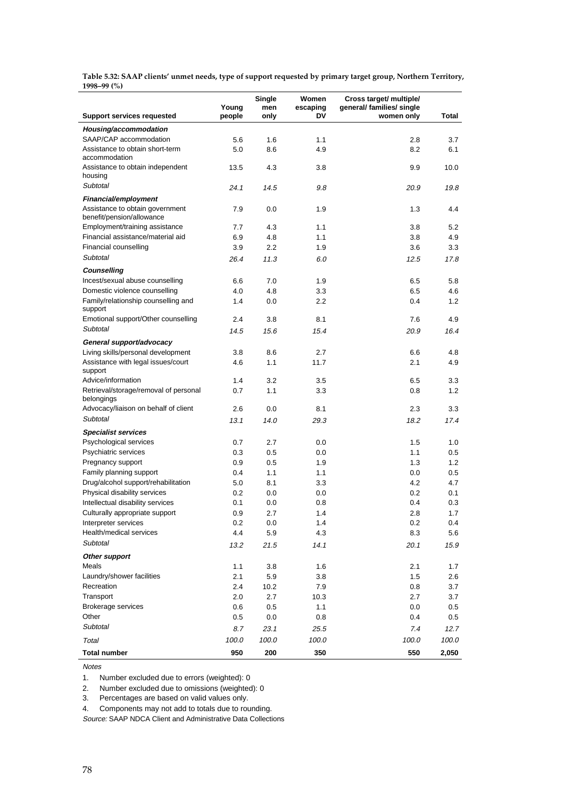**Table 5.32: SAAP clients' unmet needs, type of support requested by primary target group, Northern Territory, 1998–99 (%)**

| <b>Support services requested</b>                            | Young<br>people | Single<br>men<br>only | Women<br>escaping<br>DV | Cross target/ multiple/<br>general/ families/ single<br>women only | <b>Total</b> |
|--------------------------------------------------------------|-----------------|-----------------------|-------------------------|--------------------------------------------------------------------|--------------|
| Housing/accommodation                                        |                 |                       |                         |                                                                    |              |
| SAAP/CAP accommodation                                       | 5.6             | 1.6                   | 1.1                     | 2.8                                                                | 3.7          |
| Assistance to obtain short-term<br>accommodation             | 5.0             | 8.6                   | 4.9                     | 8.2                                                                | 6.1          |
| Assistance to obtain independent<br>housing                  | 13.5            | 4.3                   | 3.8                     | 9.9                                                                | 10.0         |
| Subtotal                                                     | 24.1            | 14.5                  | 9.8                     | 20.9                                                               | 19.8         |
| Financial/employment                                         |                 |                       |                         |                                                                    |              |
| Assistance to obtain government<br>benefit/pension/allowance | 7.9             | 0.0                   | 1.9                     | 1.3                                                                | 4.4          |
| Employment/training assistance                               | 7.7             | 4.3                   | 1.1                     | 3.8                                                                | 5.2          |
| Financial assistance/material aid                            | 6.9             | 4.8                   | 1.1                     | 3.8                                                                | 4.9          |
| Financial counselling                                        | 3.9             | $2.2\,$               | 1.9                     | 3.6                                                                | 3.3          |
| Subtotal                                                     | 26.4            | 11.3                  | 6.0                     | 12.5                                                               | 17.8         |
| Counselling                                                  |                 |                       |                         |                                                                    |              |
| Incest/sexual abuse counselling                              | 6.6             | 7.0                   | 1.9                     | 6.5                                                                | 5.8          |
| Domestic violence counselling                                | 4.0             | 4.8                   | 3.3                     | 6.5                                                                | 4.6          |
| Family/relationship counselling and<br>support               | 1.4             | 0.0                   | 2.2                     | 0.4                                                                | 1.2          |
| Emotional support/Other counselling                          | 2.4             | 3.8                   | 8.1                     | 7.6                                                                | 4.9          |
| Subtotal                                                     | 14.5            | 15.6                  | 15.4                    | 20.9                                                               | 16.4         |
| General support/advocacy                                     |                 |                       |                         |                                                                    |              |
| Living skills/personal development                           | 3.8             | 8.6                   | 2.7                     | 6.6                                                                | 4.8          |
| Assistance with legal issues/court<br>support                | 4.6             | 1.1                   | 11.7                    | 2.1                                                                | 4.9          |
| Advice/information                                           | 1.4             | 3.2                   | 3.5                     | 6.5                                                                | 3.3          |
| Retrieval/storage/removal of personal<br>belongings          | 0.7             | 1.1                   | 3.3                     | 0.8                                                                | 1.2          |
| Advocacy/liaison on behalf of client                         | 2.6             | 0.0                   | 8.1                     | 2.3                                                                | 3.3          |
| Subtotal                                                     | 13.1            | 14.0                  | 29.3                    | 18.2                                                               | 17.4         |
| <b>Specialist services</b>                                   |                 |                       |                         |                                                                    |              |
| Psychological services                                       | 0.7             | 2.7                   | $0.0\,$                 | 1.5                                                                | 1.0          |
| Psychiatric services                                         | 0.3             | 0.5                   | $0.0\,$                 | 1.1                                                                | 0.5          |
| Pregnancy support                                            | 0.9             | 0.5                   | 1.9                     | 1.3                                                                | 1.2          |
| Family planning support                                      | 0.4             | 1.1                   | 1.1                     | 0.0                                                                | 0.5          |
| Drug/alcohol support/rehabilitation                          | 5.0             | 8.1                   | 3.3                     | 4.2                                                                | 4.7          |
| Physical disability services                                 | 0.2             | 0.0                   | $0.0\,$                 | 0.2                                                                | 0.1          |
| Intellectual disability services                             | 0.1             | 0.0                   | 0.8                     | 0.4                                                                | 0.3          |
| Culturally appropriate support                               | 0.9             | 2.7                   | 1.4                     | 2.8                                                                | 1.7          |
| Interpreter services                                         | 0.2             | 0.0                   | 1.4                     | 0.2                                                                | 0.4          |
| Health/medical services                                      | 4.4             | 5.9                   | 4.3                     | 8.3                                                                | 5.6          |
| Subtotal                                                     | 13.2            | 21.5                  | 14.1                    | 20.1                                                               | 15.9         |
| Other support                                                |                 |                       |                         |                                                                    |              |
| <b>Meals</b>                                                 | 1.1             | 3.8                   | 1.6                     | 2.1                                                                | 1.7          |
| Laundry/shower facilities                                    | 2.1             | 5.9                   | 3.8                     | 1.5                                                                | 2.6          |
| Recreation                                                   | 2.4             | 10.2                  | 7.9                     | 0.8                                                                | 3.7          |
| Transport                                                    | 2.0             | 2.7                   | 10.3                    | 2.7                                                                | 3.7          |
| Brokerage services                                           | 0.6             | 0.5                   | 1.1                     | 0.0                                                                | $0.5\,$      |
| Other                                                        | 0.5             | 0.0                   | 0.8                     | 0.4                                                                | 0.5          |
| Subtotal                                                     | 8.7             | 23.1                  | 25.5                    | 7.4                                                                | 12.7         |
| Total                                                        | 100.0           | 100.0                 | 100.0                   | 100.0                                                              | 100.0        |
| <b>Total number</b>                                          | 950             | 200                   | 350                     | 550                                                                | 2,050        |

Notes

1. Number excluded due to errors (weighted): 0

2. Number excluded due to omissions (weighted): 0

3. Percentages are based on valid values only.

4. Components may not add to totals due to rounding.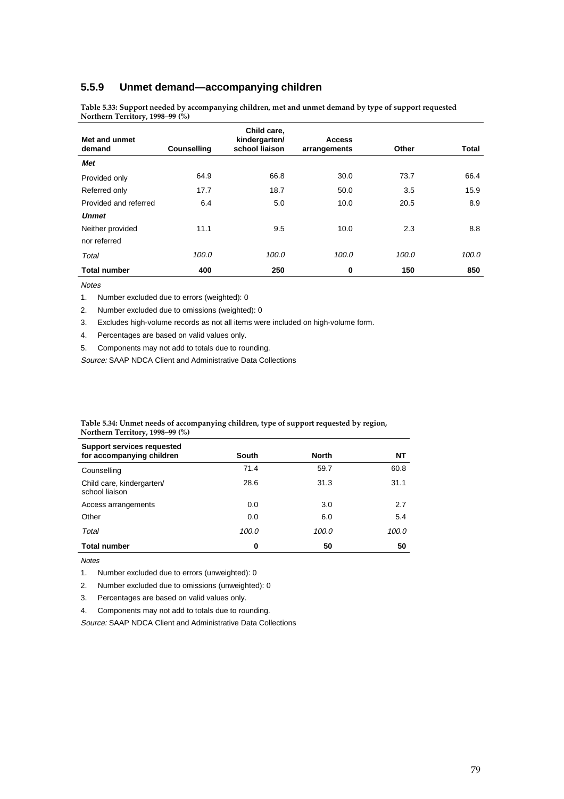# **5.5.9 Unmet demand—accompanying children**

**Table 5.33: Support needed by accompanying children, met and unmet demand by type of support requested Northern Territory, 1998–99 (%)**

| Met and unmet<br>demand | <b>Counselling</b> | Child care,<br>kindergarten/<br>school liaison | <b>Access</b><br>arrangements | Other | <b>Total</b> |
|-------------------------|--------------------|------------------------------------------------|-------------------------------|-------|--------------|
| Met                     |                    |                                                |                               |       |              |
| Provided only           | 64.9               | 66.8                                           | 30.0                          | 73.7  | 66.4         |
| Referred only           | 17.7               | 18.7                                           | 50.0                          | 3.5   | 15.9         |
| Provided and referred   | 6.4                | 5.0                                            | 10.0                          | 20.5  | 8.9          |
| <b>Unmet</b>            |                    |                                                |                               |       |              |
| Neither provided        | 11.1               | 9.5                                            | 10.0                          | 2.3   | 8.8          |
| nor referred            |                    |                                                |                               |       |              |
| Total                   | 100.0              | 100.0                                          | 100.0                         | 100.0 | 100.0        |
| <b>Total number</b>     | 400                | 250                                            | 0                             | 150   | 850          |

Notes

1. Number excluded due to errors (weighted): 0

2. Number excluded due to omissions (weighted): 0

3. Excludes high-volume records as not all items were included on high-volume form.

4. Percentages are based on valid values only.

5. Components may not add to totals due to rounding.

Source: SAAP NDCA Client and Administrative Data Collections

**Table 5.34: Unmet needs of accompanying children, type of support requested by region, Northern Territory, 1998–99 (%)**

| <b>Support services requested</b>           |       |              |       |
|---------------------------------------------|-------|--------------|-------|
| for accompanying children                   | South | <b>North</b> | NΤ    |
| Counselling                                 | 71.4  | 59.7         | 60.8  |
| Child care, kindergarten/<br>school liaison | 28.6  | 31.3         | 31.1  |
| Access arrangements                         | 0.0   | 3.0          | 2.7   |
| Other                                       | 0.0   | 6.0          | 5.4   |
| Total                                       | 100.0 | 100.0        | 100.0 |
| <b>Total number</b>                         | 0     | 50           | 50    |

**Notes** 

1. Number excluded due to errors (unweighted): 0

2. Number excluded due to omissions (unweighted): 0

3. Percentages are based on valid values only.

4. Components may not add to totals due to rounding.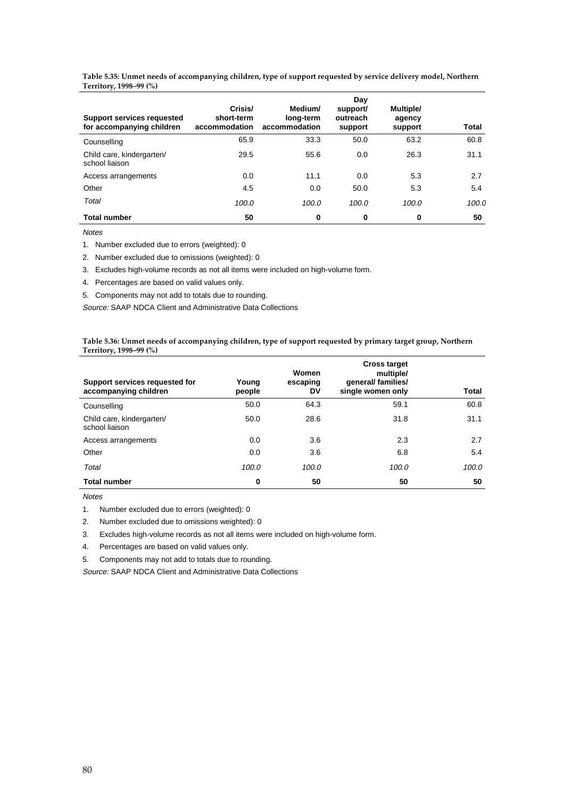**Table 5.35: Unmet needs of accompanying children, type of support requested by service delivery model, Northern Territory, 1998–99 (%)**

| <b>Support services requested</b><br>for accompanying children | Crisis/<br>short-term<br>accommodation | Medium/<br>long-term<br>accommodation | Day<br>support/<br>outreach<br>support | Multiple/<br>agency<br>support | Total |
|----------------------------------------------------------------|----------------------------------------|---------------------------------------|----------------------------------------|--------------------------------|-------|
| Counselling                                                    | 65.9                                   | 33.3                                  | 50.0                                   | 63.2                           | 60.8  |
| Child care, kindergarten/<br>school liaison                    | 29.5                                   | 55.6                                  | 0.0                                    | 26.3                           | 31.1  |
| Access arrangements                                            | 0.0                                    | 11.1                                  | 0.0                                    | 5.3                            | 2.7   |
| Other                                                          | 4.5                                    | 0.0                                   | 50.0                                   | 5.3                            | 5.4   |
| Total                                                          | 100.0                                  | 100.0                                 | 100.0                                  | 100.0                          | 100.0 |
| <b>Total number</b>                                            | 50                                     | 0                                     | 0                                      | 0                              | 50    |

**Notes** 

1. Number excluded due to errors (weighted): 0

2. Number excluded due to omissions (weighted): 0

3. Excludes high-volume records as not all items were included on high-volume form.

4. Percentages are based on valid values only.

5. Components may not add to totals due to rounding.

Source: SAAP NDCA Client and Administrative Data Collections

**Table 5.36: Unmet needs of accompanying children, type of support requested by primary target group, Northern Territory, 1998–99 (%)**

| Support services requested for<br>accompanying children | Young<br>people | Women<br>escaping<br>DV | <b>Cross target</b><br>multiple/<br>general/ families/<br>single women only | Total |
|---------------------------------------------------------|-----------------|-------------------------|-----------------------------------------------------------------------------|-------|
| Counselling                                             | 50.0            | 64.3                    | 59.1                                                                        | 60.8  |
| Child care, kindergarten/<br>school liaison             | 50.0            | 28.6                    | 31.8                                                                        | 31.1  |
| Access arrangements                                     | 0.0             | 3.6                     | 2.3                                                                         | 2.7   |
| Other                                                   | 0.0             | 3.6                     | 6.8                                                                         | 5.4   |
| Total                                                   | 100.0           | 100.0                   | 100.0                                                                       | 100.0 |
| <b>Total number</b>                                     | 0               | 50                      | 50                                                                          | 50    |

Notes

1. Number excluded due to errors (weighted): 0

2. Number excluded due to omissions weighted): 0

3. Excludes high-volume records as not all items were included on high-volume form.

4. Percentages are based on valid values only.

5. Components may not add to totals due to rounding.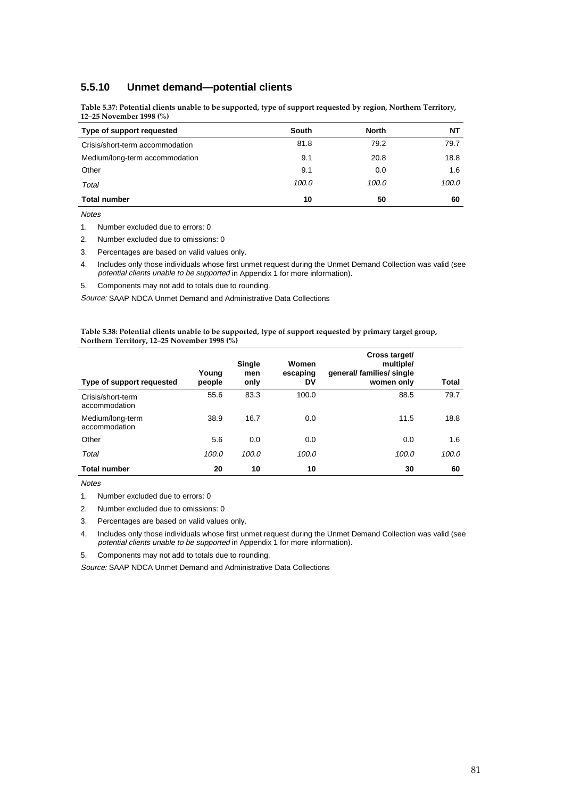### **5.5.10 Unmet demand—potential clients**

**Table 5.37: Potential clients unable to be supported, type of support requested by region, Northern Territory, 12–25 November 1998 (%)**

| Type of support requested       | South | <b>North</b> | ΝT    |
|---------------------------------|-------|--------------|-------|
| Crisis/short-term accommodation | 81.8  | 79.2         | 79.7  |
| Medium/long-term accommodation  | 9.1   | 20.8         | 18.8  |
| Other                           | 9.1   | 0.0          | 1.6   |
| Total                           | 100.0 | 100.0        | 100.0 |
| <b>Total number</b>             | 10    | 50           | 60    |

**Notes** 

1. Number excluded due to errors: 0

- 2. Number excluded due to omissions: 0
- 3. Percentages are based on valid values only.

4. Includes only those individuals whose first unmet request during the Unmet Demand Collection was valid (see potential clients unable to be supported in Appendix 1 for more information).

5. Components may not add to totals due to rounding.

Source: SAAP NDCA Unmet Demand and Administrative Data Collections

**Table 5.38: Potential clients unable to be supported, type of support requested by primary target group, Northern Territory, 12–25 November 1998 (%)**

| Type of support requested          | Young<br>people | <b>Single</b><br>men<br>only | Women<br>escaping<br>DV | Cross target/<br>multiple/<br>general/ families/ single<br>women only | Total |
|------------------------------------|-----------------|------------------------------|-------------------------|-----------------------------------------------------------------------|-------|
| Crisis/short-term<br>accommodation | 55.6            | 83.3                         | 100.0                   | 88.5                                                                  | 79.7  |
| Medium/long-term<br>accommodation  | 38.9            | 16.7                         | 0.0                     | 11.5                                                                  | 18.8  |
| Other                              | 5.6             | 0.0                          | 0.0                     | 0.0                                                                   | 1.6   |
| Total                              | 100.0           | 100.0                        | 100.0                   | 100.0                                                                 | 100.0 |
| <b>Total number</b>                | 20              | 10                           | 10                      | 30                                                                    | 60    |

**Notes** 

1. Number excluded due to errors: 0

- 2. Number excluded due to omissions: 0
- 3. Percentages are based on valid values only.
- 4. Includes only those individuals whose first unmet request during the Unmet Demand Collection was valid (see potential clients unable to be supported in Appendix 1 for more information).

5. Components may not add to totals due to rounding.

Source: SAAP NDCA Unmet Demand and Administrative Data Collections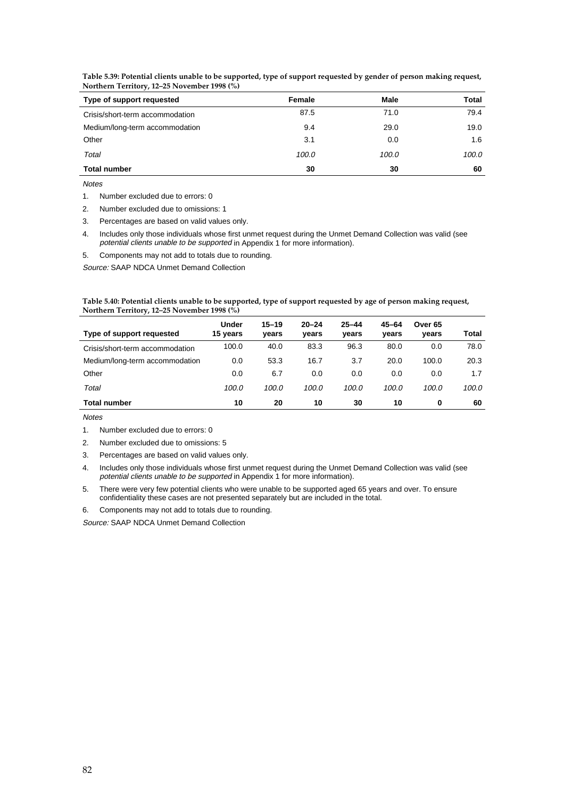| Type of support requested       | Female | Male  | Total |
|---------------------------------|--------|-------|-------|
| Crisis/short-term accommodation | 87.5   | 71.0  | 79.4  |
| Medium/long-term accommodation  | 9.4    | 29.0  | 19.0  |
| Other                           | 3.1    | 0.0   | 1.6   |
| Total                           | 100.0  | 100.0 | 100.0 |
| <b>Total number</b>             | 30     | 30    | 60    |

**Table 5.39: Potential clients unable to be supported, type of support requested by gender of person making request, Northern Territory, 12–25 November 1998 (%)**

**Notes** 

1. Number excluded due to errors: 0

2. Number excluded due to omissions: 1

3. Percentages are based on valid values only.

4. Includes only those individuals whose first unmet request during the Unmet Demand Collection was valid (see potential clients unable to be supported in Appendix 1 for more information).

5. Components may not add to totals due to rounding.

Source: SAAP NDCA Unmet Demand Collection

**Table 5.40: Potential clients unable to be supported, type of support requested by age of person making request, Northern Territory, 12–25 November 1998 (%)**

| Type of support requested       | Under<br>15 years | $15 - 19$<br>vears | $20 - 24$<br>years | $25 - 44$<br>vears | $45 - 64$<br>years | Over 65<br>vears | Total |
|---------------------------------|-------------------|--------------------|--------------------|--------------------|--------------------|------------------|-------|
| Crisis/short-term accommodation | 100.0             | 40.0               | 83.3               | 96.3               | 80.0               | 0.0              | 78.0  |
| Medium/long-term accommodation  | 0.0               | 53.3               | 16.7               | 3.7                | 20.0               | 100.0            | 20.3  |
| Other                           | 0.0               | 6.7                | 0.0                | 0.0                | 0.0                | 0.0              | 1.7   |
| Total                           | 100.0             | 100.0              | 100.0              | 100.0              | 100.0              | 100.0            | 100.0 |
| <b>Total number</b>             | 10                | 20                 | 10                 | 30                 | 10                 | 0                | 60    |

**Notes** 

1. Number excluded due to errors: 0

2. Number excluded due to omissions: 5

3. Percentages are based on valid values only.

4. Includes only those individuals whose first unmet request during the Unmet Demand Collection was valid (see potential clients unable to be supported in Appendix 1 for more information).

5. There were very few potential clients who were unable to be supported aged 65 years and over. To ensure confidentiality these cases are not presented separately but are included in the total.

6. Components may not add to totals due to rounding.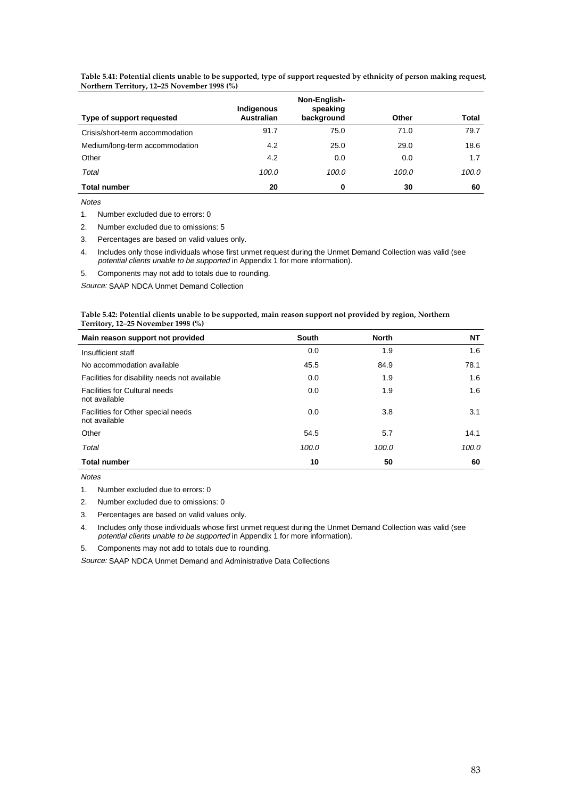**Table 5.41: Potential clients unable to be supported, type of support requested by ethnicity of person making request, Northern Territory, 12–25 November 1998 (%)**

|                                 | Indigenous        | Non-English-<br>speaking |       |       |
|---------------------------------|-------------------|--------------------------|-------|-------|
| Type of support requested       | <b>Australian</b> | background               | Other | Total |
| Crisis/short-term accommodation | 91.7              | 75.0                     | 71.0  | 79.7  |
| Medium/long-term accommodation  | 4.2               | 25.0                     | 29.0  | 18.6  |
| Other                           | 4.2               | 0.0                      | 0.0   | 1.7   |
| Total                           | 100.0             | 100.0                    | 100.0 | 100.0 |
| <b>Total number</b>             | 20                | 0                        | 30    | 60    |

Notes

1. Number excluded due to errors: 0

2. Number excluded due to omissions: 5

3. Percentages are based on valid values only.

4. Includes only those individuals whose first unmet request during the Unmet Demand Collection was valid (see potential clients unable to be supported in Appendix 1 for more information).

5. Components may not add to totals due to rounding.

Source: SAAP NDCA Unmet Demand Collection

**Table 5.42: Potential clients unable to be supported, main reason support not provided by region, Northern Territory, 12–25 November 1998 (%)**

| Main reason support not provided                      | South | <b>North</b> | NT    |
|-------------------------------------------------------|-------|--------------|-------|
| Insufficient staff                                    | 0.0   | 1.9          | 1.6   |
| No accommodation available                            | 45.5  | 84.9         | 78.1  |
| Facilities for disability needs not available         | 0.0   | 1.9          | 1.6   |
| <b>Facilities for Cultural needs</b><br>not available | 0.0   | 1.9          | 1.6   |
| Facilities for Other special needs<br>not available   | 0.0   | 3.8          | 3.1   |
| Other                                                 | 54.5  | 5.7          | 14.1  |
| Total                                                 | 100.0 | 100.0        | 100.0 |
| <b>Total number</b>                                   | 10    | 50           | 60    |

**Notes** 

1. Number excluded due to errors: 0

2. Number excluded due to omissions: 0

3. Percentages are based on valid values only.

4. Includes only those individuals whose first unmet request during the Unmet Demand Collection was valid (see potential clients unable to be supported in Appendix 1 for more information).

5. Components may not add to totals due to rounding.

Source: SAAP NDCA Unmet Demand and Administrative Data Collections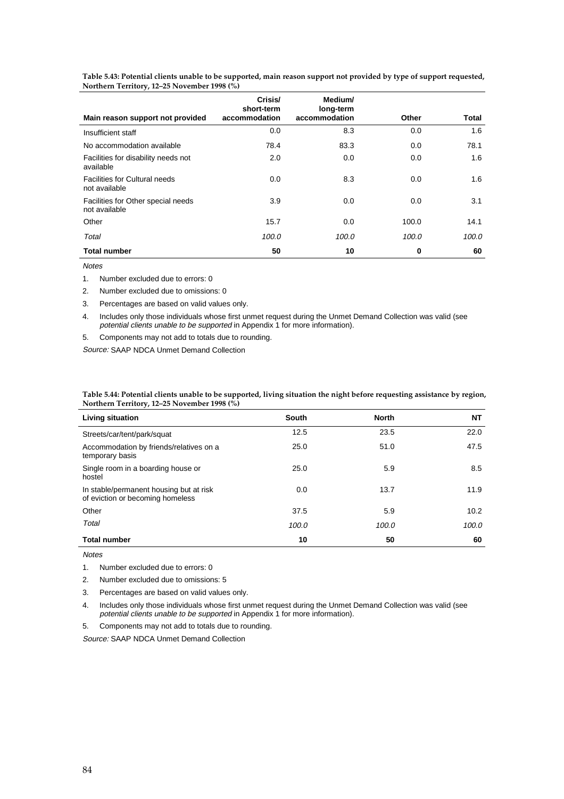|                                                       | Crisis/<br>short-term | Medium/<br>long-term |       |       |
|-------------------------------------------------------|-----------------------|----------------------|-------|-------|
| Main reason support not provided                      | accommodation         | accommodation        | Other | Total |
| Insufficient staff                                    | 0.0                   | 8.3                  | 0.0   | 1.6   |
| No accommodation available                            | 78.4                  | 83.3                 | 0.0   | 78.1  |
| Facilities for disability needs not<br>available      | 2.0                   | 0.0                  | 0.0   | 1.6   |
| <b>Facilities for Cultural needs</b><br>not available | 0.0                   | 8.3                  | 0.0   | 1.6   |
| Facilities for Other special needs<br>not available   | 3.9                   | 0.0                  | 0.0   | 3.1   |
| Other                                                 | 15.7                  | 0.0                  | 100.0 | 14.1  |
| Total                                                 | 100.0                 | 100.0                | 100.0 | 100.0 |
| <b>Total number</b>                                   | 50                    | 10                   | 0     | 60    |

**Table 5.43: Potential clients unable to be supported, main reason support not provided by type of support requested, Northern Territory, 12–25 November 1998 (%)**

**Notes** 

1. Number excluded due to errors: 0

2. Number excluded due to omissions: 0

3. Percentages are based on valid values only.

4. Includes only those individuals whose first unmet request during the Unmet Demand Collection was valid (see potential clients unable to be supported in Appendix 1 for more information).

5. Components may not add to totals due to rounding.

Source: SAAP NDCA Unmet Demand Collection

**Table 5.44: Potential clients unable to be supported, living situation the night before requesting assistance by region, Northern Territory, 12–25 November 1998 (%)**

| Living situation                                                            | South | <b>North</b> | <b>NT</b> |
|-----------------------------------------------------------------------------|-------|--------------|-----------|
| Streets/car/tent/park/squat                                                 | 12.5  | 23.5         | 22.0      |
| Accommodation by friends/relatives on a<br>temporary basis                  | 25.0  | 51.0         | 47.5      |
| Single room in a boarding house or<br>hostel                                | 25.0  | 5.9          | 8.5       |
| In stable/permanent housing but at risk<br>of eviction or becoming homeless | 0.0   | 13.7         | 11.9      |
| Other                                                                       | 37.5  | 5.9          | 10.2      |
| Total                                                                       | 100.0 | 100.0        | 100.0     |
| <b>Total number</b>                                                         | 10    | 50           | 60        |

**Notes** 

1. Number excluded due to errors: 0

2. Number excluded due to omissions: 5

3. Percentages are based on valid values only.

4. Includes only those individuals whose first unmet request during the Unmet Demand Collection was valid (see potential clients unable to be supported in Appendix 1 for more information).

5. Components may not add to totals due to rounding.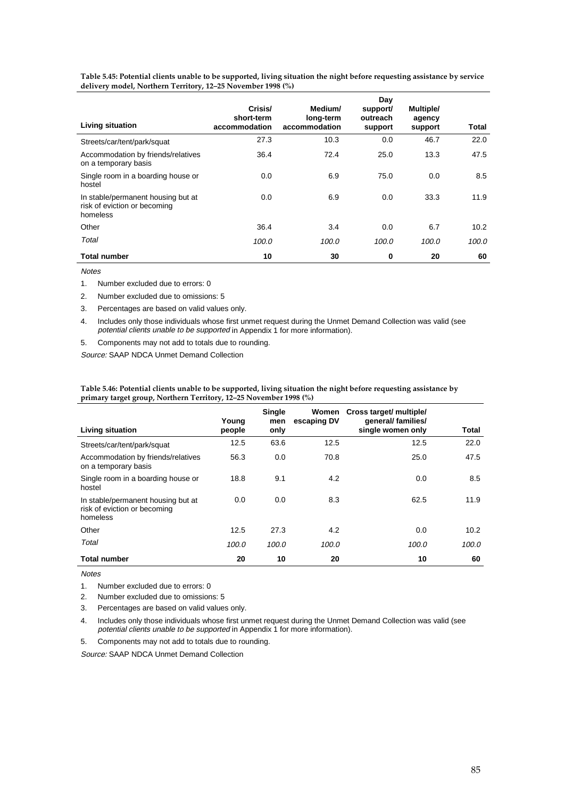| <b>Living situation</b>                                                        | Crisis/<br>short-term<br>accommodation | Medium/<br>long-term<br>accommodation | Day<br>support/<br>outreach<br>support | Multiple/<br>agency<br>support | Total |
|--------------------------------------------------------------------------------|----------------------------------------|---------------------------------------|----------------------------------------|--------------------------------|-------|
| Streets/car/tent/park/squat                                                    | 27.3                                   | 10.3                                  | 0.0                                    | 46.7                           | 22.0  |
| Accommodation by friends/relatives<br>on a temporary basis                     | 36.4                                   | 72.4                                  | 25.0                                   | 13.3                           | 47.5  |
| Single room in a boarding house or<br>hostel                                   | 0.0                                    | 6.9                                   | 75.0                                   | 0.0                            | 8.5   |
| In stable/permanent housing but at<br>risk of eviction or becoming<br>homeless | 0.0                                    | 6.9                                   | 0.0                                    | 33.3                           | 11.9  |
| Other                                                                          | 36.4                                   | 3.4                                   | 0.0                                    | 6.7                            | 10.2  |
| Total                                                                          | 100.0                                  | 100.0                                 | 100.0                                  | 100.0                          | 100.0 |
| <b>Total number</b>                                                            | 10                                     | 30                                    | 0                                      | 20                             | 60    |

**Table 5.45: Potential clients unable to be supported, living situation the night before requesting assistance by service delivery model, Northern Territory, 12–25 November 1998 (%)**

**Notes** 

- 1. Number excluded due to errors: 0
- 2. Number excluded due to omissions: 5
- 3. Percentages are based on valid values only.
- 4. Includes only those individuals whose first unmet request during the Unmet Demand Collection was valid (see potential clients unable to be supported in Appendix 1 for more information).
- 5. Components may not add to totals due to rounding.

Source: SAAP NDCA Unmet Demand Collection

| Table 5.46: Potential clients unable to be supported, living situation the night before requesting assistance by |  |
|------------------------------------------------------------------------------------------------------------------|--|
| primary target group, Northern Territory, 12–25 November 1998 (%)                                                |  |

| <b>Living situation</b>                                                        | Young<br>people | Single<br>men<br>only | Women<br>escaping DV | Cross target/ multiple/<br>general/ families/<br>single women only | Total |
|--------------------------------------------------------------------------------|-----------------|-----------------------|----------------------|--------------------------------------------------------------------|-------|
| Streets/car/tent/park/squat                                                    | 12.5            | 63.6                  | 12.5                 | 12.5                                                               | 22.0  |
| Accommodation by friends/relatives<br>on a temporary basis                     | 56.3            | 0.0                   | 70.8                 | 25.0                                                               | 47.5  |
| Single room in a boarding house or<br>hostel                                   | 18.8            | 9.1                   | 4.2                  | 0.0                                                                | 8.5   |
| In stable/permanent housing but at<br>risk of eviction or becoming<br>homeless | 0.0             | 0.0                   | 8.3                  | 62.5                                                               | 11.9  |
| Other                                                                          | 12.5            | 27.3                  | 4.2                  | 0.0                                                                | 10.2  |
| Total                                                                          | 100.0           | 100.0                 | 100.0                | 100.0                                                              | 100.0 |
| <b>Total number</b>                                                            | 20              | 10                    | 20                   | 10                                                                 | 60    |

Notes

- 1. Number excluded due to errors: 0
- 2. Number excluded due to omissions: 5
- 3. Percentages are based on valid values only.
- 4. Includes only those individuals whose first unmet request during the Unmet Demand Collection was valid (see potential clients unable to be supported in Appendix 1 for more information).
- 5. Components may not add to totals due to rounding.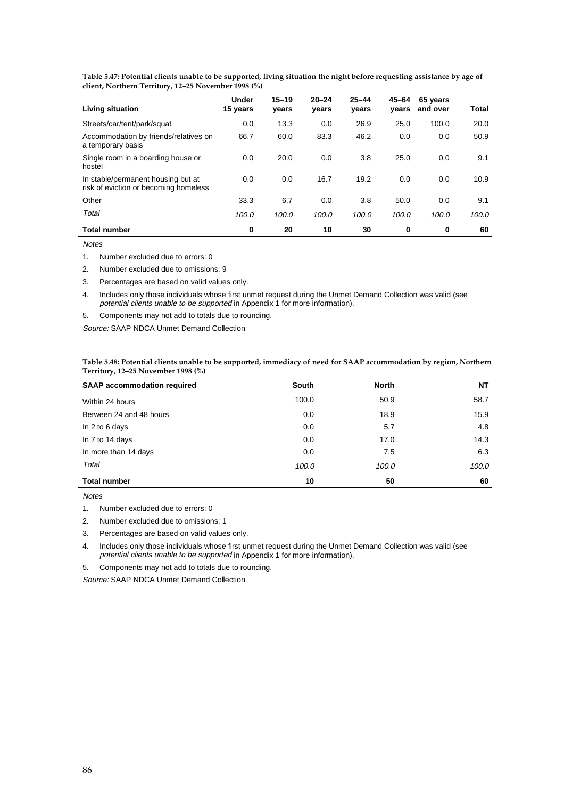| <b>Living situation</b>                                                     | <b>Under</b><br>15 years | $15 - 19$<br>vears | $20 - 24$<br>years | $25 - 44$<br>vears | $45 - 64$<br>vears | 65 years<br>and over | Total |
|-----------------------------------------------------------------------------|--------------------------|--------------------|--------------------|--------------------|--------------------|----------------------|-------|
| Streets/car/tent/park/squat                                                 | 0.0                      | 13.3               | 0.0                | 26.9               | 25.0               | 100.0                | 20.0  |
| Accommodation by friends/relatives on<br>a temporary basis                  | 66.7                     | 60.0               | 83.3               | 46.2               | 0.0                | 0.0                  | 50.9  |
| Single room in a boarding house or<br>hostel                                | 0.0                      | 20.0               | 0.0                | 3.8                | 25.0               | 0.0                  | 9.1   |
| In stable/permanent housing but at<br>risk of eviction or becoming homeless | 0.0                      | 0.0                | 16.7               | 19.2               | 0.0                | 0.0                  | 10.9  |
| Other                                                                       | 33.3                     | 6.7                | 0.0                | 3.8                | 50.0               | 0.0                  | 9.1   |
| Total                                                                       | 100.0                    | 100.0              | 100.0              | 100.0              | 100.0              | 100.0                | 100.0 |
| <b>Total number</b>                                                         | $\bf{0}$                 | 20                 | 10                 | 30                 | $\bf{0}$           | 0                    | 60    |

**Table 5.47: Potential clients unable to be supported, living situation the night before requesting assistance by age of client, Northern Territory, 12–25 November 1998 (%)**

**Notes** 

1. Number excluded due to errors: 0

2. Number excluded due to omissions: 9

3. Percentages are based on valid values only.

4. Includes only those individuals whose first unmet request during the Unmet Demand Collection was valid (see potential clients unable to be supported in Appendix 1 for more information).

5. Components may not add to totals due to rounding.

Source: SAAP NDCA Unmet Demand Collection

**Table 5.48: Potential clients unable to be supported, immediacy of need for SAAP accommodation by region, Northern Territory, 12–25 November 1998 (%)**

| <b>SAAP accommodation required</b> | <b>South</b> | <b>North</b> | <b>NT</b> |
|------------------------------------|--------------|--------------|-----------|
| Within 24 hours                    | 100.0        | 50.9         | 58.7      |
| Between 24 and 48 hours            | 0.0          | 18.9         | 15.9      |
| In 2 to 6 days                     | 0.0          | 5.7          | 4.8       |
| In 7 to 14 days                    | 0.0          | 17.0         | 14.3      |
| In more than 14 days               | 0.0          | 7.5          | 6.3       |
| Total                              | 100.0        | 100.0        | 100.0     |
| <b>Total number</b>                | 10           | 50           | 60        |

**Notes** 

1. Number excluded due to errors: 0

2. Number excluded due to omissions: 1

3. Percentages are based on valid values only.

4. Includes only those individuals whose first unmet request during the Unmet Demand Collection was valid (see potential clients unable to be supported in Appendix 1 for more information).

5. Components may not add to totals due to rounding.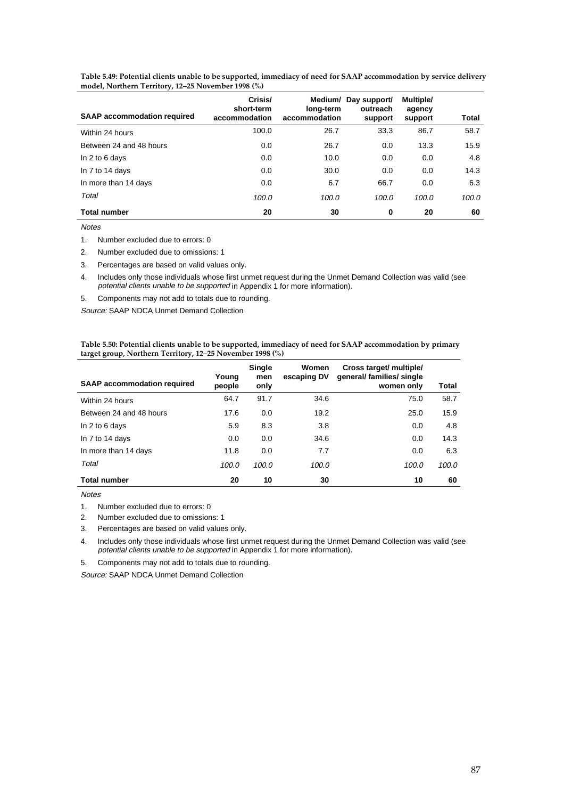| .                                  |                                        |                            |                                             |                                |       |  |  |  |
|------------------------------------|----------------------------------------|----------------------------|---------------------------------------------|--------------------------------|-------|--|--|--|
| <b>SAAP accommodation required</b> | Crisis/<br>short-term<br>accommodation | long-term<br>accommodation | Medium/ Day support/<br>outreach<br>support | Multiple/<br>agency<br>support | Total |  |  |  |
| Within 24 hours                    | 100.0                                  | 26.7                       | 33.3                                        | 86.7                           | 58.7  |  |  |  |
| Between 24 and 48 hours            | 0.0                                    | 26.7                       | 0.0                                         | 13.3                           | 15.9  |  |  |  |
| In 2 to 6 days                     | 0.0                                    | 10.0                       | 0.0                                         | 0.0                            | 4.8   |  |  |  |
| In 7 to 14 days                    | 0.0                                    | 30.0                       | 0.0                                         | 0.0                            | 14.3  |  |  |  |
| In more than 14 days               | 0.0                                    | 6.7                        | 66.7                                        | 0.0                            | 6.3   |  |  |  |
| Total                              | 100.0                                  | 100.0                      | 100.0                                       | 100.0                          | 100.0 |  |  |  |
| <b>Total number</b>                | 20                                     | 30                         | 0                                           | 20                             | 60    |  |  |  |

**Table 5.49: Potential clients unable to be supported, immediacy of need for SAAP accommodation by service delivery model, Northern Territory, 12–25 November 1998 (%)**

Notes

1. Number excluded due to errors: 0

2. Number excluded due to omissions: 1

3. Percentages are based on valid values only.

4. Includes only those individuals whose first unmet request during the Unmet Demand Collection was valid (see potential clients unable to be supported in Appendix 1 for more information).

5. Components may not add to totals due to rounding.

Source: SAAP NDCA Unmet Demand Collection

**Table 5.50: Potential clients unable to be supported, immediacy of need for SAAP accommodation by primary target group, Northern Territory, 12–25 November 1998 (%)**

| <b>SAAP accommodation required</b> | Youna<br>people | Single<br>men<br>only | Women<br>escaping DV | Cross target/ multiple/<br>general/ families/ single<br>women only | Total |
|------------------------------------|-----------------|-----------------------|----------------------|--------------------------------------------------------------------|-------|
| Within 24 hours                    | 64.7            | 91.7                  | 34.6                 | 75.0                                                               | 58.7  |
| Between 24 and 48 hours            | 17.6            | 0.0                   | 19.2                 | 25.0                                                               | 15.9  |
| In 2 to 6 days                     | 5.9             | 8.3                   | 3.8                  | 0.0                                                                | 4.8   |
| In 7 to 14 days                    | 0.0             | 0.0                   | 34.6                 | 0.0                                                                | 14.3  |
| In more than 14 days               | 11.8            | 0.0                   | 7.7                  | 0.0                                                                | 6.3   |
| Total                              | 100.0           | 100.0                 | 100.0                | 100.0                                                              | 100.0 |
| <b>Total number</b>                | 20              | 10                    | 30                   | 10                                                                 | 60    |

**Notes** 

1. Number excluded due to errors: 0

2. Number excluded due to omissions: 1

3. Percentages are based on valid values only.

4. Includes only those individuals whose first unmet request during the Unmet Demand Collection was valid (see potential clients unable to be supported in Appendix 1 for more information).

5. Components may not add to totals due to rounding.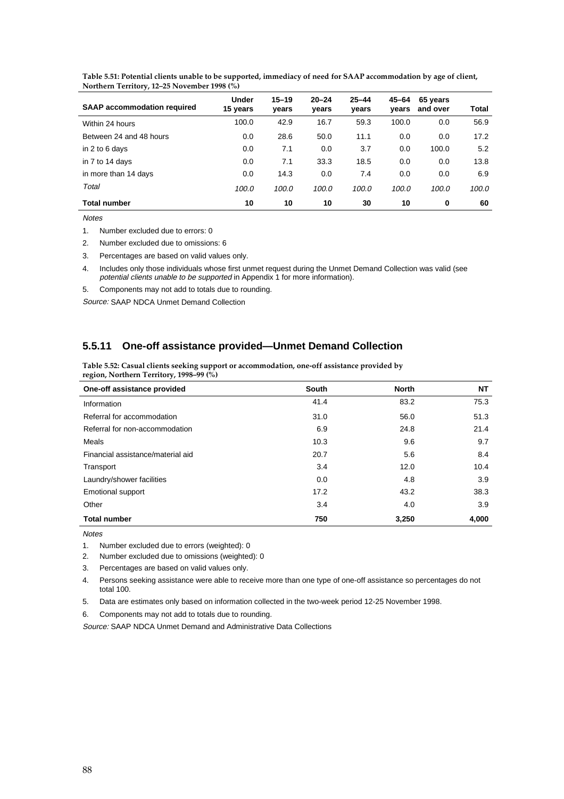| <b>SAAP accommodation required</b> | <b>Under</b><br>15 years | $15 - 19$<br>years | $20 - 24$<br>years | $25 - 44$<br>vears | $45 - 64$<br>vears | 65 years<br>and over | Total |
|------------------------------------|--------------------------|--------------------|--------------------|--------------------|--------------------|----------------------|-------|
| Within 24 hours                    | 100.0                    | 42.9               | 16.7               | 59.3               | 100.0              | 0.0                  | 56.9  |
| Between 24 and 48 hours            | 0.0                      | 28.6               | 50.0               | 11.1               | 0.0                | 0.0                  | 17.2  |
| in 2 to 6 days                     | 0.0                      | 7.1                | 0.0                | 3.7                | 0.0                | 100.0                | 5.2   |
| in 7 to 14 days                    | 0.0                      | 7.1                | 33.3               | 18.5               | 0.0                | 0.0                  | 13.8  |
| in more than 14 days               | 0.0                      | 14.3               | 0.0                | 7.4                | 0.0                | 0.0                  | 6.9   |
| Total                              | 100.0                    | 100.0              | 100.0              | 100.0              | 100.0              | 100.0                | 100.0 |
| <b>Total number</b>                | 10                       | 10                 | 10                 | 30                 | 10                 | 0                    | 60    |

**Table 5.51: Potential clients unable to be supported, immediacy of need for SAAP accommodation by age of client, Northern Territory, 12–25 November 1998 (%)**

**Notes** 

- 1. Number excluded due to errors: 0
- 2. Number excluded due to omissions: 6
- 3. Percentages are based on valid values only.

4. Includes only those individuals whose first unmet request during the Unmet Demand Collection was valid (see potential clients unable to be supported in Appendix 1 for more information).

5. Components may not add to totals due to rounding.

Source: SAAP NDCA Unmet Demand Collection

## **5.5.11 One-off assistance provided—Unmet Demand Collection**

**Table 5.52: Casual clients seeking support or accommodation, one-off assistance provided by region, Northern Territory, 1998–99 (%)**

| One-off assistance provided       | South | <b>North</b> | <b>NT</b> |
|-----------------------------------|-------|--------------|-----------|
| Information                       | 41.4  | 83.2         | 75.3      |
| Referral for accommodation        | 31.0  | 56.0         | 51.3      |
| Referral for non-accommodation    | 6.9   | 24.8         | 21.4      |
| Meals                             | 10.3  | 9.6          | 9.7       |
| Financial assistance/material aid | 20.7  | 5.6          | 8.4       |
| Transport                         | 3.4   | 12.0         | 10.4      |
| Laundry/shower facilities         | 0.0   | 4.8          | 3.9       |
| <b>Emotional support</b>          | 17.2  | 43.2         | 38.3      |
| Other                             | 3.4   | 4.0          | 3.9       |
| <b>Total number</b>               | 750   | 3,250        | 4.000     |

**Notes** 

1. Number excluded due to errors (weighted): 0

2. Number excluded due to omissions (weighted): 0

3. Percentages are based on valid values only.

4. Persons seeking assistance were able to receive more than one type of one-off assistance so percentages do not total 100.

5. Data are estimates only based on information collected in the two-week period 12-25 November 1998.

6. Components may not add to totals due to rounding.

Source: SAAP NDCA Unmet Demand and Administrative Data Collections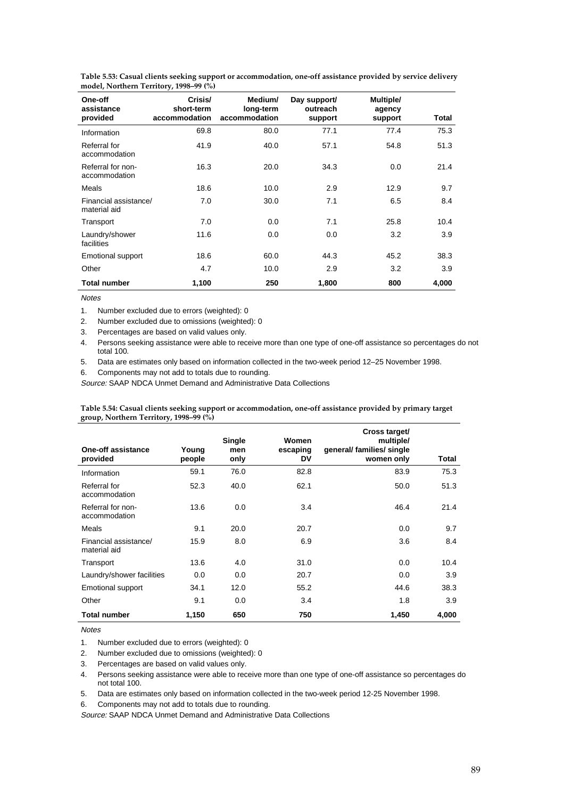| One-off<br>assistance<br>provided     | Crisis/<br>short-term<br>accommodation | Medium/<br>long-term<br>accommodation | Day support/<br>outreach<br>support | Multiple/<br>agency<br>support | Total |
|---------------------------------------|----------------------------------------|---------------------------------------|-------------------------------------|--------------------------------|-------|
| Information                           | 69.8                                   | 80.0                                  | 77.1                                | 77.4                           | 75.3  |
| Referral for<br>accommodation         | 41.9                                   | 40.0                                  | 57.1                                | 54.8                           | 51.3  |
| Referral for non-<br>accommodation    | 16.3                                   | 20.0                                  | 34.3                                | 0.0                            | 21.4  |
| Meals                                 | 18.6                                   | 10.0                                  | 2.9                                 | 12.9                           | 9.7   |
| Financial assistance/<br>material aid | 7.0                                    | 30.0                                  | 7.1                                 | 6.5                            | 8.4   |
| Transport                             | 7.0                                    | 0.0                                   | 7.1                                 | 25.8                           | 10.4  |
| Laundry/shower<br>facilities          | 11.6                                   | 0.0                                   | 0.0                                 | 3.2                            | 3.9   |
| Emotional support                     | 18.6                                   | 60.0                                  | 44.3                                | 45.2                           | 38.3  |
| Other                                 | 4.7                                    | 10.0                                  | 2.9                                 | 3.2                            | 3.9   |
| <b>Total number</b>                   | 1,100                                  | 250                                   | 1,800                               | 800                            | 4,000 |

**Table 5.53: Casual clients seeking support or accommodation, one-off assistance provided by service delivery model, Northern Territory, 1998–99 (%)**

Notes

1. Number excluded due to errors (weighted): 0

2. Number excluded due to omissions (weighted): 0

3. Percentages are based on valid values only.

4. Persons seeking assistance were able to receive more than one type of one-off assistance so percentages do not total 100.

5. Data are estimates only based on information collected in the two-week period 12–25 November 1998.

6. Components may not add to totals due to rounding.

Source: SAAP NDCA Unmet Demand and Administrative Data Collections

**Table 5.54: Casual clients seeking support or accommodation, one-off assistance provided by primary target group, Northern Territory, 1998–99 (%)**

| One-off assistance<br>provided        | Young<br>people | Single<br>men<br>only | Women<br>escaping<br>DV | Cross target/<br>multiple/<br>general/ families/ single<br>women only | Total |
|---------------------------------------|-----------------|-----------------------|-------------------------|-----------------------------------------------------------------------|-------|
| Information                           | 59.1            | 76.0                  | 82.8                    | 83.9                                                                  | 75.3  |
| Referral for<br>accommodation         | 52.3            | 40.0                  | 62.1                    | 50.0                                                                  | 51.3  |
| Referral for non-<br>accommodation    | 13.6            | 0.0                   | 3.4                     | 46.4                                                                  | 21.4  |
| Meals                                 | 9.1             | 20.0                  | 20.7                    | 0.0                                                                   | 9.7   |
| Financial assistance/<br>material aid | 15.9            | 8.0                   | 6.9                     | 3.6                                                                   | 8.4   |
| Transport                             | 13.6            | 4.0                   | 31.0                    | 0.0                                                                   | 10.4  |
| Laundry/shower facilities             | 0.0             | 0.0                   | 20.7                    | 0.0                                                                   | 3.9   |
| <b>Emotional support</b>              | 34.1            | 12.0                  | 55.2                    | 44.6                                                                  | 38.3  |
| Other                                 | 9.1             | 0.0                   | 3.4                     | 1.8                                                                   | 3.9   |
| <b>Total number</b>                   | 1,150           | 650                   | 750                     | 1,450                                                                 | 4,000 |

Notes

1. Number excluded due to errors (weighted): 0

2. Number excluded due to omissions (weighted): 0

3. Percentages are based on valid values only.

4. Persons seeking assistance were able to receive more than one type of one-off assistance so percentages do not total 100.

5. Data are estimates only based on information collected in the two-week period 12-25 November 1998.

6. Components may not add to totals due to rounding.

Source: SAAP NDCA Unmet Demand and Administrative Data Collections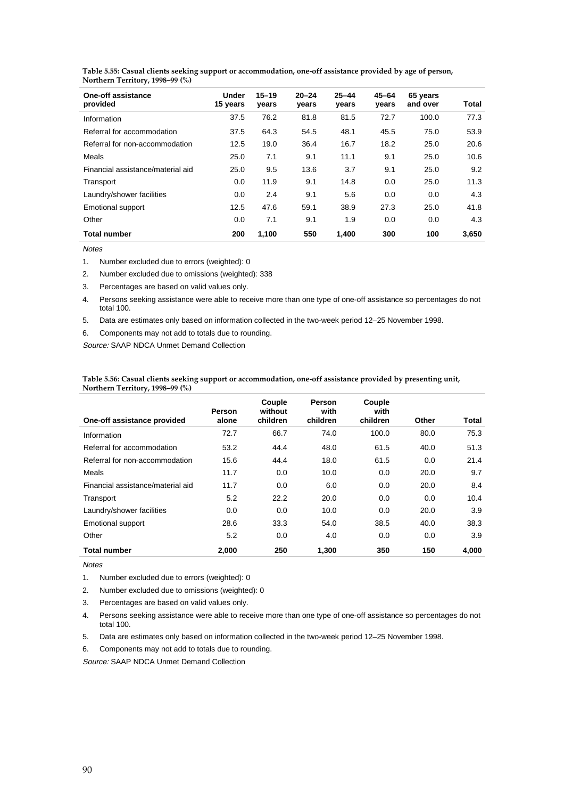| Table 5.55: Casual clients seeking support or accommodation, one-off assistance provided by age of person, |  |
|------------------------------------------------------------------------------------------------------------|--|
| Northern Territory, 1998–99 (%)                                                                            |  |

| One-off assistance<br>provided    | <b>Under</b><br>15 years | $15 - 19$<br>years | $20 - 24$<br>years | $25 - 44$<br>years | $45 - 64$<br>vears | 65 years<br>and over | Total |
|-----------------------------------|--------------------------|--------------------|--------------------|--------------------|--------------------|----------------------|-------|
| Information                       | 37.5                     | 76.2               | 81.8               | 81.5               | 72.7               | 100.0                | 77.3  |
| Referral for accommodation        | 37.5                     | 64.3               | 54.5               | 48.1               | 45.5               | 75.0                 | 53.9  |
| Referral for non-accommodation    | 12.5                     | 19.0               | 36.4               | 16.7               | 18.2               | 25.0                 | 20.6  |
| Meals                             | 25.0                     | 7.1                | 9.1                | 11.1               | 9.1                | 25.0                 | 10.6  |
| Financial assistance/material aid | 25.0                     | 9.5                | 13.6               | 3.7                | 9.1                | 25.0                 | 9.2   |
| Transport                         | 0.0                      | 11.9               | 9.1                | 14.8               | 0.0                | 25.0                 | 11.3  |
| Laundry/shower facilities         | 0.0                      | 2.4                | 9.1                | 5.6                | 0.0                | 0.0                  | 4.3   |
| <b>Emotional support</b>          | 12.5                     | 47.6               | 59.1               | 38.9               | 27.3               | 25.0                 | 41.8  |
| Other                             | 0.0                      | 7.1                | 9.1                | 1.9                | 0.0                | 0.0                  | 4.3   |
| <b>Total number</b>               | 200                      | 1,100              | 550                | 1.400              | 300                | 100                  | 3.650 |

1. Number excluded due to errors (weighted): 0

2. Number excluded due to omissions (weighted): 338

3. Percentages are based on valid values only.

4. Persons seeking assistance were able to receive more than one type of one-off assistance so percentages do not total 100.

5. Data are estimates only based on information collected in the two-week period 12–25 November 1998.

6. Components may not add to totals due to rounding.

Source: SAAP NDCA Unmet Demand Collection

| Table 5.56: Casual clients seeking support or accommodation, one-off assistance provided by presenting unit, |  |
|--------------------------------------------------------------------------------------------------------------|--|
| Northern Territory, 1998–99 (%)                                                                              |  |

|                                   | Person | Couple<br>without | Person<br>with | Couple<br>with |       |       |
|-----------------------------------|--------|-------------------|----------------|----------------|-------|-------|
| One-off assistance provided       | alone  | children          | children       | children       | Other | Total |
| Information                       | 72.7   | 66.7              | 74.0           | 100.0          | 80.0  | 75.3  |
| Referral for accommodation        | 53.2   | 44.4              | 48.0           | 61.5           | 40.0  | 51.3  |
| Referral for non-accommodation    | 15.6   | 44.4              | 18.0           | 61.5           | 0.0   | 21.4  |
| Meals                             | 11.7   | 0.0               | 10.0           | 0.0            | 20.0  | 9.7   |
| Financial assistance/material aid | 11.7   | 0.0               | 6.0            | 0.0            | 20.0  | 8.4   |
| Transport                         | 5.2    | 22.2              | 20.0           | 0.0            | 0.0   | 10.4  |
| Laundry/shower facilities         | 0.0    | 0.0               | 10.0           | 0.0            | 20.0  | 3.9   |
| <b>Emotional support</b>          | 28.6   | 33.3              | 54.0           | 38.5           | 40.0  | 38.3  |
| Other                             | 5.2    | 0.0               | 4.0            | 0.0            | 0.0   | 3.9   |
| <b>Total number</b>               | 2.000  | 250               | 1.300          | 350            | 150   | 4.000 |

#### Notes

1. Number excluded due to errors (weighted): 0

2. Number excluded due to omissions (weighted): 0

- 3. Percentages are based on valid values only.
- 4. Persons seeking assistance were able to receive more than one type of one-off assistance so percentages do not total 100.
- 5. Data are estimates only based on information collected in the two-week period 12–25 November 1998.

6. Components may not add to totals due to rounding.

Source: SAAP NDCA Unmet Demand Collection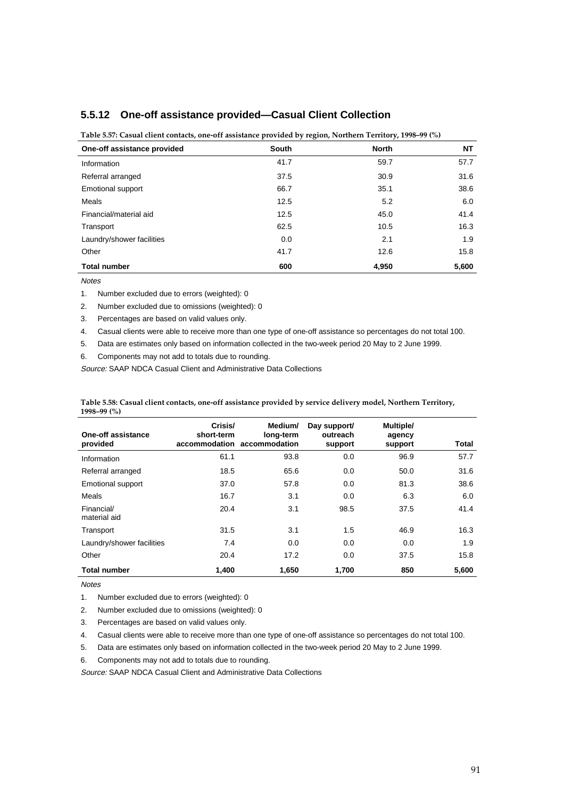| Table 5.57: Casual client contacts, one-off assistance provided by region, Northern Territory, 1998–99 (%) |       |              |       |  |  |  |
|------------------------------------------------------------------------------------------------------------|-------|--------------|-------|--|--|--|
| One-off assistance provided                                                                                | South | <b>North</b> | NT    |  |  |  |
| Information                                                                                                | 41.7  | 59.7         | 57.7  |  |  |  |
| Referral arranged                                                                                          | 37.5  | 30.9         | 31.6  |  |  |  |
| <b>Emotional support</b>                                                                                   | 66.7  | 35.1         | 38.6  |  |  |  |
| Meals                                                                                                      | 12.5  | 5.2          | 6.0   |  |  |  |
| Financial/material aid                                                                                     | 12.5  | 45.0         | 41.4  |  |  |  |
| Transport                                                                                                  | 62.5  | 10.5         | 16.3  |  |  |  |
| Laundry/shower facilities                                                                                  | 0.0   | 2.1          | 1.9   |  |  |  |
| Other                                                                                                      | 41.7  | 12.6         | 15.8  |  |  |  |
| <b>Total number</b>                                                                                        | 600   | 4.950        | 5,600 |  |  |  |

#### **5.5.12 One-off assistance provided—Casual Client Collection**

**Notes** 

1. Number excluded due to errors (weighted): 0

2. Number excluded due to omissions (weighted): 0

3. Percentages are based on valid values only.

4. Casual clients were able to receive more than one type of one-off assistance so percentages do not total 100.

5. Data are estimates only based on information collected in the two-week period 20 May to 2 June 1999.

6. Components may not add to totals due to rounding.

Source: SAAP NDCA Casual Client and Administrative Data Collections

| Table 5.58: Casual client contacts, one-off assistance provided by service delivery model, Northern Territory, |  |
|----------------------------------------------------------------------------------------------------------------|--|
| 1998–99 $(\%)$                                                                                                 |  |

| One-off assistance<br>provided | Crisis/<br>short-term<br>accommodation accommodation | Medium/<br>long-term | Day support/<br>outreach<br>support | Multiple/<br>agency<br>support | Total |
|--------------------------------|------------------------------------------------------|----------------------|-------------------------------------|--------------------------------|-------|
| Information                    | 61.1                                                 | 93.8                 | 0.0                                 | 96.9                           | 57.7  |
| Referral arranged              | 18.5                                                 | 65.6                 | 0.0                                 | 50.0                           | 31.6  |
| <b>Emotional support</b>       | 37.0                                                 | 57.8                 | 0.0                                 | 81.3                           | 38.6  |
| Meals                          | 16.7                                                 | 3.1                  | 0.0                                 | 6.3                            | 6.0   |
| Financial/<br>material aid     | 20.4                                                 | 3.1                  | 98.5                                | 37.5                           | 41.4  |
| Transport                      | 31.5                                                 | 3.1                  | 1.5                                 | 46.9                           | 16.3  |
| Laundry/shower facilities      | 7.4                                                  | 0.0                  | 0.0                                 | 0.0                            | 1.9   |
| Other                          | 20.4                                                 | 17.2                 | 0.0                                 | 37.5                           | 15.8  |
| <b>Total number</b>            | 1.400                                                | 1,650                | 1,700                               | 850                            | 5,600 |

**Notes** 

1. Number excluded due to errors (weighted): 0

2. Number excluded due to omissions (weighted): 0

3. Percentages are based on valid values only.

4. Casual clients were able to receive more than one type of one-off assistance so percentages do not total 100.

5. Data are estimates only based on information collected in the two-week period 20 May to 2 June 1999.

6. Components may not add to totals due to rounding.

Source: SAAP NDCA Casual Client and Administrative Data Collections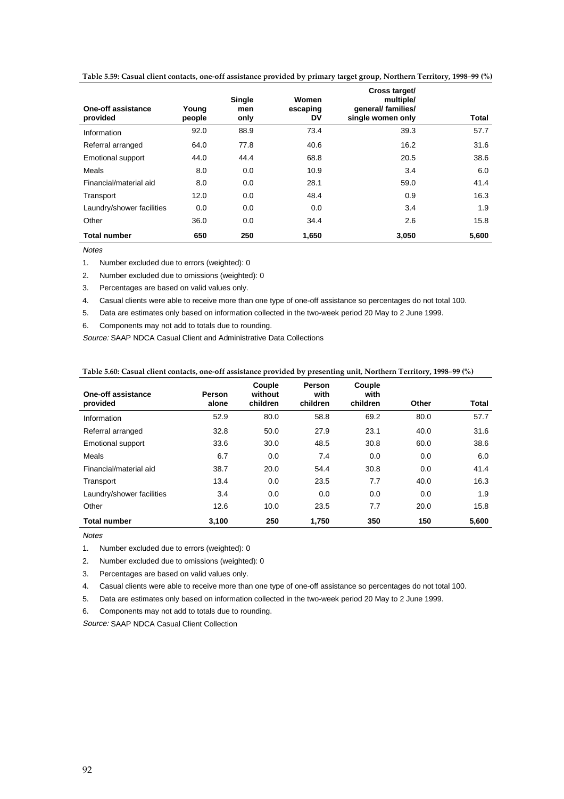| Table 5.59: Casual client contacts, one-off assistance provided by primary target group, Northern Territory, 1998-99 (%) |  |  |  |
|--------------------------------------------------------------------------------------------------------------------------|--|--|--|
|--------------------------------------------------------------------------------------------------------------------------|--|--|--|

| One-off assistance<br>provided | Young<br>people | Single<br>men<br>only | Women<br>escaping<br>DV | Cross target/<br>multiple/<br>qeneral/ families/<br>single women only | Total |
|--------------------------------|-----------------|-----------------------|-------------------------|-----------------------------------------------------------------------|-------|
| Information                    | 92.0            | 88.9                  | 73.4                    | 39.3                                                                  | 57.7  |
| Referral arranged              | 64.0            | 77.8                  | 40.6                    | 16.2                                                                  | 31.6  |
| <b>Emotional support</b>       | 44.0            | 44.4                  | 68.8                    | 20.5                                                                  | 38.6  |
| Meals                          | 8.0             | 0.0                   | 10.9                    | 3.4                                                                   | 6.0   |
| Financial/material aid         | 8.0             | 0.0                   | 28.1                    | 59.0                                                                  | 41.4  |
| Transport                      | 12.0            | 0.0                   | 48.4                    | 0.9                                                                   | 16.3  |
| Laundry/shower facilities      | 0.0             | 0.0                   | 0.0                     | 3.4                                                                   | 1.9   |
| Other                          | 36.0            | 0.0                   | 34.4                    | 2.6                                                                   | 15.8  |
| <b>Total number</b>            | 650             | 250                   | 1,650                   | 3,050                                                                 | 5,600 |

1. Number excluded due to errors (weighted): 0

2. Number excluded due to omissions (weighted): 0

3. Percentages are based on valid values only.

4. Casual clients were able to receive more than one type of one-off assistance so percentages do not total 100.

5. Data are estimates only based on information collected in the two-week period 20 May to 2 June 1999.

6. Components may not add to totals due to rounding.

Source: SAAP NDCA Casual Client and Administrative Data Collections

|                                |                 | . .                           | . .                        | ັ                          |       |       |
|--------------------------------|-----------------|-------------------------------|----------------------------|----------------------------|-------|-------|
| One-off assistance<br>provided | Person<br>alone | Couple<br>without<br>children | Person<br>with<br>children | Couple<br>with<br>children | Other | Total |
| Information                    | 52.9            | 80.0                          | 58.8                       | 69.2                       | 80.0  | 57.7  |
| Referral arranged              | 32.8            | 50.0                          | 27.9                       | 23.1                       | 40.0  | 31.6  |
| <b>Emotional support</b>       | 33.6            | 30.0                          | 48.5                       | 30.8                       | 60.0  | 38.6  |
| Meals                          | 6.7             | 0.0                           | 7.4                        | 0.0                        | 0.0   | 6.0   |
| Financial/material aid         | 38.7            | 20.0                          | 54.4                       | 30.8                       | 0.0   | 41.4  |
| Transport                      | 13.4            | 0.0                           | 23.5                       | 7.7                        | 40.0  | 16.3  |
| Laundry/shower facilities      | 3.4             | 0.0                           | 0.0                        | 0.0                        | 0.0   | 1.9   |
| Other                          | 12.6            | 10.0                          | 23.5                       | 7.7                        | 20.0  | 15.8  |
| <b>Total number</b>            | 3,100           | 250                           | 1,750                      | 350                        | 150   | 5,600 |

**Table 5.60: Casual client contacts, one-off assistance provided by presenting unit, Northern Territory, 1998–99 (%)**

Notes

1. Number excluded due to errors (weighted): 0

2. Number excluded due to omissions (weighted): 0

3. Percentages are based on valid values only.

4. Casual clients were able to receive more than one type of one-off assistance so percentages do not total 100.

5. Data are estimates only based on information collected in the two-week period 20 May to 2 June 1999.

6. Components may not add to totals due to rounding.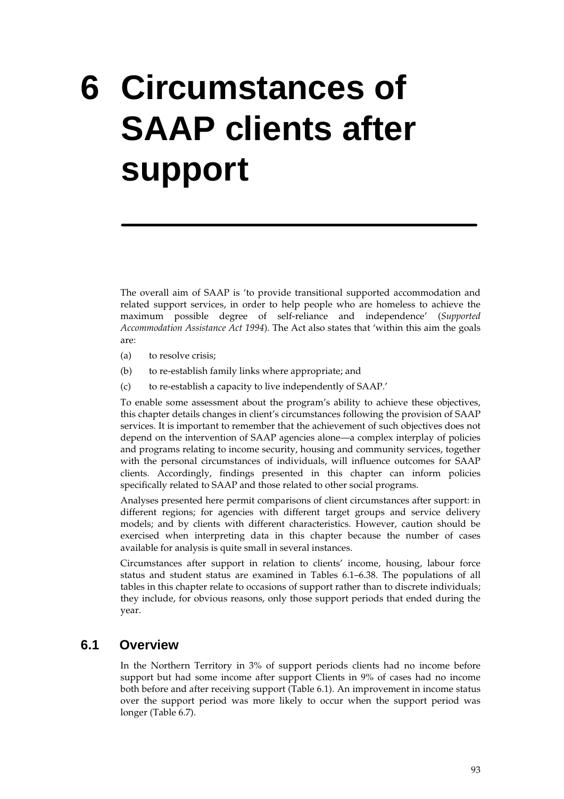## **6 Circumstances of SAAP clients after support**

The overall aim of SAAP is 'to provide transitional supported accommodation and related support services, in order to help people who are homeless to achieve the maximum possible degree of self-reliance and independence' (*Supported Accommodation Assistance Act 1994*). The Act also states that 'within this aim the goals are:

- (a) to resolve crisis;
- (b) to re-establish family links where appropriate; and
- (c) to re-establish a capacity to live independently of SAAP.'

To enable some assessment about the program's ability to achieve these objectives, this chapter details changes in client's circumstances following the provision of SAAP services. It is important to remember that the achievement of such objectives does not depend on the intervention of SAAP agencies alone—a complex interplay of policies and programs relating to income security, housing and community services, together with the personal circumstances of individuals, will influence outcomes for SAAP clients. Accordingly, findings presented in this chapter can inform policies specifically related to SAAP and those related to other social programs.

Analyses presented here permit comparisons of client circumstances after support: in different regions; for agencies with different target groups and service delivery models; and by clients with different characteristics. However, caution should be exercised when interpreting data in this chapter because the number of cases available for analysis is quite small in several instances.

Circumstances after support in relation to clients' income, housing, labour force status and student status are examined in Tables 6.1–6.38. The populations of all tables in this chapter relate to occasions of support rather than to discrete individuals; they include, for obvious reasons, only those support periods that ended during the year.

### **6.1 Overview**

In the Northern Territory in 3% of support periods clients had no income before support but had some income after support Clients in 9% of cases had no income both before and after receiving support (Table 6.1). An improvement in income status over the support period was more likely to occur when the support period was longer (Table 6.7).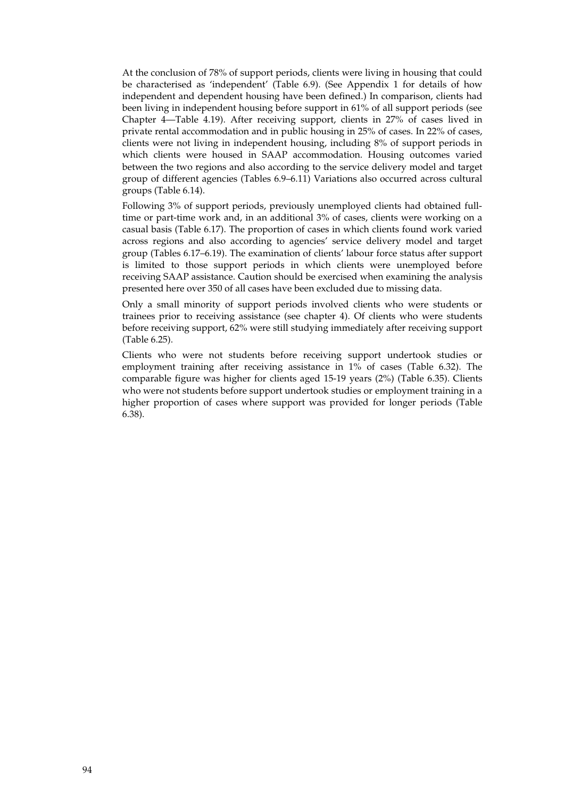At the conclusion of 78% of support periods, clients were living in housing that could be characterised as 'independent' (Table 6.9). (See Appendix 1 for details of how independent and dependent housing have been defined.) In comparison, clients had been living in independent housing before support in 61% of all support periods (see Chapter 4—Table 4.19). After receiving support, clients in 27% of cases lived in private rental accommodation and in public housing in 25% of cases. In 22% of cases, clients were not living in independent housing, including 8% of support periods in which clients were housed in SAAP accommodation. Housing outcomes varied between the two regions and also according to the service delivery model and target group of different agencies (Tables 6.9–6.11) Variations also occurred across cultural groups (Table 6.14).

Following 3% of support periods, previously unemployed clients had obtained fulltime or part-time work and, in an additional 3% of cases, clients were working on a casual basis (Table 6.17). The proportion of cases in which clients found work varied across regions and also according to agencies' service delivery model and target group (Tables 6.17–6.19). The examination of clients' labour force status after support is limited to those support periods in which clients were unemployed before receiving SAAP assistance. Caution should be exercised when examining the analysis presented here over 350 of all cases have been excluded due to missing data.

Only a small minority of support periods involved clients who were students or trainees prior to receiving assistance (see chapter 4). Of clients who were students before receiving support, 62% were still studying immediately after receiving support (Table 6.25).

Clients who were not students before receiving support undertook studies or employment training after receiving assistance in 1% of cases (Table 6.32). The comparable figure was higher for clients aged 15-19 years (2%) (Table 6.35). Clients who were not students before support undertook studies or employment training in a higher proportion of cases where support was provided for longer periods (Table 6.38).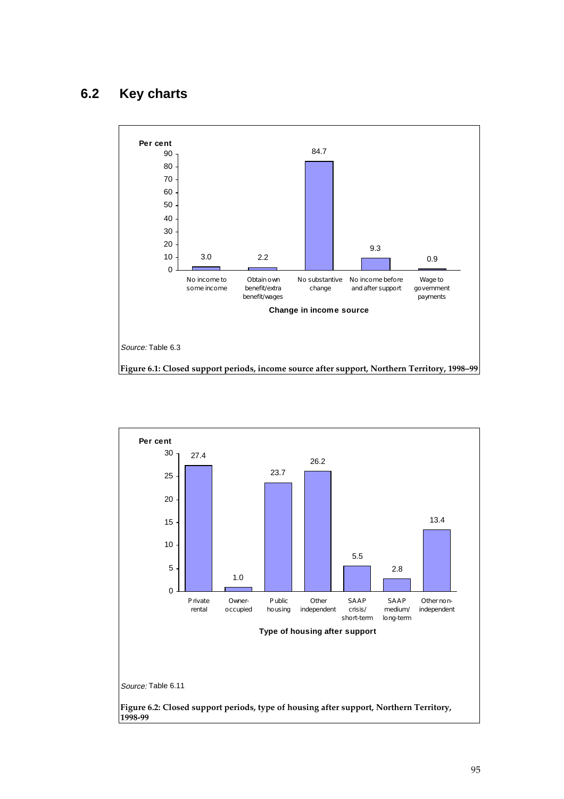## **6.2 Key charts**



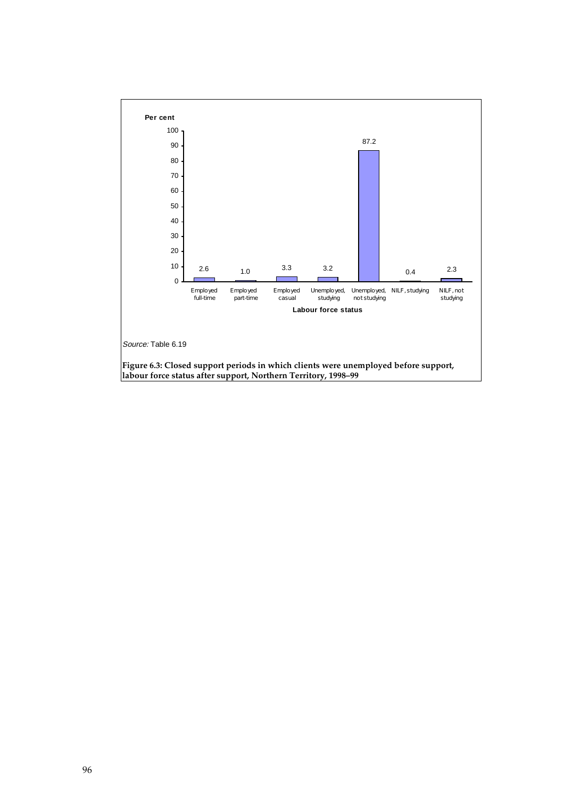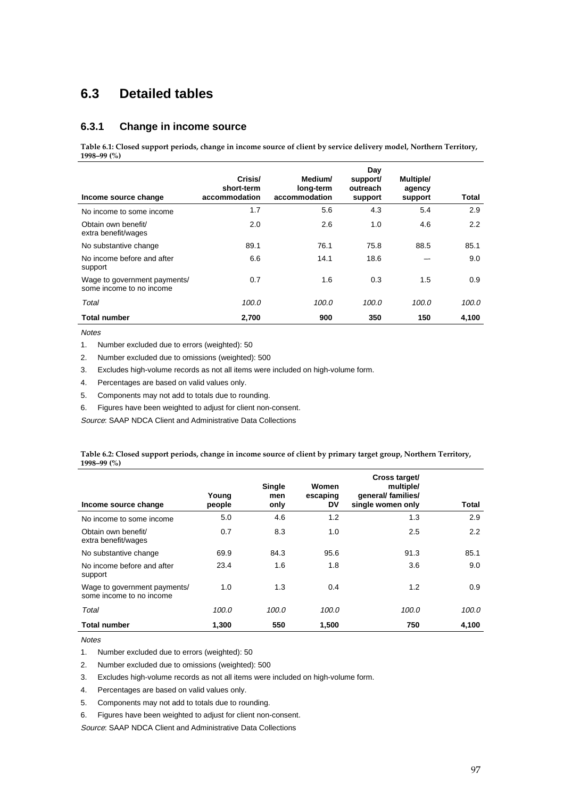## **6.3 Detailed tables**

#### **6.3.1 Change in income source**

**Table 6.1: Closed support periods, change in income source of client by service delivery model, Northern Territory, 1998–99 (%)**

| Income source change                                     | Crisis/<br>short-term<br>accommodation | Medium/<br>long-term<br>accommodation | Day<br>support/<br>outreach<br>support | Multiple/<br>agency<br>support | Total |
|----------------------------------------------------------|----------------------------------------|---------------------------------------|----------------------------------------|--------------------------------|-------|
| No income to some income                                 | 1.7                                    | 5.6                                   | 4.3                                    | 5.4                            | 2.9   |
| Obtain own benefit/<br>extra benefit/wages               | 2.0                                    | 2.6                                   | 1.0                                    | 4.6                            | 2.2   |
| No substantive change                                    | 89.1                                   | 76.1                                  | 75.8                                   | 88.5                           | 85.1  |
| No income before and after<br>support                    | 6.6                                    | 14.1                                  | 18.6                                   |                                | 9.0   |
| Wage to government payments/<br>some income to no income | 0.7                                    | 1.6                                   | 0.3                                    | 1.5                            | 0.9   |
| Total                                                    | 100.0                                  | 100.0                                 | 100.0                                  | 100.0                          | 100.0 |
| <b>Total number</b>                                      | 2,700                                  | 900                                   | 350                                    | 150                            | 4,100 |

**Notes** 

1. Number excluded due to errors (weighted): 50

2. Number excluded due to omissions (weighted): 500

3. Excludes high-volume records as not all items were included on high-volume form.

4. Percentages are based on valid values only.

5. Components may not add to totals due to rounding.

6. Figures have been weighted to adjust for client non-consent.

Source: SAAP NDCA Client and Administrative Data Collections

**Table 6.2: Closed support periods, change in income source of client by primary target group, Northern Territory, 1998–99 (%)**

| Income source change                                     | Young<br>people | Single<br>men<br>only | Women<br>escaping<br>DV | Cross target/<br>multiple/<br>qeneral/ families/<br>single women only | Total |
|----------------------------------------------------------|-----------------|-----------------------|-------------------------|-----------------------------------------------------------------------|-------|
| No income to some income                                 | 5.0             | 4.6                   | 1.2                     | 1.3                                                                   | 2.9   |
| Obtain own benefit/<br>extra benefit/wages               | 0.7             | 8.3                   | 1.0                     | 2.5                                                                   | 2.2   |
| No substantive change                                    | 69.9            | 84.3                  | 95.6                    | 91.3                                                                  | 85.1  |
| No income before and after<br>support                    | 23.4            | 1.6                   | 1.8                     | 3.6                                                                   | 9.0   |
| Wage to government payments/<br>some income to no income | 1.0             | 1.3                   | 0.4                     | 1.2                                                                   | 0.9   |
| Total                                                    | 100.0           | 100.0                 | 100.0                   | 100.0                                                                 | 100.0 |
| <b>Total number</b>                                      | 1,300           | 550                   | 1,500                   | 750                                                                   | 4,100 |

**Notes** 

1. Number excluded due to errors (weighted): 50

- 2. Number excluded due to omissions (weighted): 500
- 3. Excludes high-volume records as not all items were included on high-volume form.
- 4. Percentages are based on valid values only.
- 5. Components may not add to totals due to rounding.
- 6. Figures have been weighted to adjust for client non-consent.

Source: SAAP NDCA Client and Administrative Data Collections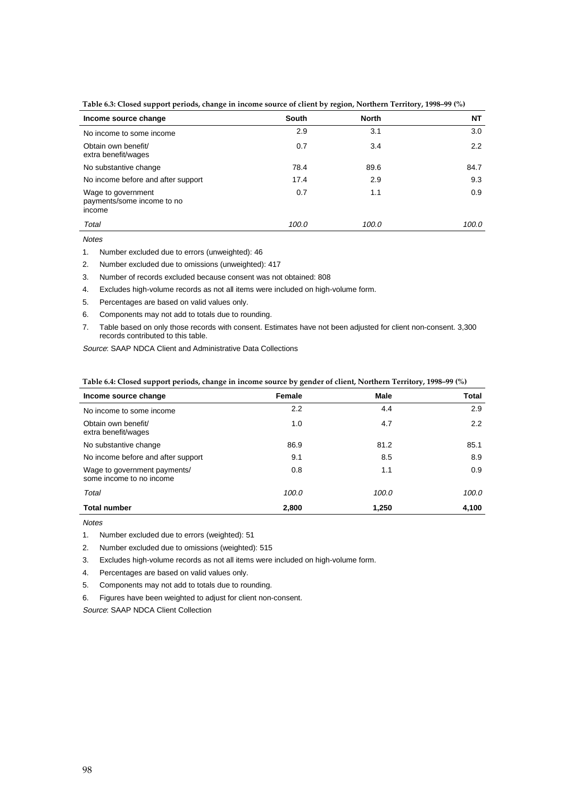| Income source change                                       | South | <b>North</b> | NΤ    |
|------------------------------------------------------------|-------|--------------|-------|
| No income to some income                                   | 2.9   | 3.1          | 3.0   |
| Obtain own benefit/<br>extra benefit/wages                 | 0.7   | 3.4          | 2.2   |
| No substantive change                                      | 78.4  | 89.6         | 84.7  |
| No income before and after support                         | 17.4  | 2.9          | 9.3   |
| Wage to government<br>payments/some income to no<br>income | 0.7   | 1.1          | 0.9   |
| Total                                                      | 100.0 | 100.0        | 100.0 |

**Table 6.3: Closed support periods, change in income source of client by region, Northern Territory, 1998–99 (%)**

1. Number excluded due to errors (unweighted): 46

- 2. Number excluded due to omissions (unweighted): 417
- 3. Number of records excluded because consent was not obtained: 808
- 4. Excludes high-volume records as not all items were included on high-volume form.
- 5. Percentages are based on valid values only.
- 6. Components may not add to totals due to rounding.
- 7. Table based on only those records with consent. Estimates have not been adjusted for client non-consent. 3,300 records contributed to this table.

Source: SAAP NDCA Client and Administrative Data Collections

| Table 6.4: Closed support periods, change in income source by gender of client, Northern Territory, 1998-99 (%) |  |  |
|-----------------------------------------------------------------------------------------------------------------|--|--|
|                                                                                                                 |  |  |

| Income source change                                     | Female | Male  | Total         |
|----------------------------------------------------------|--------|-------|---------------|
| No income to some income                                 | 2.2    | 4.4   | 2.9           |
| Obtain own benefit/<br>extra benefit/wages               | 1.0    | 4.7   | $2.2^{\circ}$ |
| No substantive change                                    | 86.9   | 81.2  | 85.1          |
| No income before and after support                       | 9.1    | 8.5   | 8.9           |
| Wage to government payments/<br>some income to no income | 0.8    | 1.1   | 0.9           |
| Total                                                    | 100.0  | 100.0 | 100.0         |
| <b>Total number</b>                                      | 2,800  | 1,250 | 4,100         |

**Notes** 

1. Number excluded due to errors (weighted): 51

2. Number excluded due to omissions (weighted): 515

3. Excludes high-volume records as not all items were included on high-volume form.

4. Percentages are based on valid values only.

5. Components may not add to totals due to rounding.

6. Figures have been weighted to adjust for client non-consent.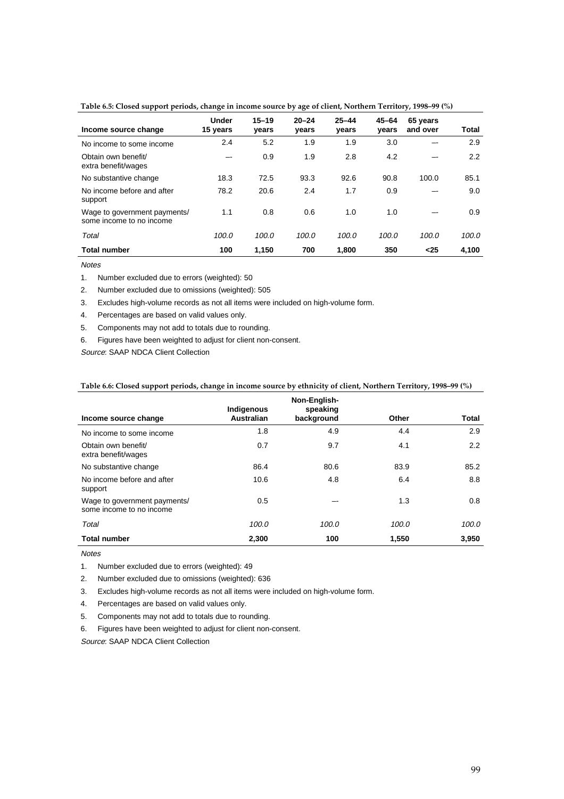| . .<br>$\overline{\phantom{a}}$                          | ັ                        |                    | $\epsilon$<br>ັ    |                    |                    | J .                  |       |
|----------------------------------------------------------|--------------------------|--------------------|--------------------|--------------------|--------------------|----------------------|-------|
| Income source change                                     | <b>Under</b><br>15 years | $15 - 19$<br>years | $20 - 24$<br>vears | $25 - 44$<br>years | $45 - 64$<br>vears | 65 years<br>and over | Total |
| No income to some income                                 | 2.4                      | 5.2                | 1.9                | 1.9                | 3.0                |                      | 2.9   |
| Obtain own benefit/<br>extra benefit/wages               | --                       | 0.9                | 1.9                | 2.8                | 4.2                |                      | 2.2   |
| No substantive change                                    | 18.3                     | 72.5               | 93.3               | 92.6               | 90.8               | 100.0                | 85.1  |
| No income before and after<br>support                    | 78.2                     | 20.6               | 2.4                | 1.7                | 0.9                |                      | 9.0   |
| Wage to government payments/<br>some income to no income | 1.1                      | 0.8                | 0.6                | 1.0                | 1.0                |                      | 0.9   |
| Total                                                    | 100.0                    | 100.0              | 100.0              | 100.0              | 100.0              | 100.0                | 100.0 |
| <b>Total number</b>                                      | 100                      | 1,150              | 700                | 1,800              | 350                | $25$                 | 4,100 |

#### **Table 6.5: Closed support periods, change in income source by age of client, Northern Territory, 1998–99 (%)**

Notes

1. Number excluded due to errors (weighted): 50

2. Number excluded due to omissions (weighted): 505

3. Excludes high-volume records as not all items were included on high-volume form.

4. Percentages are based on valid values only.

5. Components may not add to totals due to rounding.

6. Figures have been weighted to adjust for client non-consent.

Source: SAAP NDCA Client Collection

#### **Table 6.6: Closed support periods, change in income source by ethnicity of client, Northern Territory, 1998–99 (%)**

|                                                          | Indigenous        | Non-English-<br>speaking |       |       |
|----------------------------------------------------------|-------------------|--------------------------|-------|-------|
| Income source change                                     | <b>Australian</b> | background               | Other | Total |
| No income to some income                                 | 1.8               | 4.9                      | 4.4   | 2.9   |
| Obtain own benefit/<br>extra benefit/wages               | 0.7               | 9.7                      | 4.1   | 2.2   |
| No substantive change                                    | 86.4              | 80.6                     | 83.9  | 85.2  |
| No income before and after<br>support                    | 10.6              | 4.8                      | 6.4   | 8.8   |
| Wage to government payments/<br>some income to no income | 0.5               |                          | 1.3   | 0.8   |
| Total                                                    | 100.0             | 100.0                    | 100.0 | 100.0 |
| <b>Total number</b>                                      | 2,300             | 100                      | 1,550 | 3,950 |

Notes

1. Number excluded due to errors (weighted): 49

2. Number excluded due to omissions (weighted): 636

3. Excludes high-volume records as not all items were included on high-volume form.

4. Percentages are based on valid values only.

5. Components may not add to totals due to rounding.

6. Figures have been weighted to adjust for client non-consent.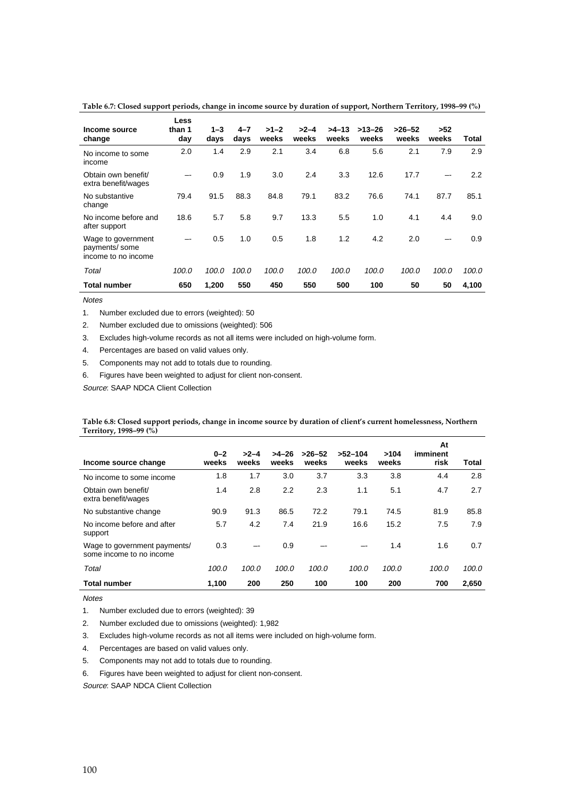|                                                             | Less          |                 |                 |                 |                 |                  |                     |                     |              |               |
|-------------------------------------------------------------|---------------|-----------------|-----------------|-----------------|-----------------|------------------|---------------------|---------------------|--------------|---------------|
| Income source<br>change                                     | than 1<br>day | $1 - 3$<br>days | $4 - 7$<br>days | $>1-2$<br>weeks | $>2-4$<br>weeks | $>4-13$<br>weeks | $>13 - 26$<br>weeks | $>26 - 52$<br>weeks | >52<br>weeks | Total         |
| No income to some<br>income                                 | 2.0           | 1.4             | 2.9             | 2.1             | 3.4             | 6.8              | 5.6                 | 2.1                 | 7.9          | 2.9           |
| Obtain own benefit/<br>extra benefit/wages                  |               | 0.9             | 1.9             | 3.0             | 2.4             | 3.3              | 12.6                | 17.7                |              | $2.2^{\circ}$ |
| No substantive<br>change                                    | 79.4          | 91.5            | 88.3            | 84.8            | 79.1            | 83.2             | 76.6                | 74.1                | 87.7         | 85.1          |
| No income before and<br>after support                       | 18.6          | 5.7             | 5.8             | 9.7             | 13.3            | 5.5              | 1.0                 | 4.1                 | 4.4          | 9.0           |
| Wage to government<br>payments/ some<br>income to no income |               | 0.5             | 1.0             | 0.5             | 1.8             | 1.2              | 4.2                 | 2.0                 |              | 0.9           |
| Total                                                       | 100.0         | 100.0           | 100.0           | 100.0           | 100.0           | 100.0            | 100.0               | 100.0               | 100.0        | 100.0         |
| <b>Total number</b>                                         | 650           | 1,200           | 550             | 450             | 550             | 500              | 100                 | 50                  | 50           | 4,100         |

**Table 6.7: Closed support periods, change in income source by duration of support, Northern Territory, 1998–99 (%)**

1. Number excluded due to errors (weighted): 50

2. Number excluded due to omissions (weighted): 506

3. Excludes high-volume records as not all items were included on high-volume form.

4. Percentages are based on valid values only.

5. Components may not add to totals due to rounding.

6. Figures have been weighted to adjust for client non-consent.

Source: SAAP NDCA Client Collection

**Table 6.8: Closed support periods, change in income source by duration of client's current homelessness, Northern Territory, 1998–99 (%)**

| Income source change                                     | $0 - 2$<br>weeks | $>2-4$<br>weeks | >4-26<br>weeks | $>26-52$<br>weeks | $>52-104$<br>weeks | >104<br>weeks | At<br>imminent<br>risk | Total |
|----------------------------------------------------------|------------------|-----------------|----------------|-------------------|--------------------|---------------|------------------------|-------|
| No income to some income                                 | 1.8              | 1.7             | 3.0            | 3.7               | 3.3                | 3.8           | 4.4                    | 2.8   |
| Obtain own benefit/<br>extra benefit/wages               | 1.4              | 2.8             | 2.2            | 2.3               | 1.1                | 5.1           | 4.7                    | 2.7   |
| No substantive change                                    | 90.9             | 91.3            | 86.5           | 72.2              | 79.1               | 74.5          | 81.9                   | 85.8  |
| No income before and after<br>support                    | 5.7              | 4.2             | 7.4            | 21.9              | 16.6               | 15.2          | 7.5                    | 7.9   |
| Wage to government payments/<br>some income to no income | 0.3              |                 | 0.9            |                   |                    | 1.4           | 1.6                    | 0.7   |
| Total                                                    | 100.0            | 100.0           | 100.0          | 100.0             | 100.0              | 100.0         | 100.0                  | 100.0 |
| <b>Total number</b>                                      | 1,100            | 200             | 250            | 100               | 100                | 200           | 700                    | 2,650 |

**Notes** 

1. Number excluded due to errors (weighted): 39

2. Number excluded due to omissions (weighted): 1,982

3. Excludes high-volume records as not all items were included on high-volume form.

4. Percentages are based on valid values only.

5. Components may not add to totals due to rounding.

6. Figures have been weighted to adjust for client non-consent.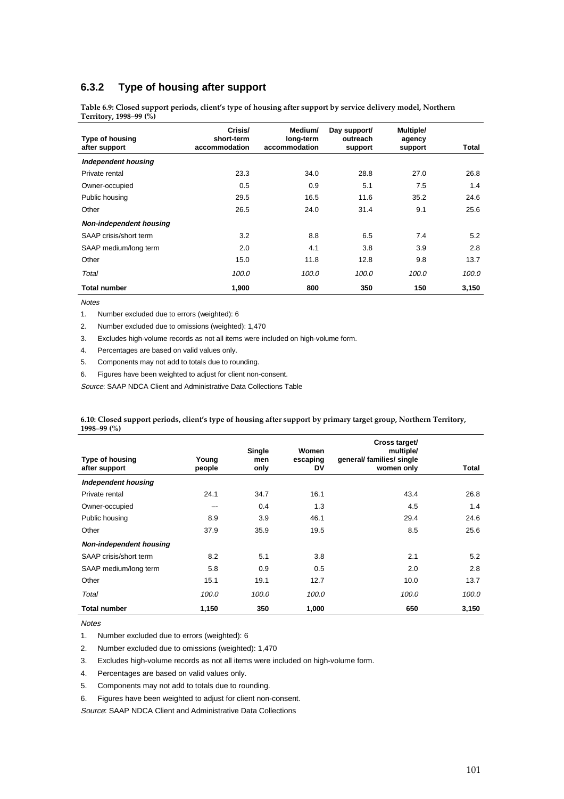#### **6.3.2 Type of housing after support**

**Table 6.9: Closed support periods, client's type of housing after support by service delivery model, Northern Territory, 1998–99 (%)**

| <b>Type of housing</b><br>after support | Crisis/<br>short-term<br>accommodation | Medium/<br>long-term<br>accommodation | Day support/<br>outreach<br>support | Multiple/<br>agency<br>support | Total |
|-----------------------------------------|----------------------------------------|---------------------------------------|-------------------------------------|--------------------------------|-------|
| <b>Independent housing</b>              |                                        |                                       |                                     |                                |       |
| Private rental                          | 23.3                                   | 34.0                                  | 28.8                                | 27.0                           | 26.8  |
| Owner-occupied                          | 0.5                                    | 0.9                                   | 5.1                                 | 7.5                            | 1.4   |
| Public housing                          | 29.5                                   | 16.5                                  | 11.6                                | 35.2                           | 24.6  |
| Other                                   | 26.5                                   | 24.0                                  | 31.4                                | 9.1                            | 25.6  |
| <b>Non-independent housing</b>          |                                        |                                       |                                     |                                |       |
| SAAP crisis/short term                  | 3.2                                    | 8.8                                   | 6.5                                 | 7.4                            | 5.2   |
| SAAP medium/long term                   | 2.0                                    | 4.1                                   | 3.8                                 | 3.9                            | 2.8   |
| Other                                   | 15.0                                   | 11.8                                  | 12.8                                | 9.8                            | 13.7  |
| Total                                   | 100.0                                  | 100.0                                 | 100.0                               | 100.0                          | 100.0 |
| <b>Total number</b>                     | 1,900                                  | 800                                   | 350                                 | 150                            | 3,150 |

**Notes** 

2. Number excluded due to omissions (weighted): 1,470

3. Excludes high-volume records as not all items were included on high-volume form.

4. Percentages are based on valid values only.

5. Components may not add to totals due to rounding.

6. Figures have been weighted to adjust for client non-consent.

Source: SAAP NDCA Client and Administrative Data Collections Table

**6.10: Closed support periods, client's type of housing after support by primary target group, Northern Territory, 1998–99 (%)**

| <b>Type of housing</b><br>after support | Young<br>people | Single<br>men<br>only | Women<br>escaping<br>DV | Cross target/<br>multiple/<br>general/ families/ single<br>women only | Total |
|-----------------------------------------|-----------------|-----------------------|-------------------------|-----------------------------------------------------------------------|-------|
| <b>Independent housing</b>              |                 |                       |                         |                                                                       |       |
| Private rental                          | 24.1            | 34.7                  | 16.1                    | 43.4                                                                  | 26.8  |
| Owner-occupied                          | --              | 0.4                   | 1.3                     | 4.5                                                                   | 1.4   |
| Public housing                          | 8.9             | 3.9                   | 46.1                    | 29.4                                                                  | 24.6  |
| Other                                   | 37.9            | 35.9                  | 19.5                    | 8.5                                                                   | 25.6  |
| <b>Non-independent housing</b>          |                 |                       |                         |                                                                       |       |
| SAAP crisis/short term                  | 8.2             | 5.1                   | 3.8                     | 2.1                                                                   | 5.2   |
| SAAP medium/long term                   | 5.8             | 0.9                   | 0.5                     | 2.0                                                                   | 2.8   |
| Other                                   | 15.1            | 19.1                  | 12.7                    | 10.0                                                                  | 13.7  |
| Total                                   | 100.0           | 100.0                 | 100.0                   | 100.0                                                                 | 100.0 |
| <b>Total number</b>                     | 1,150           | 350                   | 1,000                   | 650                                                                   | 3,150 |

**Notes** 

1. Number excluded due to errors (weighted): 6

2. Number excluded due to omissions (weighted): 1,470

3. Excludes high-volume records as not all items were included on high-volume form.

4. Percentages are based on valid values only.

5. Components may not add to totals due to rounding.

6. Figures have been weighted to adjust for client non-consent.

Source: SAAP NDCA Client and Administrative Data Collections

<sup>1.</sup> Number excluded due to errors (weighted): 6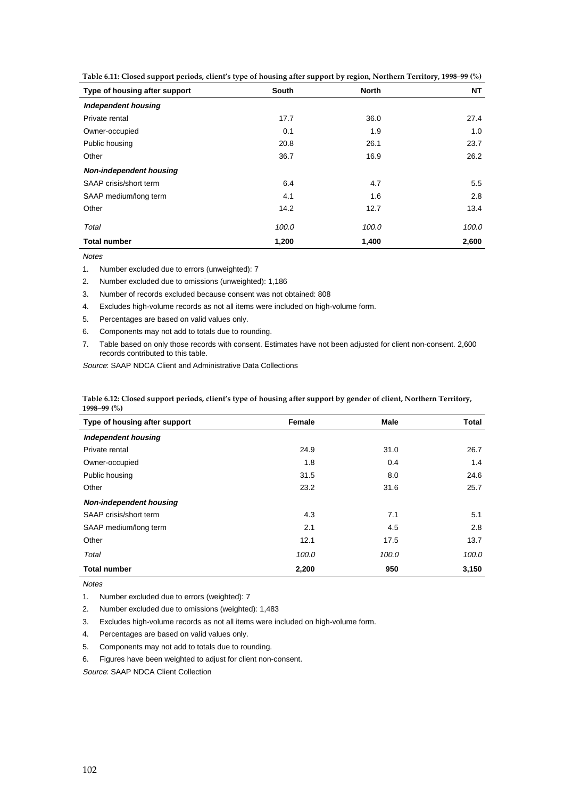| Type of housing after support  | South | <b>North</b> | <b>NT</b> |
|--------------------------------|-------|--------------|-----------|
| <b>Independent housing</b>     |       |              |           |
| Private rental                 | 17.7  | 36.0         | 27.4      |
| Owner-occupied                 | 0.1   | 1.9          | 1.0       |
| Public housing                 | 20.8  | 26.1         | 23.7      |
| Other                          | 36.7  | 16.9         | 26.2      |
| <b>Non-independent housing</b> |       |              |           |
| SAAP crisis/short term         | 6.4   | 4.7          | 5.5       |
| SAAP medium/long term          | 4.1   | 1.6          | 2.8       |
| Other                          | 14.2  | 12.7         | 13.4      |
| Total                          | 100.0 | 100.0        | 100.0     |
| <b>Total number</b>            | 1,200 | 1,400        | 2,600     |

**Table 6.11: Closed support periods, client's type of housing after support by region, Northern Territory, 1998–99 (%)**

**Notes** 

1. Number excluded due to errors (unweighted): 7

2. Number excluded due to omissions (unweighted): 1,186

3. Number of records excluded because consent was not obtained: 808

- 4. Excludes high-volume records as not all items were included on high-volume form.
- 5. Percentages are based on valid values only.
- 6. Components may not add to totals due to rounding.
- 7. Table based on only those records with consent. Estimates have not been adjusted for client non-consent. 2,600 records contributed to this table.

Source: SAAP NDCA Client and Administrative Data Collections

| Table 6.12: Closed support periods, client's type of housing after support by gender of client, Northern Territory, |  |
|---------------------------------------------------------------------------------------------------------------------|--|
| 1998–99 $(\%)$                                                                                                      |  |

| Type of housing after support  | Female | <b>Male</b> | Total |
|--------------------------------|--------|-------------|-------|
| Independent housing            |        |             |       |
| Private rental                 | 24.9   | 31.0        | 26.7  |
| Owner-occupied                 | 1.8    | 0.4         | 1.4   |
| Public housing                 | 31.5   | 8.0         | 24.6  |
| Other                          | 23.2   | 31.6        | 25.7  |
| <b>Non-independent housing</b> |        |             |       |
| SAAP crisis/short term         | 4.3    | 7.1         | 5.1   |
| SAAP medium/long term          | 2.1    | 4.5         | 2.8   |
| Other                          | 12.1   | 17.5        | 13.7  |
| Total                          | 100.0  | 100.0       | 100.0 |
| <b>Total number</b>            | 2,200  | 950         | 3,150 |

**Notes** 

1. Number excluded due to errors (weighted): 7

2. Number excluded due to omissions (weighted): 1,483

3. Excludes high-volume records as not all items were included on high-volume form.

4. Percentages are based on valid values only.

- 5. Components may not add to totals due to rounding.
- 6. Figures have been weighted to adjust for client non-consent.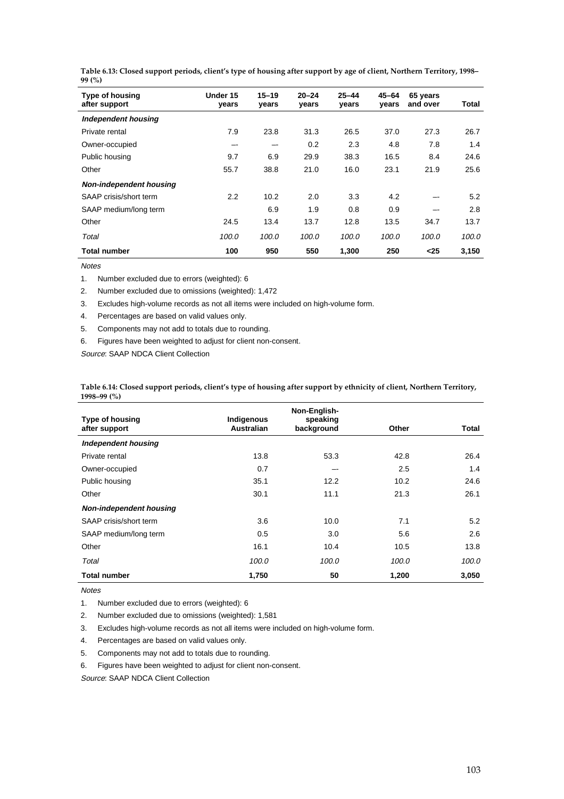| <b>Type of housing</b><br>after support | Under 15<br>vears | $15 - 19$<br>years | $20 - 24$<br>years | $25 - 44$<br>vears | $45 - 64$<br>vears | 65 years<br>and over | Total |
|-----------------------------------------|-------------------|--------------------|--------------------|--------------------|--------------------|----------------------|-------|
| Independent housing                     |                   |                    |                    |                    |                    |                      |       |
| Private rental                          | 7.9               | 23.8               | 31.3               | 26.5               | 37.0               | 27.3                 | 26.7  |
| Owner-occupied                          | --                | --                 | 0.2                | 2.3                | 4.8                | 7.8                  | 1.4   |
| Public housing                          | 9.7               | 6.9                | 29.9               | 38.3               | 16.5               | 8.4                  | 24.6  |
| Other                                   | 55.7              | 38.8               | 21.0               | 16.0               | 23.1               | 21.9                 | 25.6  |
| <b>Non-independent housing</b>          |                   |                    |                    |                    |                    |                      |       |
| SAAP crisis/short term                  | 2.2               | 10.2               | 2.0                | 3.3                | 4.2                |                      | 5.2   |
| SAAP medium/long term                   |                   | 6.9                | 1.9                | 0.8                | 0.9                | --                   | 2.8   |
| Other                                   | 24.5              | 13.4               | 13.7               | 12.8               | 13.5               | 34.7                 | 13.7  |
| Total                                   | 100.0             | 100.0              | 100.0              | 100.0              | 100.0              | 100.0                | 100.0 |
| <b>Total number</b>                     | 100               | 950                | 550                | 1,300              | 250                | $25$                 | 3,150 |

**Table 6.13: Closed support periods, client's type of housing after support by age of client, Northern Territory, 1998– 99 (%)**

**Notes** 

1. Number excluded due to errors (weighted): 6

2. Number excluded due to omissions (weighted): 1,472

3. Excludes high-volume records as not all items were included on high-volume form.

4. Percentages are based on valid values only.

5. Components may not add to totals due to rounding.

6. Figures have been weighted to adjust for client non-consent.

Source: SAAP NDCA Client Collection

|                | Table 6.14: Closed support periods, client's type of housing after support by ethnicity of client, Northern Territory, |  |
|----------------|------------------------------------------------------------------------------------------------------------------------|--|
| 1998–99 $(\%)$ |                                                                                                                        |  |

| <b>Type of housing</b>         | Indigenous        | Non-English-<br>speaking |       |       |
|--------------------------------|-------------------|--------------------------|-------|-------|
| after support                  | <b>Australian</b> | background               | Other | Total |
| <b>Independent housing</b>     |                   |                          |       |       |
| Private rental                 | 13.8              | 53.3                     | 42.8  | 26.4  |
| Owner-occupied                 | 0.7               |                          | 2.5   | 1.4   |
| Public housing                 | 35.1              | 12.2                     | 10.2  | 24.6  |
| Other                          | 30.1              | 11.1                     | 21.3  | 26.1  |
| <b>Non-independent housing</b> |                   |                          |       |       |
| SAAP crisis/short term         | 3.6               | 10.0                     | 7.1   | 5.2   |
| SAAP medium/long term          | 0.5               | 3.0                      | 5.6   | 2.6   |
| Other                          | 16.1              | 10.4                     | 10.5  | 13.8  |
| Total                          | 100.0             | 100.0                    | 100.0 | 100.0 |
| <b>Total number</b>            | 1,750             | 50                       | 1,200 | 3,050 |

Notes

1. Number excluded due to errors (weighted): 6

2. Number excluded due to omissions (weighted): 1,581

3. Excludes high-volume records as not all items were included on high-volume form.

- 4. Percentages are based on valid values only.
- 5. Components may not add to totals due to rounding.

6. Figures have been weighted to adjust for client non-consent.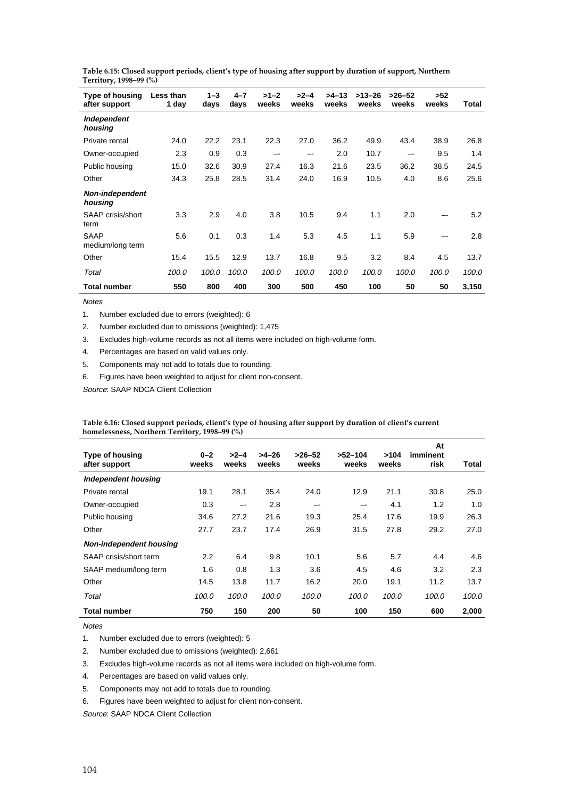**Table 6.15: Closed support periods, client's type of housing after support by duration of support, Northern Territory, 1998–99 (%)**

| Type of housing<br>after support | Less than<br>1 day | $1 - 3$<br>days | $4 - 7$<br>days | $>1-2$<br>weeks | $>2-4$<br>weeks | $>4-13$<br>weeks | $>13-26$<br>weeks | $>26-52$<br>weeks | >52<br>weeks | Total |
|----------------------------------|--------------------|-----------------|-----------------|-----------------|-----------------|------------------|-------------------|-------------------|--------------|-------|
| Independent<br>housing           |                    |                 |                 |                 |                 |                  |                   |                   |              |       |
| Private rental                   | 24.0               | 22.2            | 23.1            | 22.3            | 27.0            | 36.2             | 49.9              | 43.4              | 38.9         | 26.8  |
| Owner-occupied                   | 2.3                | 0.9             | 0.3             | --              | --              | 2.0              | 10.7              | --                | 9.5          | 1.4   |
| Public housing                   | 15.0               | 32.6            | 30.9            | 27.4            | 16.3            | 21.6             | 23.5              | 36.2              | 38.5         | 24.5  |
| Other                            | 34.3               | 25.8            | 28.5            | 31.4            | 24.0            | 16.9             | 10.5              | 4.0               | 8.6          | 25.6  |
| Non-independent<br>housing       |                    |                 |                 |                 |                 |                  |                   |                   |              |       |
| SAAP crisis/short<br>term        | 3.3                | 2.9             | 4.0             | 3.8             | 10.5            | 9.4              | 1.1               | 2.0               |              | 5.2   |
| <b>SAAP</b><br>medium/long term  | 5.6                | 0.1             | 0.3             | 1.4             | 5.3             | 4.5              | 1.1               | 5.9               |              | 2.8   |
| Other                            | 15.4               | 15.5            | 12.9            | 13.7            | 16.8            | 9.5              | 3.2               | 8.4               | 4.5          | 13.7  |
| Total                            | 100.0              | 100.0           | 100.0           | 100.0           | 100.0           | 100.0            | 100.0             | 100.0             | 100.0        | 100.0 |
| <b>Total number</b>              | 550                | 800             | 400             | 300             | 500             | 450              | 100               | 50                | 50           | 3,150 |

**Notes** 

1. Number excluded due to errors (weighted): 6

2. Number excluded due to omissions (weighted): 1,475

3. Excludes high-volume records as not all items were included on high-volume form.

4. Percentages are based on valid values only.

5. Components may not add to totals due to rounding.

Source: SAAP NDCA Client Collection

| <b>Type of housing</b><br>after support | $0 - 2$<br>weeks | $>2-4$<br>weeks | $>4 - 26$<br>weeks | $>26 - 52$<br>weeks | $>52-104$<br>weeks | >104<br>weeks | At<br>imminent<br>risk | Total |
|-----------------------------------------|------------------|-----------------|--------------------|---------------------|--------------------|---------------|------------------------|-------|
| Independent housing                     |                  |                 |                    |                     |                    |               |                        |       |
| Private rental                          | 19.1             | 28.1            | 35.4               | 24.0                | 12.9               | 21.1          | 30.8                   | 25.0  |
| Owner-occupied                          | 0.3              | --              | 2.8                |                     | --                 | 4.1           | 1.2                    | 1.0   |
| Public housing                          | 34.6             | 27.2            | 21.6               | 19.3                | 25.4               | 17.6          | 19.9                   | 26.3  |
| Other                                   | 27.7             | 23.7            | 17.4               | 26.9                | 31.5               | 27.8          | 29.2                   | 27.0  |
| Non-independent housing                 |                  |                 |                    |                     |                    |               |                        |       |
| SAAP crisis/short term                  | 2.2              | 6.4             | 9.8                | 10.1                | 5.6                | 5.7           | 4.4                    | 4.6   |
| SAAP medium/long term                   | 1.6              | 0.8             | 1.3                | 3.6                 | 4.5                | 4.6           | 3.2                    | 2.3   |
| Other                                   | 14.5             | 13.8            | 11.7               | 16.2                | 20.0               | 19.1          | 11.2                   | 13.7  |
| Total                                   | 100.0            | 100.0           | 100.0              | 100.0               | 100.0              | 100.0         | 100.0                  | 100.0 |
| Total number                            | 750              | 150             | 200                | 50                  | 100                | 150           | 600                    | 2,000 |

**Table 6.16: Closed support periods, client's type of housing after support by duration of client's current homelessness, Northern Territory, 1998–99 (%)**

**Notes** 

1. Number excluded due to errors (weighted): 5

2. Number excluded due to omissions (weighted): 2,661

3. Excludes high-volume records as not all items were included on high-volume form.

4. Percentages are based on valid values only.

5. Components may not add to totals due to rounding.

6. Figures have been weighted to adjust for client non-consent.

<sup>6.</sup> Figures have been weighted to adjust for client non-consent.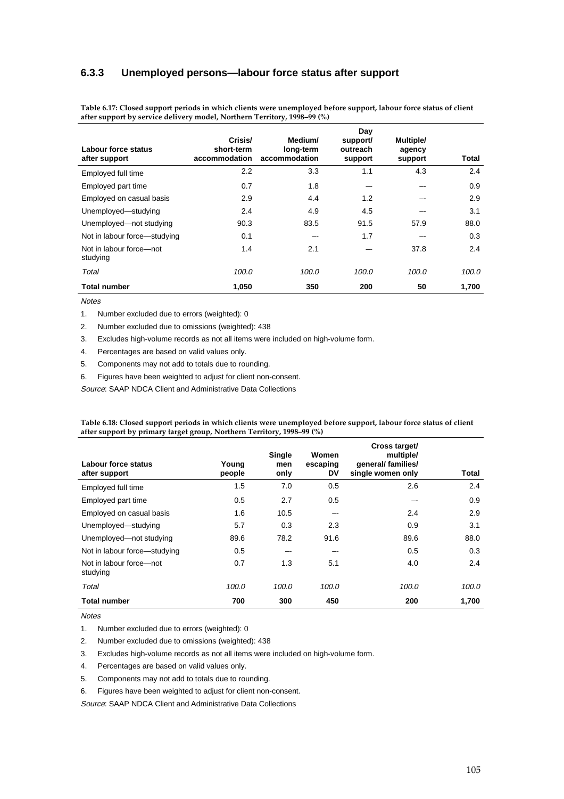#### **6.3.3 Unemployed persons—labour force status after support**

| Labour force status<br>after support | Crisis/<br>short-term<br>accommodation | Medium/<br>long-term<br>accommodation | Day<br>support/<br>outreach<br>support | Multiple/<br>agency<br>support | Total |
|--------------------------------------|----------------------------------------|---------------------------------------|----------------------------------------|--------------------------------|-------|
| Employed full time                   | 2.2                                    | 3.3                                   | 1.1                                    | 4.3                            | 2.4   |
| Employed part time                   | 0.7                                    | 1.8                                   |                                        |                                | 0.9   |
| Employed on casual basis             | 2.9                                    | 4.4                                   | 1.2                                    |                                | 2.9   |
| Unemployed-studying                  | 2.4                                    | 4.9                                   | 4.5                                    |                                | 3.1   |
| Unemployed-not studying              | 90.3                                   | 83.5                                  | 91.5                                   | 57.9                           | 88.0  |
| Not in labour force-studying         | 0.1                                    |                                       | 1.7                                    |                                | 0.3   |
| Not in labour force-not<br>studying  | 1.4                                    | 2.1                                   |                                        | 37.8                           | 2.4   |
| Total                                | 100.0                                  | 100.0                                 | 100.0                                  | 100.0                          | 100.0 |
| <b>Total number</b>                  | 1,050                                  | 350                                   | 200                                    | 50                             | 1,700 |

**Table 6.17: Closed support periods in which clients were unemployed before support, labour force status of client after support by service delivery model, Northern Territory, 1998–99 (%)**

**Notes** 

2. Number excluded due to omissions (weighted): 438

3. Excludes high-volume records as not all items were included on high-volume form.

4. Percentages are based on valid values only.

5. Components may not add to totals due to rounding.

6. Figures have been weighted to adjust for client non-consent.

Source: SAAP NDCA Client and Administrative Data Collections

**Table 6.18: Closed support periods in which clients were unemployed before support, labour force status of client after support by primary target group, Northern Territory, 1998–99 (%)**

| Labour force status<br>after support | Young<br>people | <b>Single</b><br>men<br>only | Women<br>escaping<br>DV | Cross target/<br>multiple/<br>qeneral/ families/<br>single women only | Total |
|--------------------------------------|-----------------|------------------------------|-------------------------|-----------------------------------------------------------------------|-------|
| Employed full time                   | 1.5             | 7.0                          | 0.5                     | 2.6                                                                   | 2.4   |
| Employed part time                   | 0.5             | 2.7                          | 0.5                     |                                                                       | 0.9   |
| Employed on casual basis             | 1.6             | 10.5                         | --                      | 2.4                                                                   | 2.9   |
| Unemployed-studying                  | 5.7             | 0.3                          | 2.3                     | 0.9                                                                   | 3.1   |
| Unemployed-not studying              | 89.6            | 78.2                         | 91.6                    | 89.6                                                                  | 88.0  |
| Not in labour force-studying         | 0.5             |                              |                         | 0.5                                                                   | 0.3   |
| Not in labour force-not<br>studying  | 0.7             | 1.3                          | 5.1                     | 4.0                                                                   | 2.4   |
| Total                                | 100.0           | 100.0                        | 100.0                   | 100.0                                                                 | 100.0 |
| <b>Total number</b>                  | 700             | 300                          | 450                     | 200                                                                   | 1,700 |

**Notes** 

1. Number excluded due to errors (weighted): 0

2. Number excluded due to omissions (weighted): 438

3. Excludes high-volume records as not all items were included on high-volume form.

- 4. Percentages are based on valid values only.
- 5. Components may not add to totals due to rounding.
- 6. Figures have been weighted to adjust for client non-consent.

Source: SAAP NDCA Client and Administrative Data Collections

<sup>1.</sup> Number excluded due to errors (weighted): 0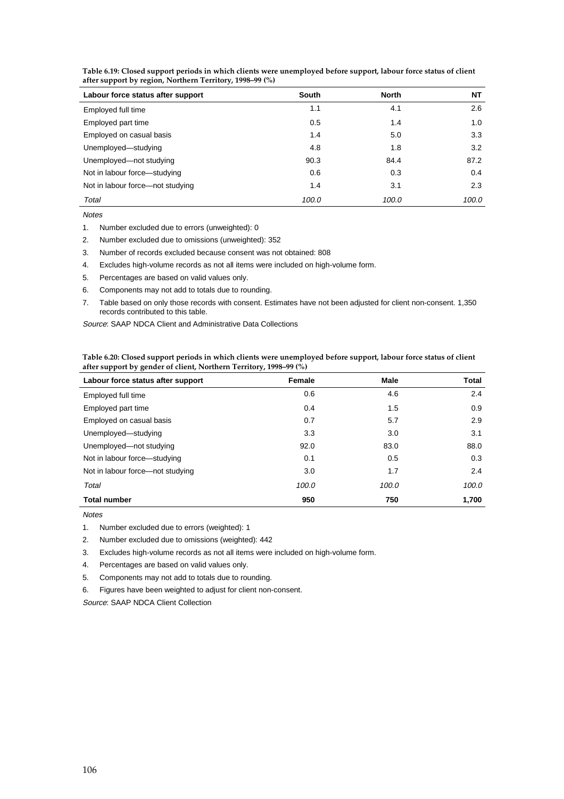| Labour force status after support | <b>South</b> | <b>North</b> | NΤ    |
|-----------------------------------|--------------|--------------|-------|
| Employed full time                | 1.1          | 4.1          | 2.6   |
| Employed part time                | 0.5          | 1.4          | 1.0   |
| Employed on casual basis          | 1.4          | 5.0          | 3.3   |
| Unemployed-studying               | 4.8          | 1.8          | 3.2   |
| Unemployed-not studying           | 90.3         | 84.4         | 87.2  |
| Not in labour force-studying      | 0.6          | 0.3          | 0.4   |
| Not in labour force—not studying  | 1.4          | 3.1          | 2.3   |
| Total                             | 100.0        | 100.0        | 100.0 |

**Table 6.19: Closed support periods in which clients were unemployed before support, labour force status of client after support by region, Northern Territory, 1998–99 (%)**

**Notes** 

1. Number excluded due to errors (unweighted): 0

2. Number excluded due to omissions (unweighted): 352

3. Number of records excluded because consent was not obtained: 808

4. Excludes high-volume records as not all items were included on high-volume form.

5. Percentages are based on valid values only.

6. Components may not add to totals due to rounding.

7. Table based on only those records with consent. Estimates have not been adjusted for client non-consent. 1,350 records contributed to this table.

Source: SAAP NDCA Client and Administrative Data Collections

**Table 6.20: Closed support periods in which clients were unemployed before support, labour force status of client after support by gender of client, Northern Territory, 1998–99 (%)**

| Labour force status after support | Female | Male  | Total |
|-----------------------------------|--------|-------|-------|
| Employed full time                | 0.6    | 4.6   | 2.4   |
| Employed part time                | 0.4    | 1.5   | 0.9   |
| Employed on casual basis          | 0.7    | 5.7   | 2.9   |
| Unemployed-studying               | 3.3    | 3.0   | 3.1   |
| Unemployed-not studying           | 92.0   | 83.0  | 88.0  |
| Not in labour force-studying      | 0.1    | 0.5   | 0.3   |
| Not in labour force—not studying  | 3.0    | 1.7   | 2.4   |
| Total                             | 100.0  | 100.0 | 100.0 |
| <b>Total number</b>               | 950    | 750   | 1,700 |

Notes

1. Number excluded due to errors (weighted): 1

2. Number excluded due to omissions (weighted): 442

3. Excludes high-volume records as not all items were included on high-volume form.

4. Percentages are based on valid values only.

5. Components may not add to totals due to rounding.

6. Figures have been weighted to adjust for client non-consent.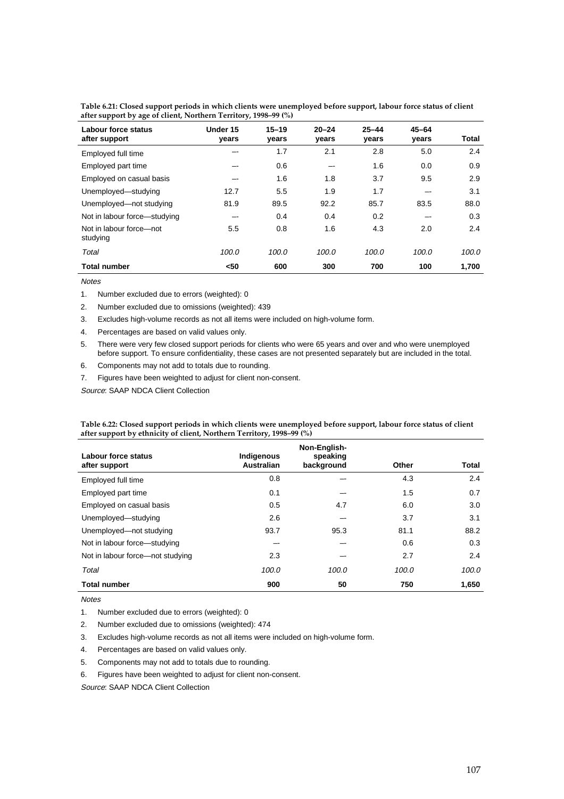| Table 6.21: Closed support periods in which clients were unemployed before support, labour force status of client |
|-------------------------------------------------------------------------------------------------------------------|
| after support by age of client, Northern Territory, 1998–99 (%)                                                   |

| Labour force status<br>after support | Under 15<br>years | $15 - 19$<br>vears | $20 - 24$<br>years | $25 - 44$<br>years | $45 - 64$<br>years | Total |
|--------------------------------------|-------------------|--------------------|--------------------|--------------------|--------------------|-------|
| Employed full time                   |                   | 1.7                | 2.1                | 2.8                | 5.0                | 2.4   |
| Employed part time                   | --                | 0.6                | --                 | 1.6                | 0.0                | 0.9   |
| Employed on casual basis             |                   | 1.6                | 1.8                | 3.7                | 9.5                | 2.9   |
| Unemployed-studying                  | 12.7              | 5.5                | 1.9                | 1.7                | --                 | 3.1   |
| Unemployed-not studying              | 81.9              | 89.5               | 92.2               | 85.7               | 83.5               | 88.0  |
| Not in labour force-studying         |                   | 0.4                | 0.4                | 0.2                |                    | 0.3   |
| Not in labour force-not<br>studying  | 5.5               | 0.8                | 1.6                | 4.3                | 2.0                | 2.4   |
| Total                                | 100.0             | 100.0              | 100.0              | 100.0              | 100.0              | 100.0 |
| <b>Total number</b>                  | $50$              | 600                | 300                | 700                | 100                | 1.700 |

1. Number excluded due to errors (weighted): 0

- 2. Number excluded due to omissions (weighted): 439
- 3. Excludes high-volume records as not all items were included on high-volume form.
- 4. Percentages are based on valid values only.
- 5. There were very few closed support periods for clients who were 65 years and over and who were unemployed before support. To ensure confidentiality, these cases are not presented separately but are included in the total.
- 6. Components may not add to totals due to rounding.
- 7. Figures have been weighted to adjust for client non-consent.

Source: SAAP NDCA Client Collection

| Table 6.22: Closed support periods in which clients were unemployed before support, labour force status of client |  |
|-------------------------------------------------------------------------------------------------------------------|--|
| after support by ethnicity of client, Northern Territory, 1998–99 (%)                                             |  |

| Labour force status<br>after support | Indigenous<br><b>Australian</b> | Non-English-<br>speaking<br>background | Other | Total |
|--------------------------------------|---------------------------------|----------------------------------------|-------|-------|
| Employed full time                   | 0.8                             |                                        | 4.3   | 2.4   |
| Employed part time                   | 0.1                             |                                        | 1.5   | 0.7   |
| Employed on casual basis             | 0.5                             | 4.7                                    | 6.0   | 3.0   |
| Unemployed-studying                  | 2.6                             |                                        | 3.7   | 3.1   |
| Unemployed-not studying              | 93.7                            | 95.3                                   | 81.1  | 88.2  |
| Not in labour force-studying         | --                              |                                        | 0.6   | 0.3   |
| Not in labour force-not studying     | 2.3                             |                                        | 2.7   | 2.4   |
| Total                                | 100.0                           | 100.0                                  | 100.0 | 100.0 |
| <b>Total number</b>                  | 900                             | 50                                     | 750   | 1,650 |

Notes

- 2. Number excluded due to omissions (weighted): 474
- 3. Excludes high-volume records as not all items were included on high-volume form.
- 4. Percentages are based on valid values only.
- 5. Components may not add to totals due to rounding.
- 6. Figures have been weighted to adjust for client non-consent.

<sup>1.</sup> Number excluded due to errors (weighted): 0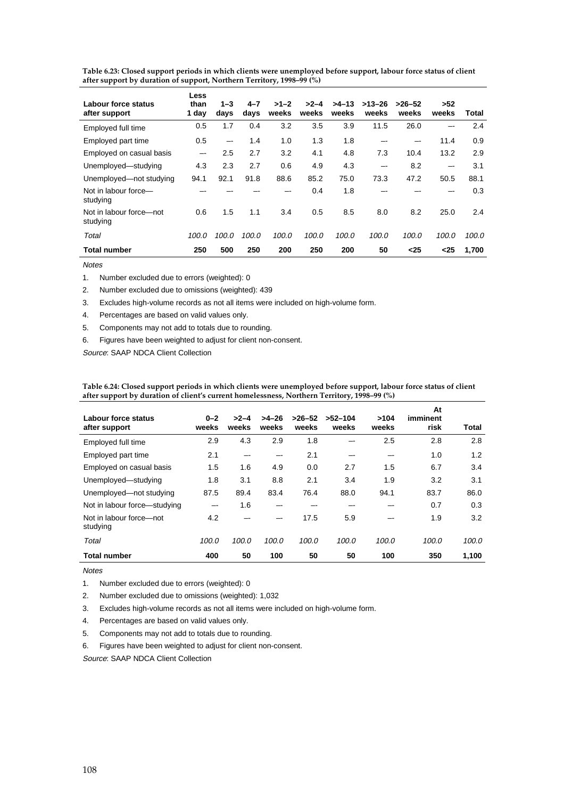| Table 6.23: Closed support periods in which clients were unemployed before support, labour force status of client |  |
|-------------------------------------------------------------------------------------------------------------------|--|
| after support by duration of support, Northern Territory, 1998–99 (%)                                             |  |

| Labour force status<br>after support | Less<br>than<br>1 day | $1 - 3$<br>days          | $4 - 7$<br>days | $>1-2$<br>weeks | $>2-4$<br>weeks | $>4-13$<br>weeks | $>13-26$<br>weeks | $>26-52$<br>weeks | >52<br>weeks | Total |
|--------------------------------------|-----------------------|--------------------------|-----------------|-----------------|-----------------|------------------|-------------------|-------------------|--------------|-------|
| Employed full time                   | 0.5                   | 1.7                      | 0.4             | 3.2             | 3.5             | 3.9              | 11.5              | 26.0              | --           | 2.4   |
| Employed part time                   | 0.5                   | $\overline{\phantom{a}}$ | 1.4             | 1.0             | 1.3             | 1.8              | --                | --                | 11.4         | 0.9   |
| Employed on casual basis             | --                    | 2.5                      | 2.7             | 3.2             | 4.1             | 4.8              | 7.3               | 10.4              | 13.2         | 2.9   |
| Unemployed-studying                  | 4.3                   | 2.3                      | 2.7             | 0.6             | 4.9             | 4.3              | --                | 8.2               | --           | 3.1   |
| Unemployed-not studying              | 94.1                  | 92.1                     | 91.8            | 88.6            | 85.2            | 75.0             | 73.3              | 47.2              | 50.5         | 88.1  |
| Not in labour force-<br>studying     |                       |                          |                 |                 | 0.4             | 1.8              | --                |                   |              | 0.3   |
| Not in labour force-not<br>studying  | 0.6                   | 1.5                      | 1.1             | 3.4             | 0.5             | 8.5              | 8.0               | 8.2               | 25.0         | 2.4   |
| Total                                | 100.0                 | 100.0                    | 100.0           | 100.0           | 100.0           | 100.0            | 100.0             | 100.0             | 100.0        | 100.0 |
| <b>Total number</b>                  | 250                   | 500                      | 250             | 200             | 250             | 200              | 50                | $25$              | $25$         | 1.700 |

1. Number excluded due to errors (weighted): 0

2. Number excluded due to omissions (weighted): 439

3. Excludes high-volume records as not all items were included on high-volume form.

4. Percentages are based on valid values only.

5. Components may not add to totals due to rounding.

6. Figures have been weighted to adjust for client non-consent.

Source: SAAP NDCA Client Collection

| Table 6.24: Closed support periods in which clients were unemployed before support, labour force status of client |
|-------------------------------------------------------------------------------------------------------------------|
| after support by duration of client's current homelessness, Northern Territory, 1998–99 (%)                       |

| Labour force status<br>after support | $0 - 2$<br>weeks | $>2-4$<br>weeks | $>4-26$<br>weeks | $>26 - 52$<br>weeks | $>52-104$<br>weeks | >104<br>weeks | At<br>imminent<br>risk | Total |
|--------------------------------------|------------------|-----------------|------------------|---------------------|--------------------|---------------|------------------------|-------|
| Employed full time                   | 2.9              | 4.3             | 2.9              | 1.8                 |                    | 2.5           | 2.8                    | 2.8   |
| Employed part time                   | 2.1              |                 | --               | 2.1                 | --                 | --            | 1.0                    | 1.2   |
| Employed on casual basis             | 1.5              | 1.6             | 4.9              | 0.0                 | 2.7                | 1.5           | 6.7                    | 3.4   |
| Unemployed-studying                  | 1.8              | 3.1             | 8.8              | 2.1                 | 3.4                | 1.9           | 3.2                    | 3.1   |
| Unemployed-not studying              | 87.5             | 89.4            | 83.4             | 76.4                | 88.0               | 94.1          | 83.7                   | 86.0  |
| Not in labour force-studying         | --               | 1.6             |                  |                     |                    |               | 0.7                    | 0.3   |
| Not in labour force-not<br>studying  | 4.2              |                 |                  | 17.5                | 5.9                |               | 1.9                    | 3.2   |
| Total                                | 100.0            | 100.0           | 100.0            | 100.0               | 100.0              | 100.0         | 100.0                  | 100.0 |
| <b>Total number</b>                  | 400              | 50              | 100              | 50                  | 50                 | 100           | 350                    | 1,100 |

Notes

1. Number excluded due to errors (weighted): 0

2. Number excluded due to omissions (weighted): 1,032

3. Excludes high-volume records as not all items were included on high-volume form.

4. Percentages are based on valid values only.

5. Components may not add to totals due to rounding.

6. Figures have been weighted to adjust for client non-consent.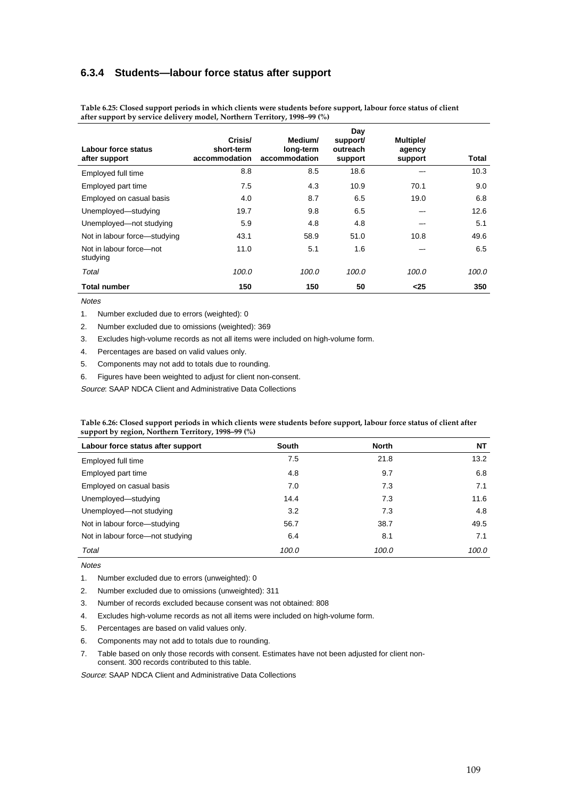#### **6.3.4 Students—labour force status after support**

| Labour force status<br>after support | Crisis/<br>short-term<br>accommodation | Medium/<br>long-term<br>accommodation | Day<br>support/<br>outreach<br>support | Multiple/<br>agency<br>support | Total |
|--------------------------------------|----------------------------------------|---------------------------------------|----------------------------------------|--------------------------------|-------|
| Employed full time                   | 8.8                                    | 8.5                                   | 18.6                                   |                                | 10.3  |
| Employed part time                   | 7.5                                    | 4.3                                   | 10.9                                   | 70.1                           | 9.0   |
| Employed on casual basis             | 4.0                                    | 8.7                                   | 6.5                                    | 19.0                           | 6.8   |
| Unemployed-studying                  | 19.7                                   | 9.8                                   | 6.5                                    |                                | 12.6  |
| Unemployed-not studying              | 5.9                                    | 4.8                                   | 4.8                                    |                                | 5.1   |
| Not in labour force-studying         | 43.1                                   | 58.9                                  | 51.0                                   | 10.8                           | 49.6  |
| Not in labour force-not<br>studying  | 11.0                                   | 5.1                                   | 1.6                                    |                                | 6.5   |
| Total                                | 100.0                                  | 100.0                                 | 100.0                                  | 100.0                          | 100.0 |
| <b>Total number</b>                  | 150                                    | 150                                   | 50                                     | $25$                           | 350   |

**Table 6.25: Closed support periods in which clients were students before support, labour force status of client after support by service delivery model, Northern Territory, 1998–99 (%)**

Notes

2. Number excluded due to omissions (weighted): 369

3. Excludes high-volume records as not all items were included on high-volume form.

4. Percentages are based on valid values only.

5. Components may not add to totals due to rounding.

6. Figures have been weighted to adjust for client non-consent.

Source: SAAP NDCA Client and Administrative Data Collections

**Table 6.26: Closed support periods in which clients were students before support, labour force status of client after support by region, Northern Territory, 1998–99 (%)**

| Labour force status after support | South | <b>North</b> | NΤ    |
|-----------------------------------|-------|--------------|-------|
| Employed full time                | 7.5   | 21.8         | 13.2  |
| Employed part time                | 4.8   | 9.7          | 6.8   |
| Employed on casual basis          | 7.0   | 7.3          | 7.1   |
| Unemployed-studying               | 14.4  | 7.3          | 11.6  |
| Unemployed-not studying           | 3.2   | 7.3          | 4.8   |
| Not in labour force-studying      | 56.7  | 38.7         | 49.5  |
| Not in labour force—not studying  | 6.4   | 8.1          | 7.1   |
| Total                             | 100.0 | 100.0        | 100.0 |

**Notes** 

1. Number excluded due to errors (unweighted): 0

2. Number excluded due to omissions (unweighted): 311

3. Number of records excluded because consent was not obtained: 808

4. Excludes high-volume records as not all items were included on high-volume form.

- 5. Percentages are based on valid values only.
- 6. Components may not add to totals due to rounding.
- 7. Table based on only those records with consent. Estimates have not been adjusted for client nonconsent. 300 records contributed to this table.

Source: SAAP NDCA Client and Administrative Data Collections

<sup>1.</sup> Number excluded due to errors (weighted): 0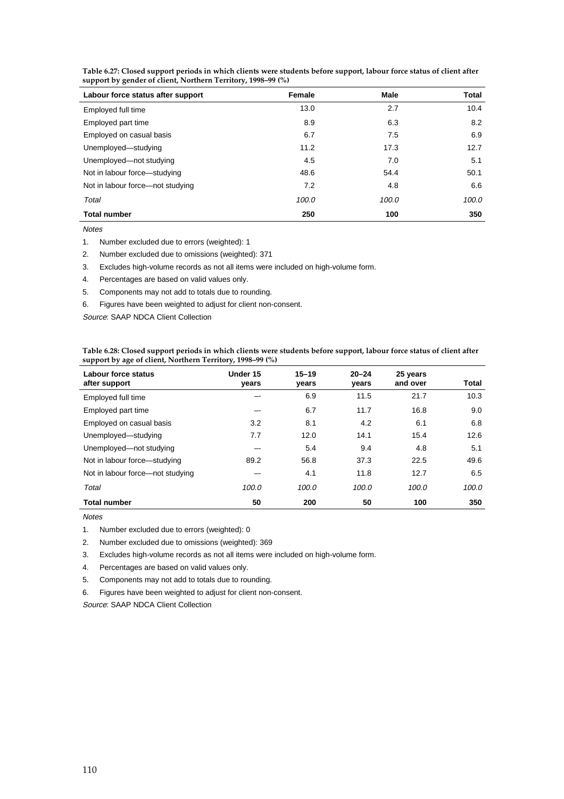| Labour force status after support | Female | Male  | Total |
|-----------------------------------|--------|-------|-------|
| Employed full time                | 13.0   | 2.7   | 10.4  |
| Employed part time                | 8.9    | 6.3   | 8.2   |
| Employed on casual basis          | 6.7    | 7.5   | 6.9   |
| Unemployed-studying               | 11.2   | 17.3  | 12.7  |
| Unemployed-not studying           | 4.5    | 7.0   | 5.1   |
| Not in labour force-studying      | 48.6   | 54.4  | 50.1  |
| Not in labour force-not studying  | 7.2    | 4.8   | 6.6   |
| Total                             | 100.0  | 100.0 | 100.0 |
| <b>Total number</b>               | 250    | 100   | 350   |

**Table 6.27: Closed support periods in which clients were students before support, labour force status of client after support by gender of client, Northern Territory, 1998–99 (%)**

**Notes** 

1. Number excluded due to errors (weighted): 1

2. Number excluded due to omissions (weighted): 371

3. Excludes high-volume records as not all items were included on high-volume form.

4. Percentages are based on valid values only.

5. Components may not add to totals due to rounding.

6. Figures have been weighted to adjust for client non-consent.

Source: SAAP NDCA Client Collection

**Table 6.28: Closed support periods in which clients were students before support, labour force status of client after support by age of client, Northern Territory, 1998–99 (%)**

| Labour force status<br>after support | Under 15<br>years | $15 - 19$<br>years | $20 - 24$<br>years | 25 years<br>and over | Total |
|--------------------------------------|-------------------|--------------------|--------------------|----------------------|-------|
| Employed full time                   |                   | 6.9                | 11.5               | 21.7                 | 10.3  |
| Employed part time                   | --                | 6.7                | 11.7               | 16.8                 | 9.0   |
| Employed on casual basis             | 3.2               | 8.1                | 4.2                | 6.1                  | 6.8   |
| Unemployed-studying                  | 7.7               | 12.0               | 14.1               | 15.4                 | 12.6  |
| Unemployed-not studying              | --                | 5.4                | 9.4                | 4.8                  | 5.1   |
| Not in labour force-studying         | 89.2              | 56.8               | 37.3               | 22.5                 | 49.6  |
| Not in labour force-not studying     | --                | 4.1                | 11.8               | 12.7                 | 6.5   |
| Total                                | 100.0             | 100.0              | 100.0              | 100.0                | 100.0 |
| <b>Total number</b>                  | 50                | 200                | 50                 | 100                  | 350   |

**Notes** 

1. Number excluded due to errors (weighted): 0

2. Number excluded due to omissions (weighted): 369

3. Excludes high-volume records as not all items were included on high-volume form.

4. Percentages are based on valid values only.

5. Components may not add to totals due to rounding.

6. Figures have been weighted to adjust for client non-consent.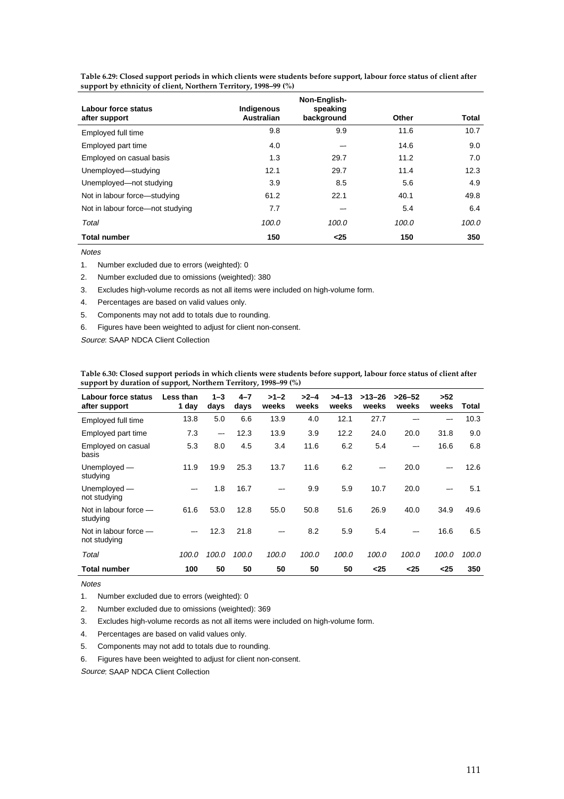| Labour force status<br>after support | Indigenous<br>Australian | Non-English-<br>speaking<br>background | Other | Total |
|--------------------------------------|--------------------------|----------------------------------------|-------|-------|
| Employed full time                   | 9.8                      | 9.9                                    | 11.6  | 10.7  |
| Employed part time                   | 4.0                      |                                        | 14.6  | 9.0   |
| Employed on casual basis             | 1.3                      | 29.7                                   | 11.2  | 7.0   |
| Unemployed-studying                  | 12.1                     | 29.7                                   | 11.4  | 12.3  |
| Unemployed-not studying              | 3.9                      | 8.5                                    | 5.6   | 4.9   |
| Not in labour force-studying         | 61.2                     | 22.1                                   | 40.1  | 49.8  |
| Not in labour force—not studying     | 7.7                      |                                        | 5.4   | 6.4   |
| Total                                | 100.0                    | 100.0                                  | 100.0 | 100.0 |
| <b>Total number</b>                  | 150                      | $25$                                   | 150   | 350   |

**Table 6.29: Closed support periods in which clients were students before support, labour force status of client after support by ethnicity of client, Northern Territory, 1998–99 (%)**

**Notes** 

- 1. Number excluded due to errors (weighted): 0
- 2. Number excluded due to omissions (weighted): 380
- 3. Excludes high-volume records as not all items were included on high-volume form.
- 4. Percentages are based on valid values only.
- 5. Components may not add to totals due to rounding.
- 6. Figures have been weighted to adjust for client non-consent.

Source: SAAP NDCA Client Collection

| Table 6.30: Closed support periods in which clients were students before support, labour force status of client after |
|-----------------------------------------------------------------------------------------------------------------------|
| support by duration of support, Northern Territory, 1998–99 (%)                                                       |

| Labour force status<br>after support    | Less than<br>1 day | $1 - 3$<br>days | $4 - 7$<br>days | $>1-2$<br>weeks | $>2-4$<br>weeks | $>4-13$<br>weeks | $>13-26$<br>weeks | $>26 - 52$<br>weeks | >52<br>weeks | Total |
|-----------------------------------------|--------------------|-----------------|-----------------|-----------------|-----------------|------------------|-------------------|---------------------|--------------|-------|
| Employed full time                      | 13.8               | 5.0             | 6.6             | 13.9            | 4.0             | 12.1             | 27.7              |                     | --           | 10.3  |
| Employed part time                      | 7.3                | $-\!$           | 12.3            | 13.9            | 3.9             | 12.2             | 24.0              | 20.0                | 31.8         | 9.0   |
| Employed on casual<br>basis             | 5.3                | 8.0             | 4.5             | 3.4             | 11.6            | 6.2              | 5.4               | --                  | 16.6         | 6.8   |
| Unemployed -<br>studying                | 11.9               | 19.9            | 25.3            | 13.7            | 11.6            | 6.2              | --                | 20.0                |              | 12.6  |
| Unemployed -<br>not studying            | --                 | 1.8             | 16.7            |                 | 9.9             | 5.9              | 10.7              | 20.0                |              | 5.1   |
| Not in labour force -<br>studying       | 61.6               | 53.0            | 12.8            | 55.0            | 50.8            | 51.6             | 26.9              | 40.0                | 34.9         | 49.6  |
| Not in labour force $-$<br>not studying |                    | 12.3            | 21.8            |                 | 8.2             | 5.9              | 5.4               |                     | 16.6         | 6.5   |
| Total                                   | 100.0              | 100.0           | 100.0           | 100.0           | 100.0           | 100.0            | 100.0             | 100.0               | 100.0        | 100.0 |
| <b>Total number</b>                     | 100                | 50              | 50              | 50              | 50              | 50               | $25$              | $25$                | $25$         | 350   |

Notes

1. Number excluded due to errors (weighted): 0

2. Number excluded due to omissions (weighted): 369

3. Excludes high-volume records as not all items were included on high-volume form.

- 4. Percentages are based on valid values only.
- 5. Components may not add to totals due to rounding.
- 6. Figures have been weighted to adjust for client non-consent.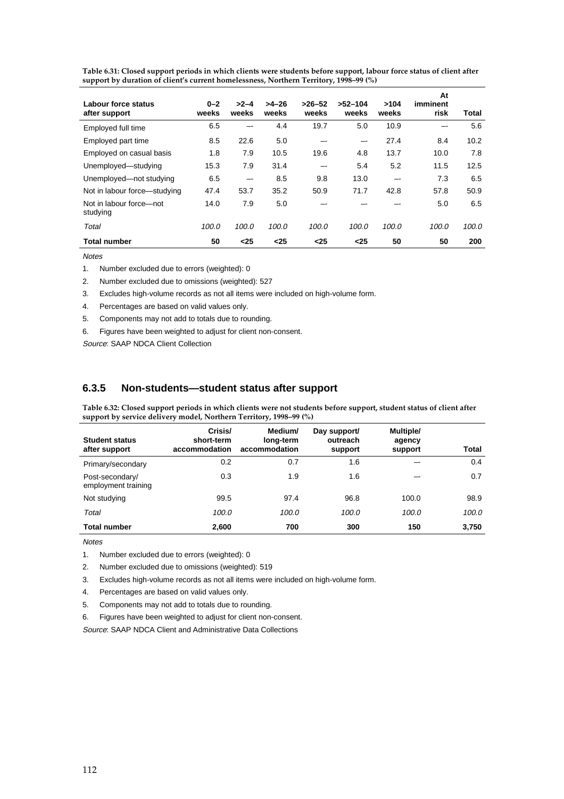| Labour force status<br>after support | $0 - 2$<br>weeks | $>2-4$<br>weeks | $>4-26$<br>weeks | $>26-52$<br>weeks | $>52-104$<br>weeks | >104<br>weeks | At<br>imminent<br>risk | Total |
|--------------------------------------|------------------|-----------------|------------------|-------------------|--------------------|---------------|------------------------|-------|
| Employed full time                   | 6.5              | --              | 4.4              | 19.7              | 5.0                | 10.9          |                        | 5.6   |
| Employed part time                   | 8.5              | 22.6            | 5.0              |                   | --                 | 27.4          | 8.4                    | 10.2  |
| Employed on casual basis             | 1.8              | 7.9             | 10.5             | 19.6              | 4.8                | 13.7          | 10.0                   | 7.8   |
| Unemployed-studying                  | 15.3             | 7.9             | 31.4             | --                | 5.4                | 5.2           | 11.5                   | 12.5  |
| Unemployed-not studying              | 6.5              | --              | 8.5              | 9.8               | 13.0               | --            | 7.3                    | 6.5   |
| Not in labour force-studying         | 47.4             | 53.7            | 35.2             | 50.9              | 71.7               | 42.8          | 57.8                   | 50.9  |
| Not in labour force-not<br>studying  | 14.0             | 7.9             | 5.0              |                   |                    |               | 5.0                    | 6.5   |
| Total                                | 100.0            | 100.0           | 100.0            | 100.0             | 100.0              | 100.0         | 100.0                  | 100.0 |
| <b>Total number</b>                  | 50               | $25$            | $25$             | $25$              | $25$               | 50            | 50                     | 200   |

**Table 6.31: Closed support periods in which clients were students before support, labour force status of client after support by duration of client's current homelessness, Northern Territory, 1998–99 (%)**

**Notes** 

1. Number excluded due to errors (weighted): 0

2. Number excluded due to omissions (weighted): 527

3. Excludes high-volume records as not all items were included on high-volume form.

4. Percentages are based on valid values only.

5. Components may not add to totals due to rounding.

6. Figures have been weighted to adjust for client non-consent.

Source: SAAP NDCA Client Collection

#### **6.3.5 Non-students—student status after support**

**Table 6.32: Closed support periods in which clients were not students before support, student status of client after support by service delivery model, Northern Territory, 1998–99 (%)**

| <b>Student status</b><br>after support | Crisis/<br>short-term<br>accommodation | Medium/<br>long-term<br>accommodation | Day support/<br>outreach<br>support | Multiple/<br>agency<br>support | Total |
|----------------------------------------|----------------------------------------|---------------------------------------|-------------------------------------|--------------------------------|-------|
| Primary/secondary                      | 0.2                                    | 0.7                                   | 1.6                                 |                                | 0.4   |
| Post-secondary/<br>employment training | 0.3                                    | 1.9                                   | 1.6                                 |                                | 0.7   |
| Not studying                           | 99.5                                   | 97.4                                  | 96.8                                | 100.0                          | 98.9  |
| Total                                  | 100.0                                  | 100.0                                 | 100.0                               | 100.0                          | 100.0 |
| <b>Total number</b>                    | 2,600                                  | 700                                   | 300                                 | 150                            | 3,750 |

**Notes** 

1. Number excluded due to errors (weighted): 0

2. Number excluded due to omissions (weighted): 519

3. Excludes high-volume records as not all items were included on high-volume form.

4. Percentages are based on valid values only.

5. Components may not add to totals due to rounding.

6. Figures have been weighted to adjust for client non-consent.

Source: SAAP NDCA Client and Administrative Data Collections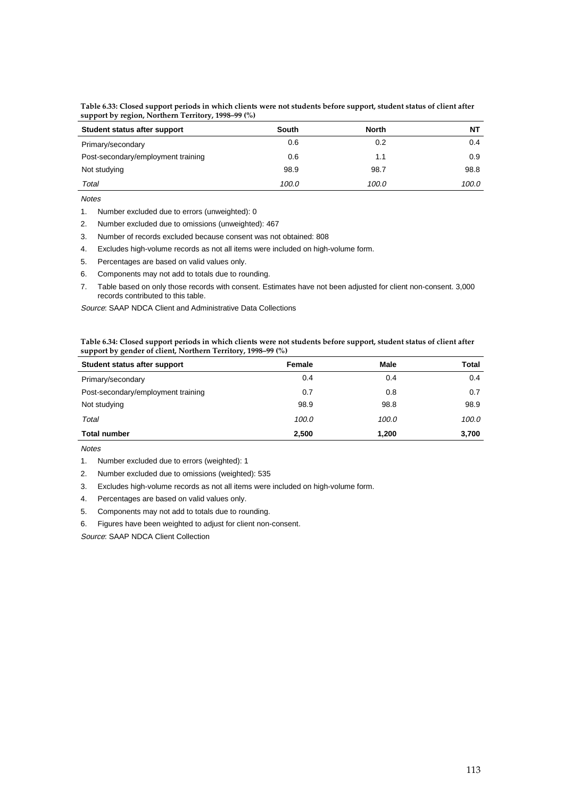**Table 6.33: Closed support periods in which clients were not students before support, student status of client after support by region, Northern Territory, 1998–99 (%)**

| Student status after support       | South | North | NΤ    |
|------------------------------------|-------|-------|-------|
| Primary/secondary                  | 0.6   | 0.2   | 0.4   |
| Post-secondary/employment training | 0.6   | 1.1   | 0.9   |
| Not studying                       | 98.9  | 98.7  | 98.8  |
| Total                              | 100.0 | 100.0 | 100.0 |

1. Number excluded due to errors (unweighted): 0

2. Number excluded due to omissions (unweighted): 467

3. Number of records excluded because consent was not obtained: 808

4. Excludes high-volume records as not all items were included on high-volume form.

5. Percentages are based on valid values only.

6. Components may not add to totals due to rounding.

7. Table based on only those records with consent. Estimates have not been adjusted for client non-consent. 3,000 records contributed to this table.

Source: SAAP NDCA Client and Administrative Data Collections

**Table 6.34: Closed support periods in which clients were not students before support, student status of client after support by gender of client, Northern Territory, 1998–99 (%)**

| Student status after support       | Female | Male  | Total |
|------------------------------------|--------|-------|-------|
| Primary/secondary                  | 0.4    | 0.4   | 0.4   |
| Post-secondary/employment training | 0.7    | 0.8   | 0.7   |
| Not studying                       | 98.9   | 98.8  | 98.9  |
| Total                              | 100.0  | 100.0 | 100.0 |
| <b>Total number</b>                | 2,500  | 1.200 | 3,700 |

**Notes** 

1. Number excluded due to errors (weighted): 1

2. Number excluded due to omissions (weighted): 535

3. Excludes high-volume records as not all items were included on high-volume form.

4. Percentages are based on valid values only.

5. Components may not add to totals due to rounding.

6. Figures have been weighted to adjust for client non-consent.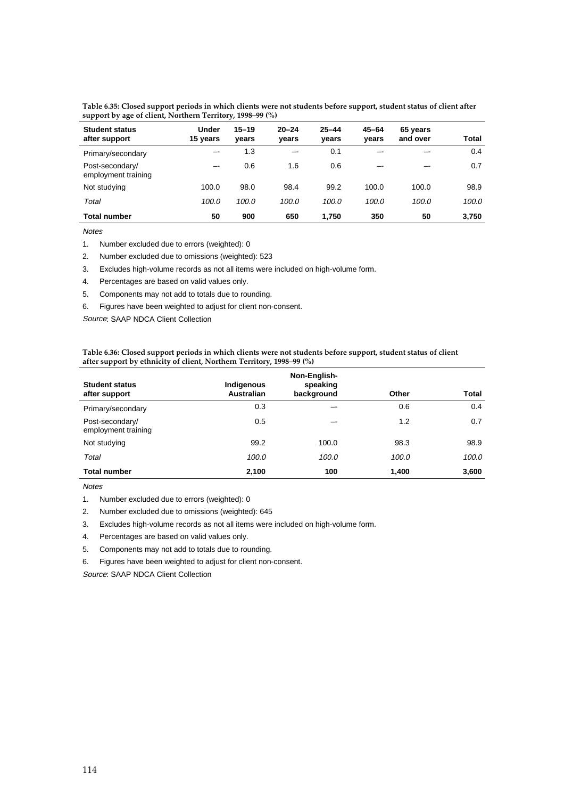**Table 6.35: Closed support periods in which clients were not students before support, student status of client after support by age of client, Northern Territory, 1998–99 (%)**

| <b>Student status</b><br>after support | Under<br>15 years | $15 - 19$<br>vears | $20 - 24$<br>vears | $25 - 44$<br>vears | $45 - 64$<br>vears | 65 years<br>and over | Total |
|----------------------------------------|-------------------|--------------------|--------------------|--------------------|--------------------|----------------------|-------|
| Primary/secondary                      | --                | 1.3                |                    | 0.1                |                    |                      | 0.4   |
| Post-secondary/<br>employment training | --                | 0.6                | 1.6                | 0.6                | --                 |                      | 0.7   |
| Not studying                           | 100.0             | 98.0               | 98.4               | 99.2               | 100.0              | 100.0                | 98.9  |
| Total                                  | 100.0             | 100.0              | 100.0              | 100.0              | 100.0              | 100.0                | 100.0 |
| <b>Total number</b>                    | 50                | 900                | 650                | 1.750              | 350                | 50                   | 3,750 |

1. Number excluded due to errors (weighted): 0

2. Number excluded due to omissions (weighted): 523

3. Excludes high-volume records as not all items were included on high-volume form.

4. Percentages are based on valid values only.

5. Components may not add to totals due to rounding.

6. Figures have been weighted to adjust for client non-consent.

Source: SAAP NDCA Client Collection

**Table 6.36: Closed support periods in which clients were not students before support, student status of client after support by ethnicity of client, Northern Territory, 1998–99 (%)**

|                                        |                                 | Non-English-           |       |       |
|----------------------------------------|---------------------------------|------------------------|-------|-------|
| <b>Student status</b><br>after support | Indigenous<br><b>Australian</b> | speaking<br>background | Other | Total |
| Primary/secondary                      | 0.3                             |                        | 0.6   | 0.4   |
| Post-secondary/<br>employment training | 0.5                             | --                     | 1.2   | 0.7   |
| Not studying                           | 99.2                            | 100.0                  | 98.3  | 98.9  |
| Total                                  | 100.0                           | 100.0                  | 100.0 | 100.0 |
| <b>Total number</b>                    | 2,100                           | 100                    | 1,400 | 3,600 |

**Notes** 

1. Number excluded due to errors (weighted): 0

2. Number excluded due to omissions (weighted): 645

- 3. Excludes high-volume records as not all items were included on high-volume form.
- 4. Percentages are based on valid values only.
- 5. Components may not add to totals due to rounding.

6. Figures have been weighted to adjust for client non-consent.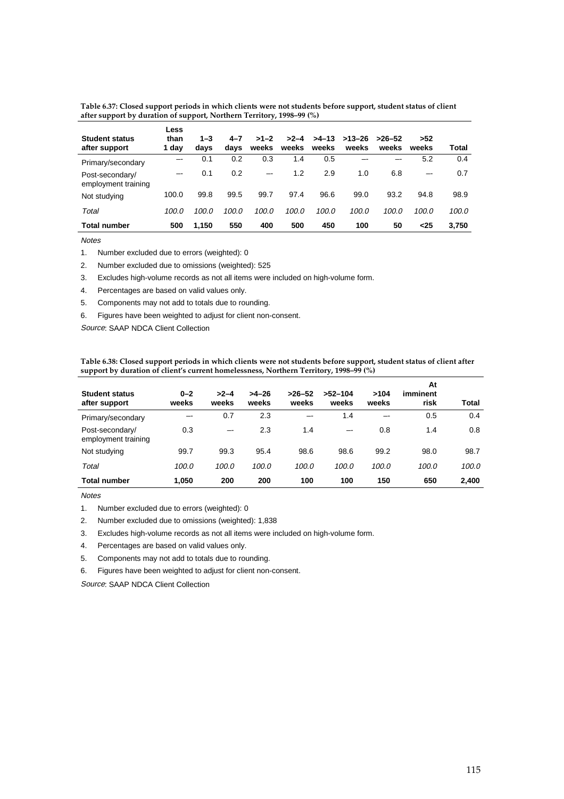| <b>Student status</b><br>after support | Less<br>than<br>1 day | $1 - 3$<br>days | $4 - 7$<br>days | $>1-2$<br>weeks | $>2-4$<br>weeks | $>4-13$<br>weeks | $>13-26$<br>weeks | $>26 - 52$<br>weeks | >52<br>weeks | Total |
|----------------------------------------|-----------------------|-----------------|-----------------|-----------------|-----------------|------------------|-------------------|---------------------|--------------|-------|
| Primary/secondary                      | --                    | 0.1             | 0.2             | 0.3             | 1.4             | 0.5              | --                | --                  | 5.2          | 0.4   |
| Post-secondary/<br>employment training | --                    | 0.1             | 0.2             | --              | 1.2             | 2.9              | 1.0               | 6.8                 | --           | 0.7   |
| Not studying                           | 100.0                 | 99.8            | 99.5            | 99.7            | 97.4            | 96.6             | 99.0              | 93.2                | 94.8         | 98.9  |
| Total                                  | 100.0                 | 100.0           | 100.0           | 100.0           | 100.0           | 100.0            | 100.0             | 100.0               | 100.0        | 100.0 |
| Total number                           | 500                   | 1.150           | 550             | 400             | 500             | 450              | 100               | 50                  | $<$ 25       | 3.750 |

**Table 6.37: Closed support periods in which clients were not students before support, student status of client after support by duration of support, Northern Territory, 1998–99 (%)**

1. Number excluded due to errors (weighted): 0

2. Number excluded due to omissions (weighted): 525

3. Excludes high-volume records as not all items were included on high-volume form.

4. Percentages are based on valid values only.

5. Components may not add to totals due to rounding.

6. Figures have been weighted to adjust for client non-consent.

Source: SAAP NDCA Client Collection

| Table 6.38: Closed support periods in which clients were not students before support, student status of client after |
|----------------------------------------------------------------------------------------------------------------------|
| support by duration of client's current homelessness, Northern Territory, 1998–99 (%)                                |

| <b>Student status</b><br>after support | $0 - 2$<br>weeks | $>2-4$<br>weeks | $>4-26$<br>weeks | $>26-52$<br>weeks | $>52-104$<br>weeks | >104<br>weeks | At<br>imminent<br>risk | Total |
|----------------------------------------|------------------|-----------------|------------------|-------------------|--------------------|---------------|------------------------|-------|
| Primary/secondary                      | --               | 0.7             | 2.3              | --                | 1.4                | --            | 0.5                    | 0.4   |
| Post-secondary/<br>employment training | 0.3              | --              | 2.3              | 1.4               | --                 | 0.8           | 1.4                    | 0.8   |
| Not studying                           | 99.7             | 99.3            | 95.4             | 98.6              | 98.6               | 99.2          | 98.0                   | 98.7  |
| Total                                  | 100.0            | 100.0           | 100.0            | 100.0             | 100.0              | 100.0         | 100.0                  | 100.0 |
| <b>Total number</b>                    | 1.050            | 200             | 200              | 100               | 100                | 150           | 650                    | 2.400 |

Notes

1. Number excluded due to errors (weighted): 0

2. Number excluded due to omissions (weighted): 1,838

3. Excludes high-volume records as not all items were included on high-volume form.

4. Percentages are based on valid values only.

5. Components may not add to totals due to rounding.

6. Figures have been weighted to adjust for client non-consent.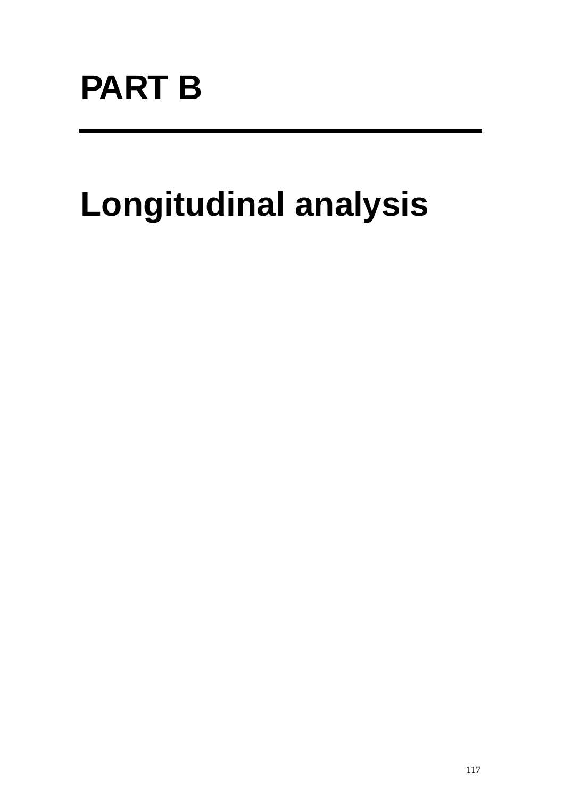# **Longitudinal analysis**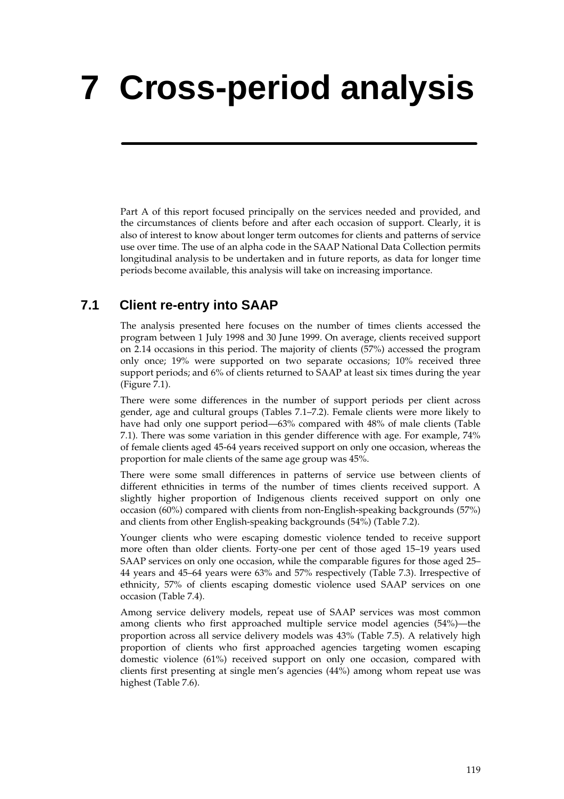# **7 Cross-period analysis**

Part A of this report focused principally on the services needed and provided, and the circumstances of clients before and after each occasion of support. Clearly, it is also of interest to know about longer term outcomes for clients and patterns of service use over time. The use of an alpha code in the SAAP National Data Collection permits longitudinal analysis to be undertaken and in future reports, as data for longer time periods become available, this analysis will take on increasing importance.

### **7.1 Client re-entry into SAAP**

The analysis presented here focuses on the number of times clients accessed the program between 1 July 1998 and 30 June 1999. On average, clients received support on 2.14 occasions in this period. The majority of clients (57%) accessed the program only once; 19% were supported on two separate occasions; 10% received three support periods; and 6% of clients returned to SAAP at least six times during the year (Figure 7.1).

There were some differences in the number of support periods per client across gender, age and cultural groups (Tables 7.1–7.2). Female clients were more likely to have had only one support period—63% compared with 48% of male clients (Table 7.1). There was some variation in this gender difference with age. For example, 74% of female clients aged 45-64 years received support on only one occasion, whereas the proportion for male clients of the same age group was 45%.

There were some small differences in patterns of service use between clients of different ethnicities in terms of the number of times clients received support. A slightly higher proportion of Indigenous clients received support on only one occasion (60%) compared with clients from non-English-speaking backgrounds (57%) and clients from other English-speaking backgrounds (54%) (Table 7.2).

Younger clients who were escaping domestic violence tended to receive support more often than older clients. Forty-one per cent of those aged 15–19 years used SAAP services on only one occasion, while the comparable figures for those aged 25– 44 years and 45–64 years were 63% and 57% respectively (Table 7.3). Irrespective of ethnicity, 57% of clients escaping domestic violence used SAAP services on one occasion (Table 7.4).

Among service delivery models, repeat use of SAAP services was most common among clients who first approached multiple service model agencies (54%)—the proportion across all service delivery models was 43% (Table 7.5). A relatively high proportion of clients who first approached agencies targeting women escaping domestic violence (61%) received support on only one occasion, compared with clients first presenting at single men's agencies (44%) among whom repeat use was highest (Table 7.6).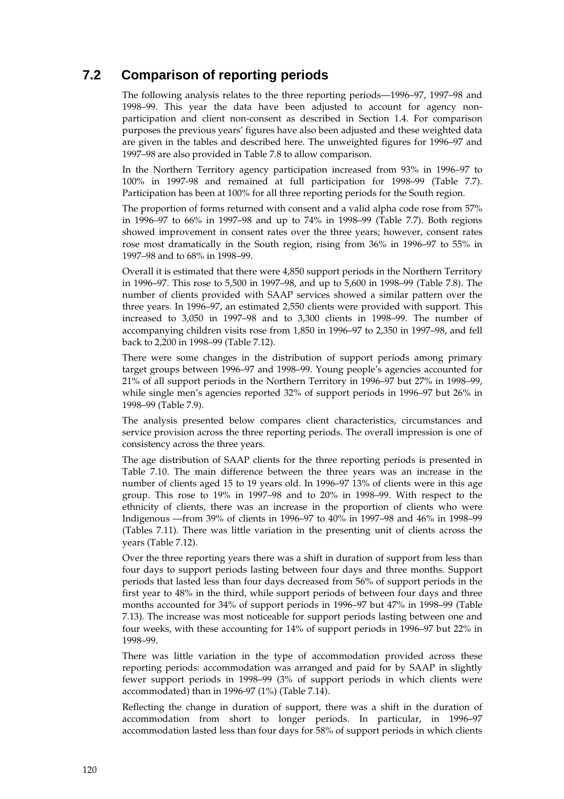## **7.2 Comparison of reporting periods**

The following analysis relates to the three reporting periods—1996–97, 1997–98 and 1998–99. This year the data have been adjusted to account for agency nonparticipation and client non-consent as described in Section 1.4. For comparison purposes the previous years' figures have also been adjusted and these weighted data are given in the tables and described here. The unweighted figures for 1996–97 and 1997–98 are also provided in Table 7.8 to allow comparison.

In the Northern Territory agency participation increased from 93% in 1996–97 to 100% in 1997-98 and remained at full participation for 1998–99 (Table 7.7). Participation has been at 100% for all three reporting periods for the South region.

The proportion of forms returned with consent and a valid alpha code rose from 57% in 1996–97 to 66% in 1997–98 and up to 74% in 1998–99 (Table 7.7). Both regions showed improvement in consent rates over the three years; however, consent rates rose most dramatically in the South region, rising from 36% in 1996–97 to 55% in 1997–98 and to 68% in 1998–99.

Overall it is estimated that there were 4,850 support periods in the Northern Territory in 1996–97. This rose to 5,500 in 1997–98, and up to 5,600 in 1998–99 (Table 7.8). The number of clients provided with SAAP services showed a similar pattern over the three years. In 1996–97, an estimated 2,550 clients were provided with support. This increased to 3,050 in 1997–98 and to 3,300 clients in 1998–99. The number of accompanying children visits rose from 1,850 in 1996–97 to 2,350 in 1997–98, and fell back to 2,200 in 1998–99 (Table 7.12).

There were some changes in the distribution of support periods among primary target groups between 1996–97 and 1998–99. Young people's agencies accounted for 21% of all support periods in the Northern Territory in 1996–97 but 27% in 1998–99, while single men's agencies reported 32% of support periods in 1996–97 but 26% in 1998–99 (Table 7.9).

The analysis presented below compares client characteristics, circumstances and service provision across the three reporting periods. The overall impression is one of consistency across the three years.

The age distribution of SAAP clients for the three reporting periods is presented in Table 7.10. The main difference between the three years was an increase in the number of clients aged 15 to 19 years old. In 1996–97 13% of clients were in this age group. This rose to 19% in 1997–98 and to 20% in 1998–99. With respect to the ethnicity of clients, there was an increase in the proportion of clients who were Indigenous —from 39% of clients in 1996–97 to 40% in 1997–98 and 46% in 1998–99 (Tables 7.11). There was little variation in the presenting unit of clients across the years (Table 7.12).

Over the three reporting years there was a shift in duration of support from less than four days to support periods lasting between four days and three months. Support periods that lasted less than four days decreased from 56% of support periods in the first year to 48% in the third, while support periods of between four days and three months accounted for 34% of support periods in 1996–97 but 47% in 1998–99 (Table 7.13). The increase was most noticeable for support periods lasting between one and four weeks, with these accounting for 14% of support periods in 1996–97 but 22% in 1998–99.

There was little variation in the type of accommodation provided across these reporting periods: accommodation was arranged and paid for by SAAP in slightly fewer support periods in 1998–99 (3% of support periods in which clients were accommodated) than in 1996-97 (1%) (Table 7.14).

Reflecting the change in duration of support, there was a shift in the duration of accommodation from short to longer periods. In particular, in 1996–97 accommodation lasted less than four days for 58% of support periods in which clients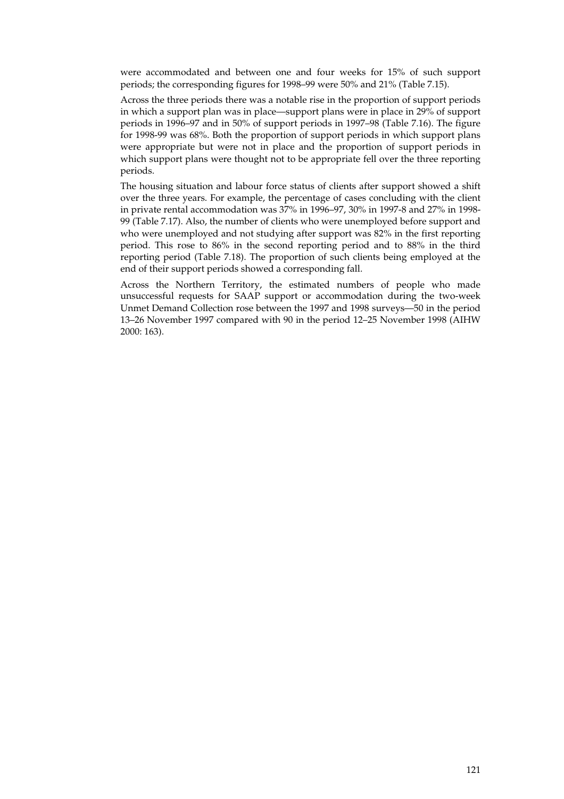were accommodated and between one and four weeks for 15% of such support periods; the corresponding figures for 1998–99 were 50% and 21% (Table 7.15).

Across the three periods there was a notable rise in the proportion of support periods in which a support plan was in place—support plans were in place in 29% of support periods in 1996–97 and in 50% of support periods in 1997–98 (Table 7.16). The figure for 1998-99 was 68%. Both the proportion of support periods in which support plans were appropriate but were not in place and the proportion of support periods in which support plans were thought not to be appropriate fell over the three reporting periods.

The housing situation and labour force status of clients after support showed a shift over the three years. For example, the percentage of cases concluding with the client in private rental accommodation was 37% in 1996–97, 30% in 1997-8 and 27% in 1998- 99 (Table 7.17). Also, the number of clients who were unemployed before support and who were unemployed and not studying after support was 82% in the first reporting period. This rose to 86% in the second reporting period and to 88% in the third reporting period (Table 7.18). The proportion of such clients being employed at the end of their support periods showed a corresponding fall.

Across the Northern Territory, the estimated numbers of people who made unsuccessful requests for SAAP support or accommodation during the two-week Unmet Demand Collection rose between the 1997 and 1998 surveys—50 in the period 13–26 November 1997 compared with 90 in the period 12–25 November 1998 (AIHW 2000: 163).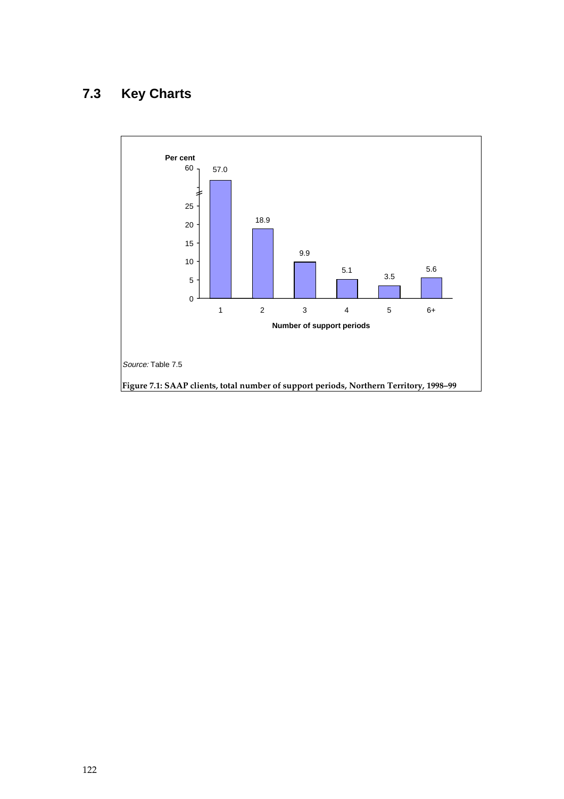## **7.3 Key Charts**

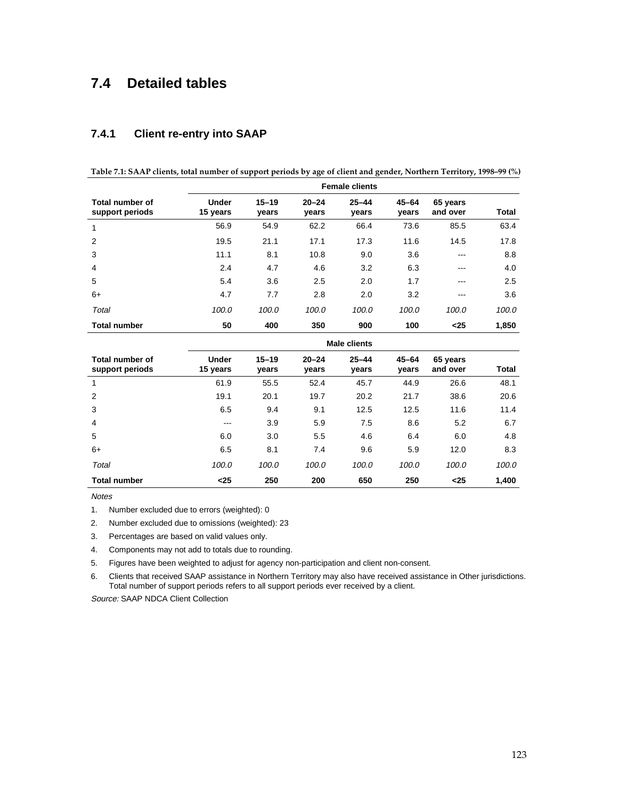## **7.4 Detailed tables**

#### **7.4.1 Client re-entry into SAAP**

**Table 7.1: SAAP clients, total number of support periods by age of client and gender, Northern Territory, 1998–99 (%)**

|                                           |                          |                    |                    | <b>Female clients</b> |                    |                      |              |
|-------------------------------------------|--------------------------|--------------------|--------------------|-----------------------|--------------------|----------------------|--------------|
| <b>Total number of</b><br>support periods | <b>Under</b><br>15 years | $15 - 19$<br>years | $20 - 24$<br>years | $25 - 44$<br>years    | $45 - 64$<br>vears | 65 years<br>and over | <b>Total</b> |
| 1                                         | 56.9                     | 54.9               | 62.2               | 66.4                  | 73.6               | 85.5                 | 63.4         |
| 2                                         | 19.5                     | 21.1               | 17.1               | 17.3                  | 11.6               | 14.5                 | 17.8         |
| 3                                         | 11.1                     | 8.1                | 10.8               | 9.0                   | 3.6                | $- - -$              | 8.8          |
| 4                                         | 2.4                      | 4.7                | 4.6                | 3.2                   | 6.3                | $- - -$              | 4.0          |
| 5                                         | 5.4                      | 3.6                | 2.5                | 2.0                   | 1.7                | $- - -$              | 2.5          |
| $6+$                                      | 4.7                      | 7.7                | 2.8                | 2.0                   | 3.2                | $-- -$               | 3.6          |
| Total                                     | 100.0                    | 100.0              | 100.0              | 100.0                 | 100.0              | 100.0                | 100.0        |
| <b>Total number</b>                       | 50                       | 400                | 350                | 900                   | 100                | $25$                 | 1,850        |

|                                    | <b>Male clients</b>      |                    |                    |                    |                    |                      |       |
|------------------------------------|--------------------------|--------------------|--------------------|--------------------|--------------------|----------------------|-------|
| Total number of<br>support periods | <b>Under</b><br>15 years | $15 - 19$<br>vears | $20 - 24$<br>years | $25 - 44$<br>years | $45 - 64$<br>vears | 65 years<br>and over | Total |
| 1                                  | 61.9                     | 55.5               | 52.4               | 45.7               | 44.9               | 26.6                 | 48.1  |
| 2                                  | 19.1                     | 20.1               | 19.7               | 20.2               | 21.7               | 38.6                 | 20.6  |
| 3                                  | 6.5                      | 9.4                | 9.1                | 12.5               | 12.5               | 11.6                 | 11.4  |
| 4                                  | $--$                     | 3.9                | 5.9                | 7.5                | 8.6                | 5.2                  | 6.7   |
| 5                                  | 6.0                      | 3.0                | 5.5                | 4.6                | 6.4                | 6.0                  | 4.8   |
| $6+$                               | 6.5                      | 8.1                | 7.4                | 9.6                | 5.9                | 12.0                 | 8.3   |
| Total                              | 100.0                    | 100.0              | 100.0              | 100.0              | 100.0              | 100.0                | 100.0 |
| <b>Total number</b>                | $25$                     | 250                | 200                | 650                | 250                | $25$                 | 1.400 |

**Notes** 

1. Number excluded due to errors (weighted): 0

2. Number excluded due to omissions (weighted): 23

3. Percentages are based on valid values only.

4. Components may not add to totals due to rounding.

5. Figures have been weighted to adjust for agency non-participation and client non-consent.

6. Clients that received SAAP assistance in Northern Territory may also have received assistance in Other jurisdictions. Total number of support periods refers to all support periods ever received by a client.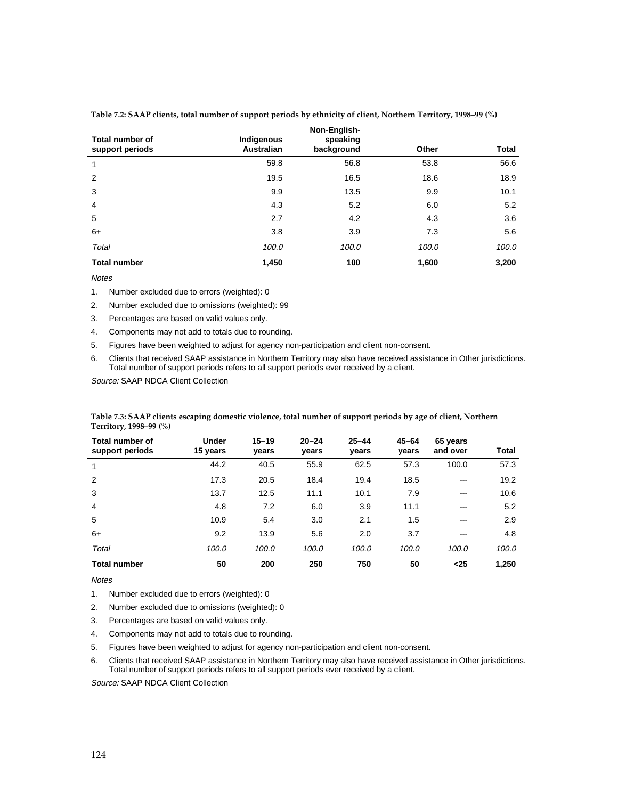| <b>Total number of</b><br>support periods | Indigenous<br><b>Australian</b> | Non-English-<br>speaking<br>background | Other | <b>Total</b> |
|-------------------------------------------|---------------------------------|----------------------------------------|-------|--------------|
| 1                                         | 59.8                            | 56.8                                   | 53.8  | 56.6         |
| 2                                         | 19.5                            | 16.5                                   | 18.6  | 18.9         |
| 3                                         | 9.9                             | 13.5                                   | 9.9   | 10.1         |
| $\overline{4}$                            | 4.3                             | 5.2                                    | 6.0   | 5.2          |
| 5                                         | 2.7                             | 4.2                                    | 4.3   | 3.6          |
| $6+$                                      | 3.8                             | 3.9                                    | 7.3   | 5.6          |
| Total                                     | 100.0                           | 100.0                                  | 100.0 | 100.0        |
| <b>Total number</b>                       | 1,450                           | 100                                    | 1,600 | 3,200        |

#### **Table 7.2: SAAP clients, total number of support periods by ethnicity of client, Northern Territory, 1998–99 (%)**

Notes

1. Number excluded due to errors (weighted): 0

2. Number excluded due to omissions (weighted): 99

3. Percentages are based on valid values only.

4. Components may not add to totals due to rounding.

5. Figures have been weighted to adjust for agency non-participation and client non-consent.

6. Clients that received SAAP assistance in Northern Territory may also have received assistance in Other jurisdictions. Total number of support periods refers to all support periods ever received by a client.

Source: SAAP NDCA Client Collection

| $I$ CHROLY, $I$ <sub>22</sub> 0 <sup>-</sup> 22 (70) |                          |                    |                    |                    |                    |                      |              |
|------------------------------------------------------|--------------------------|--------------------|--------------------|--------------------|--------------------|----------------------|--------------|
| <b>Total number of</b><br>support periods            | <b>Under</b><br>15 years | $15 - 19$<br>years | $20 - 24$<br>years | $25 - 44$<br>years | $45 - 64$<br>vears | 65 years<br>and over | <b>Total</b> |
| 1                                                    | 44.2                     | 40.5               | 55.9               | 62.5               | 57.3               | 100.0                | 57.3         |
| 2                                                    | 17.3                     | 20.5               | 18.4               | 19.4               | 18.5               | $- - -$              | 19.2         |
| 3                                                    | 13.7                     | 12.5               | 11.1               | 10.1               | 7.9                | $- - -$              | 10.6         |
| $\overline{4}$                                       | 4.8                      | 7.2                | 6.0                | 3.9                | 11.1               | ---                  | 5.2          |
| 5                                                    | 10.9                     | 5.4                | 3.0                | 2.1                | 1.5                | ---                  | 2.9          |
| $6+$                                                 | 9.2                      | 13.9               | 5.6                | 2.0                | 3.7                | $- - -$              | 4.8          |
| Total                                                | 100.0                    | 100.0              | 100.0              | 100.0              | 100.0              | 100.0                | 100.0        |
| <b>Total number</b>                                  | 50                       | 200                | 250                | 750                | 50                 | $25$                 | 1.250        |

**Table 7.3: SAAP clients escaping domestic violence, total number of support periods by age of client, Northern Territory, 1998–99 (%)**

Notes

1. Number excluded due to errors (weighted): 0

2. Number excluded due to omissions (weighted): 0

3. Percentages are based on valid values only.

4. Components may not add to totals due to rounding.

5. Figures have been weighted to adjust for agency non-participation and client non-consent.

6. Clients that received SAAP assistance in Northern Territory may also have received assistance in Other jurisdictions. Total number of support periods refers to all support periods ever received by a client.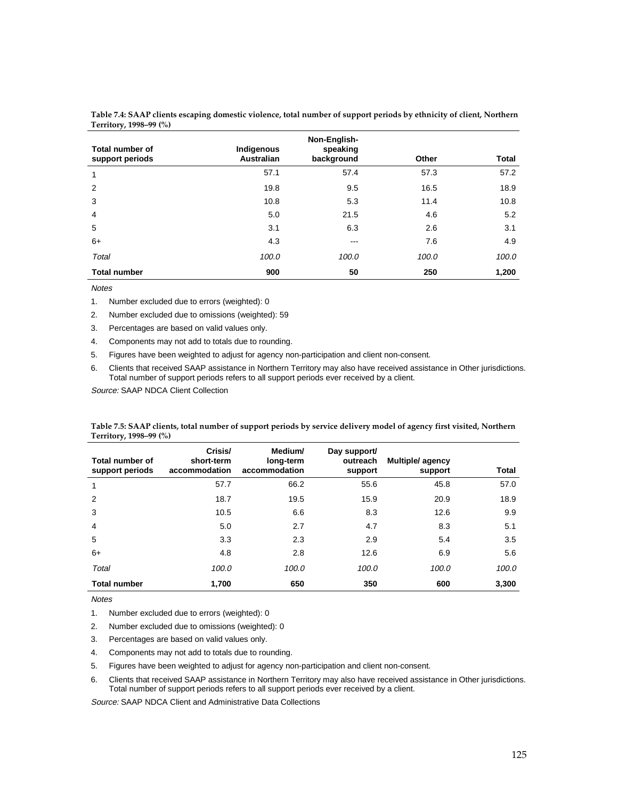| Total number of<br>support periods | Indigenous<br><b>Australian</b> | Non-English-<br>speaking<br>background | Other | Total |
|------------------------------------|---------------------------------|----------------------------------------|-------|-------|
| 1                                  | 57.1                            | 57.4                                   | 57.3  | 57.2  |
| 2                                  | 19.8                            | 9.5                                    | 16.5  | 18.9  |
| 3                                  | 10.8                            | 5.3                                    | 11.4  | 10.8  |
| $\overline{4}$                     | 5.0                             | 21.5                                   | 4.6   | 5.2   |
| 5                                  | 3.1                             | 6.3                                    | 2.6   | 3.1   |
| 6+                                 | 4.3                             | $- - -$                                | 7.6   | 4.9   |
| Total                              | 100.0                           | 100.0                                  | 100.0 | 100.0 |
| <b>Total number</b>                | 900                             | 50                                     | 250   | 1,200 |

| Table 7.4: SAAP clients escaping domestic violence, total number of support periods by ethnicity of client, Northern |  |
|----------------------------------------------------------------------------------------------------------------------|--|
| Territory, 1998–99 (%)                                                                                               |  |

1. Number excluded due to errors (weighted): 0

2. Number excluded due to omissions (weighted): 59

3. Percentages are based on valid values only.

4. Components may not add to totals due to rounding.

5. Figures have been weighted to adjust for agency non-participation and client non-consent.

6. Clients that received SAAP assistance in Northern Territory may also have received assistance in Other jurisdictions. Total number of support periods refers to all support periods ever received by a client.

Source: SAAP NDCA Client Collection

|                        | Table 7.5: SAAP clients, total number of support periods by service delivery model of agency first visited, Northern |  |  |
|------------------------|----------------------------------------------------------------------------------------------------------------------|--|--|
| Territory, 1998–99 (%) |                                                                                                                      |  |  |

| Total number of<br>support periods | Crisis/<br>short-term<br>accommodation | Medium/<br>long-term<br>accommodation | Day support/<br>outreach<br>support | <b>Multiple/agency</b><br>support | Total |
|------------------------------------|----------------------------------------|---------------------------------------|-------------------------------------|-----------------------------------|-------|
| 1                                  | 57.7                                   | 66.2                                  | 55.6                                | 45.8                              | 57.0  |
| $\overline{2}$                     | 18.7                                   | 19.5                                  | 15.9                                | 20.9                              | 18.9  |
| 3                                  | 10.5                                   | 6.6                                   | 8.3                                 | 12.6                              | 9.9   |
| $\overline{4}$                     | 5.0                                    | 2.7                                   | 4.7                                 | 8.3                               | 5.1   |
| 5                                  | 3.3                                    | 2.3                                   | 2.9                                 | 5.4                               | 3.5   |
| $6+$                               | 4.8                                    | 2.8                                   | 12.6                                | 6.9                               | 5.6   |
| Total                              | 100.0                                  | 100.0                                 | 100.0                               | 100.0                             | 100.0 |
| <b>Total number</b>                | 1,700                                  | 650                                   | 350                                 | 600                               | 3,300 |

**Notes** 

1. Number excluded due to errors (weighted): 0

2. Number excluded due to omissions (weighted): 0

- 3. Percentages are based on valid values only.
- 4. Components may not add to totals due to rounding.
- 5. Figures have been weighted to adjust for agency non-participation and client non-consent.
- 6. Clients that received SAAP assistance in Northern Territory may also have received assistance in Other jurisdictions. Total number of support periods refers to all support periods ever received by a client.

Source: SAAP NDCA Client and Administrative Data Collections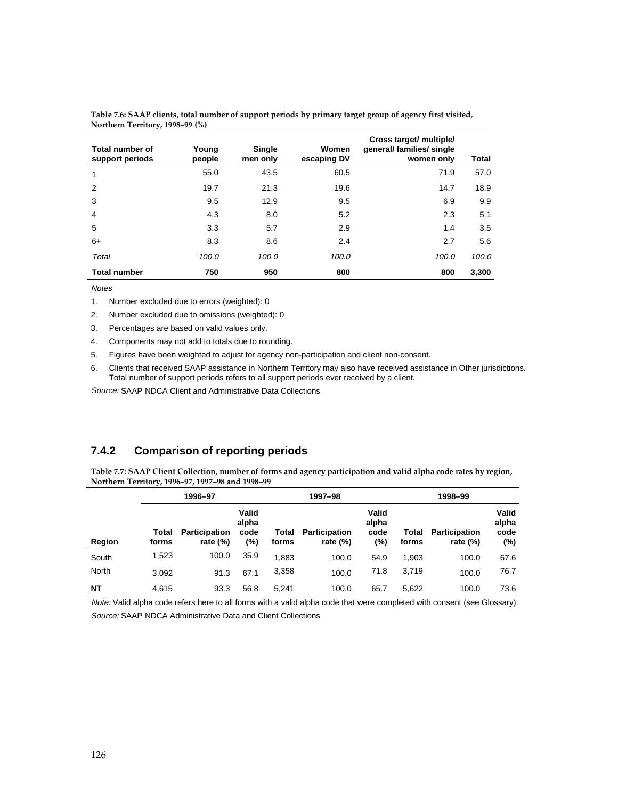| Total number of<br>support periods | Young<br>people | Single<br>men only | Women<br>escaping DV | Cross target/ multiple/<br>general/ families/ single<br>women only | Total |
|------------------------------------|-----------------|--------------------|----------------------|--------------------------------------------------------------------|-------|
| 1                                  | 55.0            | 43.5               | 60.5                 | 71.9                                                               | 57.0  |
| 2                                  | 19.7            | 21.3               | 19.6                 | 14.7                                                               | 18.9  |
| 3                                  | 9.5             | 12.9               | 9.5                  | 6.9                                                                | 9.9   |
| 4                                  | 4.3             | 8.0                | 5.2                  | 2.3                                                                | 5.1   |
| 5                                  | 3.3             | 5.7                | 2.9                  | 1.4                                                                | 3.5   |
| $6+$                               | 8.3             | 8.6                | 2.4                  | 2.7                                                                | 5.6   |
| Total                              | 100.0           | 100.0              | 100.0                | 100.0                                                              | 100.0 |
| <b>Total number</b>                | 750             | 950                | 800                  | 800                                                                | 3,300 |

| Table 7.6: SAAP clients, total number of support periods by primary target group of agency first visited, |  |
|-----------------------------------------------------------------------------------------------------------|--|
| Northern Territory, 1998–99 (%)                                                                           |  |

1. Number excluded due to errors (weighted): 0

2. Number excluded due to omissions (weighted): 0

3. Percentages are based on valid values only.

4. Components may not add to totals due to rounding.

5. Figures have been weighted to adjust for agency non-participation and client non-consent.

6. Clients that received SAAP assistance in Northern Territory may also have received assistance in Other jurisdictions. Total number of support periods refers to all support periods ever received by a client.

Source: SAAP NDCA Client and Administrative Data Collections

### **7.4.2 Comparison of reporting periods**

**Table 7.7: SAAP Client Collection, number of forms and agency participation and valid alpha code rates by region, Northern Territory, 1996–97, 1997–98 and 1998–99**

|        | 1996-97        |                                     |                               | 1997-98        |                                     |                               |                | 1998-99                            |                                  |
|--------|----------------|-------------------------------------|-------------------------------|----------------|-------------------------------------|-------------------------------|----------------|------------------------------------|----------------------------------|
| Region | Total<br>forms | <b>Participation</b><br>rate $(\%)$ | Valid<br>alpha<br>code<br>(%) | Total<br>forms | <b>Participation</b><br>rate $(\%)$ | Valid<br>alpha<br>code<br>(%) | Total<br>forms | <b>Participation</b><br>rate $(%)$ | Valid<br>alpha<br>code<br>$(\%)$ |
| South  | 1,523          | 100.0                               | 35.9                          | 1.883          | 100.0                               | 54.9                          | 1.903          | 100.0                              | 67.6                             |
| North  | 3,092          | 91.3                                | 67.1                          | 3,358          | 100.0                               | 71.8                          | 3,719          | 100.0                              | 76.7                             |
| NT     | 4,615          | 93.3                                | 56.8                          | 5.241          | 100.0                               | 65.7                          | 5,622          | 100.0                              | 73.6                             |

Note: Valid alpha code refers here to all forms with a valid alpha code that were completed with consent (see Glossary). Source: SAAP NDCA Administrative Data and Client Collections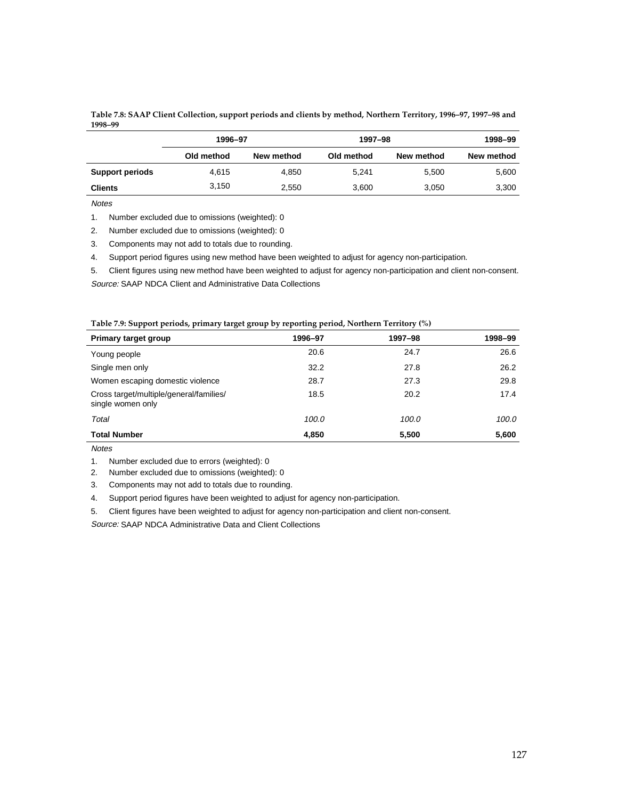| Table 7.8: SAAP Client Collection, support periods and clients by method, Northern Territory, 1996–97, 1997–98 and |  |
|--------------------------------------------------------------------------------------------------------------------|--|
| 1998-99                                                                                                            |  |

|                        | 1996-97    |            | 1997-98    | 1998-99    |            |
|------------------------|------------|------------|------------|------------|------------|
|                        | Old method | New method | Old method | New method | New method |
| <b>Support periods</b> | 4.615      | 4.850      | 5.241      | 5.500      | 5,600      |
| <b>Clients</b>         | 3,150      | 2,550      | 3,600      | 3,050      | 3,300      |

1. Number excluded due to omissions (weighted): 0

2. Number excluded due to omissions (weighted): 0

3. Components may not add to totals due to rounding.

4. Support period figures using new method have been weighted to adjust for agency non-participation.

5. Client figures using new method have been weighted to adjust for agency non-participation and client non-consent.

Source: SAAP NDCA Client and Administrative Data Collections

| Table 7.9: Support periods, primary target group by reporting period, Northern Territory (%) |  |  |
|----------------------------------------------------------------------------------------------|--|--|
|                                                                                              |  |  |

| Primary target group                                         | 1996-97 | 1997-98 | 1998-99 |
|--------------------------------------------------------------|---------|---------|---------|
| Young people                                                 | 20.6    | 24.7    | 26.6    |
| Single men only                                              | 32.2    | 27.8    | 26.2    |
| Women escaping domestic violence                             | 28.7    | 27.3    | 29.8    |
| Cross target/multiple/general/families/<br>single women only | 18.5    | 20.2    | 17.4    |
| Total                                                        | 100.0   | 100.0   | 100.0   |
| <b>Total Number</b>                                          | 4,850   | 5,500   | 5,600   |

**Notes** 

1. Number excluded due to errors (weighted): 0

2. Number excluded due to omissions (weighted): 0

3. Components may not add to totals due to rounding.

4. Support period figures have been weighted to adjust for agency non-participation.

5. Client figures have been weighted to adjust for agency non-participation and client non-consent.

Source: SAAP NDCA Administrative Data and Client Collections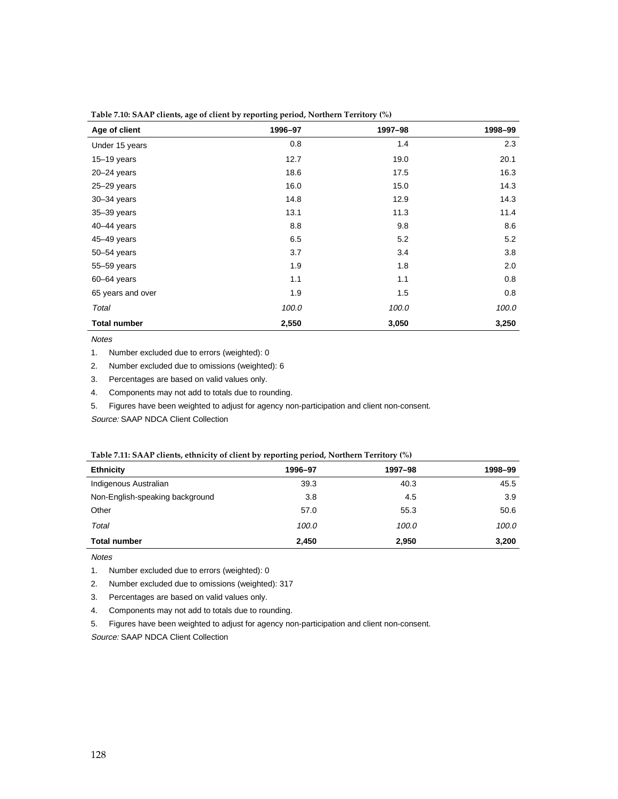| Age of client       | 1996-97 | 1997-98 | 1998-99 |
|---------------------|---------|---------|---------|
| Under 15 years      | 0.8     | 1.4     | 2.3     |
| $15-19$ years       | 12.7    | 19.0    | 20.1    |
| $20 - 24$ years     | 18.6    | 17.5    | 16.3    |
| $25 - 29$ years     | 16.0    | 15.0    | 14.3    |
| $30 - 34$ years     | 14.8    | 12.9    | 14.3    |
| $35 - 39$ years     | 13.1    | 11.3    | 11.4    |
| $40-44$ years       | 8.8     | 9.8     | 8.6     |
| 45-49 years         | 6.5     | 5.2     | 5.2     |
| 50-54 years         | 3.7     | 3.4     | 3.8     |
| 55-59 years         | 1.9     | 1.8     | 2.0     |
| $60 - 64$ years     | 1.1     | 1.1     | 0.8     |
| 65 years and over   | 1.9     | 1.5     | 0.8     |
| Total               | 100.0   | 100.0   | 100.0   |
| <b>Total number</b> | 2,550   | 3,050   | 3,250   |

**Table 7.10: SAAP clients, age of client by reporting period, Northern Territory (%)**

1. Number excluded due to errors (weighted): 0

2. Number excluded due to omissions (weighted): 6

3. Percentages are based on valid values only.

4. Components may not add to totals due to rounding.

5. Figures have been weighted to adjust for agency non-participation and client non-consent.

Source: SAAP NDCA Client Collection

| Table 7.11: SAAP clients, ethnicity of client by reporting period, Northern Territory (%) |  |  |
|-------------------------------------------------------------------------------------------|--|--|
|                                                                                           |  |  |

| . .                             | . .     |         |         |
|---------------------------------|---------|---------|---------|
| <b>Ethnicity</b>                | 1996-97 | 1997-98 | 1998-99 |
| Indigenous Australian           | 39.3    | 40.3    | 45.5    |
| Non-English-speaking background | 3.8     | 4.5     | 3.9     |
| Other                           | 57.0    | 55.3    | 50.6    |
| Total                           | 100.0   | 100.0   | 100.0   |
| <b>Total number</b>             | 2.450   | 2,950   | 3,200   |

**Notes** 

1. Number excluded due to errors (weighted): 0

2. Number excluded due to omissions (weighted): 317

3. Percentages are based on valid values only.

4. Components may not add to totals due to rounding.

5. Figures have been weighted to adjust for agency non-participation and client non-consent.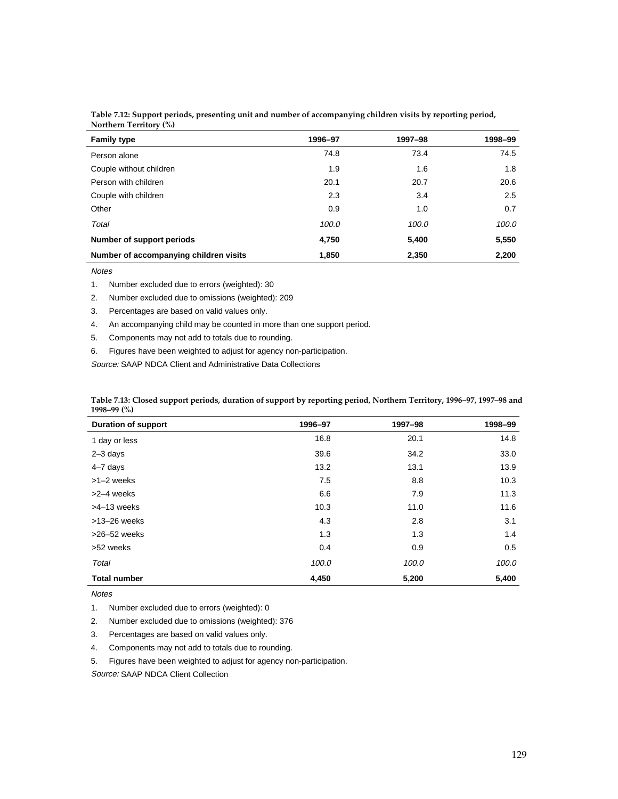| <b>Family type</b>                     | 1996-97 | 1997-98 | 1998-99 |
|----------------------------------------|---------|---------|---------|
| Person alone                           | 74.8    | 73.4    | 74.5    |
| Couple without children                | 1.9     | 1.6     | 1.8     |
| Person with children                   | 20.1    | 20.7    | 20.6    |
| Couple with children                   | 2.3     | 3.4     | 2.5     |
| Other                                  | 0.9     | 1.0     | 0.7     |
| Total                                  | 100.0   | 100.0   | 100.0   |
| Number of support periods              | 4,750   | 5,400   | 5,550   |
| Number of accompanying children visits | 1,850   | 2,350   | 2,200   |

**Table 7.12: Support periods, presenting unit and number of accompanying children visits by reporting period, Northern Territory (%)**

**Notes** 

1. Number excluded due to errors (weighted): 30

2. Number excluded due to omissions (weighted): 209

3. Percentages are based on valid values only.

4. An accompanying child may be counted in more than one support period.

5. Components may not add to totals due to rounding.

6. Figures have been weighted to adjust for agency non-participation.

Source: SAAP NDCA Client and Administrative Data Collections

| Table 7.13: Closed support periods, duration of support by reporting period, Northern Territory, 1996-97, 1997-98 and |
|-----------------------------------------------------------------------------------------------------------------------|
| 1998–99 (%)                                                                                                           |

| <b>Duration of support</b> | 1996-97 | 1997-98 | 1998-99 |
|----------------------------|---------|---------|---------|
| 1 day or less              | 16.8    | 20.1    | 14.8    |
| $2 - 3$ days               | 39.6    | 34.2    | 33.0    |
| 4-7 days                   | 13.2    | 13.1    | 13.9    |
| $>1-2$ weeks               | 7.5     | 8.8     | 10.3    |
| >2-4 weeks                 | 6.6     | 7.9     | 11.3    |
| >4-13 weeks                | 10.3    | 11.0    | 11.6    |
| $>13-26$ weeks             | 4.3     | 2.8     | 3.1     |
| $>26-52$ weeks             | 1.3     | 1.3     | 1.4     |
| >52 weeks                  | 0.4     | 0.9     | 0.5     |
| Total                      | 100.0   | 100.0   | 100.0   |
| <b>Total number</b>        | 4,450   | 5,200   | 5,400   |

**Notes** 

1. Number excluded due to errors (weighted): 0

2. Number excluded due to omissions (weighted): 376

3. Percentages are based on valid values only.

4. Components may not add to totals due to rounding.

5. Figures have been weighted to adjust for agency non-participation.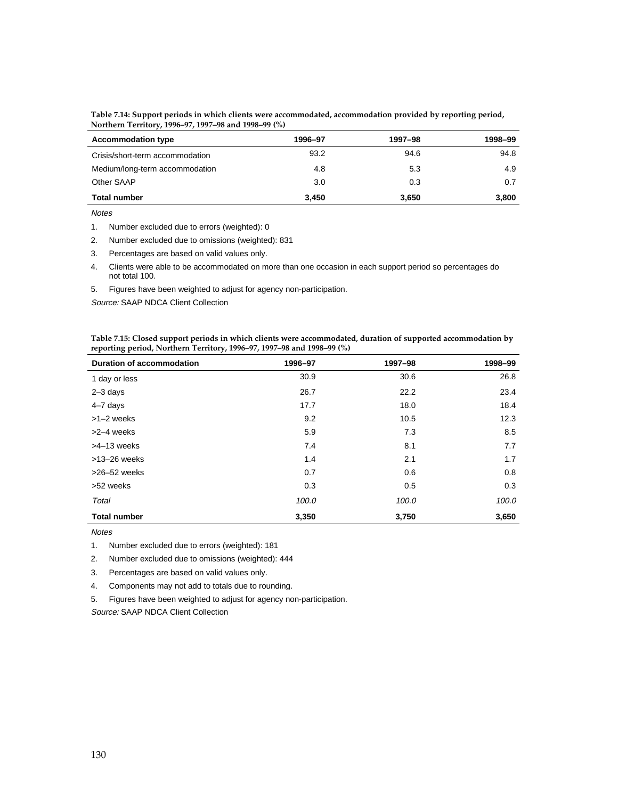| Table 7.14: Support periods in which clients were accommodated, accommodation provided by reporting period, |  |
|-------------------------------------------------------------------------------------------------------------|--|
| Northern Territory, 1996–97, 1997–98 and 1998–99 (%)                                                        |  |

| $1001$ and $10111$ and $171220$ $171221$ $100$ and $1220$ $120$ |         |         |         |
|-----------------------------------------------------------------|---------|---------|---------|
| <b>Accommodation type</b>                                       | 1996-97 | 1997-98 | 1998-99 |
| Crisis/short-term accommodation                                 | 93.2    | 94.6    | 94.8    |
| Medium/long-term accommodation                                  | 4.8     | 5.3     | 4.9     |
| Other SAAP                                                      | 3.0     | 0.3     | 0.7     |
| <b>Total number</b>                                             | 3.450   | 3,650   | 3,800   |

1. Number excluded due to errors (weighted): 0

2. Number excluded due to omissions (weighted): 831

- 3. Percentages are based on valid values only.
- 4. Clients were able to be accommodated on more than one occasion in each support period so percentages do not total 100.
- 5. Figures have been weighted to adjust for agency non-participation.

Source: SAAP NDCA Client Collection

| Table 7.15: Closed support periods in which clients were accommodated, duration of supported accommodation by |
|---------------------------------------------------------------------------------------------------------------|
| reporting period, Northern Territory, 1996–97, 1997–98 and 1998–99 $(\%)$                                     |

| <b>Duration of accommodation</b> | 1996-97 | 1997-98 | 1998-99 |
|----------------------------------|---------|---------|---------|
| 1 day or less                    | 30.9    | 30.6    | 26.8    |
| $2 - 3$ days                     | 26.7    | 22.2    | 23.4    |
| 4-7 days                         | 17.7    | 18.0    | 18.4    |
| $>1-2$ weeks                     | 9.2     | 10.5    | 12.3    |
| >2-4 weeks                       | 5.9     | 7.3     | 8.5     |
| >4-13 weeks                      | 7.4     | 8.1     | 7.7     |
| $>13-26$ weeks                   | 1.4     | 2.1     | 1.7     |
| $>26-52$ weeks                   | 0.7     | 0.6     | 0.8     |
| >52 weeks                        | 0.3     | 0.5     | 0.3     |
| Total                            | 100.0   | 100.0   | 100.0   |
| <b>Total number</b>              | 3,350   | 3,750   | 3,650   |

Notes

1. Number excluded due to errors (weighted): 181

2. Number excluded due to omissions (weighted): 444

3. Percentages are based on valid values only.

4. Components may not add to totals due to rounding.

5. Figures have been weighted to adjust for agency non-participation.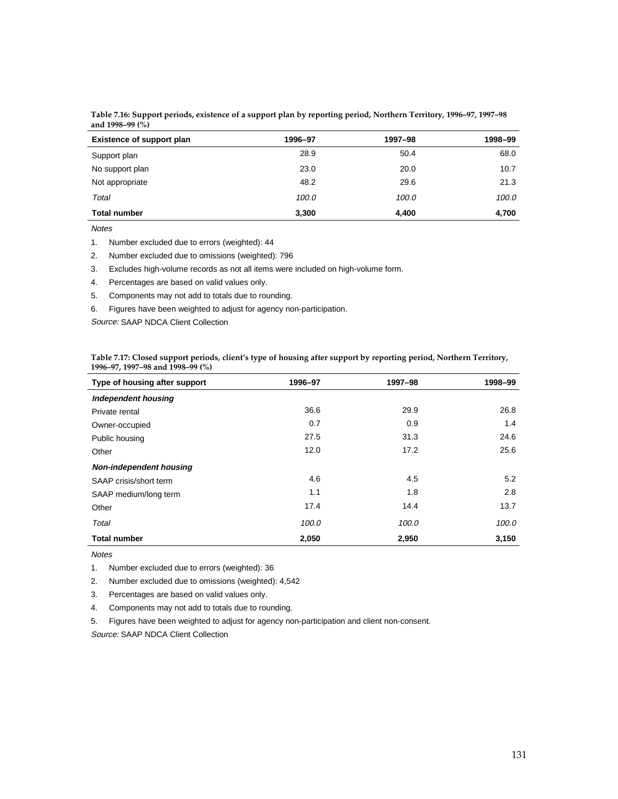| <b>Existence of support plan</b> | 1996-97 | 1997-98 | 1998-99 |
|----------------------------------|---------|---------|---------|
| Support plan                     | 28.9    | 50.4    | 68.0    |
| No support plan                  | 23.0    | 20.0    | 10.7    |
| Not appropriate                  | 48.2    | 29.6    | 21.3    |
| Total                            | 100.0   | 100.0   | 100.0   |
| <b>Total number</b>              | 3,300   | 4,400   | 4,700   |

**Table 7.16: Support periods, existence of a support plan by reporting period, Northern Territory, 1996–97, 1997–98 and 1998–99 (%)**

**Notes** 

1. Number excluded due to errors (weighted): 44

2. Number excluded due to omissions (weighted): 796

3. Excludes high-volume records as not all items were included on high-volume form.

4. Percentages are based on valid values only.

5. Components may not add to totals due to rounding.

6. Figures have been weighted to adjust for agency non-participation.

Source: SAAP NDCA Client Collection

|                                  | Table 7.17: Closed support periods, client's type of housing after support by reporting period, Northern Territory, |  |
|----------------------------------|---------------------------------------------------------------------------------------------------------------------|--|
| 1996–97, 1997–98 and 1998–99 (%) |                                                                                                                     |  |

| Type of housing after support  | 1996-97 | 1997-98 | 1998-99 |
|--------------------------------|---------|---------|---------|
| <b>Independent housing</b>     |         |         |         |
| Private rental                 | 36.6    | 29.9    | 26.8    |
| Owner-occupied                 | 0.7     | 0.9     | 1.4     |
| Public housing                 | 27.5    | 31.3    | 24.6    |
| Other                          | 12.0    | 17.2    | 25.6    |
| <b>Non-independent housing</b> |         |         |         |
| SAAP crisis/short term         | 4.6     | 4.5     | 5.2     |
| SAAP medium/long term          | 1.1     | 1.8     | 2.8     |
| Other                          | 17.4    | 14.4    | 13.7    |
| Total                          | 100.0   | 100.0   | 100.0   |
| <b>Total number</b>            | 2,050   | 2,950   | 3,150   |

Notes

1. Number excluded due to errors (weighted): 36

2. Number excluded due to omissions (weighted): 4,542

3. Percentages are based on valid values only.

4. Components may not add to totals due to rounding.

5. Figures have been weighted to adjust for agency non-participation and client non-consent. Source: SAAP NDCA Client Collection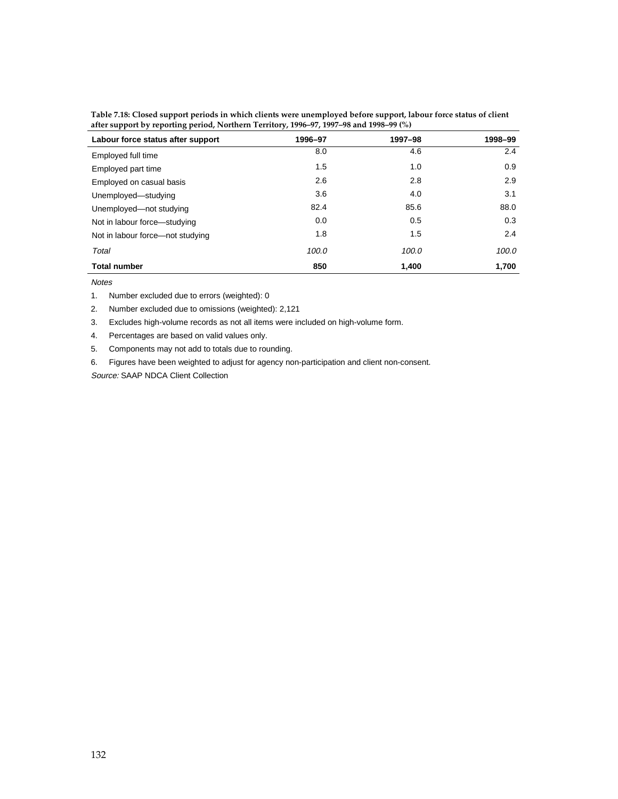| Labour force status after support | 1996-97 | 1997-98 | 1998-99 |
|-----------------------------------|---------|---------|---------|
| Employed full time                | 8.0     | 4.6     | 2.4     |
| Employed part time                | 1.5     | 1.0     | 0.9     |
| Employed on casual basis          | 2.6     | 2.8     | 2.9     |
| Unemployed-studying               | 3.6     | 4.0     | 3.1     |
| Unemployed-not studying           | 82.4    | 85.6    | 88.0    |
| Not in labour force-studying      | 0.0     | 0.5     | 0.3     |
| Not in labour force—not studying  | 1.8     | 1.5     | 2.4     |
| Total                             | 100.0   | 100.0   | 100.0   |
| <b>Total number</b>               | 850     | 1,400   | 1,700   |

| Table 7.18: Closed support periods in which clients were unemployed before support, labour force status of client |
|-------------------------------------------------------------------------------------------------------------------|
| after support by reporting period, Northern Territory, 1996–97, 1997–98 and 1998–99 (%)                           |

1. Number excluded due to errors (weighted): 0

2. Number excluded due to omissions (weighted): 2,121

3. Excludes high-volume records as not all items were included on high-volume form.

4. Percentages are based on valid values only.

5. Components may not add to totals due to rounding.

6. Figures have been weighted to adjust for agency non-participation and client non-consent.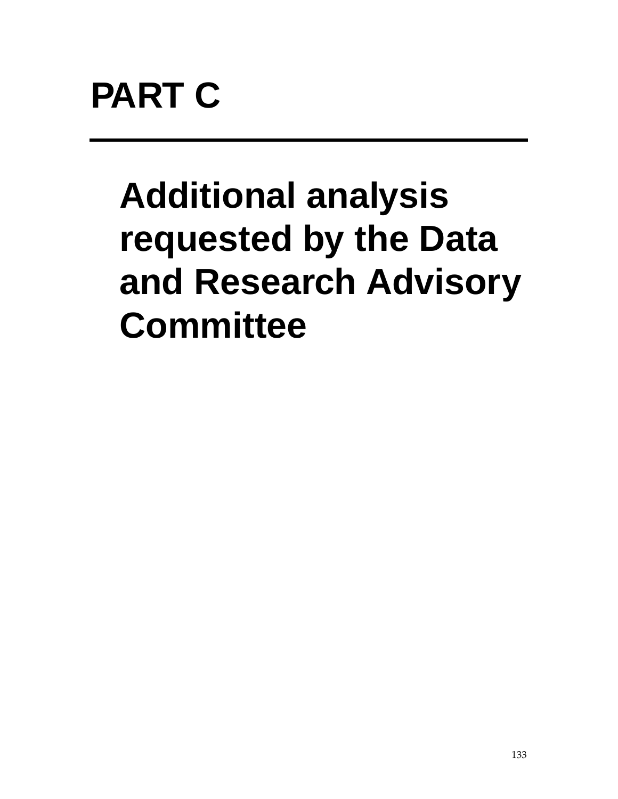# **Additional analysis requested by the Data and Research Advisory Committee**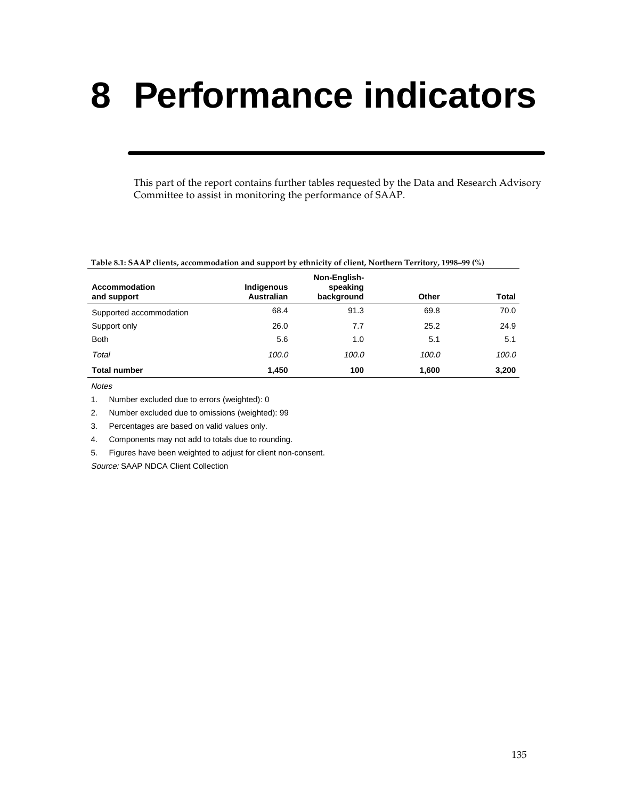# **8 Performance indicators**

This part of the report contains further tables requested by the Data and Research Advisory Committee to assist in monitoring the performance of SAAP.

#### **Table 8.1: SAAP clients, accommodation and support by ethnicity of client, Northern Territory, 1998–99 (%)**

| Accommodation<br>and support | Indigenous<br><b>Australian</b> | Non-English-<br>speaking<br>background | Other | <b>Total</b> |
|------------------------------|---------------------------------|----------------------------------------|-------|--------------|
| Supported accommodation      | 68.4                            | 91.3                                   | 69.8  | 70.0         |
| Support only                 | 26.0                            | 7.7                                    | 25.2  | 24.9         |
| <b>Both</b>                  | 5.6                             | 1.0                                    | 5.1   | 5.1          |
| Total                        | 100.0                           | 100.0                                  | 100.0 | 100.0        |
| <b>Total number</b>          | 1.450                           | 100                                    | 1,600 | 3,200        |

**Notes** 

2. Number excluded due to omissions (weighted): 99

3. Percentages are based on valid values only.

4. Components may not add to totals due to rounding.

5. Figures have been weighted to adjust for client non-consent.

<sup>1.</sup> Number excluded due to errors (weighted): 0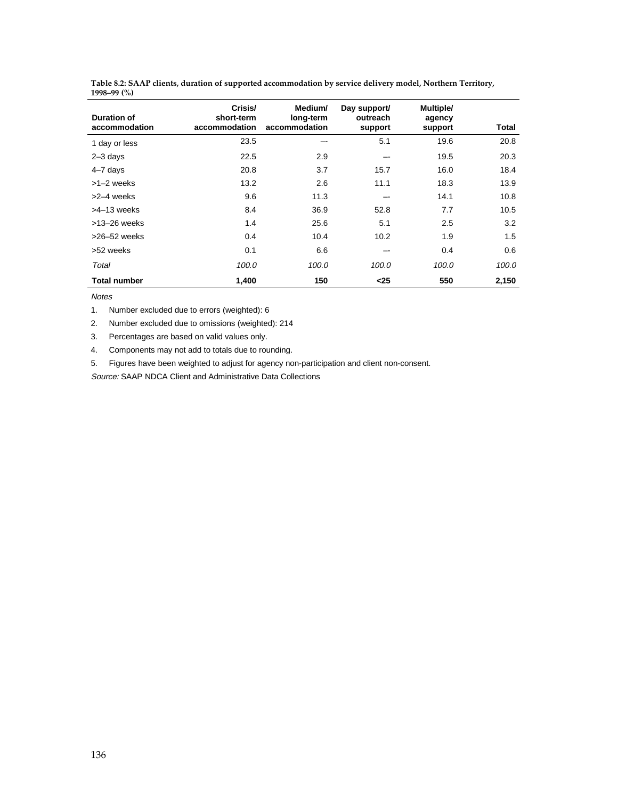| Duration of<br>accommodation | Crisis/<br>short-term<br>accommodation | Medium/<br>long-term<br>accommodation | Day support/<br>outreach<br>support | Multiple/<br>agency<br>support | Total |
|------------------------------|----------------------------------------|---------------------------------------|-------------------------------------|--------------------------------|-------|
| 1 day or less                | 23.5                                   |                                       | 5.1                                 | 19.6                           | 20.8  |
| $2 - 3$ days                 | 22.5                                   | 2.9                                   |                                     | 19.5                           | 20.3  |
| $4 - 7$ days                 | 20.8                                   | 3.7                                   | 15.7                                | 16.0                           | 18.4  |
| $>1-2$ weeks                 | 13.2                                   | 2.6                                   | 11.1                                | 18.3                           | 13.9  |
| >2-4 weeks                   | 9.6                                    | 11.3                                  |                                     | 14.1                           | 10.8  |
| $>4-13$ weeks                | 8.4                                    | 36.9                                  | 52.8                                | 7.7                            | 10.5  |
| $>13-26$ weeks               | 1.4                                    | 25.6                                  | 5.1                                 | 2.5                            | 3.2   |
| $>26-52$ weeks               | 0.4                                    | 10.4                                  | 10.2                                | 1.9                            | 1.5   |
| >52 weeks                    | 0.1                                    | 6.6                                   |                                     | 0.4                            | 0.6   |
| Total                        | 100.0                                  | 100.0                                 | 100.0                               | 100.0                          | 100.0 |
| <b>Total number</b>          | 1,400                                  | 150                                   | $25$                                | 550                            | 2,150 |

**Table 8.2: SAAP clients, duration of supported accommodation by service delivery model, Northern Territory, 1998–99 (%)**

Notes

1. Number excluded due to errors (weighted): 6

2. Number excluded due to omissions (weighted): 214

3. Percentages are based on valid values only.

4. Components may not add to totals due to rounding.

5. Figures have been weighted to adjust for agency non-participation and client non-consent.

Source: SAAP NDCA Client and Administrative Data Collections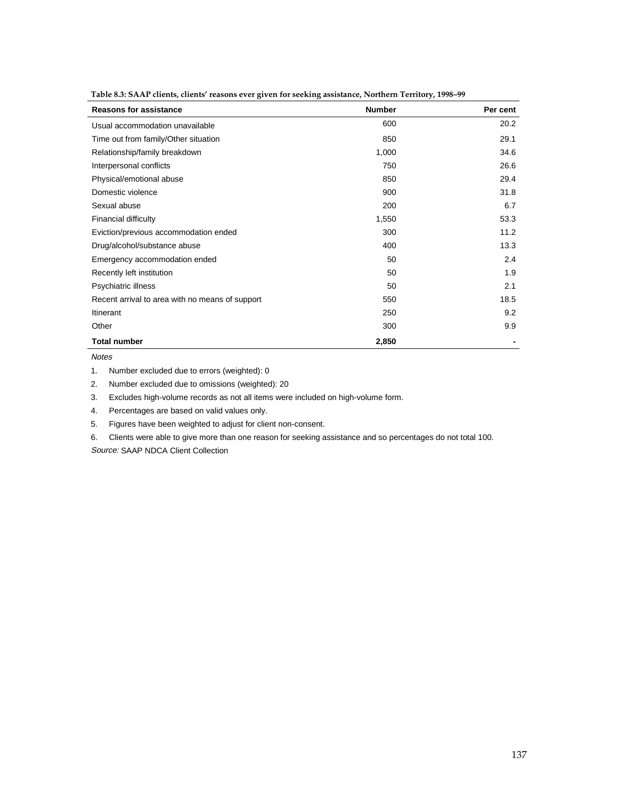| <b>Reasons for assistance</b>                   | <b>Number</b> | Per cent |
|-------------------------------------------------|---------------|----------|
| Usual accommodation unavailable                 | 600           | 20.2     |
| Time out from family/Other situation            | 850           | 29.1     |
| Relationship/family breakdown                   | 1,000         | 34.6     |
| Interpersonal conflicts                         | 750           | 26.6     |
| Physical/emotional abuse                        | 850           | 29.4     |
| Domestic violence                               | 900           | 31.8     |
| Sexual abuse                                    | 200           | 6.7      |
| <b>Financial difficulty</b>                     | 1,550         | 53.3     |
| Eviction/previous accommodation ended           | 300           | 11.2     |
| Drug/alcohol/substance abuse                    | 400           | 13.3     |
| Emergency accommodation ended                   | 50            | 2.4      |
| Recently left institution                       | 50            | 1.9      |
| Psychiatric illness                             | 50            | 2.1      |
| Recent arrival to area with no means of support | 550           | 18.5     |
| Itinerant                                       | 250           | 9.2      |
| Other                                           | 300           | 9.9      |
| <b>Total number</b>                             | 2,850         |          |

**Table 8.3: SAAP clients, clients' reasons ever given for seeking assistance, Northern Territory, 1998–99**

**Notes** 

1. Number excluded due to errors (weighted): 0

2. Number excluded due to omissions (weighted): 20

3. Excludes high-volume records as not all items were included on high-volume form.

4. Percentages are based on valid values only.

5. Figures have been weighted to adjust for client non-consent.

6. Clients were able to give more than one reason for seeking assistance and so percentages do not total 100.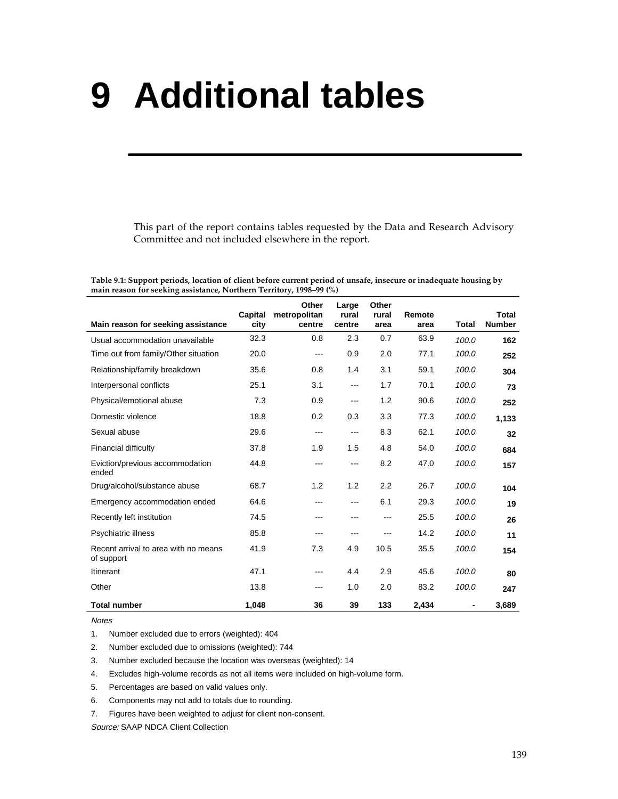## **9 Additional tables**

This part of the report contains tables requested by the Data and Research Advisory Committee and not included elsewhere in the report.

| Table 9.1: Support periods, location of client before current period of unsafe, insecure or inadequate housing by |
|-------------------------------------------------------------------------------------------------------------------|
| main reason for seeking assistance, Northern Territory, 1998–99 (%)                                               |

| Main reason for seeking assistance                 | <b>Capital</b><br>city | Other<br>metropolitan<br>centre | Large<br>rural<br>centre | Other<br>rural | Remote | <b>Total</b> | Total<br><b>Number</b> |
|----------------------------------------------------|------------------------|---------------------------------|--------------------------|----------------|--------|--------------|------------------------|
|                                                    |                        |                                 |                          | area           | area   |              |                        |
| Usual accommodation unavailable                    | 32.3                   | 0.8                             | 2.3                      | 0.7            | 63.9   | 100.0        | 162                    |
| Time out from family/Other situation               | 20.0                   | ---                             | 0.9                      | 2.0            | 77.1   | 100.0        | 252                    |
| Relationship/family breakdown                      | 35.6                   | 0.8                             | 1.4                      | 3.1            | 59.1   | 100.0        | 304                    |
| Interpersonal conflicts                            | 25.1                   | 3.1                             | ---                      | 1.7            | 70.1   | 100.0        | 73                     |
| Physical/emotional abuse                           | 7.3                    | 0.9                             | $\qquad \qquad -$        | 1.2            | 90.6   | 100.0        | 252                    |
| Domestic violence                                  | 18.8                   | 0.2                             | 0.3                      | 3.3            | 77.3   | 100.0        | 1,133                  |
| Sexual abuse                                       | 29.6                   | ---                             | $\qquad \qquad -$        | 8.3            | 62.1   | 100.0        | 32                     |
| <b>Financial difficulty</b>                        | 37.8                   | 1.9                             | 1.5                      | 4.8            | 54.0   | 100.0        | 684                    |
| Eviction/previous accommodation<br>ended           | 44.8                   | ---                             | $\qquad \qquad -$        | 8.2            | 47.0   | 100.0        | 157                    |
| Drug/alcohol/substance abuse                       | 68.7                   | 1.2                             | 1.2                      | 2.2            | 26.7   | 100.0        | 104                    |
| Emergency accommodation ended                      | 64.6                   | ---                             | $--$                     | 6.1            | 29.3   | 100.0        | 19                     |
| Recently left institution                          | 74.5                   | ---                             | ---                      | $\cdots$       | 25.5   | 100.0        | 26                     |
| Psychiatric illness                                | 85.8                   | ---                             | ---                      |                | 14.2   | 100.0        | 11                     |
| Recent arrival to area with no means<br>of support | 41.9                   | 7.3                             | 4.9                      | 10.5           | 35.5   | 100.0        | 154                    |
| <b>Itinerant</b>                                   | 47.1                   | ---                             | 4.4                      | 2.9            | 45.6   | 100.0        | 80                     |
| Other                                              | 13.8                   | ---                             | 1.0                      | 2.0            | 83.2   | 100.0        | 247                    |
| <b>Total number</b>                                | 1,048                  | 36                              | 39                       | 133            | 2,434  |              | 3,689                  |

**Notes** 

1. Number excluded due to errors (weighted): 404

- 2. Number excluded due to omissions (weighted): 744
- 3. Number excluded because the location was overseas (weighted): 14
- 4. Excludes high-volume records as not all items were included on high-volume form.
- 5. Percentages are based on valid values only.
- 6. Components may not add to totals due to rounding.
- 7. Figures have been weighted to adjust for client non-consent.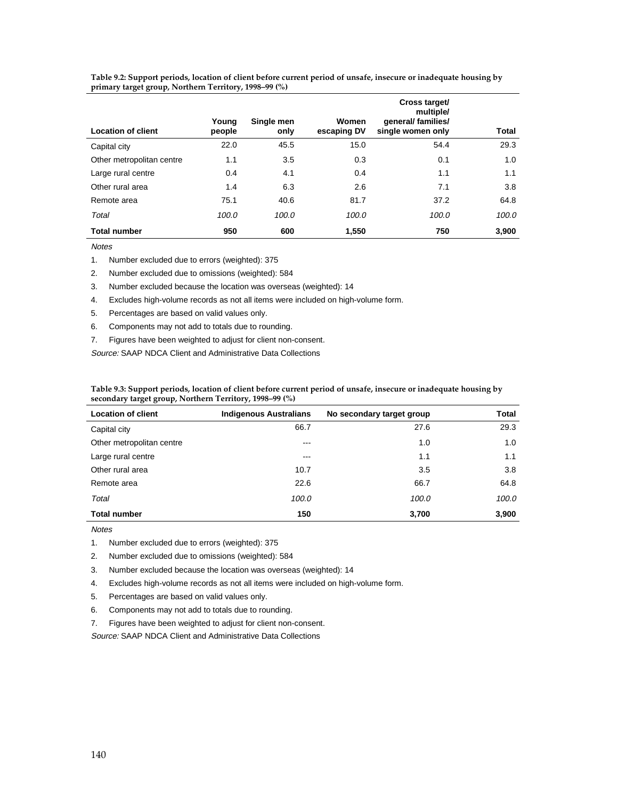| <b>Location of client</b> | Young<br>people | Single men<br>only | Women<br>escaping DV | Cross target/<br>multiple/<br>general/ families/<br>single women only | Total |
|---------------------------|-----------------|--------------------|----------------------|-----------------------------------------------------------------------|-------|
| Capital city              | 22.0            | 45.5               | 15.0                 | 54.4                                                                  | 29.3  |
| Other metropolitan centre | 1.1             | 3.5                | 0.3                  | 0.1                                                                   | 1.0   |
| Large rural centre        | 0.4             | 4.1                | 0.4                  | 1.1                                                                   | 1.1   |
| Other rural area          | 1.4             | 6.3                | 2.6                  | 7.1                                                                   | 3.8   |
| Remote area               | 75.1            | 40.6               | 81.7                 | 37.2                                                                  | 64.8  |
| Total                     | 100.0           | 100.0              | 100.0                | 100.0                                                                 | 100.0 |
| <b>Total number</b>       | 950             | 600                | 1,550                | 750                                                                   | 3,900 |

**Table 9.2: Support periods, location of client before current period of unsafe, insecure or inadequate housing by primary target group, Northern Territory, 1998–99 (%)**

**Notes** 

1. Number excluded due to errors (weighted): 375

2. Number excluded due to omissions (weighted): 584

3. Number excluded because the location was overseas (weighted): 14

4. Excludes high-volume records as not all items were included on high-volume form.

- 5. Percentages are based on valid values only.
- 6. Components may not add to totals due to rounding.
- 7. Figures have been weighted to adjust for client non-consent.

Source: SAAP NDCA Client and Administrative Data Collections

| <b>Location of client</b> | <b>Indigenous Australians</b> | No secondary target group | <b>Total</b> |
|---------------------------|-------------------------------|---------------------------|--------------|
| Capital city              | 66.7                          | 27.6                      | 29.3         |
| Other metropolitan centre | ---                           | 1.0                       | 1.0          |
| Large rural centre        | ---                           | 1.1                       | 1.1          |
| Other rural area          | 10.7                          | 3.5                       | 3.8          |
| Remote area               | 22.6                          | 66.7                      | 64.8         |
| Total                     | 100.0                         | 100.0                     | 100.0        |
| <b>Total number</b>       | 150                           | 3.700                     | 3,900        |

**Table 9.3: Support periods, location of client before current period of unsafe, insecure or inadequate housing by secondary target group, Northern Territory, 1998–99 (%)**

**Notes** 

1. Number excluded due to errors (weighted): 375

2. Number excluded due to omissions (weighted): 584

3. Number excluded because the location was overseas (weighted): 14

4. Excludes high-volume records as not all items were included on high-volume form.

5. Percentages are based on valid values only.

6. Components may not add to totals due to rounding.

7. Figures have been weighted to adjust for client non-consent.

Source: SAAP NDCA Client and Administrative Data Collections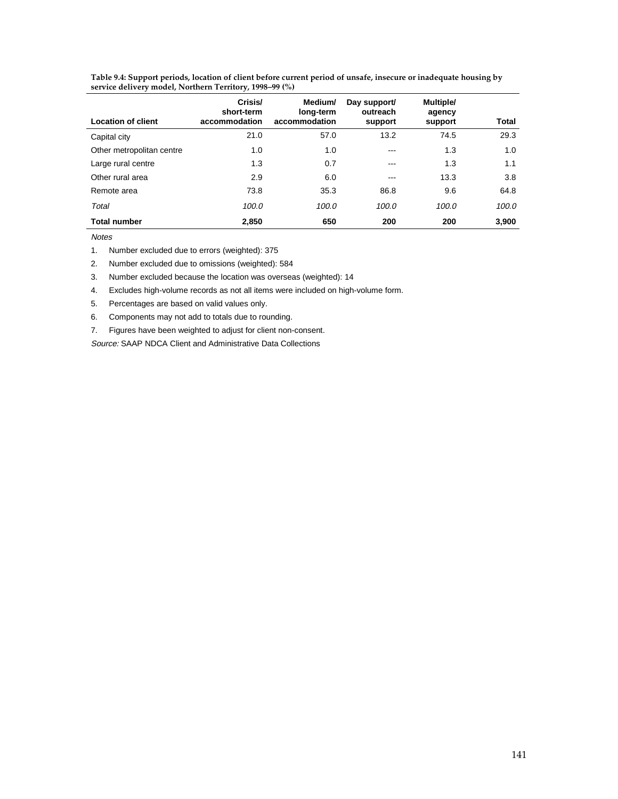| <b>Location of client</b> | Crisis/<br>short-term<br>accommodation | Medium/<br>long-term<br>accommodation | Day support/<br>outreach<br>support | Multiple/<br>agency<br>support | Total |
|---------------------------|----------------------------------------|---------------------------------------|-------------------------------------|--------------------------------|-------|
| Capital city              | 21.0                                   | 57.0                                  | 13.2                                | 74.5                           | 29.3  |
| Other metropolitan centre | 1.0                                    | 1.0                                   | $- - -$                             | 1.3                            | 1.0   |
| Large rural centre        | 1.3                                    | 0.7                                   | $- - -$                             | 1.3                            | 1.1   |
| Other rural area          | 2.9                                    | 6.0                                   | $- - -$                             | 13.3                           | 3.8   |
| Remote area               | 73.8                                   | 35.3                                  | 86.8                                | 9.6                            | 64.8  |
| Total                     | 100.0                                  | 100.0                                 | 100.0                               | 100.0                          | 100.0 |
| <b>Total number</b>       | 2,850                                  | 650                                   | 200                                 | 200                            | 3,900 |

**Table 9.4: Support periods, location of client before current period of unsafe, insecure or inadequate housing by service delivery model, Northern Territory, 1998–99 (%)**

Notes

1. Number excluded due to errors (weighted): 375

- 2. Number excluded due to omissions (weighted): 584
- 3. Number excluded because the location was overseas (weighted): 14
- 4. Excludes high-volume records as not all items were included on high-volume form.
- 5. Percentages are based on valid values only.
- 6. Components may not add to totals due to rounding.
- 7. Figures have been weighted to adjust for client non-consent.

Source: SAAP NDCA Client and Administrative Data Collections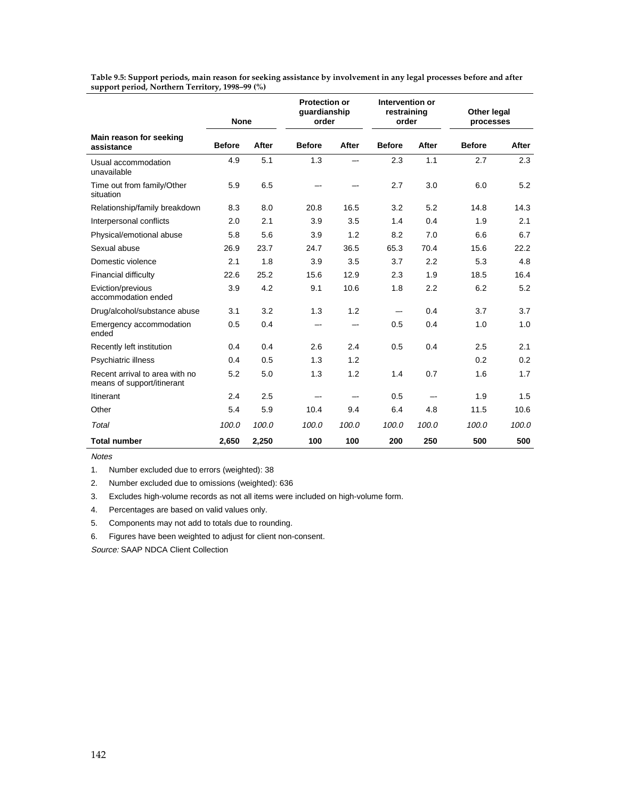|                                                              | <b>None</b>   |       | <b>Protection or</b><br>quardianship<br>order |       | Intervention or<br>restraining<br>order |       | Other legal<br>processes |       |
|--------------------------------------------------------------|---------------|-------|-----------------------------------------------|-------|-----------------------------------------|-------|--------------------------|-------|
| Main reason for seeking<br>assistance                        | <b>Before</b> | After | <b>Before</b>                                 | After | <b>Before</b>                           | After | <b>Before</b>            | After |
| Usual accommodation<br>unavailable                           | 4.9           | 5.1   | 1.3                                           |       | 2.3                                     | 1.1   | 2.7                      | 2.3   |
| Time out from family/Other<br>situation                      | 5.9           | 6.5   |                                               |       | 2.7                                     | 3.0   | 6.0                      | 5.2   |
| Relationship/family breakdown                                | 8.3           | 8.0   | 20.8                                          | 16.5  | 3.2                                     | 5.2   | 14.8                     | 14.3  |
| Interpersonal conflicts                                      | 2.0           | 2.1   | 3.9                                           | 3.5   | 1.4                                     | 0.4   | 1.9                      | 2.1   |
| Physical/emotional abuse                                     | 5.8           | 5.6   | 3.9                                           | 1.2   | 8.2                                     | 7.0   | 6.6                      | 6.7   |
| Sexual abuse                                                 | 26.9          | 23.7  | 24.7                                          | 36.5  | 65.3                                    | 70.4  | 15.6                     | 22.2  |
| Domestic violence                                            | 2.1           | 1.8   | 3.9                                           | 3.5   | 3.7                                     | 2.2   | 5.3                      | 4.8   |
| Financial difficulty                                         | 22.6          | 25.2  | 15.6                                          | 12.9  | 2.3                                     | 1.9   | 18.5                     | 16.4  |
| Eviction/previous<br>accommodation ended                     | 3.9           | 4.2   | 9.1                                           | 10.6  | 1.8                                     | 2.2   | 6.2                      | 5.2   |
| Drug/alcohol/substance abuse                                 | 3.1           | 3.2   | 1.3                                           | 1.2   |                                         | 0.4   | 3.7                      | 3.7   |
| Emergency accommodation<br>ended                             | 0.5           | 0.4   |                                               |       | 0.5                                     | 0.4   | 1.0                      | 1.0   |
| Recently left institution                                    | 0.4           | 0.4   | 2.6                                           | 2.4   | 0.5                                     | 0.4   | 2.5                      | 2.1   |
| Psychiatric illness                                          | 0.4           | 0.5   | 1.3                                           | 1.2   |                                         |       | 0.2                      | 0.2   |
| Recent arrival to area with no<br>means of support/itinerant | 5.2           | 5.0   | 1.3                                           | 1.2   | 1.4                                     | 0.7   | 1.6                      | 1.7   |
| Itinerant                                                    | 2.4           | 2.5   |                                               |       | 0.5                                     |       | 1.9                      | 1.5   |
| Other                                                        | 5.4           | 5.9   | 10.4                                          | 9.4   | 6.4                                     | 4.8   | 11.5                     | 10.6  |
| Total                                                        | 100.0         | 100.0 | 100.0                                         | 100.0 | 100.0                                   | 100.0 | 100.0                    | 100.0 |
| <b>Total number</b>                                          | 2,650         | 2,250 | 100                                           | 100   | 200                                     | 250   | 500                      | 500   |

**Table 9.5: Support periods, main reason for seeking assistance by involvement in any legal processes before and after support period, Northern Territory, 1998–99 (%)**

Notes

1. Number excluded due to errors (weighted): 38

2. Number excluded due to omissions (weighted): 636

3. Excludes high-volume records as not all items were included on high-volume form.

4. Percentages are based on valid values only.

5. Components may not add to totals due to rounding.

6. Figures have been weighted to adjust for client non-consent.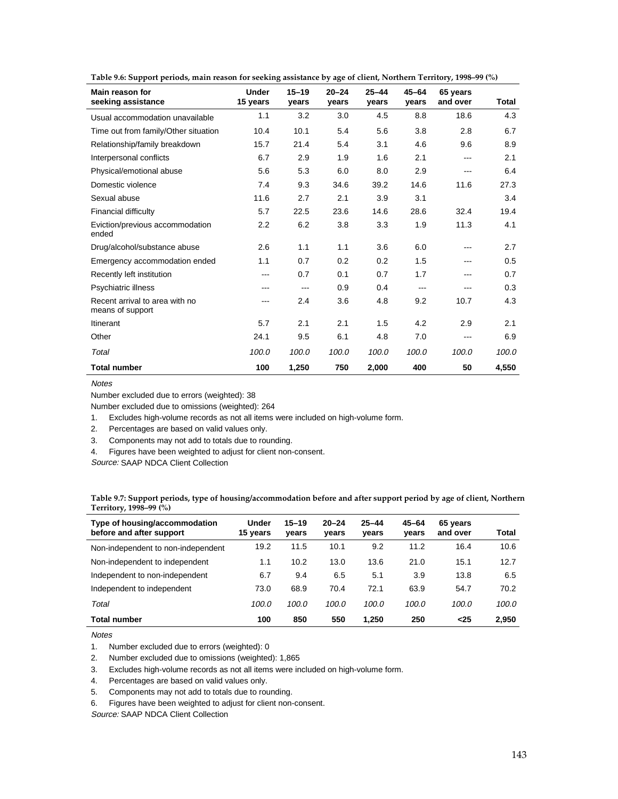| Main reason for<br>seeking assistance              | <b>Under</b><br>15 years | $15 - 19$<br>vears | $20 - 24$<br>years | $25 - 44$<br>vears | $45 - 64$<br>vears | 65 years<br>and over | Total |
|----------------------------------------------------|--------------------------|--------------------|--------------------|--------------------|--------------------|----------------------|-------|
| Usual accommodation unavailable                    | 1.1                      | 3.2                | 3.0                | 4.5                | 8.8                | 18.6                 | 4.3   |
| Time out from family/Other situation               | 10.4                     | 10.1               | 5.4                | 5.6                | 3.8                | 2.8                  | 6.7   |
| Relationship/family breakdown                      | 15.7                     | 21.4               | 5.4                | 3.1                | 4.6                | 9.6                  | 8.9   |
| Interpersonal conflicts                            | 6.7                      | 2.9                | 1.9                | 1.6                | 2.1                | $--$                 | 2.1   |
| Physical/emotional abuse                           | 5.6                      | 5.3                | 6.0                | 8.0                | 2.9                | $---$                | 6.4   |
| Domestic violence                                  | 7.4                      | 9.3                | 34.6               | 39.2               | 14.6               | 11.6                 | 27.3  |
| Sexual abuse                                       | 11.6                     | 2.7                | 2.1                | 3.9                | 3.1                |                      | 3.4   |
| <b>Financial difficulty</b>                        | 5.7                      | 22.5               | 23.6               | 14.6               | 28.6               | 32.4                 | 19.4  |
| Eviction/previous accommodation<br>ended           | 2.2                      | 6.2                | 3.8                | 3.3                | 1.9                | 11.3                 | 4.1   |
| Drug/alcohol/substance abuse                       | 2.6                      | 1.1                | 1.1                | 3.6                | 6.0                | $---$                | 2.7   |
| Emergency accommodation ended                      | 1.1                      | 0.7                | 0.2                | 0.2                | 1.5                | $---$                | 0.5   |
| Recently left institution                          | ---                      | 0.7                | 0.1                | 0.7                | 1.7                | $---$                | 0.7   |
| Psychiatric illness                                | ---                      | $--$               | 0.9                | 0.4                | ---                | $---$                | 0.3   |
| Recent arrival to area with no<br>means of support | ---                      | 2.4                | 3.6                | 4.8                | 9.2                | 10.7                 | 4.3   |
| <b>Itinerant</b>                                   | 5.7                      | 2.1                | 2.1                | 1.5                | 4.2                | 2.9                  | 2.1   |
| Other                                              | 24.1                     | 9.5                | 6.1                | 4.8                | 7.0                | $---$                | 6.9   |
| Total                                              | 100.0                    | 100.0              | 100.0              | 100.0              | 100.0              | 100.0                | 100.0 |
| <b>Total number</b>                                | 100                      | 1,250              | 750                | 2.000              | 400                | 50                   | 4.550 |

**Table 9.6: Support periods, main reason for seeking assistance by age of client, Northern Territory, 1998–99 (%)**

Number excluded due to errors (weighted): 38

Number excluded due to omissions (weighted): 264

1. Excludes high-volume records as not all items were included on high-volume form.

2. Percentages are based on valid values only.

3. Components may not add to totals due to rounding.

4. Figures have been weighted to adjust for client non-consent.

Source: SAAP NDCA Client Collection

|                        | Table 9.7: Support periods, type of housing/accommodation before and after support period by age of client, Northern |  |  |
|------------------------|----------------------------------------------------------------------------------------------------------------------|--|--|
| Territory, 1998–99 (%) |                                                                                                                      |  |  |

| Type of housing/accommodation<br>before and after support | <b>Under</b><br>15 years | $15 - 19$<br>vears | $20 - 24$<br>years | $25 - 44$<br>vears | 45-64<br>vears | 65 years<br>and over | Total |
|-----------------------------------------------------------|--------------------------|--------------------|--------------------|--------------------|----------------|----------------------|-------|
| Non-independent to non-independent                        | 19.2                     | 11.5               | 10.1               | 9.2                | 11.2           | 16.4                 | 10.6  |
| Non-independent to independent                            | 1.1                      | 10.2               | 13.0               | 13.6               | 21.0           | 15.1                 | 12.7  |
| Independent to non-independent                            | 6.7                      | 9.4                | 6.5                | 5.1                | 3.9            | 13.8                 | 6.5   |
| Independent to independent                                | 73.0                     | 68.9               | 70.4               | 72.1               | 63.9           | 54.7                 | 70.2  |
| Total                                                     | 100.0                    | 100.0              | 100.0              | 100.0              | 100.0          | 100.0                | 100.0 |
| <b>Total number</b>                                       | 100                      | 850                | 550                | 1.250              | 250            | $25$                 | 2.950 |

**Notes** 

1. Number excluded due to errors (weighted): 0

2. Number excluded due to omissions (weighted): 1,865

3. Excludes high-volume records as not all items were included on high-volume form.

4. Percentages are based on valid values only.

5. Components may not add to totals due to rounding.

6. Figures have been weighted to adjust for client non-consent.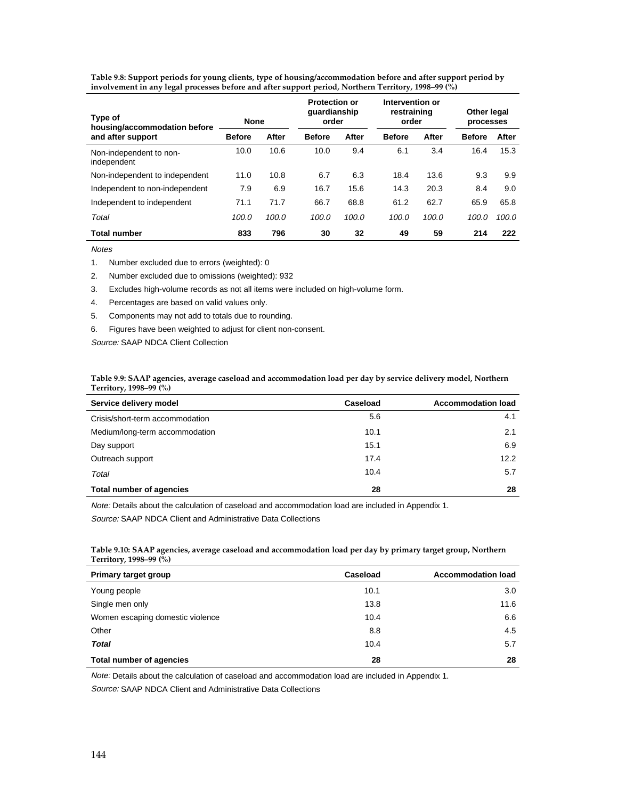| Type of<br>housing/accommodation before |               | <b>Protection or</b><br>guardianship<br><b>None</b><br>order |               | Intervention or<br>restraining<br>order |               | Other legal<br>processes |               |       |
|-----------------------------------------|---------------|--------------------------------------------------------------|---------------|-----------------------------------------|---------------|--------------------------|---------------|-------|
| and after support                       | <b>Before</b> | After                                                        | <b>Before</b> | After                                   | <b>Before</b> | After                    | <b>Before</b> | After |
| Non-independent to non-<br>independent  | 10.0          | 10.6                                                         | 10.0          | 9.4                                     | 6.1           | 3.4                      | 16.4          | 15.3  |
| Non-independent to independent          | 11.0          | 10.8                                                         | 6.7           | 6.3                                     | 18.4          | 13.6                     | 9.3           | 9.9   |
| Independent to non-independent          | 7.9           | 6.9                                                          | 16.7          | 15.6                                    | 14.3          | 20.3                     | 8.4           | 9.0   |
| Independent to independent              | 71.1          | 71.7                                                         | 66.7          | 68.8                                    | 61.2          | 62.7                     | 65.9          | 65.8  |
| Total                                   | 100.0         | 100.0                                                        | 100.0         | 100.0                                   | 100.0         | 100.0                    | 100.0         | 100.0 |
| <b>Total number</b>                     | 833           | 796                                                          | 30            | 32                                      | 49            | 59                       | 214           | 222   |

**Table 9.8: Support periods for young clients, type of housing/accommodation before and after support period by involvement in any legal processes before and after support period, Northern Territory, 1998–99 (%)**

**Notes** 

- 1. Number excluded due to errors (weighted): 0
- 2. Number excluded due to omissions (weighted): 932
- 3. Excludes high-volume records as not all items were included on high-volume form.
- 4. Percentages are based on valid values only.
- 5. Components may not add to totals due to rounding.
- 6. Figures have been weighted to adjust for client non-consent.

Source: SAAP NDCA Client Collection

#### **Table 9.9: SAAP agencies, average caseload and accommodation load per day by service delivery model, Northern Territory, 1998–99 (%)**

| Service delivery model          | Caseload | <b>Accommodation load</b> |
|---------------------------------|----------|---------------------------|
| Crisis/short-term accommodation | 5.6      | 4.1                       |
| Medium/long-term accommodation  | 10.1     | 2.1                       |
| Day support                     | 15.1     | 6.9                       |
| Outreach support                | 17.4     | 12.2                      |
| Total                           | 10.4     | 5.7                       |
| Total number of agencies        | 28       | 28                        |

Note: Details about the calculation of caseload and accommodation load are included in Appendix 1.

Source: SAAP NDCA Client and Administrative Data Collections

**Table 9.10: SAAP agencies, average caseload and accommodation load per day by primary target group, Northern Territory, 1998–99 (%)**

| Primary target group             | Caseload | <b>Accommodation load</b> |
|----------------------------------|----------|---------------------------|
| Young people                     | 10.1     | 3.0                       |
| Single men only                  | 13.8     | 11.6                      |
| Women escaping domestic violence | 10.4     | 6.6                       |
| Other                            | 8.8      | 4.5                       |
| <b>Total</b>                     | 10.4     | 5.7                       |
| Total number of agencies         | 28       | 28                        |

Note: Details about the calculation of caseload and accommodation load are included in Appendix 1.

Source: SAAP NDCA Client and Administrative Data Collections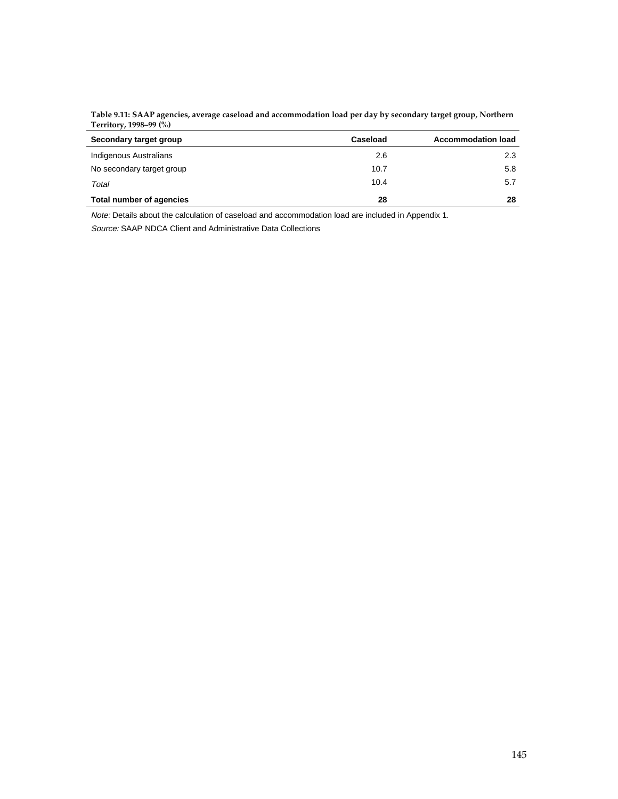| Table 9.11: SAAP agencies, average caseload and accommodation load per day by secondary target group, Northern |  |
|----------------------------------------------------------------------------------------------------------------|--|
| Territory, 1998–99 (%)                                                                                         |  |

| Secondary target group    | Caseload | <b>Accommodation load</b> |
|---------------------------|----------|---------------------------|
| Indigenous Australians    | 2.6      | 2.3                       |
| No secondary target group | 10.7     | 5.8                       |
| Total                     | 10.4     | 5.7                       |
| Total number of agencies  | 28       | 28                        |

Note: Details about the calculation of caseload and accommodation load are included in Appendix 1. Source: SAAP NDCA Client and Administrative Data Collections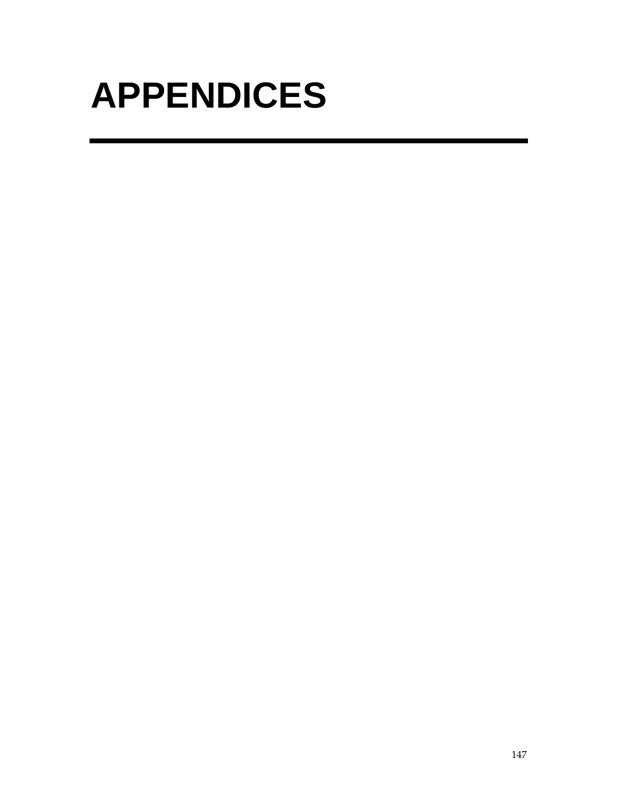## **APPENDICES**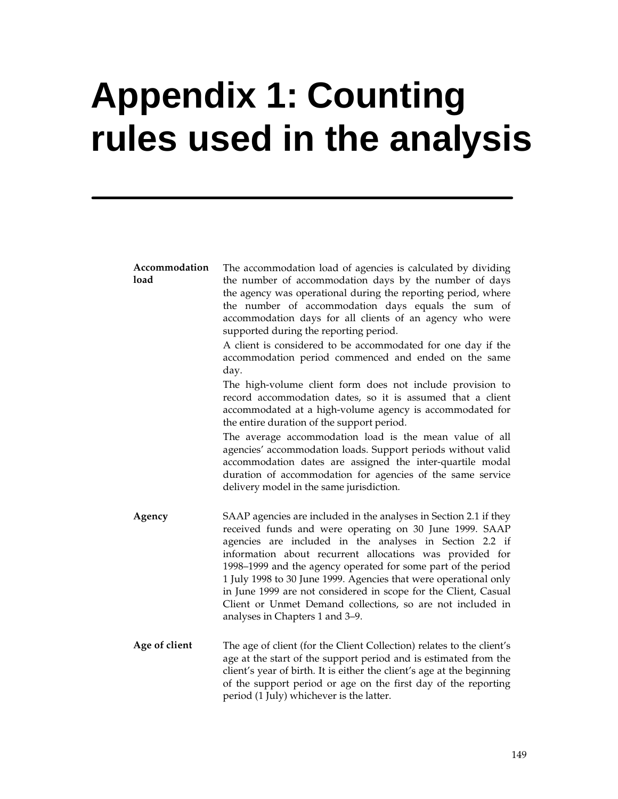## **Appendix 1: Counting rules used in the analysis**

#### **Accommodation load**

The accommodation load of agencies is calculated by dividing the number of accommodation days by the number of days the agency was operational during the reporting period, where the number of accommodation days equals the sum of accommodation days for all clients of an agency who were supported during the reporting period.

A client is considered to be accommodated for one day if the accommodation period commenced and ended on the same day.

The high-volume client form does not include provision to record accommodation dates, so it is assumed that a client accommodated at a high-volume agency is accommodated for the entire duration of the support period.

The average accommodation load is the mean value of all agencies' accommodation loads. Support periods without valid accommodation dates are assigned the inter-quartile modal duration of accommodation for agencies of the same service delivery model in the same jurisdiction.

- **Agency** SAAP agencies are included in the analyses in Section 2.1 if they received funds and were operating on 30 June 1999. SAAP agencies are included in the analyses in Section 2.2 if information about recurrent allocations was provided for 1998–1999 and the agency operated for some part of the period 1 July 1998 to 30 June 1999. Agencies that were operational only in June 1999 are not considered in scope for the Client, Casual Client or Unmet Demand collections, so are not included in analyses in Chapters 1 and 3–9.
- Age of client The age of client (for the Client Collection) relates to the client's age at the start of the support period and is estimated from the client's year of birth. It is either the client's age at the beginning of the support period or age on the first day of the reporting period (1 July) whichever is the latter.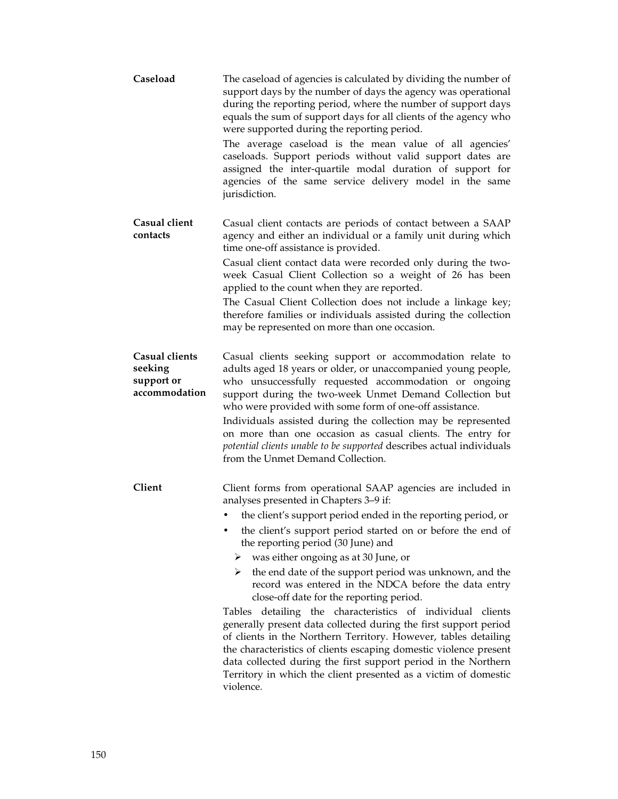| Caseload                                                 | The caseload of agencies is calculated by dividing the number of<br>support days by the number of days the agency was operational<br>during the reporting period, where the number of support days<br>equals the sum of support days for all clients of the agency who<br>were supported during the reporting period.<br>The average caseload is the mean value of all agencies'<br>caseloads. Support periods without valid support dates are<br>assigned the inter-quartile modal duration of support for<br>agencies of the same service delivery model in the same<br>jurisdiction.                                                                                                                                                           |
|----------------------------------------------------------|---------------------------------------------------------------------------------------------------------------------------------------------------------------------------------------------------------------------------------------------------------------------------------------------------------------------------------------------------------------------------------------------------------------------------------------------------------------------------------------------------------------------------------------------------------------------------------------------------------------------------------------------------------------------------------------------------------------------------------------------------|
| Casual client<br>contacts                                | Casual client contacts are periods of contact between a SAAP<br>agency and either an individual or a family unit during which<br>time one-off assistance is provided.<br>Casual client contact data were recorded only during the two-<br>week Casual Client Collection so a weight of 26 has been<br>applied to the count when they are reported.                                                                                                                                                                                                                                                                                                                                                                                                |
|                                                          | The Casual Client Collection does not include a linkage key;<br>therefore families or individuals assisted during the collection<br>may be represented on more than one occasion.                                                                                                                                                                                                                                                                                                                                                                                                                                                                                                                                                                 |
| Casual clients<br>seeking<br>support or<br>accommodation | Casual clients seeking support or accommodation relate to<br>adults aged 18 years or older, or unaccompanied young people,<br>who unsuccessfully requested accommodation or ongoing<br>support during the two-week Unmet Demand Collection but<br>who were provided with some form of one-off assistance.<br>Individuals assisted during the collection may be represented<br>on more than one occasion as casual clients. The entry for<br>potential clients unable to be supported describes actual individuals<br>from the Unmet Demand Collection.                                                                                                                                                                                            |
| Client                                                   | Client forms from operational SAAP agencies are included in<br>analyses presented in Chapters 3-9 if:<br>the client's support period ended in the reporting period, or                                                                                                                                                                                                                                                                                                                                                                                                                                                                                                                                                                            |
|                                                          | the client's support period started on or before the end of<br>the reporting period (30 June) and<br>was either ongoing as at 30 June, or<br>➤<br>the end date of the support period was unknown, and the<br>≻<br>record was entered in the NDCA before the data entry<br>close-off date for the reporting period.<br>Tables detailing the characteristics of individual<br>clients<br>generally present data collected during the first support period<br>of clients in the Northern Territory. However, tables detailing<br>the characteristics of clients escaping domestic violence present<br>data collected during the first support period in the Northern<br>Territory in which the client presented as a victim of domestic<br>violence. |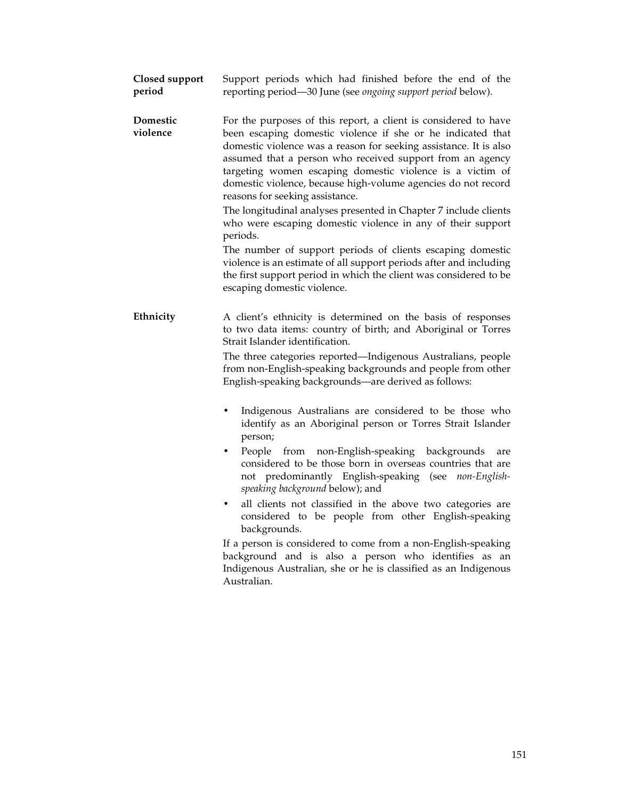| Closed support | Support periods which had finished before the end of the     |  |  |  |  |  |
|----------------|--------------------------------------------------------------|--|--|--|--|--|
| period         | reporting period—30 June (see ongoing support period below). |  |  |  |  |  |

**Domestic violence** For the purposes of this report, a client is considered to have been escaping domestic violence if she or he indicated that domestic violence was a reason for seeking assistance. It is also assumed that a person who received support from an agency targeting women escaping domestic violence is a victim of domestic violence, because high-volume agencies do not record reasons for seeking assistance.

> The longitudinal analyses presented in Chapter 7 include clients who were escaping domestic violence in any of their support periods.

> The number of support periods of clients escaping domestic violence is an estimate of all support periods after and including the first support period in which the client was considered to be escaping domestic violence.

**Ethnicity** A client's ethnicity is determined on the basis of responses to two data items: country of birth; and Aboriginal or Torres Strait Islander identification.

> The three categories reported—Indigenous Australians, people from non-English-speaking backgrounds and people from other English-speaking backgrounds—are derived as follows:

- Indigenous Australians are considered to be those who identify as an Aboriginal person or Torres Strait Islander person;
- People from non-English-speaking backgrounds are considered to be those born in overseas countries that are not predominantly English-speaking (see *non-Englishspeaking background* below); and
- all clients not classified in the above two categories are considered to be people from other English-speaking backgrounds.

If a person is considered to come from a non-English-speaking background and is also a person who identifies as an Indigenous Australian, she or he is classified as an Indigenous Australian.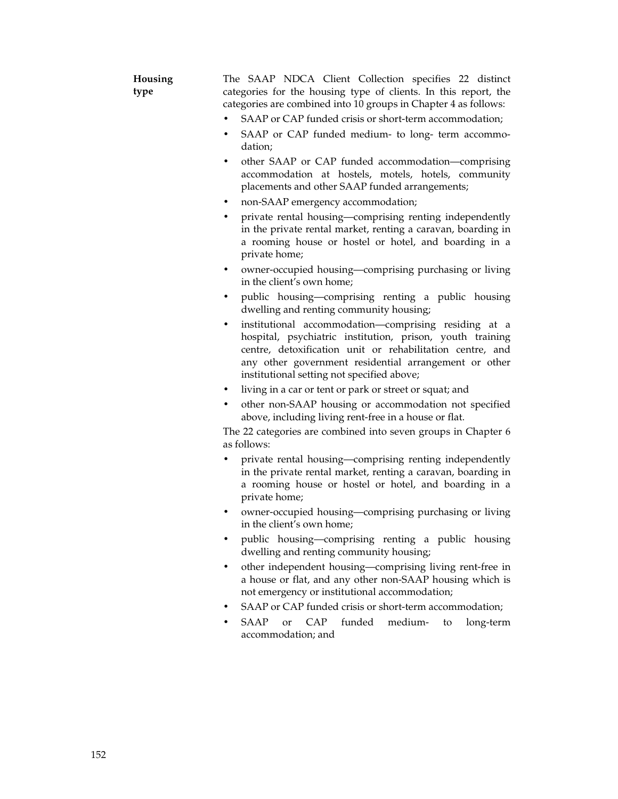| Housing<br>type | The SAAP NDCA Client Collection specifies 22 distinct<br>categories for the housing type of clients. In this report, the<br>categories are combined into 10 groups in Chapter 4 as follows:         |  |  |  |  |  |  |  |
|-----------------|-----------------------------------------------------------------------------------------------------------------------------------------------------------------------------------------------------|--|--|--|--|--|--|--|
|                 | SAAP or CAP funded crisis or short-term accommodation;<br>$\bullet$                                                                                                                                 |  |  |  |  |  |  |  |
|                 | SAAP or CAP funded medium- to long- term accommo-<br>$\bullet$<br>dation;                                                                                                                           |  |  |  |  |  |  |  |
|                 | other SAAP or CAP funded accommodation—comprising<br>accommodation at hostels, motels, hotels, community<br>placements and other SAAP funded arrangements;                                          |  |  |  |  |  |  |  |
|                 | non-SAAP emergency accommodation;                                                                                                                                                                   |  |  |  |  |  |  |  |
|                 | • private rental housing-comprising renting independently<br>in the private rental market, renting a caravan, boarding in<br>a rooming house or hostel or hotel, and boarding in a<br>private home; |  |  |  |  |  |  |  |
|                 | • owner-occupied housing—comprising purchasing or living<br>in the client's own home;                                                                                                               |  |  |  |  |  |  |  |
|                 | public housing—comprising renting a public housing<br>dwelling and renting community housing;                                                                                                       |  |  |  |  |  |  |  |
|                 | institutional accommodation-comprising residing at a<br>hospital, psychiatric institution, prison, youth training                                                                                   |  |  |  |  |  |  |  |

- hospital, psychiatric institution, prison, youth training centre, detoxification unit or rehabilitation centre, and any other government residential arrangement or other institutional setting not specified above;
- living in a car or tent or park or street or squat; and
- other non-SAAP housing or accommodation not specified above, including living rent-free in a house or flat.

The 22 categories are combined into seven groups in Chapter 6 as follows:

- private rental housing—comprising renting independently in the private rental market, renting a caravan, boarding in a rooming house or hostel or hotel, and boarding in a private home;
- owner-occupied housing—comprising purchasing or living in the client's own home;
- public housing—comprising renting a public housing dwelling and renting community housing;
- other independent housing—comprising living rent-free in a house or flat, and any other non-SAAP housing which is not emergency or institutional accommodation;
- SAAP or CAP funded crisis or short-term accommodation;
- SAAP or CAP funded medium- to long-term accommodation; and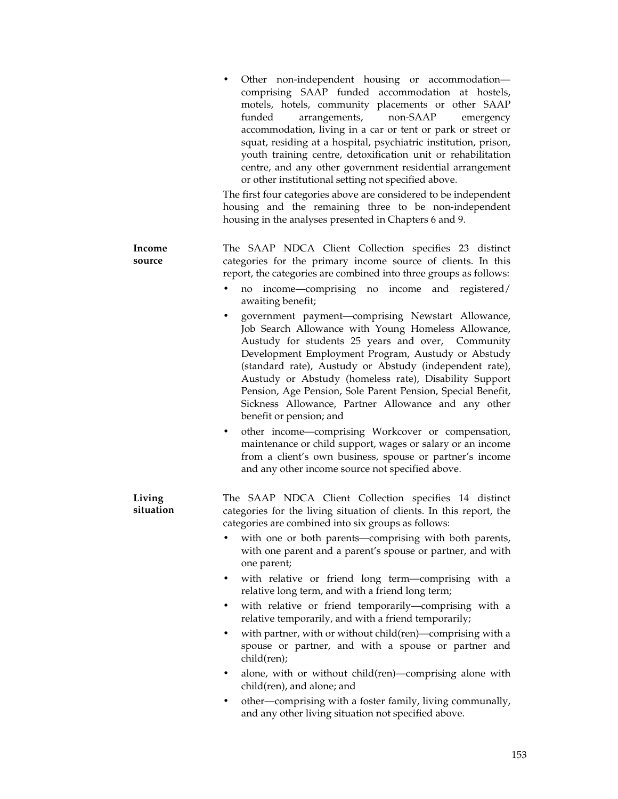|                     | Other non-independent housing or accommodation-<br>comprising SAAP funded accommodation at hostels,<br>motels, hotels, community placements or other SAAP<br>arrangements, non-SAAP<br>funded<br>emergency<br>accommodation, living in a car or tent or park or street or<br>squat, residing at a hospital, psychiatric institution, prison,<br>youth training centre, detoxification unit or rehabilitation<br>centre, and any other government residential arrangement<br>or other institutional setting not specified above.<br>The first four categories above are considered to be independent<br>housing and the remaining three to be non-independent<br>housing in the analyses presented in Chapters 6 and 9. |
|---------------------|------------------------------------------------------------------------------------------------------------------------------------------------------------------------------------------------------------------------------------------------------------------------------------------------------------------------------------------------------------------------------------------------------------------------------------------------------------------------------------------------------------------------------------------------------------------------------------------------------------------------------------------------------------------------------------------------------------------------|
| Income<br>source    | The SAAP NDCA Client Collection specifies 23 distinct<br>categories for the primary income source of clients. In this<br>report, the categories are combined into three groups as follows:<br>no income-comprising no income and registered/<br>$\bullet$<br>awaiting benefit;                                                                                                                                                                                                                                                                                                                                                                                                                                         |
|                     | government payment-comprising Newstart Allowance,<br>٠<br>Job Search Allowance with Young Homeless Allowance,<br>Austudy for students 25 years and over, Community<br>Development Employment Program, Austudy or Abstudy<br>(standard rate), Austudy or Abstudy (independent rate),<br>Austudy or Abstudy (homeless rate), Disability Support<br>Pension, Age Pension, Sole Parent Pension, Special Benefit,<br>Sickness Allowance, Partner Allowance and any other<br>benefit or pension; and                                                                                                                                                                                                                         |
|                     | other income-comprising Workcover or compensation,<br>٠<br>maintenance or child support, wages or salary or an income<br>from a client's own business, spouse or partner's income<br>and any other income source not specified above.                                                                                                                                                                                                                                                                                                                                                                                                                                                                                  |
| Living<br>situation | The SAAP NDCA Client Collection specifies 14 distinct<br>categories for the living situation of clients. In this report, the<br>categories are combined into six groups as follows:                                                                                                                                                                                                                                                                                                                                                                                                                                                                                                                                    |
|                     | with one or both parents—comprising with both parents,<br>with one parent and a parent's spouse or partner, and with<br>one parent;                                                                                                                                                                                                                                                                                                                                                                                                                                                                                                                                                                                    |
|                     | with relative or friend long term—comprising with a<br>٠<br>relative long term, and with a friend long term;                                                                                                                                                                                                                                                                                                                                                                                                                                                                                                                                                                                                           |
|                     | with relative or friend temporarily—comprising with a<br>relative temporarily, and with a friend temporarily;                                                                                                                                                                                                                                                                                                                                                                                                                                                                                                                                                                                                          |
|                     | with partner, with or without child(ren)—comprising with a<br>spouse or partner, and with a spouse or partner and<br>child(ren);                                                                                                                                                                                                                                                                                                                                                                                                                                                                                                                                                                                       |
|                     | alone, with or without child(ren)—comprising alone with<br>child(ren), and alone; and                                                                                                                                                                                                                                                                                                                                                                                                                                                                                                                                                                                                                                  |
|                     | other—comprising with a foster family, living communally,<br>٠<br>and any other living situation not specified above.                                                                                                                                                                                                                                                                                                                                                                                                                                                                                                                                                                                                  |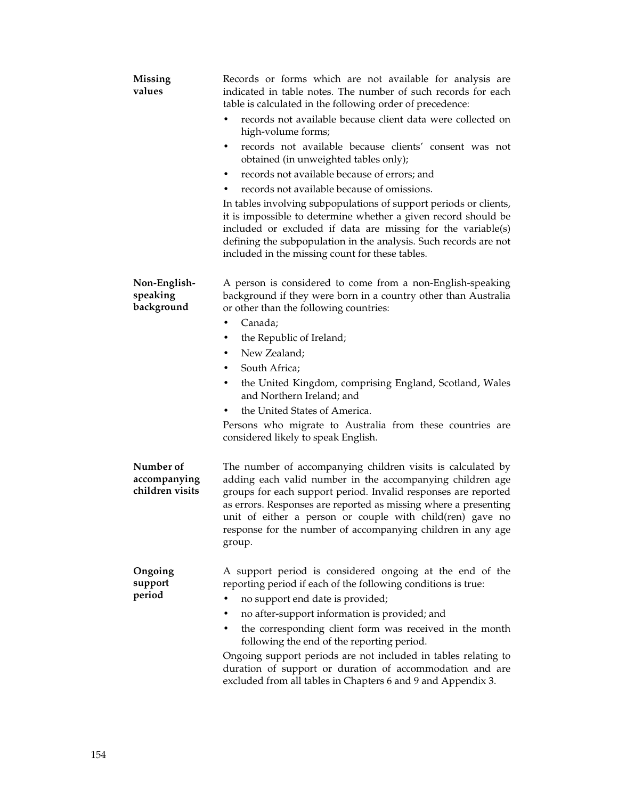| <b>Missing</b><br>values                     | Records or forms which are not available for analysis are<br>indicated in table notes. The number of such records for each<br>table is calculated in the following order of precedence:                                                                                                                                                                                                             |
|----------------------------------------------|-----------------------------------------------------------------------------------------------------------------------------------------------------------------------------------------------------------------------------------------------------------------------------------------------------------------------------------------------------------------------------------------------------|
|                                              | records not available because client data were collected on<br>high-volume forms;                                                                                                                                                                                                                                                                                                                   |
|                                              | records not available because clients' consent was not<br>٠<br>obtained (in unweighted tables only);                                                                                                                                                                                                                                                                                                |
|                                              | records not available because of errors; and<br>٠                                                                                                                                                                                                                                                                                                                                                   |
|                                              | records not available because of omissions.                                                                                                                                                                                                                                                                                                                                                         |
|                                              | In tables involving subpopulations of support periods or clients,<br>it is impossible to determine whether a given record should be<br>included or excluded if data are missing for the variable(s)<br>defining the subpopulation in the analysis. Such records are not<br>included in the missing count for these tables.                                                                          |
| Non-English-<br>speaking<br>background       | A person is considered to come from a non-English-speaking<br>background if they were born in a country other than Australia<br>or other than the following countries:                                                                                                                                                                                                                              |
|                                              | Canada;                                                                                                                                                                                                                                                                                                                                                                                             |
|                                              | the Republic of Ireland;                                                                                                                                                                                                                                                                                                                                                                            |
|                                              | New Zealand;<br>٠                                                                                                                                                                                                                                                                                                                                                                                   |
|                                              | South Africa;<br>$\bullet$                                                                                                                                                                                                                                                                                                                                                                          |
|                                              | the United Kingdom, comprising England, Scotland, Wales<br>and Northern Ireland; and                                                                                                                                                                                                                                                                                                                |
|                                              | the United States of America.                                                                                                                                                                                                                                                                                                                                                                       |
|                                              | Persons who migrate to Australia from these countries are<br>considered likely to speak English.                                                                                                                                                                                                                                                                                                    |
| Number of<br>accompanying<br>children visits | The number of accompanying children visits is calculated by<br>adding each valid number in the accompanying children age<br>groups for each support period. Invalid responses are reported<br>as errors. Responses are reported as missing where a presenting<br>unit of either a person or couple with child(ren) gave no<br>response for the number of accompanying children in any age<br>group. |
| Ongoing<br>support<br>period                 | A support period is considered ongoing at the end of the<br>reporting period if each of the following conditions is true:                                                                                                                                                                                                                                                                           |
|                                              | no support end date is provided;                                                                                                                                                                                                                                                                                                                                                                    |
|                                              | no after-support information is provided; and                                                                                                                                                                                                                                                                                                                                                       |
|                                              | the corresponding client form was received in the month<br>following the end of the reporting period.                                                                                                                                                                                                                                                                                               |
|                                              | Ongoing support periods are not included in tables relating to<br>duration of support or duration of accommodation and are<br>excluded from all tables in Chapters 6 and 9 and Appendix 3.                                                                                                                                                                                                          |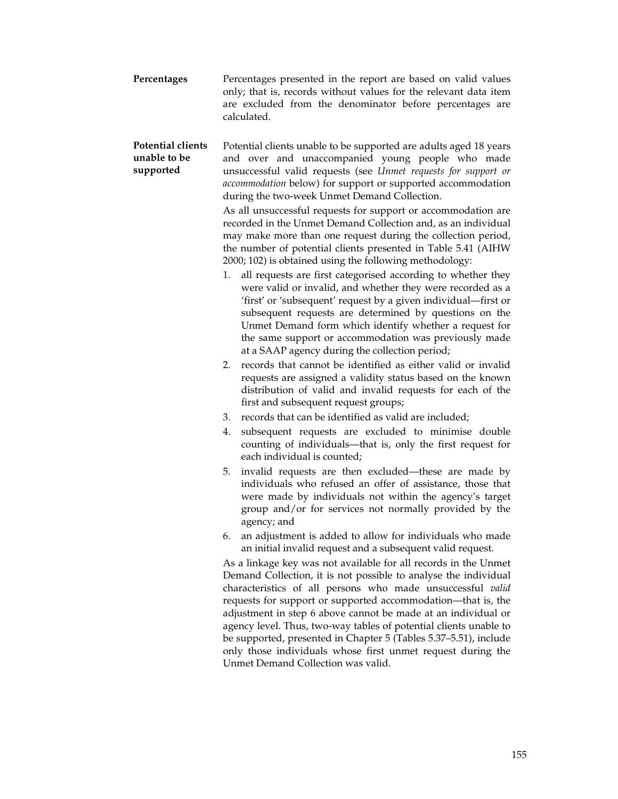**Percentages** Percentages presented in the report are based on valid values only; that is, records without values for the relevant data item are excluded from the denominator before percentages are calculated.

**Potential clients unable to be supported** Potential clients unable to be supported are adults aged 18 years and over and unaccompanied young people who made unsuccessful valid requests (see *Unmet requests for support or accommodation* below) for support or supported accommodation during the two-week Unmet Demand Collection.

> As all unsuccessful requests for support or accommodation are recorded in the Unmet Demand Collection and, as an individual may make more than one request during the collection period, the number of potential clients presented in Table 5.41 (AIHW 2000; 102) is obtained using the following methodology:

- 1. all requests are first categorised according to whether they were valid or invalid, and whether they were recorded as a 'first' or 'subsequent' request by a given individual—first or subsequent requests are determined by questions on the Unmet Demand form which identify whether a request for the same support or accommodation was previously made at a SAAP agency during the collection period;
- 2. records that cannot be identified as either valid or invalid requests are assigned a validity status based on the known distribution of valid and invalid requests for each of the first and subsequent request groups;
- 3. records that can be identified as valid are included;
- 4. subsequent requests are excluded to minimise double counting of individuals—that is, only the first request for each individual is counted;
- 5. invalid requests are then excluded—these are made by individuals who refused an offer of assistance, those that were made by individuals not within the agency's target group and/or for services not normally provided by the agency; and
- 6. an adjustment is added to allow for individuals who made an initial invalid request and a subsequent valid request.

As a linkage key was not available for all records in the Unmet Demand Collection, it is not possible to analyse the individual characteristics of all persons who made unsuccessful *valid* requests for support or supported accommodation—that is, the adjustment in step 6 above cannot be made at an individual or agency level. Thus, two-way tables of potential clients unable to be supported, presented in Chapter 5 (Tables 5.37–5.51), include only those individuals whose first unmet request during the Unmet Demand Collection was valid.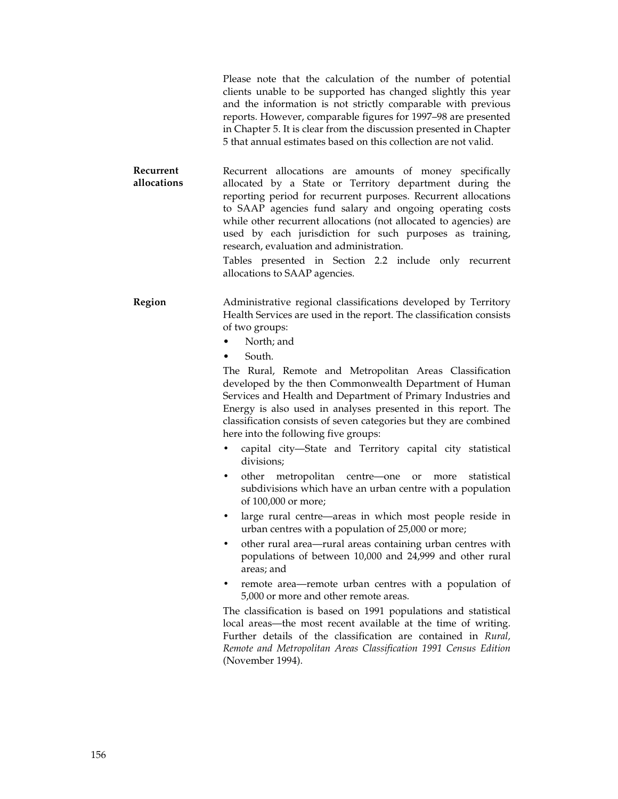Please note that the calculation of the number of potential clients unable to be supported has changed slightly this year and the information is not strictly comparable with previous reports. However, comparable figures for 1997–98 are presented in Chapter 5. It is clear from the discussion presented in Chapter 5 that annual estimates based on this collection are not valid.

**Recurrent allocations** Recurrent allocations are amounts of money specifically allocated by a State or Territory department during the reporting period for recurrent purposes. Recurrent allocations to SAAP agencies fund salary and ongoing operating costs while other recurrent allocations (not allocated to agencies) are used by each jurisdiction for such purposes as training, research, evaluation and administration.

> Tables presented in Section 2.2 include only recurrent allocations to SAAP agencies.

**Region** Administrative regional classifications developed by Territory Health Services are used in the report. The classification consists of two groups:

- North; and
- South.

The Rural, Remote and Metropolitan Areas Classification developed by the then Commonwealth Department of Human Services and Health and Department of Primary Industries and Energy is also used in analyses presented in this report. The classification consists of seven categories but they are combined here into the following five groups:

- capital city—State and Territory capital city statistical divisions;
- other metropolitan centre—one or more statistical subdivisions which have an urban centre with a population of 100,000 or more;
- large rural centre—areas in which most people reside in urban centres with a population of 25,000 or more;
- other rural area—rural areas containing urban centres with populations of between 10,000 and 24,999 and other rural areas; and
- remote area—remote urban centres with a population of 5,000 or more and other remote areas.

The classification is based on 1991 populations and statistical local areas—the most recent available at the time of writing. Further details of the classification are contained in *Rural, Remote and Metropolitan Areas Classification 1991 Census Edition* (November 1994).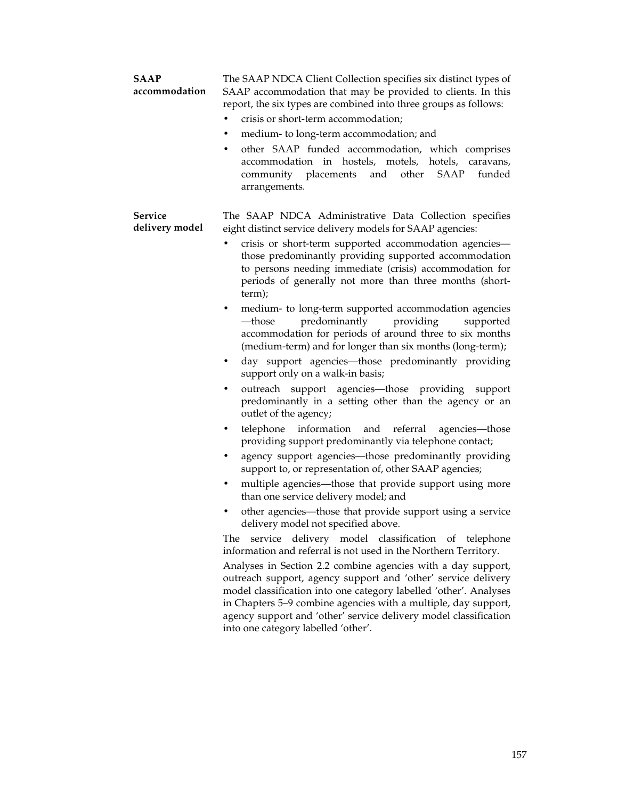| <b>SAAP</b><br>accommodation     | The SAAP NDCA Client Collection specifies six distinct types of<br>SAAP accommodation that may be provided to clients. In this<br>report, the six types are combined into three groups as follows:<br>crisis or short-term accommodation;<br>medium- to long-term accommodation; and<br>٠<br>other SAAP funded accommodation, which comprises<br>$\bullet$<br>accommodation in hostels, motels, hotels,<br>caravans,<br>SAAP<br>community placements and<br>other<br>funded<br>arrangements.                                                                                                                                                                                                                                                                                                                                                                                                                                                                                |
|----------------------------------|-----------------------------------------------------------------------------------------------------------------------------------------------------------------------------------------------------------------------------------------------------------------------------------------------------------------------------------------------------------------------------------------------------------------------------------------------------------------------------------------------------------------------------------------------------------------------------------------------------------------------------------------------------------------------------------------------------------------------------------------------------------------------------------------------------------------------------------------------------------------------------------------------------------------------------------------------------------------------------|
| <b>Service</b><br>delivery model | The SAAP NDCA Administrative Data Collection specifies<br>eight distinct service delivery models for SAAP agencies:<br>crisis or short-term supported accommodation agencies-<br>those predominantly providing supported accommodation<br>to persons needing immediate (crisis) accommodation for<br>periods of generally not more than three months (short-<br>term);                                                                                                                                                                                                                                                                                                                                                                                                                                                                                                                                                                                                      |
|                                  | medium- to long-term supported accommodation agencies<br>٠<br>predominantly<br>—those<br>providing<br>supported<br>accommodation for periods of around three to six months<br>(medium-term) and for longer than six months (long-term);<br>day support agencies—those predominantly providing<br>support only on a walk-in basis;<br>outreach support agencies—those providing support<br>٠<br>predominantly in a setting other than the agency or an<br>outlet of the agency;                                                                                                                                                                                                                                                                                                                                                                                                                                                                                              |
|                                  | information<br>and<br>referral<br>telephone<br>agencies—those<br>٠<br>providing support predominantly via telephone contact;<br>agency support agencies—those predominantly providing<br>support to, or representation of, other SAAP agencies;<br>multiple agencies—those that provide support using more<br>٠<br>than one service delivery model; and<br>other agencies-those that provide support using a service<br>delivery model not specified above.<br>The service delivery model classification of telephone<br>information and referral is not used in the Northern Territory.<br>Analyses in Section 2.2 combine agencies with a day support,<br>outreach support, agency support and 'other' service delivery<br>model classification into one category labelled 'other'. Analyses<br>in Chapters 5-9 combine agencies with a multiple, day support,<br>agency support and 'other' service delivery model classification<br>into one category labelled 'other'. |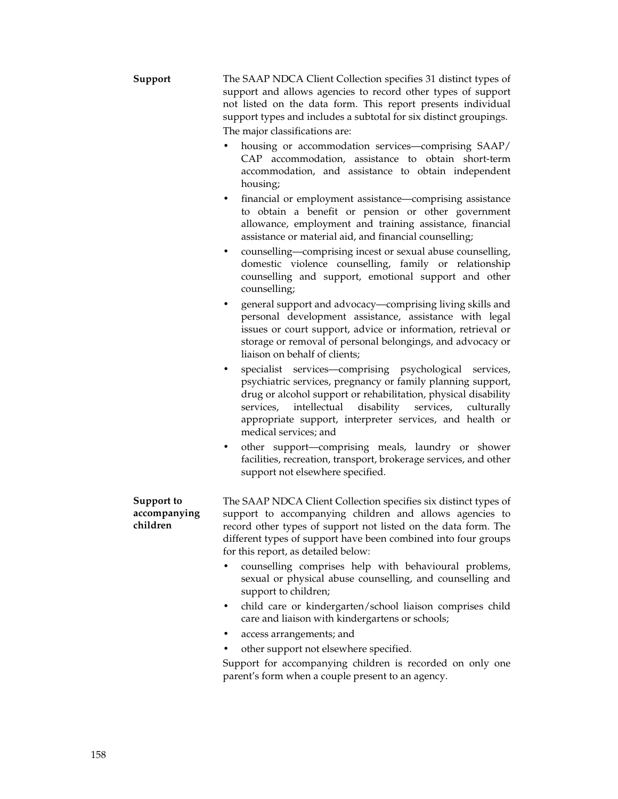| Support                                | The SAAP NDCA Client Collection specifies 31 distinct types of<br>support and allows agencies to record other types of support<br>not listed on the data form. This report presents individual<br>support types and includes a subtotal for six distinct groupings.<br>The major classifications are:<br>housing or accommodation services-comprising SAAP/<br>CAP accommodation, assistance to obtain short-term<br>accommodation, and assistance to obtain independent<br>housing;<br>financial or employment assistance—comprising assistance<br>$\bullet$<br>to obtain a benefit or pension or other government<br>allowance, employment and training assistance, financial<br>assistance or material aid, and financial counselling;<br>counselling—comprising incest or sexual abuse counselling,<br>$\bullet$ |
|----------------------------------------|----------------------------------------------------------------------------------------------------------------------------------------------------------------------------------------------------------------------------------------------------------------------------------------------------------------------------------------------------------------------------------------------------------------------------------------------------------------------------------------------------------------------------------------------------------------------------------------------------------------------------------------------------------------------------------------------------------------------------------------------------------------------------------------------------------------------|
|                                        | domestic violence counselling, family or relationship<br>counselling and support, emotional support and other<br>counselling;                                                                                                                                                                                                                                                                                                                                                                                                                                                                                                                                                                                                                                                                                        |
|                                        | general support and advocacy-comprising living skills and<br>personal development assistance, assistance with legal<br>issues or court support, advice or information, retrieval or<br>storage or removal of personal belongings, and advocacy or<br>liaison on behalf of clients;                                                                                                                                                                                                                                                                                                                                                                                                                                                                                                                                   |
|                                        | specialist services-comprising psychological services,<br>psychiatric services, pregnancy or family planning support,<br>drug or alcohol support or rehabilitation, physical disability<br>intellectual<br>disability<br>services,<br>services,<br>culturally<br>appropriate support, interpreter services, and health or<br>medical services; and                                                                                                                                                                                                                                                                                                                                                                                                                                                                   |
|                                        | other support-comprising meals, laundry or shower<br>facilities, recreation, transport, brokerage services, and other<br>support not elsewhere specified.                                                                                                                                                                                                                                                                                                                                                                                                                                                                                                                                                                                                                                                            |
| Support to<br>accompanying<br>children | The SAAP NDCA Client Collection specifies six distinct types of<br>support to accompanying children and allows agencies to<br>record other types of support not listed on the data form. The<br>different types of support have been combined into four groups<br>for this report, as detailed below:                                                                                                                                                                                                                                                                                                                                                                                                                                                                                                                |
|                                        | counselling comprises help with behavioural problems,<br>sexual or physical abuse counselling, and counselling and<br>support to children;                                                                                                                                                                                                                                                                                                                                                                                                                                                                                                                                                                                                                                                                           |
|                                        | child care or kindergarten/school liaison comprises child<br>care and liaison with kindergartens or schools;<br>access arrangements; and                                                                                                                                                                                                                                                                                                                                                                                                                                                                                                                                                                                                                                                                             |
|                                        | other support not elsewhere specified.                                                                                                                                                                                                                                                                                                                                                                                                                                                                                                                                                                                                                                                                                                                                                                               |
|                                        | Support for accompanying children is recorded on only one                                                                                                                                                                                                                                                                                                                                                                                                                                                                                                                                                                                                                                                                                                                                                            |

Support for accompanying children is recorded on only one parent's form when a couple present to an agency.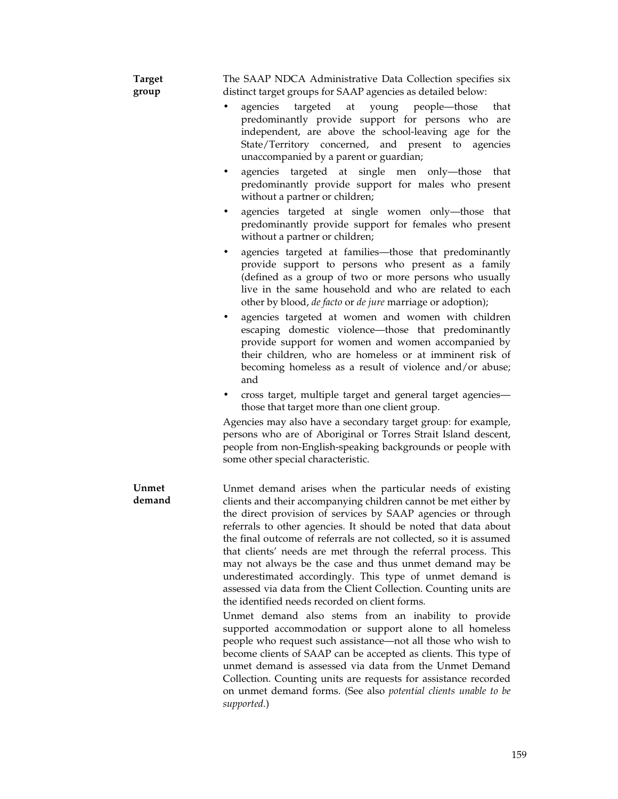| <b>Target</b><br>group | The SAAP NDCA Administrative Data Collection specifies six<br>distinct target groups for SAAP agencies as detailed below:                                                                                                                                                                                                                                                                                                                                                                                                                                                                                                                                                                                                                                                                                                                                                                                                                                                                                                                 |
|------------------------|-------------------------------------------------------------------------------------------------------------------------------------------------------------------------------------------------------------------------------------------------------------------------------------------------------------------------------------------------------------------------------------------------------------------------------------------------------------------------------------------------------------------------------------------------------------------------------------------------------------------------------------------------------------------------------------------------------------------------------------------------------------------------------------------------------------------------------------------------------------------------------------------------------------------------------------------------------------------------------------------------------------------------------------------|
|                        | agencies<br>targeted at<br>young people—those<br>that<br>predominantly provide support for persons who are<br>independent, are above the school-leaving age for the<br>State/Territory concerned, and present to agencies<br>unaccompanied by a parent or guardian;                                                                                                                                                                                                                                                                                                                                                                                                                                                                                                                                                                                                                                                                                                                                                                       |
|                        | agencies targeted at single men only-those that<br>٠<br>predominantly provide support for males who present<br>without a partner or children;                                                                                                                                                                                                                                                                                                                                                                                                                                                                                                                                                                                                                                                                                                                                                                                                                                                                                             |
|                        | agencies targeted at single women only—those that<br>٠<br>predominantly provide support for females who present<br>without a partner or children;                                                                                                                                                                                                                                                                                                                                                                                                                                                                                                                                                                                                                                                                                                                                                                                                                                                                                         |
|                        | agencies targeted at families-those that predominantly<br>provide support to persons who present as a family<br>(defined as a group of two or more persons who usually<br>live in the same household and who are related to each<br>other by blood, de facto or de jure marriage or adoption);                                                                                                                                                                                                                                                                                                                                                                                                                                                                                                                                                                                                                                                                                                                                            |
|                        | agencies targeted at women and women with children<br>escaping domestic violence-those that predominantly<br>provide support for women and women accompanied by<br>their children, who are homeless or at imminent risk of<br>becoming homeless as a result of violence and/or abuse;<br>and                                                                                                                                                                                                                                                                                                                                                                                                                                                                                                                                                                                                                                                                                                                                              |
|                        | cross target, multiple target and general target agencies-<br>٠<br>those that target more than one client group.                                                                                                                                                                                                                                                                                                                                                                                                                                                                                                                                                                                                                                                                                                                                                                                                                                                                                                                          |
|                        | Agencies may also have a secondary target group: for example,<br>persons who are of Aboriginal or Torres Strait Island descent,<br>people from non-English-speaking backgrounds or people with<br>some other special characteristic.                                                                                                                                                                                                                                                                                                                                                                                                                                                                                                                                                                                                                                                                                                                                                                                                      |
| Unmet<br>demand        | Unmet demand arises when the particular needs of existing<br>clients and their accompanying children cannot be met either by<br>the direct provision of services by SAAP agencies or through<br>referrals to other agencies. It should be noted that data about<br>the final outcome of referrals are not collected, so it is assumed<br>that clients' needs are met through the referral process. This<br>may not always be the case and thus unmet demand may be<br>underestimated accordingly. This type of unmet demand is<br>assessed via data from the Client Collection. Counting units are<br>the identified needs recorded on client forms.<br>Unmet demand also stems from an inability to provide<br>supported accommodation or support alone to all homeless<br>people who request such assistance-not all those who wish to<br>become clients of SAAP can be accepted as clients. This type of<br>unmet demand is assessed via data from the Unmet Demand<br>Collection. Counting units are requests for assistance recorded |
|                        | on unmet demand forms. (See also potential clients unable to be<br>supported.)                                                                                                                                                                                                                                                                                                                                                                                                                                                                                                                                                                                                                                                                                                                                                                                                                                                                                                                                                            |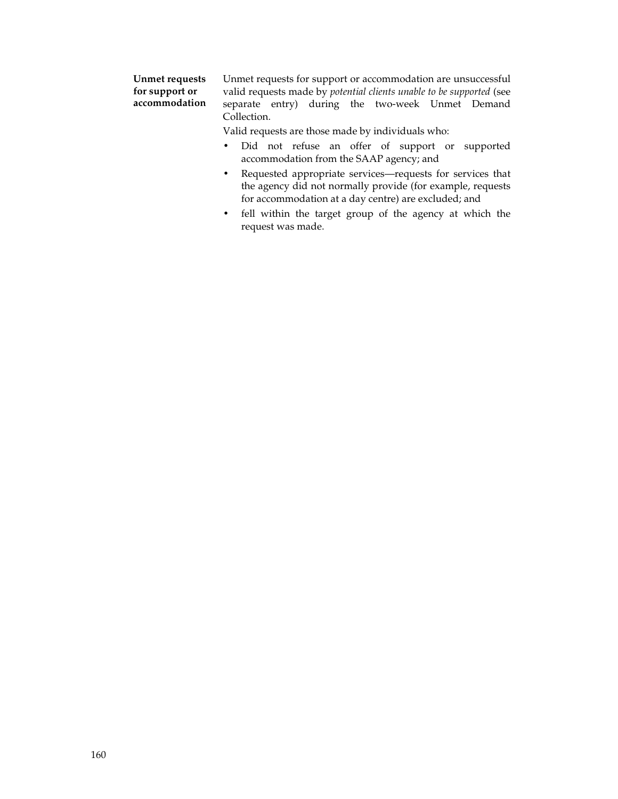### **Unmet requests for support or accommodation**

Unmet requests for support or accommodation are unsuccessful valid requests made by *potential clients unable to be supported* (see separate entry) during the two-week Unmet Demand Collection.

Valid requests are those made by individuals who:

- Did not refuse an offer of support or supported accommodation from the SAAP agency; and
- Requested appropriate services—requests for services that the agency did not normally provide (for example, requests for accommodation at a day centre) are excluded; and
- fell within the target group of the agency at which the request was made.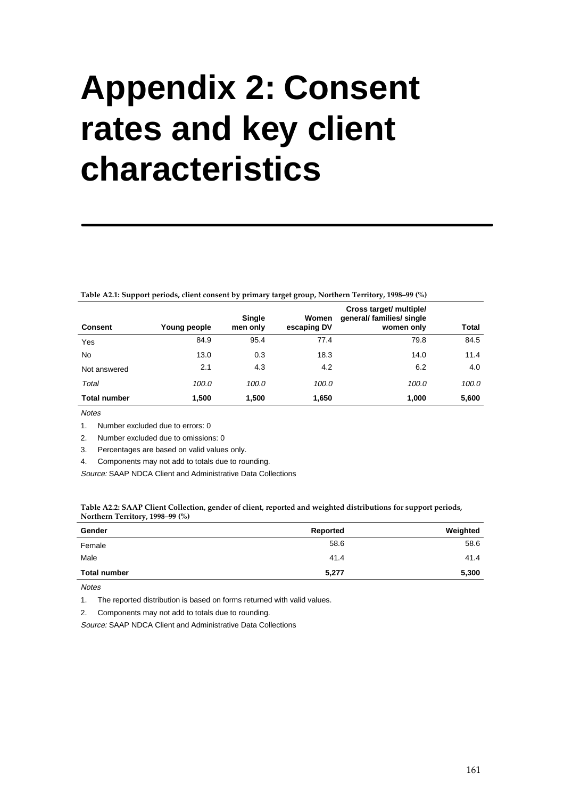# **Appendix 2: Consent rates and key client characteristics**

**Table A2.1: Support periods, client consent by primary target group, Northern Territory, 1998–99 (%)**

| <b>Consent</b>      | Young people | <b>Single</b><br>men only | Women<br>escaping DV | Cross target/ multiple/<br>general/ families/ single<br>women only | <b>Total</b> |
|---------------------|--------------|---------------------------|----------------------|--------------------------------------------------------------------|--------------|
| Yes                 | 84.9         | 95.4                      | 77.4                 | 79.8                                                               | 84.5         |
| <b>No</b>           | 13.0         | 0.3                       | 18.3                 | 14.0                                                               | 11.4         |
| Not answered        | 2.1          | 4.3                       | 4.2                  | 6.2                                                                | 4.0          |
| Total               | 100.0        | 100.0                     | 100.0                | 100.0                                                              | 100.0        |
| <b>Total number</b> | 1,500        | 1,500                     | 1,650                | 1,000                                                              | 5,600        |

**Notes** 

1. Number excluded due to errors: 0

2. Number excluded due to omissions: 0

3. Percentages are based on valid values only.

4. Components may not add to totals due to rounding.

Source: SAAP NDCA Client and Administrative Data Collections

|                                 |  |  | Table A2.2: SAAP Client Collection, gender of client, reported and weighted distributions for support periods, |
|---------------------------------|--|--|----------------------------------------------------------------------------------------------------------------|
| Northern Territory, 1998–99 (%) |  |  |                                                                                                                |

| Gender              | Reported | Weighted |
|---------------------|----------|----------|
| Female              | 58.6     | 58.6     |
| Male                | 41.4     | 41.4     |
| <b>Total number</b> | 5,277    | 5,300    |

**Notes** 

1. The reported distribution is based on forms returned with valid values.

2. Components may not add to totals due to rounding.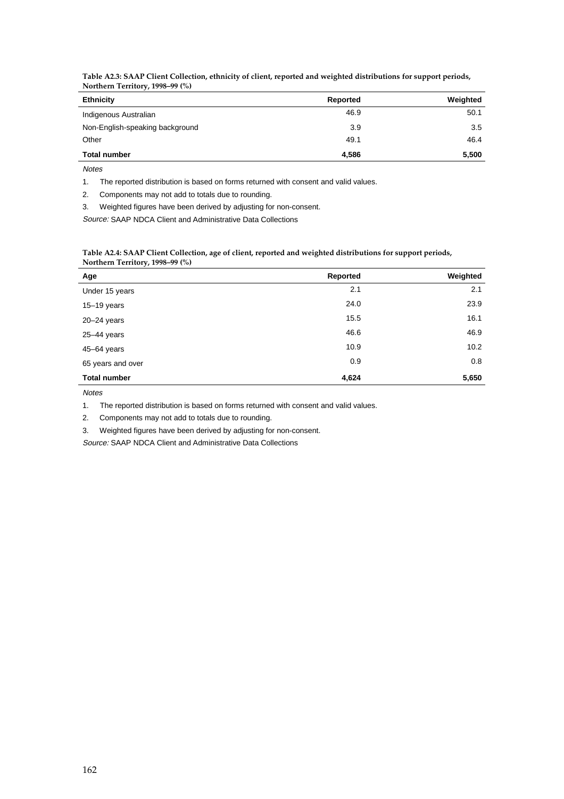| Table A2.3: SAAP Client Collection, ethnicity of client, reported and weighted distributions for support periods, |  |  |  |  |
|-------------------------------------------------------------------------------------------------------------------|--|--|--|--|
| Northern Territory, 1998–99 (%)                                                                                   |  |  |  |  |

| <b>Ethnicity</b>                | Reported | Weighted |
|---------------------------------|----------|----------|
| Indigenous Australian           | 46.9     | 50.1     |
| Non-English-speaking background | 3.9      | 3.5      |
| Other                           | 49.1     | 46.4     |
| <b>Total number</b>             | 4,586    | 5,500    |

Notes

1. The reported distribution is based on forms returned with consent and valid values.

2. Components may not add to totals due to rounding.

3. Weighted figures have been derived by adjusting for non-consent.

Source: SAAP NDCA Client and Administrative Data Collections

| Table A2.4: SAAP Client Collection, age of client, reported and weighted distributions for support periods, |  |
|-------------------------------------------------------------------------------------------------------------|--|
| Northern Territory, 1998–99 (%)                                                                             |  |

| Age                 | Reported | Weighted |
|---------------------|----------|----------|
| Under 15 years      | 2.1      | 2.1      |
| $15 - 19$ years     | 24.0     | 23.9     |
| $20 - 24$ years     | 15.5     | 16.1     |
| $25 - 44$ years     | 46.6     | 46.9     |
| 45-64 years         | 10.9     | 10.2     |
| 65 years and over   | 0.9      | 0.8      |
| <b>Total number</b> | 4,624    | 5,650    |

Notes

1. The reported distribution is based on forms returned with consent and valid values.

2. Components may not add to totals due to rounding.

3. Weighted figures have been derived by adjusting for non-consent.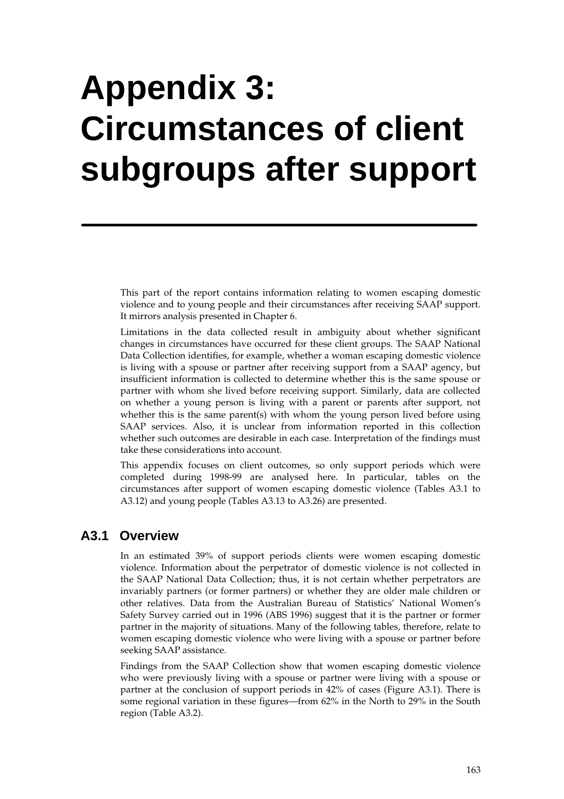# **Appendix 3: Circumstances of client subgroups after support**

This part of the report contains information relating to women escaping domestic violence and to young people and their circumstances after receiving SAAP support. It mirrors analysis presented in Chapter 6.

Limitations in the data collected result in ambiguity about whether significant changes in circumstances have occurred for these client groups. The SAAP National Data Collection identifies, for example, whether a woman escaping domestic violence is living with a spouse or partner after receiving support from a SAAP agency, but insufficient information is collected to determine whether this is the same spouse or partner with whom she lived before receiving support. Similarly, data are collected on whether a young person is living with a parent or parents after support, not whether this is the same parent(s) with whom the young person lived before using SAAP services. Also, it is unclear from information reported in this collection whether such outcomes are desirable in each case. Interpretation of the findings must take these considerations into account.

This appendix focuses on client outcomes, so only support periods which were completed during 1998-99 are analysed here. In particular, tables on the circumstances after support of women escaping domestic violence (Tables A3.1 to A3.12) and young people (Tables A3.13 to A3.26) are presented.

#### **A3.1 Overview**

In an estimated 39% of support periods clients were women escaping domestic violence. Information about the perpetrator of domestic violence is not collected in the SAAP National Data Collection; thus, it is not certain whether perpetrators are invariably partners (or former partners) or whether they are older male children or other relatives. Data from the Australian Bureau of Statistics' National Women's Safety Survey carried out in 1996 (ABS 1996) suggest that it is the partner or former partner in the majority of situations. Many of the following tables, therefore, relate to women escaping domestic violence who were living with a spouse or partner before seeking SAAP assistance.

Findings from the SAAP Collection show that women escaping domestic violence who were previously living with a spouse or partner were living with a spouse or partner at the conclusion of support periods in 42% of cases (Figure A3.1). There is some regional variation in these figures—from 62% in the North to 29% in the South region (Table A3.2).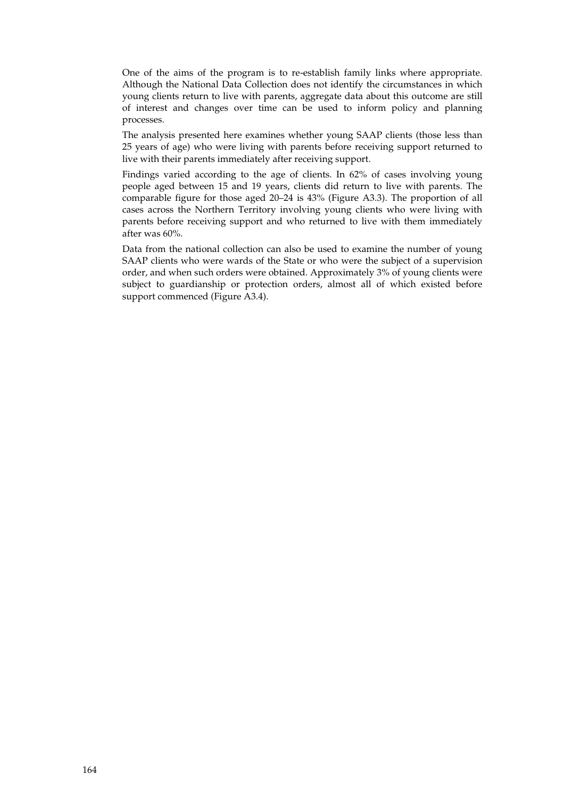One of the aims of the program is to re-establish family links where appropriate. Although the National Data Collection does not identify the circumstances in which young clients return to live with parents, aggregate data about this outcome are still of interest and changes over time can be used to inform policy and planning processes.

The analysis presented here examines whether young SAAP clients (those less than 25 years of age) who were living with parents before receiving support returned to live with their parents immediately after receiving support.

Findings varied according to the age of clients. In 62% of cases involving young people aged between 15 and 19 years, clients did return to live with parents. The comparable figure for those aged 20–24 is 43% (Figure A3.3). The proportion of all cases across the Northern Territory involving young clients who were living with parents before receiving support and who returned to live with them immediately after was 60%.

Data from the national collection can also be used to examine the number of young SAAP clients who were wards of the State or who were the subject of a supervision order, and when such orders were obtained. Approximately 3% of young clients were subject to guardianship or protection orders, almost all of which existed before support commenced (Figure A3.4).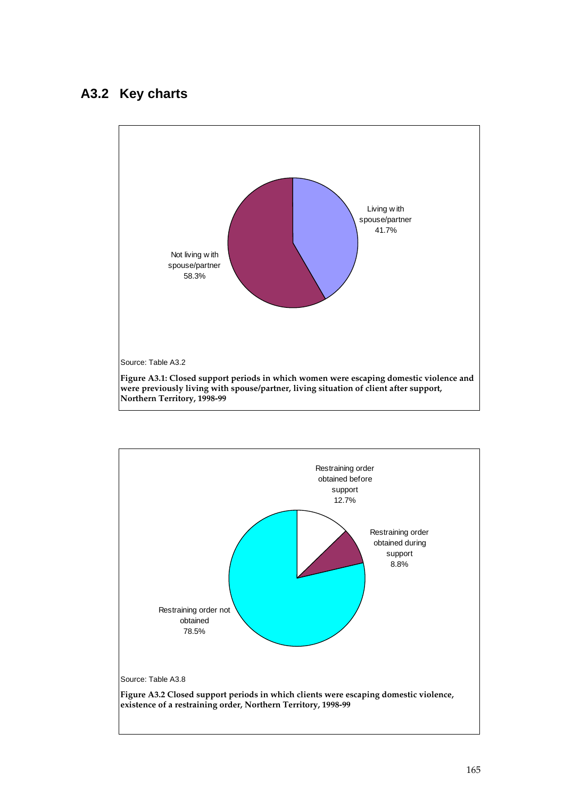### **A3.2 Key charts**



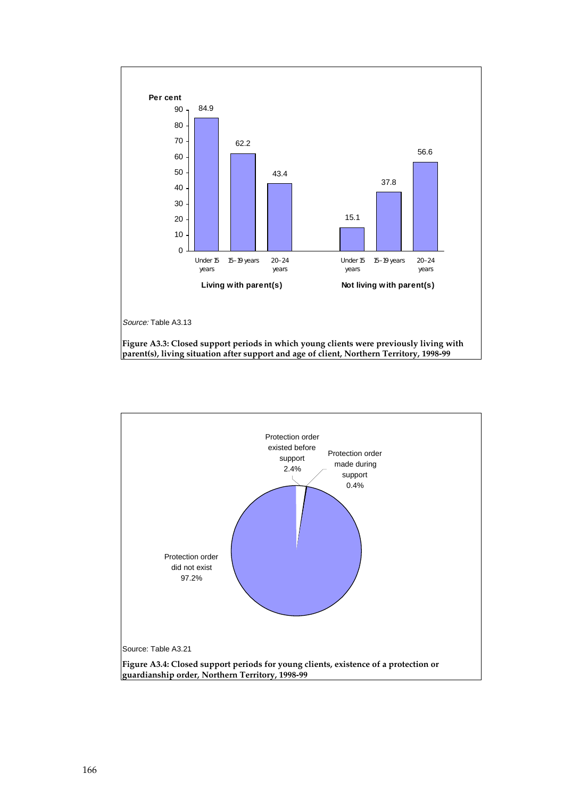

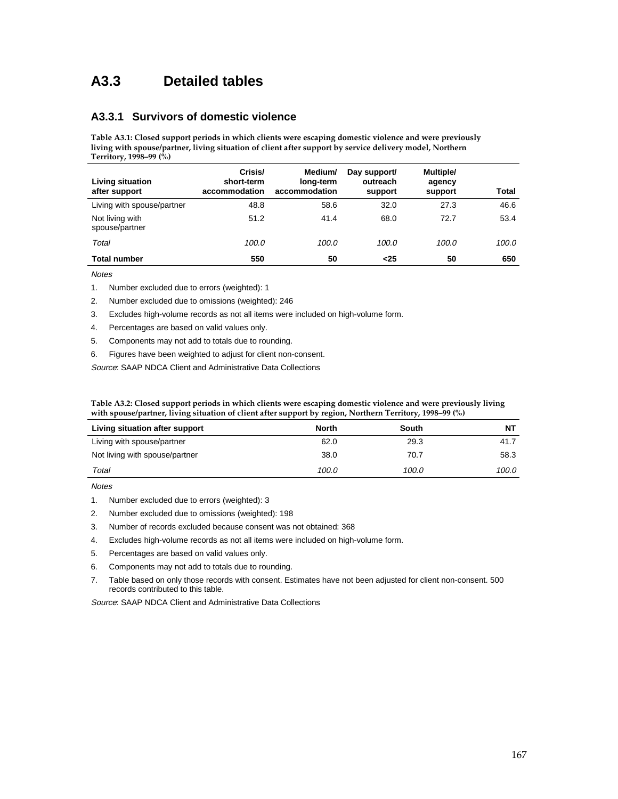#### **A3.3 Detailed tables**

#### **A3.3.1 Survivors of domestic violence**

**Table A3.1: Closed support periods in which clients were escaping domestic violence and were previously living with spouse/partner, living situation of client after support by service delivery model, Northern Territory, 1998–99 (%)**

| <b>Living situation</b><br>after support | Crisis/<br>short-term<br>accommodation | Medium/<br>long-term<br>accommodation | Day support/<br>outreach<br>support | Multiple/<br>agency<br>support | Total |
|------------------------------------------|----------------------------------------|---------------------------------------|-------------------------------------|--------------------------------|-------|
| Living with spouse/partner               | 48.8                                   | 58.6                                  | 32.0                                | 27.3                           | 46.6  |
| Not living with<br>spouse/partner        | 51.2                                   | 41.4                                  | 68.0                                | 72.7                           | 53.4  |
| Total                                    | 100.0                                  | 100.0                                 | 100.0                               | 100.0                          | 100.0 |
| <b>Total number</b>                      | 550                                    | 50                                    | $25$                                | 50                             | 650   |

**Notes** 

1. Number excluded due to errors (weighted): 1

2. Number excluded due to omissions (weighted): 246

3. Excludes high-volume records as not all items were included on high-volume form.

4. Percentages are based on valid values only.

5. Components may not add to totals due to rounding.

6. Figures have been weighted to adjust for client non-consent.

Source: SAAP NDCA Client and Administrative Data Collections

| Table A3.2: Closed support periods in which clients were escaping domestic violence and were previously living |  |
|----------------------------------------------------------------------------------------------------------------|--|
| with spouse/partner, living situation of client after support by region, Northern Territory, 1998–99 (%)       |  |

| Living situation after support | North | South | <b>NT</b> |
|--------------------------------|-------|-------|-----------|
| Living with spouse/partner     | 62.0  | 29.3  | 41.7      |
| Not living with spouse/partner | 38.0  | 70.7  | 58.3      |
| Total                          | 100.0 | 100.0 | 100.0     |

**Notes** 

- 3. Number of records excluded because consent was not obtained: 368
- 4. Excludes high-volume records as not all items were included on high-volume form.
- 5. Percentages are based on valid values only.
- 6. Components may not add to totals due to rounding.
- 7. Table based on only those records with consent. Estimates have not been adjusted for client non-consent. 500 records contributed to this table.

<sup>1.</sup> Number excluded due to errors (weighted): 3

<sup>2.</sup> Number excluded due to omissions (weighted): 198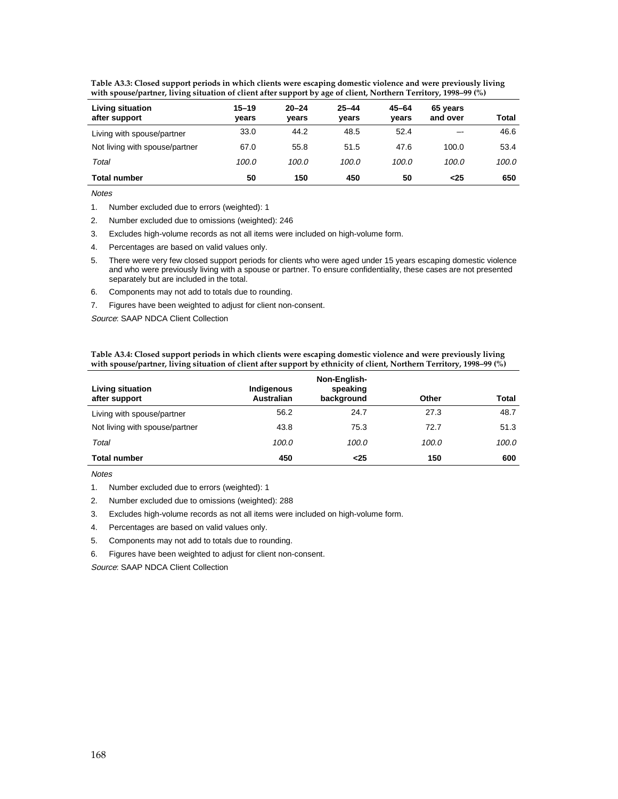| with spouse/partner, living situation of client after support by age of client, Northern Territory, 1998–99 (%) |                    |                    |                    |                |                      |       |  |
|-----------------------------------------------------------------------------------------------------------------|--------------------|--------------------|--------------------|----------------|----------------------|-------|--|
| <b>Living situation</b><br>after support                                                                        | $15 - 19$<br>vears | $20 - 24$<br>vears | $25 - 44$<br>vears | 45-64<br>vears | 65 years<br>and over | Total |  |
| Living with spouse/partner                                                                                      | 33.0               | 44.2               | 48.5               | 52.4           | --                   | 46.6  |  |
| Not living with spouse/partner                                                                                  | 67.0               | 55.8               | 51.5               | 47.6           | 100.0                | 53.4  |  |

Total 100.0 100.0 100.0 100.0 100.0 100.0 **Total number 50 150 450 50 <25 650**

**Table A3.3: Closed support periods in which clients were escaping domestic violence and were previously living with spouse/partner, living situation of client after support by age of client, Northern Territory, 1998–99 (%)**

Notes

- 1. Number excluded due to errors (weighted): 1
- 2. Number excluded due to omissions (weighted): 246
- 3. Excludes high-volume records as not all items were included on high-volume form.
- 4. Percentages are based on valid values only.
- 5. There were very few closed support periods for clients who were aged under 15 years escaping domestic violence and who were previously living with a spouse or partner. To ensure confidentiality, these cases are not presented separately but are included in the total.
- 6. Components may not add to totals due to rounding.
- 7. Figures have been weighted to adjust for client non-consent.

Source: SAAP NDCA Client Collection

**Table A3.4: Closed support periods in which clients were escaping domestic violence and were previously living with spouse/partner, living situation of client after support by ethnicity of client, Northern Territory, 1998–99 (%)**

| Living situation<br>after support | Indigenous<br><b>Australian</b> | Non-English-<br>speaking<br>background | Other | <b>Total</b> |
|-----------------------------------|---------------------------------|----------------------------------------|-------|--------------|
| Living with spouse/partner        | 56.2                            | 24.7                                   | 27.3  | 48.7         |
| Not living with spouse/partner    | 43.8                            | 75.3                                   | 72.7  | 51.3         |
| Total                             | 100.0                           | 100.0                                  | 100.0 | 100.0        |
| <b>Total number</b>               | 450                             | $25$                                   | 150   | 600          |

**Notes** 

- 1. Number excluded due to errors (weighted): 1
- 2. Number excluded due to omissions (weighted): 288
- 3. Excludes high-volume records as not all items were included on high-volume form.
- 4. Percentages are based on valid values only.
- 5. Components may not add to totals due to rounding.
- 6. Figures have been weighted to adjust for client non-consent.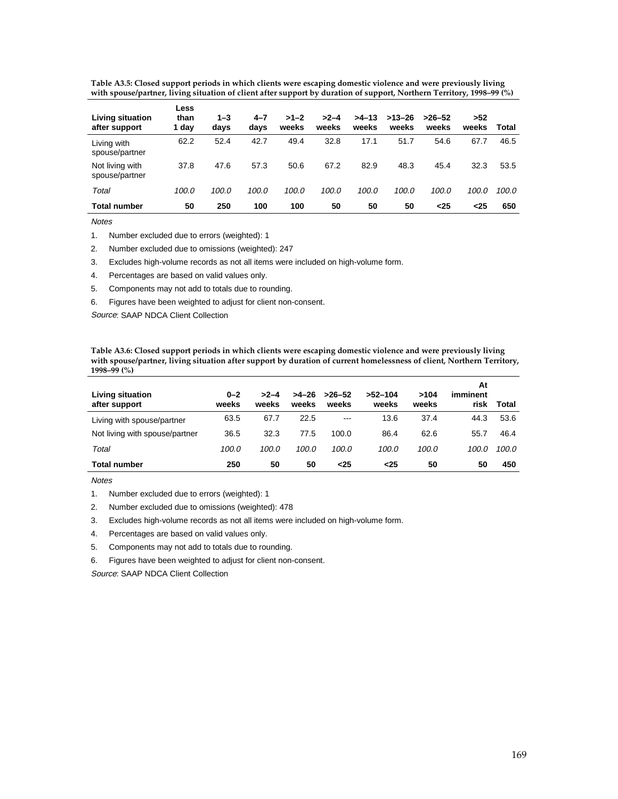| Living situation<br>after support | Less<br>than<br>1 day | $1 - 3$<br>days | $4 - 7$<br>days | $>1-2$<br>weeks | $>2-4$<br>weeks | $>4-13$<br>weeks | $>13-26$<br>weeks | $>26-52$<br>weeks | >52<br>weeks | Total |
|-----------------------------------|-----------------------|-----------------|-----------------|-----------------|-----------------|------------------|-------------------|-------------------|--------------|-------|
| Living with<br>spouse/partner     | 62.2                  | 52.4            | 42.7            | 49.4            | 32.8            | 17.1             | 51.7              | 54.6              | 67.7         | 46.5  |
| Not living with<br>spouse/partner | 37.8                  | 47.6            | 57.3            | 50.6            | 67.2            | 82.9             | 48.3              | 45.4              | 32.3         | 53.5  |
| Total                             | 100.0                 | 100.0           | 100.0           | 100.0           | 100.0           | 100.0            | 100.0             | 100.0             | 100.0        | 100.0 |
| <b>Total number</b>               | 50                    | 250             | 100             | 100             | 50              | 50               | 50                | $25$              | $25$         | 650   |

**Table A3.5: Closed support periods in which clients were escaping domestic violence and were previously living with spouse/partner, living situation of client after support by duration of support, Northern Territory, 1998–99 (%)**

Notes

1. Number excluded due to errors (weighted): 1

2. Number excluded due to omissions (weighted): 247

3. Excludes high-volume records as not all items were included on high-volume form.

- 4. Percentages are based on valid values only.
- 5. Components may not add to totals due to rounding.
- 6. Figures have been weighted to adjust for client non-consent.

Source: SAAP NDCA Client Collection

**Table A3.6: Closed support periods in which clients were escaping domestic violence and were previously living with spouse/partner, living situation after support by duration of current homelessness of client, Northern Territory, 1998–99 (%)**

| <b>Living situation</b><br>after support | $0 - 2$<br>weeks | $>2-4$<br>weeks | >4-26<br>weeks | $>26-52$<br>weeks | $>52-104$<br>weeks | >104<br>weeks | At<br>imminent<br>risk | Total |
|------------------------------------------|------------------|-----------------|----------------|-------------------|--------------------|---------------|------------------------|-------|
| Living with spouse/partner               | 63.5             | 67.7            | 22.5           | $\qquad \qquad -$ | 13.6               | 37.4          | 44.3                   | 53.6  |
| Not living with spouse/partner           | 36.5             | 32.3            | 77.5           | 100.0             | 86.4               | 62.6          | 55.7                   | 46.4  |
| Total                                    | 100.0            | 100.0           | 100.0          | 100.0             | 100.0              | 100.0         | 100.0                  | 100.0 |
| <b>Total number</b>                      | 250              | 50              | 50             | $25$              | $25$               | 50            | 50                     | 450   |

Notes

- 2. Number excluded due to omissions (weighted): 478
- 3. Excludes high-volume records as not all items were included on high-volume form.
- 4. Percentages are based on valid values only.
- 5. Components may not add to totals due to rounding.
- 6. Figures have been weighted to adjust for client non-consent.

<sup>1.</sup> Number excluded due to errors (weighted): 1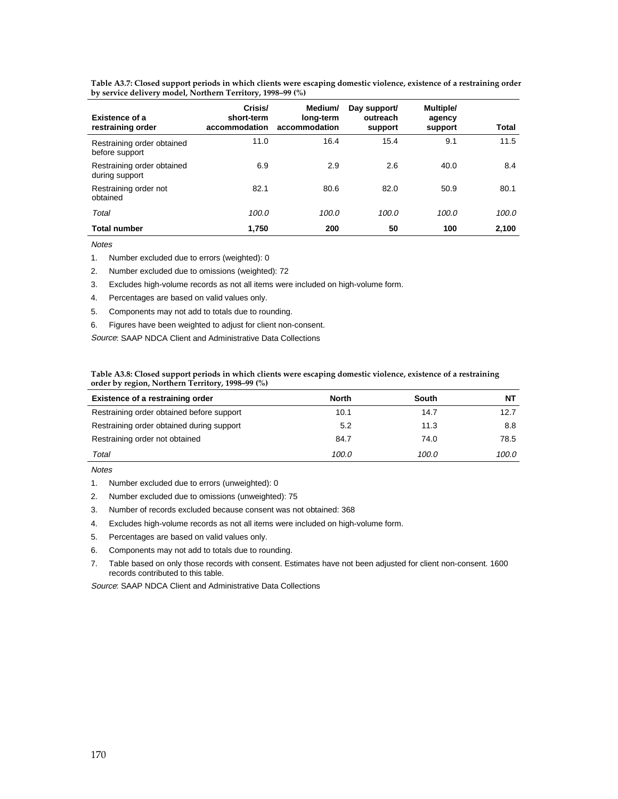| Existence of a<br>restraining order          | Crisis/<br>short-term<br>accommodation | Medium/<br>long-term<br>accommodation | Day support/<br>outreach<br>support | Multiple/<br>agency<br>support | Total |
|----------------------------------------------|----------------------------------------|---------------------------------------|-------------------------------------|--------------------------------|-------|
| Restraining order obtained<br>before support | 11.0                                   | 16.4                                  | 15.4                                | 9.1                            | 11.5  |
| Restraining order obtained<br>during support | 6.9                                    | 2.9                                   | 2.6                                 | 40.0                           | 8.4   |
| Restraining order not<br>obtained            | 82.1                                   | 80.6                                  | 82.0                                | 50.9                           | 80.1  |
| Total                                        | 100.0                                  | 100.0                                 | 100.0                               | 100.0                          | 100.0 |
| <b>Total number</b>                          | 1,750                                  | 200                                   | 50                                  | 100                            | 2.100 |

**Table A3.7: Closed support periods in which clients were escaping domestic violence, existence of a restraining order by service delivery model, Northern Territory, 1998–99 (%)**

**Notes** 

1. Number excluded due to errors (weighted): 0

2. Number excluded due to omissions (weighted): 72

3. Excludes high-volume records as not all items were included on high-volume form.

4. Percentages are based on valid values only.

5. Components may not add to totals due to rounding.

6. Figures have been weighted to adjust for client non-consent.

Source: SAAP NDCA Client and Administrative Data Collections

**Table A3.8: Closed support periods in which clients were escaping domestic violence, existence of a restraining order by region, Northern Territory, 1998–99 (%)**

| Existence of a restraining order          | North | South | NΤ    |
|-------------------------------------------|-------|-------|-------|
| Restraining order obtained before support | 10.1  | 14.7  | 12.7  |
| Restraining order obtained during support | 5.2   | 11.3  | 8.8   |
| Restraining order not obtained            | 84.7  | 74.0  | 78.5  |
| Total                                     | 100.0 | 100.0 | 100.0 |

**Notes** 

1. Number excluded due to errors (unweighted): 0

2. Number excluded due to omissions (unweighted): 75

3. Number of records excluded because consent was not obtained: 368

4. Excludes high-volume records as not all items were included on high-volume form.

5. Percentages are based on valid values only.

6. Components may not add to totals due to rounding.

7. Table based on only those records with consent. Estimates have not been adjusted for client non-consent. 1600 records contributed to this table.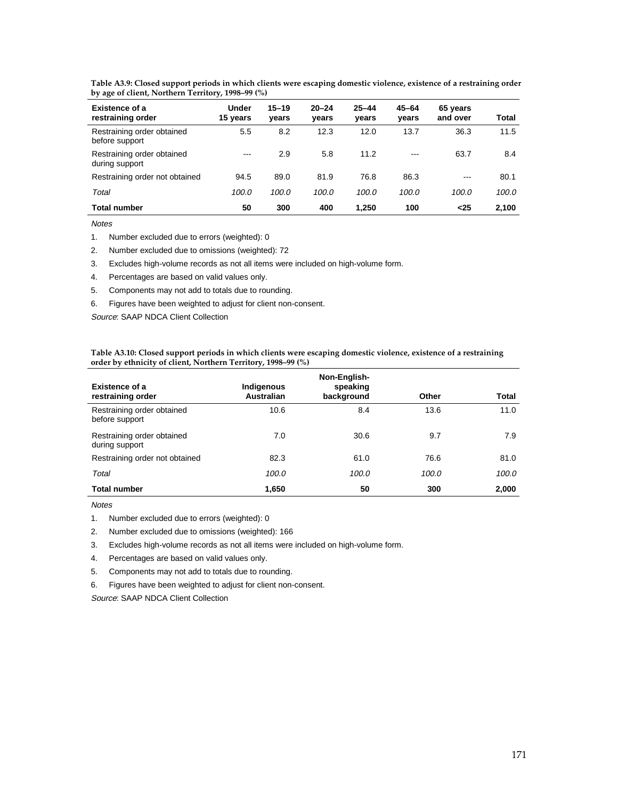| <b>Existence of a</b><br>restraining order   | <b>Under</b><br>15 years | $15 - 19$<br>years | $20 - 24$<br>years | $25 - 44$<br>vears | $45 - 64$<br>years | 65 years<br>and over | Total |
|----------------------------------------------|--------------------------|--------------------|--------------------|--------------------|--------------------|----------------------|-------|
| Restraining order obtained<br>before support | 5.5                      | 8.2                | 12.3               | 12.0               | 13.7               | 36.3                 | 11.5  |
| Restraining order obtained<br>during support | $- - -$                  | 2.9                | 5.8                | 11.2               | $- - -$            | 63.7                 | 8.4   |
| Restraining order not obtained               | 94.5                     | 89.0               | 81.9               | 76.8               | 86.3               | ---                  | 80.1  |
| Total                                        | 100.0                    | 100.0              | 100.0              | 100.0              | 100.0              | 100.0                | 100.0 |
| <b>Total number</b>                          | 50                       | 300                | 400                | 1.250              | 100                | $25$                 | 2.100 |

**Table A3.9: Closed support periods in which clients were escaping domestic violence, existence of a restraining order by age of client, Northern Territory, 1998–99 (%)**

Notes

1. Number excluded due to errors (weighted): 0

2. Number excluded due to omissions (weighted): 72

3. Excludes high-volume records as not all items were included on high-volume form.

- 4. Percentages are based on valid values only.
- 5. Components may not add to totals due to rounding.
- 6. Figures have been weighted to adjust for client non-consent.

Source: SAAP NDCA Client Collection

**Table A3.10: Closed support periods in which clients were escaping domestic violence, existence of a restraining order by ethnicity of client, Northern Territory, 1998–99 (%)**

| <b>Existence of a</b><br>restraining order   | Indigenous<br><b>Australian</b> | Non-English-<br>speaking<br>background | Other | Total |
|----------------------------------------------|---------------------------------|----------------------------------------|-------|-------|
| Restraining order obtained<br>before support | 10.6                            | 8.4                                    | 13.6  | 11.0  |
| Restraining order obtained<br>during support | 7.0                             | 30.6                                   | 9.7   | 7.9   |
| Restraining order not obtained               | 82.3                            | 61.0                                   | 76.6  | 81.0  |
| Total                                        | 100.0                           | 100.0                                  | 100.0 | 100.0 |
| <b>Total number</b>                          | 1,650                           | 50                                     | 300   | 2,000 |

**Notes** 

1. Number excluded due to errors (weighted): 0

2. Number excluded due to omissions (weighted): 166

3. Excludes high-volume records as not all items were included on high-volume form.

4. Percentages are based on valid values only.

- 5. Components may not add to totals due to rounding.
- 6. Figures have been weighted to adjust for client non-consent.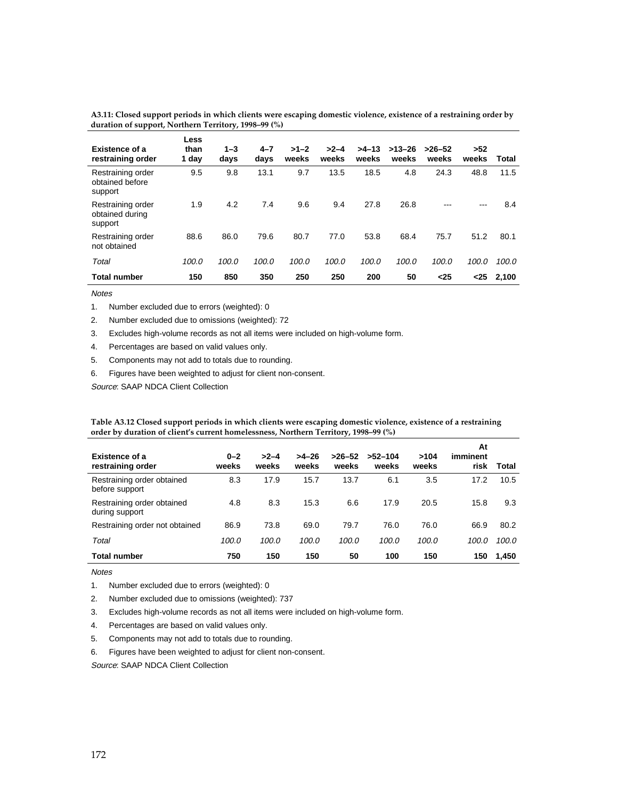| <b>Existence of a</b><br>restraining order      | Less<br>than<br>1 day | $1 - 3$<br>days | $4 - 7$<br>days | $>1-2$<br>weeks | $>2-4$<br>weeks | $>4-13$<br>weeks | $>13-26$<br>weeks | $>26-52$<br>weeks | >52<br>weeks | Total |
|-------------------------------------------------|-----------------------|-----------------|-----------------|-----------------|-----------------|------------------|-------------------|-------------------|--------------|-------|
| Restraining order<br>obtained before<br>support | 9.5                   | 9.8             | 13.1            | 9.7             | 13.5            | 18.5             | 4.8               | 24.3              | 48.8         | 11.5  |
| Restraining order<br>obtained during<br>support | 1.9                   | 4.2             | 7.4             | 9.6             | 9.4             | 27.8             | 26.8              | ---               | ---          | 8.4   |
| Restraining order<br>not obtained               | 88.6                  | 86.0            | 79.6            | 80.7            | 77.0            | 53.8             | 68.4              | 75.7              | 51.2         | 80.1  |
| Total                                           | 100.0                 | 100.0           | 100.0           | 100.0           | 100.0           | 100.0            | 100.0             | 100.0             | 100.0        | 100.0 |
| <b>Total number</b>                             | 150                   | 850             | 350             | 250             | 250             | 200              | 50                | $25$              | $<$ 25       | 2.100 |

**A3.11: Closed support periods in which clients were escaping domestic violence, existence of a restraining order by duration of support, Northern Territory, 1998–99 (%)**

**Notes** 

1. Number excluded due to errors (weighted): 0

2. Number excluded due to omissions (weighted): 72

- 3. Excludes high-volume records as not all items were included on high-volume form.
- 4. Percentages are based on valid values only.
- 5. Components may not add to totals due to rounding.
- 6. Figures have been weighted to adjust for client non-consent.

Source: SAAP NDCA Client Collection

**Table A3.12 Closed support periods in which clients were escaping domestic violence, existence of a restraining order by duration of client's current homelessness, Northern Territory, 1998–99 (%)**

| <b>Existence of a</b><br>restraining order   | $0 - 2$<br>weeks | $>2-4$<br>weeks | $>4-26$<br>weeks | $>26-52$<br>weeks | $>52-104$<br>weeks | >104<br>weeks | At<br>imminent<br>risk | Total |
|----------------------------------------------|------------------|-----------------|------------------|-------------------|--------------------|---------------|------------------------|-------|
| Restraining order obtained<br>before support | 8.3              | 17.9            | 15.7             | 13.7              | 6.1                | 3.5           | 17.2                   | 10.5  |
| Restraining order obtained<br>during support | 4.8              | 8.3             | 15.3             | 6.6               | 17.9               | 20.5          | 15.8                   | 9.3   |
| Restraining order not obtained               | 86.9             | 73.8            | 69.0             | 79.7              | 76.0               | 76.0          | 66.9                   | 80.2  |
| Total                                        | 100.0            | 100.0           | 100.0            | 100.0             | 100.0              | 100.0         | 100.0                  | 100.0 |
| <b>Total number</b>                          | 750              | 150             | 150              | 50                | 100                | 150           | 150                    | 1.450 |

Notes

1. Number excluded due to errors (weighted): 0

2. Number excluded due to omissions (weighted): 737

3. Excludes high-volume records as not all items were included on high-volume form.

- 4. Percentages are based on valid values only.
- 5. Components may not add to totals due to rounding.
- 6. Figures have been weighted to adjust for client non-consent.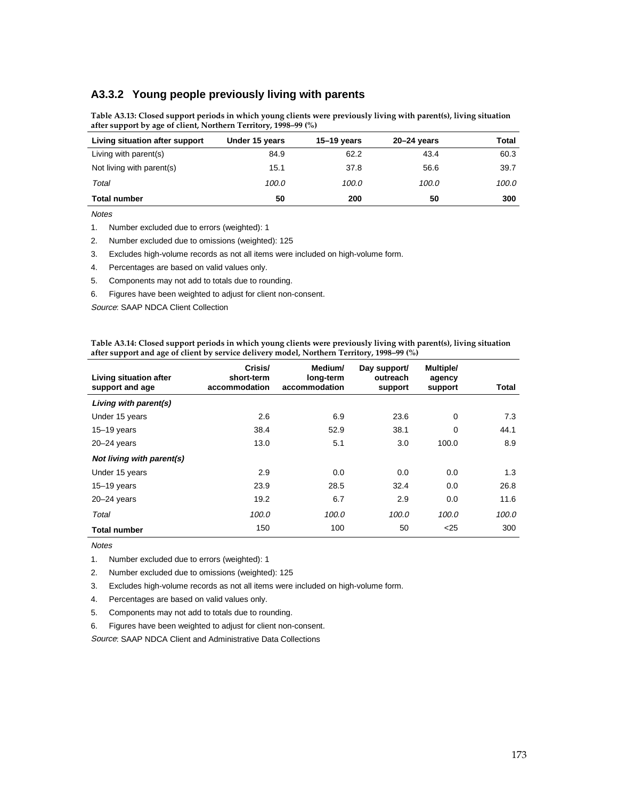#### **A3.3.2 Young people previously living with parents**

| Table A3.13: Closed support periods in which young clients were previously living with parent(s), living situation |  |  |
|--------------------------------------------------------------------------------------------------------------------|--|--|
| after support by age of client, Northern Territory, 1998–99 (%)                                                    |  |  |

| Living situation after support | Under 15 years | $15-19$ years | $20 - 24$ years | Total |
|--------------------------------|----------------|---------------|-----------------|-------|
| Living with parent(s)          | 84.9           | 62.2          | 43.4            | 60.3  |
| Not living with parent(s)      | 15.1           | 37.8          | 56.6            | 39.7  |
| Total                          | 100.0          | 100.0         | 100.0           | 100.0 |
| <b>Total number</b>            | 50             | 200           | 50              | 300   |

**Notes** 

- 1. Number excluded due to errors (weighted): 1
- 2. Number excluded due to omissions (weighted): 125
- 3. Excludes high-volume records as not all items were included on high-volume form.
- 4. Percentages are based on valid values only.
- 5. Components may not add to totals due to rounding.
- 6. Figures have been weighted to adjust for client non-consent.

Source: SAAP NDCA Client Collection

| Table A3.14: Closed support periods in which young clients were previously living with parent(s), living situation |
|--------------------------------------------------------------------------------------------------------------------|
| after support and age of client by service delivery model, Northern Territory, 1998–99 (%)                         |

| Living situation after<br>support and age | Crisis/<br>short-term<br>accommodation | Medium/<br>long-term<br>accommodation | Day support/<br>outreach<br>support | Multiple/<br>agency<br>support | Total |
|-------------------------------------------|----------------------------------------|---------------------------------------|-------------------------------------|--------------------------------|-------|
| Living with parent(s)                     |                                        |                                       |                                     |                                |       |
| Under 15 years                            | 2.6                                    | 6.9                                   | 23.6                                | 0                              | 7.3   |
| $15-19$ years                             | 38.4                                   | 52.9                                  | 38.1                                | 0                              | 44.1  |
| $20 - 24$ years                           | 13.0                                   | 5.1                                   | 3.0                                 | 100.0                          | 8.9   |
| Not living with parent(s)                 |                                        |                                       |                                     |                                |       |
| Under 15 years                            | 2.9                                    | 0.0                                   | 0.0                                 | 0.0                            | 1.3   |
| $15 - 19$ years                           | 23.9                                   | 28.5                                  | 32.4                                | 0.0                            | 26.8  |
| $20 - 24$ years                           | 19.2                                   | 6.7                                   | 2.9                                 | 0.0                            | 11.6  |
| Total                                     | 100.0                                  | 100.0                                 | 100.0                               | 100.0                          | 100.0 |
| <b>Total number</b>                       | 150                                    | 100                                   | 50                                  | $25$                           | 300   |

**Notes** 

1. Number excluded due to errors (weighted): 1

2. Number excluded due to omissions (weighted): 125

3. Excludes high-volume records as not all items were included on high-volume form.

4. Percentages are based on valid values only.

5. Components may not add to totals due to rounding.

6. Figures have been weighted to adjust for client non-consent.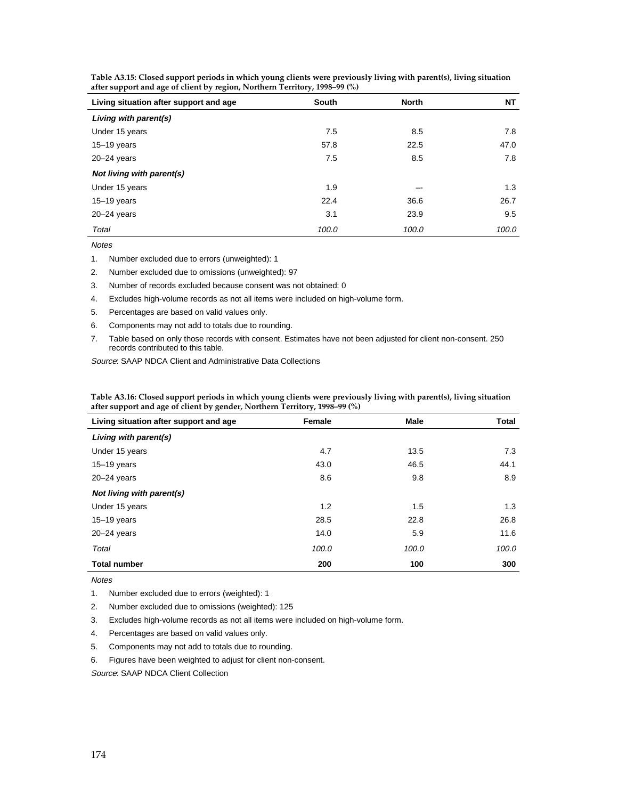| Living situation after support and age | South | <b>North</b> | NΤ    |
|----------------------------------------|-------|--------------|-------|
| Living with parent(s)                  |       |              |       |
| Under 15 years                         | 7.5   | 8.5          | 7.8   |
| $15 - 19$ years                        | 57.8  | 22.5         | 47.0  |
| $20 - 24$ years                        | 7.5   | 8.5          | 7.8   |
| Not living with parent(s)              |       |              |       |
| Under 15 years                         | 1.9   |              | 1.3   |
| $15 - 19$ years                        | 22.4  | 36.6         | 26.7  |
| $20 - 24$ years                        | 3.1   | 23.9         | 9.5   |
| Total                                  | 100.0 | 100.0        | 100.0 |

**Table A3.15: Closed support periods in which young clients were previously living with parent(s), living situation after support and age of client by region, Northern Territory, 1998–99 (%)**

**Notes** 

1. Number excluded due to errors (unweighted): 1

2. Number excluded due to omissions (unweighted): 97

3. Number of records excluded because consent was not obtained: 0

4. Excludes high-volume records as not all items were included on high-volume form.

- 5. Percentages are based on valid values only.
- 6. Components may not add to totals due to rounding.
- 7. Table based on only those records with consent. Estimates have not been adjusted for client non-consent. 250 records contributed to this table.

Source: SAAP NDCA Client and Administrative Data Collections

**Table A3.16: Closed support periods in which young clients were previously living with parent(s), living situation after support and age of client by gender, Northern Territory, 1998–99 (%)**

| Living situation after support and age | Female | Male  | Total |
|----------------------------------------|--------|-------|-------|
| Living with parent(s)                  |        |       |       |
| Under 15 years                         | 4.7    | 13.5  | 7.3   |
| $15-19$ years                          | 43.0   | 46.5  | 44.1  |
| $20 - 24$ years                        | 8.6    | 9.8   | 8.9   |
| Not living with parent(s)              |        |       |       |
| Under 15 years                         | 1.2    | 1.5   | 1.3   |
| $15 - 19$ years                        | 28.5   | 22.8  | 26.8  |
| $20 - 24$ years                        | 14.0   | 5.9   | 11.6  |
| Total                                  | 100.0  | 100.0 | 100.0 |
| <b>Total number</b>                    | 200    | 100   | 300   |

Notes

1. Number excluded due to errors (weighted): 1

2. Number excluded due to omissions (weighted): 125

3. Excludes high-volume records as not all items were included on high-volume form.

- 4. Percentages are based on valid values only.
- 5. Components may not add to totals due to rounding.
- 6. Figures have been weighted to adjust for client non-consent.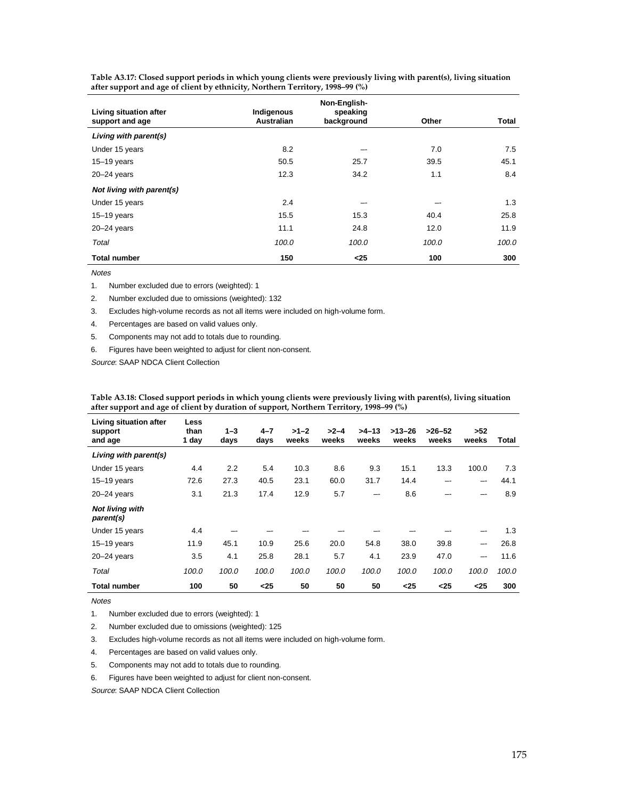| Living situation after<br>support and age | Indigenous<br>Australian | Non-English-<br>speaking<br>background | Other | <b>Total</b> |
|-------------------------------------------|--------------------------|----------------------------------------|-------|--------------|
| Living with parent(s)                     |                          |                                        |       |              |
| Under 15 years                            | 8.2                      |                                        | 7.0   | 7.5          |
| $15-19$ years                             | 50.5                     | 25.7                                   | 39.5  | 45.1         |
| $20 - 24$ years                           | 12.3                     | 34.2                                   | 1.1   | 8.4          |
| Not living with parent(s)                 |                          |                                        |       |              |
| Under 15 years                            | 2.4                      |                                        |       | 1.3          |
| $15-19$ years                             | 15.5                     | 15.3                                   | 40.4  | 25.8         |
| $20 - 24$ years                           | 11.1                     | 24.8                                   | 12.0  | 11.9         |
| Total                                     | 100.0                    | 100.0                                  | 100.0 | 100.0        |
| <b>Total number</b>                       | 150                      | $25$                                   | 100   | 300          |

**Table A3.17: Closed support periods in which young clients were previously living with parent(s), living situation after support and age of client by ethnicity, Northern Territory, 1998–99 (%)**

#### Notes

1. Number excluded due to errors (weighted): 1

2. Number excluded due to omissions (weighted): 132

3. Excludes high-volume records as not all items were included on high-volume form.

4. Percentages are based on valid values only.

5. Components may not add to totals due to rounding.

6. Figures have been weighted to adjust for client non-consent.

Source: SAAP NDCA Client Collection

| Living situation after<br>support<br>and age | Less<br>than<br>1 day | $1 - 3$<br>days | $4 - 7$<br>days | $>1-2$<br>weeks | $>2-4$<br>weeks | $>4 - 13$<br>weeks | $>13 - 26$<br>weeks | $>26 - 52$<br>weeks | >52<br>weeks | Total |
|----------------------------------------------|-----------------------|-----------------|-----------------|-----------------|-----------------|--------------------|---------------------|---------------------|--------------|-------|
| Living with parent(s)                        |                       |                 |                 |                 |                 |                    |                     |                     |              |       |
| Under 15 years                               | 4.4                   | 2.2             | 5.4             | 10.3            | 8.6             | 9.3                | 15.1                | 13.3                | 100.0        | 7.3   |
| $15-19$ years                                | 72.6                  | 27.3            | 40.5            | 23.1            | 60.0            | 31.7               | 14.4                | --                  | --           | 44.1  |
| $20 - 24$ years                              | 3.1                   | 21.3            | 17.4            | 12.9            | 5.7             | --                 | 8.6                 | --                  |              | 8.9   |
| <b>Not living with</b><br>parent(s)          |                       |                 |                 |                 |                 |                    |                     |                     |              |       |
| Under 15 years                               | 4.4                   |                 |                 |                 |                 |                    |                     |                     |              | 1.3   |
| $15-19$ years                                | 11.9                  | 45.1            | 10.9            | 25.6            | 20.0            | 54.8               | 38.0                | 39.8                | --           | 26.8  |
| $20 - 24$ years                              | 3.5                   | 4.1             | 25.8            | 28.1            | 5.7             | 4.1                | 23.9                | 47.0                | —-           | 11.6  |
| Total                                        | 100.0                 | 100.0           | 100.0           | 100.0           | 100.0           | 100.0              | 100.0               | 100.0               | 100.0        | 100.0 |
| <b>Total number</b>                          | 100                   | 50              | $25$            | 50              | 50              | 50                 | $25$                | $25$                | $25$         | 300   |

**Table A3.18: Closed support periods in which young clients were previously living with parent(s), living situation after support and age of client by duration of support, Northern Territory, 1998–99 (%)**

**Notes** 

1. Number excluded due to errors (weighted): 1

2. Number excluded due to omissions (weighted): 125

3. Excludes high-volume records as not all items were included on high-volume form.

4. Percentages are based on valid values only.

5. Components may not add to totals due to rounding.

6. Figures have been weighted to adjust for client non-consent.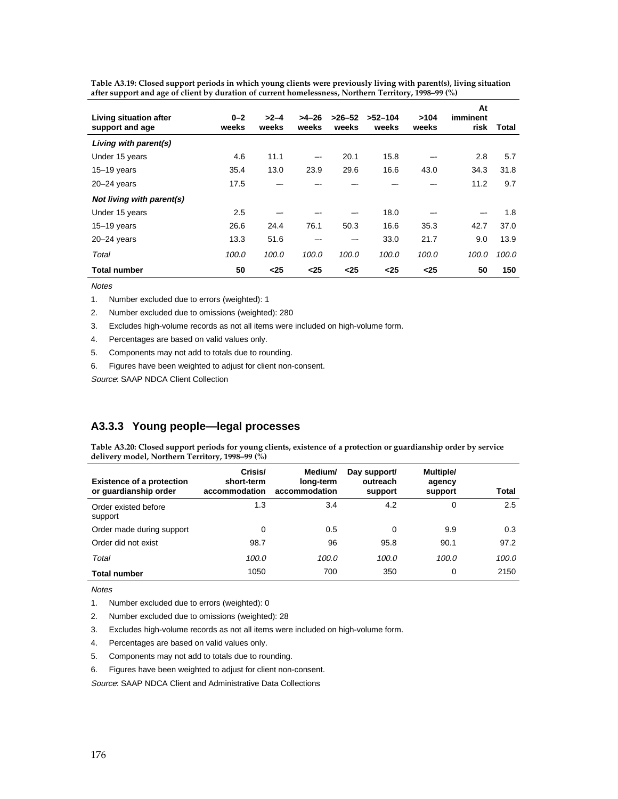| Living situation after<br>support and age | $0 - 2$<br>weeks | $>2-4$<br>weeks | $>4-26$<br>weeks | $>26 - 52$<br>weeks | $>52-104$<br>weeks | >104<br>weeks | At<br>imminent<br>risk | Total |
|-------------------------------------------|------------------|-----------------|------------------|---------------------|--------------------|---------------|------------------------|-------|
| Living with parent(s)                     |                  |                 |                  |                     |                    |               |                        |       |
| Under 15 years                            | 4.6              | 11.1            | --               | 20.1                | 15.8               |               | 2.8                    | 5.7   |
| $15-19$ years                             | 35.4             | 13.0            | 23.9             | 29.6                | 16.6               | 43.0          | 34.3                   | 31.8  |
| $20 - 24$ years                           | 17.5             |                 |                  |                     |                    |               | 11.2                   | 9.7   |
| Not living with parent(s)                 |                  |                 |                  |                     |                    |               |                        |       |
| Under 15 years                            | $2.5\phantom{0}$ |                 |                  |                     | 18.0               |               | --                     | 1.8   |
| $15 - 19$ years                           | 26.6             | 24.4            | 76.1             | 50.3                | 16.6               | 35.3          | 42.7                   | 37.0  |
| $20 - 24$ years                           | 13.3             | 51.6            |                  | --                  | 33.0               | 21.7          | 9.0                    | 13.9  |
| Total                                     | 100.0            | 100.0           | 100.0            | 100.0               | 100.0              | 100.0         | 100.0                  | 100.0 |
| <b>Total number</b>                       | 50               | $25$            | $25$             | $25$                | $25$               | $25$          | 50                     | 150   |

**Table A3.19: Closed support periods in which young clients were previously living with parent(s), living situation after support and age of client by duration of current homelessness, Northern Territory, 1998–99 (%)**

**Notes** 

1. Number excluded due to errors (weighted): 1

2. Number excluded due to omissions (weighted): 280

3. Excludes high-volume records as not all items were included on high-volume form.

4. Percentages are based on valid values only.

5. Components may not add to totals due to rounding.

6. Figures have been weighted to adjust for client non-consent.

Source: SAAP NDCA Client Collection

#### **A3.3.3 Young people—legal processes**

**Table A3.20: Closed support periods for young clients, existence of a protection or guardianship order by service delivery model, Northern Territory, 1998–99 (%)**

| <b>Existence of a protection</b><br>or quardianship order | Crisis/<br>short-term<br>accommodation | Medium/<br>long-term<br>accommodation | Day support/<br>outreach<br>support | Multiple/<br>agency<br>support | Total |
|-----------------------------------------------------------|----------------------------------------|---------------------------------------|-------------------------------------|--------------------------------|-------|
| Order existed before<br>support                           | 1.3                                    | 3.4                                   | 4.2                                 | 0                              | 2.5   |
| Order made during support                                 | 0                                      | 0.5                                   | 0                                   | 9.9                            | 0.3   |
| Order did not exist                                       | 98.7                                   | 96                                    | 95.8                                | 90.1                           | 97.2  |
| Total                                                     | 100.0                                  | 100.0                                 | 100.0                               | 100.0                          | 100.0 |
| <b>Total number</b>                                       | 1050                                   | 700                                   | 350                                 | 0                              | 2150  |

**Notes** 

1. Number excluded due to errors (weighted): 0

2. Number excluded due to omissions (weighted): 28

3. Excludes high-volume records as not all items were included on high-volume form.

- 4. Percentages are based on valid values only.
- 5. Components may not add to totals due to rounding.
- 6. Figures have been weighted to adjust for client non-consent.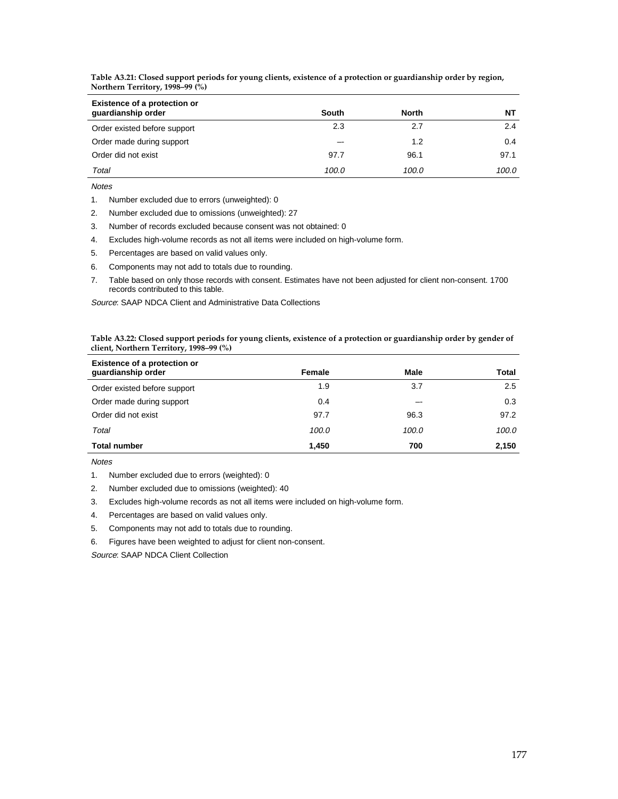| <b>Existence of a protection or</b><br>guardianship order | South | <b>North</b> | NΤ    |
|-----------------------------------------------------------|-------|--------------|-------|
| Order existed before support                              | 2.3   | 2.7          | 2.4   |
| Order made during support                                 |       | 1.2          | 0.4   |
| Order did not exist                                       | 97.7  | 96.1         | 97.1  |
| Total                                                     | 100.0 | 100.0        | 100.0 |

**Table A3.21: Closed support periods for young clients, existence of a protection or guardianship order by region, Northern Territory, 1998–99 (%)**

Notes

1. Number excluded due to errors (unweighted): 0

2. Number excluded due to omissions (unweighted): 27

- 3. Number of records excluded because consent was not obtained: 0
- 4. Excludes high-volume records as not all items were included on high-volume form.
- 5. Percentages are based on valid values only.
- 6. Components may not add to totals due to rounding.

7. Table based on only those records with consent. Estimates have not been adjusted for client non-consent. 1700 records contributed to this table.

Source: SAAP NDCA Client and Administrative Data Collections

**Table A3.22: Closed support periods for young clients, existence of a protection or guardianship order by gender of client, Northern Territory, 1998–99 (%)**

| <b>Existence of a protection or</b><br>guardianship order | Female | Male  | Total   |
|-----------------------------------------------------------|--------|-------|---------|
| Order existed before support                              | 1.9    | 3.7   | $2.5\,$ |
| Order made during support                                 | 0.4    |       | 0.3     |
| Order did not exist                                       | 97.7   | 96.3  | 97.2    |
| Total                                                     | 100.0  | 100.0 | 100.0   |
| <b>Total number</b>                                       | 1,450  | 700   | 2.150   |

**Notes** 

- 2. Number excluded due to omissions (weighted): 40
- 3. Excludes high-volume records as not all items were included on high-volume form.
- 4. Percentages are based on valid values only.
- 5. Components may not add to totals due to rounding.
- 6. Figures have been weighted to adjust for client non-consent.

<sup>1.</sup> Number excluded due to errors (weighted): 0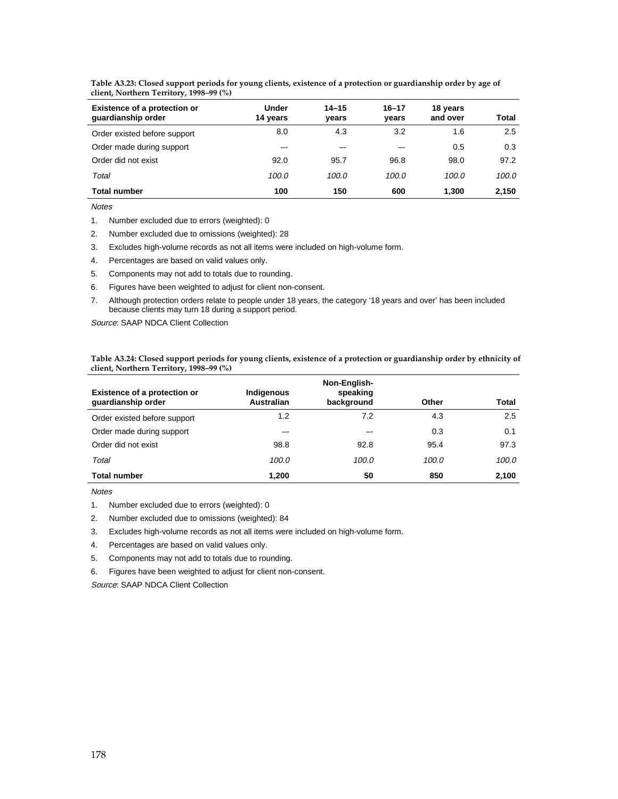| <b>Existence of a protection or</b><br>guardianship order | Under<br>14 years | $14 - 15$<br>vears | $16 - 17$<br>years | 18 years<br>and over | Total |
|-----------------------------------------------------------|-------------------|--------------------|--------------------|----------------------|-------|
| Order existed before support                              | 8.0               | 4.3                | 3.2                | 1.6                  | 2.5   |
| Order made during support                                 | --                |                    |                    | 0.5                  | 0.3   |
| Order did not exist                                       | 92.0              | 95.7               | 96.8               | 98.0                 | 97.2  |
| Total                                                     | 100.0             | 100.0              | 100.0              | 100.0                | 100.0 |
| <b>Total number</b>                                       | 100               | 150                | 600                | 1.300                | 2.150 |

**Table A3.23: Closed support periods for young clients, existence of a protection or guardianship order by age of client, Northern Territory, 1998–99 (%)**

Notes

- 1. Number excluded due to errors (weighted): 0
- 2. Number excluded due to omissions (weighted): 28
- 3. Excludes high-volume records as not all items were included on high-volume form.
- 4. Percentages are based on valid values only.
- 5. Components may not add to totals due to rounding.
- 6. Figures have been weighted to adjust for client non-consent.
- 7. Although protection orders relate to people under 18 years, the category '18 years and over' has been included because clients may turn 18 during a support period.

Source: SAAP NDCA Client Collection

**Table A3.24: Closed support periods for young clients, existence of a protection or guardianship order by ethnicity of client, Northern Territory, 1998–99 (%)**

| <b>Existence of a protection or</b><br>guardianship order | Indigenous<br>Australian | Non-English-<br>speaking<br>background | Other | Total |
|-----------------------------------------------------------|--------------------------|----------------------------------------|-------|-------|
| Order existed before support                              | 1.2                      | 7.2                                    | 4.3   | 2.5   |
| Order made during support                                 |                          |                                        | 0.3   | 0.1   |
| Order did not exist                                       | 98.8                     | 92.8                                   | 95.4  | 97.3  |
| Total                                                     | 100.0                    | 100.0                                  | 100.0 | 100.0 |
| <b>Total number</b>                                       | 1.200                    | 50                                     | 850   | 2.100 |

Notes

1. Number excluded due to errors (weighted): 0

2. Number excluded due to omissions (weighted): 84

3. Excludes high-volume records as not all items were included on high-volume form.

- 4. Percentages are based on valid values only.
- 5. Components may not add to totals due to rounding.
- 6. Figures have been weighted to adjust for client non-consent.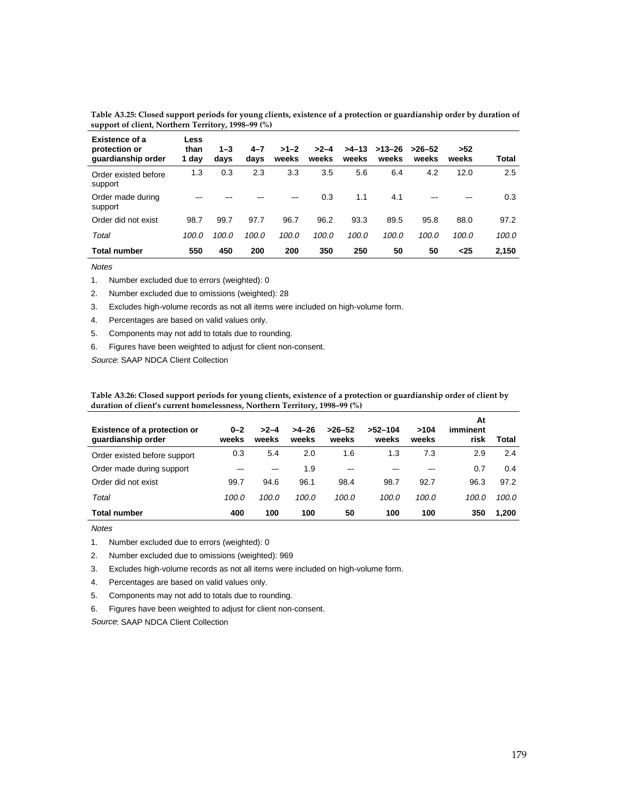| <b>Existence of a</b><br>protection or<br>guardianship order | Less<br>than<br>1 day | $1 - 3$<br>days | $4 - 7$<br>days | $>1-2$<br>weeks | $>2-4$<br>weeks | weeks | $>4-13$ $>13-26$<br>weeks | $>26-52$<br>weeks | >52<br>weeks | Total |
|--------------------------------------------------------------|-----------------------|-----------------|-----------------|-----------------|-----------------|-------|---------------------------|-------------------|--------------|-------|
| Order existed before<br>support                              | 1.3                   | 0.3             | 2.3             | 3.3             | 3.5             | 5.6   | 6.4                       | 4.2               | 12.0         | 2.5   |
| Order made during<br>support                                 |                       |                 |                 |                 | 0.3             | 1.1   | 4.1                       |                   |              | 0.3   |
| Order did not exist                                          | 98.7                  | 99.7            | 97.7            | 96.7            | 96.2            | 93.3  | 89.5                      | 95.8              | 88.0         | 97.2  |
| Total                                                        | 100.0                 | 100.0           | 100.0           | 100.0           | 100.0           | 100.0 | 100.0                     | 100.0             | 100.0        | 100.0 |
| <b>Total number</b>                                          | 550                   | 450             | 200             | 200             | 350             | 250   | 50                        | 50                | $25$         | 2.150 |

**Table A3.25: Closed support periods for young clients, existence of a protection or guardianship order by duration of support of client, Northern Territory, 1998–99 (%)**

**Notes** 

1. Number excluded due to errors (weighted): 0

2. Number excluded due to omissions (weighted): 28

3. Excludes high-volume records as not all items were included on high-volume form.

4. Percentages are based on valid values only.

5. Components may not add to totals due to rounding.

6. Figures have been weighted to adjust for client non-consent.

Source: SAAP NDCA Client Collection

| <b>Existence of a protection or</b><br>quardianship order | $0 - 2$<br>weeks | $>2-4$<br>weeks | $>4-26$<br>weeks | $>26-52$<br>weeks | $>52-104$<br>weeks | >104<br>weeks | At<br>imminent<br>risk | Total |
|-----------------------------------------------------------|------------------|-----------------|------------------|-------------------|--------------------|---------------|------------------------|-------|
| Order existed before support                              | 0.3              | 5.4             | 2.0              | 1.6               | 1.3                | 7.3           | 2.9                    | 2.4   |
| Order made during support                                 |                  |                 | 1.9              | --                |                    |               | 0.7                    | 0.4   |
| Order did not exist                                       | 99.7             | 94.6            | 96.1             | 98.4              | 98.7               | 92.7          | 96.3                   | 97.2  |
| Total                                                     | 100.0            | 100.0           | 100.0            | 100.0             | 100.0              | 100.0         | 100.0                  | 100.0 |
| Total number                                              | 400              | 100             | 100              | 50                | 100                | 100           | 350                    | 1.200 |

**Table A3.26: Closed support periods for young clients, existence of a protection or guardianship order of client by duration of client's current homelessness, Northern Territory, 1998–99 (%)**

Notes

1. Number excluded due to errors (weighted): 0

2. Number excluded due to omissions (weighted): 969

3. Excludes high-volume records as not all items were included on high-volume form.

4. Percentages are based on valid values only.

5. Components may not add to totals due to rounding.

6. Figures have been weighted to adjust for client non-consent.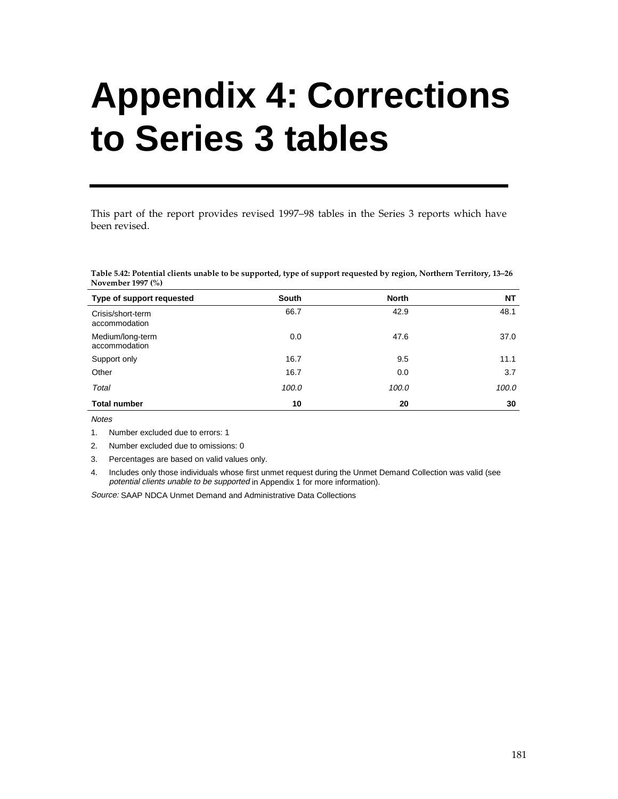### **Appendix 4: Corrections to Series 3 tables**

This part of the report provides revised 1997–98 tables in the Series 3 reports which have been revised.

**Table 5.42: Potential clients unable to be supported, type of support requested by region, Northern Territory, 13–26 November 1997 (%)**

| Type of support requested          | <b>South</b> | <b>North</b> | <b>NT</b> |
|------------------------------------|--------------|--------------|-----------|
| Crisis/short-term<br>accommodation | 66.7         | 42.9         | 48.1      |
| Medium/long-term<br>accommodation  | 0.0          | 47.6         | 37.0      |
| Support only                       | 16.7         | 9.5          | 11.1      |
| Other                              | 16.7         | 0.0          | 3.7       |
| Total                              | 100.0        | 100.0        | 100.0     |
| <b>Total number</b>                | 10           | 20           | 30        |

**Notes** 

1. Number excluded due to errors: 1

2. Number excluded due to omissions: 0

3. Percentages are based on valid values only.

4. Includes only those individuals whose first unmet request during the Unmet Demand Collection was valid (see potential clients unable to be supported in Appendix 1 for more information).

Source: SAAP NDCA Unmet Demand and Administrative Data Collections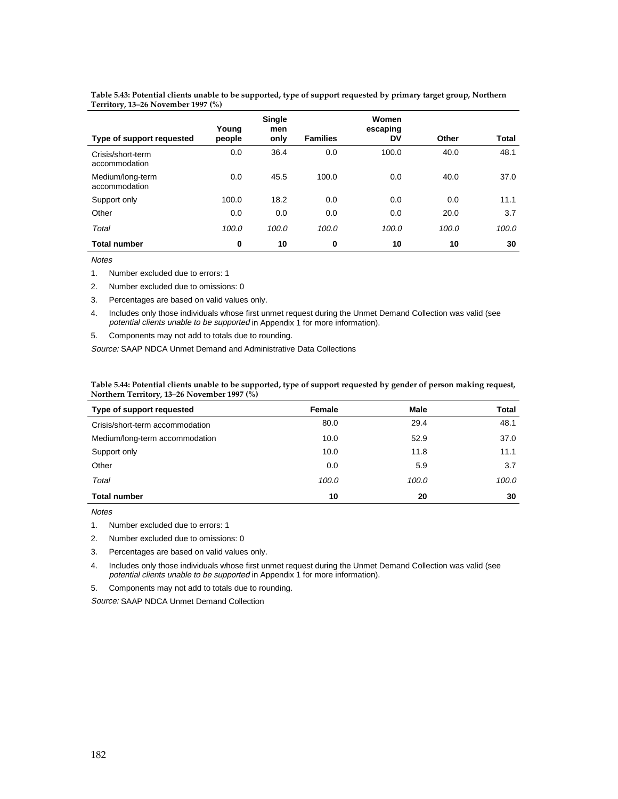| Type of support requested          | Young<br>people | <b>Single</b><br>men<br>only | <b>Families</b> | Women<br>escaping<br>DV | Other | <b>Total</b> |
|------------------------------------|-----------------|------------------------------|-----------------|-------------------------|-------|--------------|
| Crisis/short-term<br>accommodation | 0.0             | 36.4                         | 0.0             | 100.0                   | 40.0  | 48.1         |
| Medium/long-term<br>accommodation  | 0.0             | 45.5                         | 100.0           | 0.0                     | 40.0  | 37.0         |
| Support only                       | 100.0           | 18.2                         | 0.0             | 0.0                     | 0.0   | 11.1         |
| Other                              | 0.0             | 0.0                          | 0.0             | 0.0                     | 20.0  | 3.7          |
| Total                              | 100.0           | 100.0                        | 100.0           | 100.0                   | 100.0 | 100.0        |
| <b>Total number</b>                | 0               | 10                           | 0               | 10                      | 10    | 30           |

**Table 5.43: Potential clients unable to be supported, type of support requested by primary target group, Northern Territory, 13–26 November 1997 (%)**

**Notes** 

1. Number excluded due to errors: 1

2. Number excluded due to omissions: 0

3. Percentages are based on valid values only.

4. Includes only those individuals whose first unmet request during the Unmet Demand Collection was valid (see potential clients unable to be supported in Appendix 1 for more information).

5. Components may not add to totals due to rounding.

Source: SAAP NDCA Unmet Demand and Administrative Data Collections

**Table 5.44: Potential clients unable to be supported, type of support requested by gender of person making request, Northern Territory, 13–26 November 1997 (%)**

| Type of support requested       | Female | Male  | Total |
|---------------------------------|--------|-------|-------|
| Crisis/short-term accommodation | 80.0   | 29.4  | 48.1  |
| Medium/long-term accommodation  | 10.0   | 52.9  | 37.0  |
| Support only                    | 10.0   | 11.8  | 11.1  |
| Other                           | 0.0    | 5.9   | 3.7   |
| Total                           | 100.0  | 100.0 | 100.0 |
| <b>Total number</b>             | 10     | 20    | 30    |

**Notes** 

1. Number excluded due to errors: 1

2. Number excluded due to omissions: 0

3. Percentages are based on valid values only.

4. Includes only those individuals whose first unmet request during the Unmet Demand Collection was valid (see potential clients unable to be supported in Appendix 1 for more information).

5. Components may not add to totals due to rounding.

Source: SAAP NDCA Unmet Demand Collection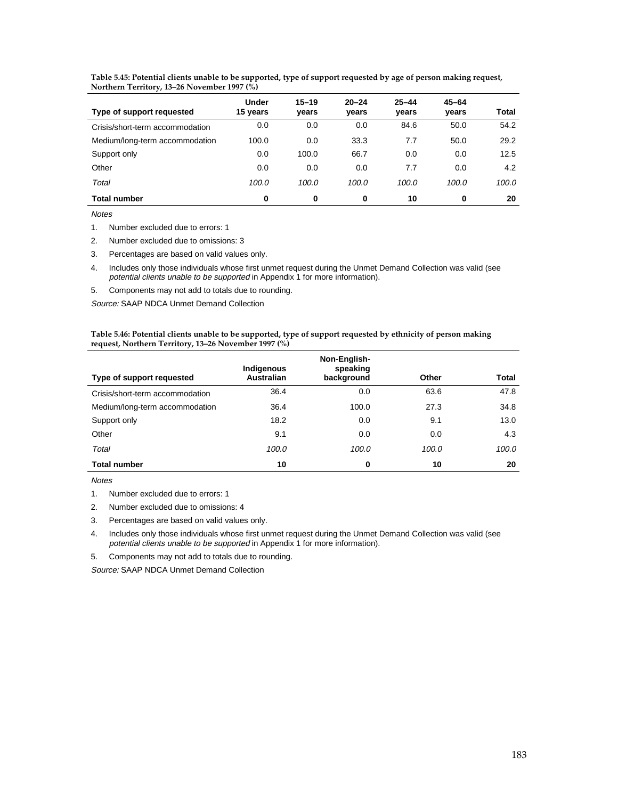| Type of support requested       | <b>Under</b><br>15 years | $15 - 19$<br>vears | $20 - 24$<br>vears | $25 - 44$<br>years | $45 - 64$<br>vears | Total |
|---------------------------------|--------------------------|--------------------|--------------------|--------------------|--------------------|-------|
| Crisis/short-term accommodation | 0.0                      | 0.0                | 0.0                | 84.6               | 50.0               | 54.2  |
| Medium/long-term accommodation  | 100.0                    | 0.0                | 33.3               | 7.7                | 50.0               | 29.2  |
| Support only                    | 0.0                      | 100.0              | 66.7               | 0.0                | 0.0                | 12.5  |
| Other                           | 0.0                      | 0.0                | 0.0                | 7.7                | 0.0                | 4.2   |
| Total                           | 100.0                    | 100.0              | 100.0              | 100.0              | 100.0              | 100.0 |
| <b>Total number</b>             | 0                        | 0                  | 0                  | 10                 | 0                  | 20    |

**Table 5.45: Potential clients unable to be supported, type of support requested by age of person making request, Northern Territory, 13–26 November 1997 (%)**

**Notes** 

- 1. Number excluded due to errors: 1
- 2. Number excluded due to omissions: 3
- 3. Percentages are based on valid values only.
- 4. Includes only those individuals whose first unmet request during the Unmet Demand Collection was valid (see potential clients unable to be supported in Appendix 1 for more information).
- 5. Components may not add to totals due to rounding.

Source: SAAP NDCA Unmet Demand Collection

| Table 5.46: Potential clients unable to be supported, type of support requested by ethnicity of person making |  |
|---------------------------------------------------------------------------------------------------------------|--|
| request, Northern Territory, 13–26 November 1997 (%)                                                          |  |

|                                 | Indigenous        | Non-English-<br>speaking |       |       |
|---------------------------------|-------------------|--------------------------|-------|-------|
| Type of support requested       | <b>Australian</b> | background               | Other | Total |
| Crisis/short-term accommodation | 36.4              | 0.0                      | 63.6  | 47.8  |
| Medium/long-term accommodation  | 36.4              | 100.0                    | 27.3  | 34.8  |
| Support only                    | 18.2              | 0.0                      | 9.1   | 13.0  |
| Other                           | 9.1               | 0.0                      | 0.0   | 4.3   |
| Total                           | 100.0             | 100.0                    | 100.0 | 100.0 |
| <b>Total number</b>             | 10                | 0                        | 10    | 20    |

**Notes** 

- 1. Number excluded due to errors: 1
- 2. Number excluded due to omissions: 4
- 3. Percentages are based on valid values only.
- 4. Includes only those individuals whose first unmet request during the Unmet Demand Collection was valid (see potential clients unable to be supported in Appendix 1 for more information).
- 5. Components may not add to totals due to rounding.

Source: SAAP NDCA Unmet Demand Collection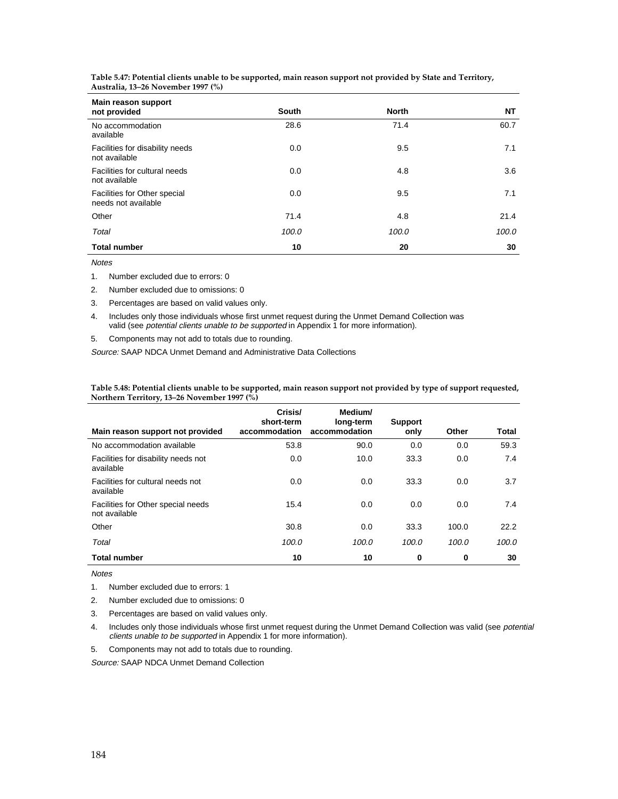| Main reason support<br>not provided                 | South | <b>North</b> | NΤ    |
|-----------------------------------------------------|-------|--------------|-------|
| No accommodation<br>available                       | 28.6  | 71.4         | 60.7  |
| Facilities for disability needs<br>not available    | 0.0   | 9.5          | 7.1   |
| Facilities for cultural needs<br>not available      | 0.0   | 4.8          | 3.6   |
| Facilities for Other special<br>needs not available | 0.0   | 9.5          | 7.1   |
| Other                                               | 71.4  | 4.8          | 21.4  |
| Total                                               | 100.0 | 100.0        | 100.0 |
| <b>Total number</b>                                 | 10    | 20           | 30    |

**Table 5.47: Potential clients unable to be supported, main reason support not provided by State and Territory, Australia, 13–26 November 1997 (%)**

Notes

1. Number excluded due to errors: 0

2. Number excluded due to omissions: 0

3. Percentages are based on valid values only.

4. Includes only those individuals whose first unmet request during the Unmet Demand Collection was valid (see potential clients unable to be supported in Appendix 1 for more information).

5. Components may not add to totals due to rounding.

Source: SAAP NDCA Unmet Demand and Administrative Data Collections

**Table 5.48: Potential clients unable to be supported, main reason support not provided by type of support requested, Northern Territory, 13–26 November 1997 (%)**

| Main reason support not provided                    | Crisis/<br>short-term<br>accommodation | Medium/<br>long-term<br>accommodation | <b>Support</b><br>only | Other    | Total |
|-----------------------------------------------------|----------------------------------------|---------------------------------------|------------------------|----------|-------|
| No accommodation available                          | 53.8                                   | 90.0                                  | 0.0                    | 0.0      | 59.3  |
| Facilities for disability needs not<br>available    | 0.0                                    | 10.0                                  | 33.3                   | 0.0      | 7.4   |
| Facilities for cultural needs not<br>available      | 0.0                                    | 0.0                                   | 33.3                   | 0.0      | 3.7   |
| Facilities for Other special needs<br>not available | 15.4                                   | 0.0                                   | 0.0                    | 0.0      | 7.4   |
| Other                                               | 30.8                                   | 0.0                                   | 33.3                   | 100.0    | 22.2  |
| Total                                               | 100.0                                  | 100.0                                 | 100.0                  | 100.0    | 100.0 |
| <b>Total number</b>                                 | 10                                     | 10                                    | 0                      | $\bf{0}$ | 30    |

**Notes** 

1. Number excluded due to errors: 1

2. Number excluded due to omissions: 0

3. Percentages are based on valid values only.

4. Includes only those individuals whose first unmet request during the Unmet Demand Collection was valid (see potential clients unable to be supported in Appendix 1 for more information).

5. Components may not add to totals due to rounding.

Source: SAAP NDCA Unmet Demand Collection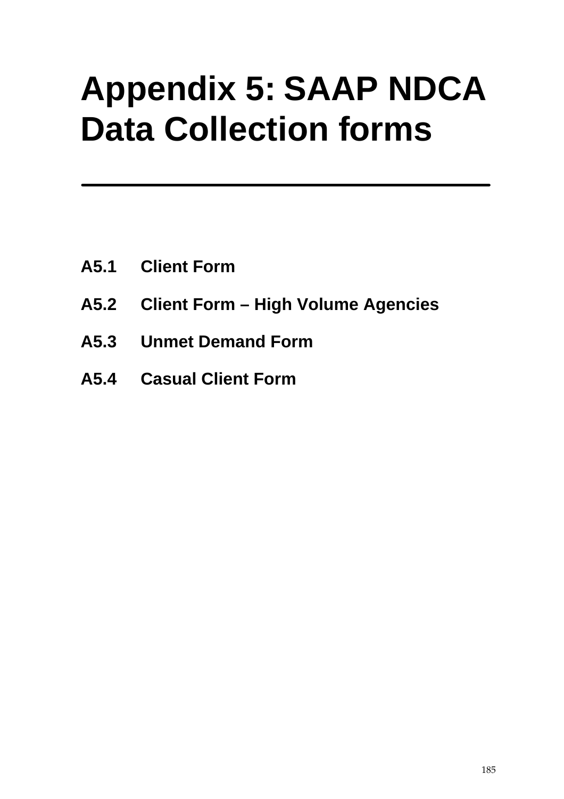# **Appendix 5: SAAP NDCA Data Collection forms**

- **A5.1 Client Form**
- **A5.2 Client Form High Volume Agencies**
- **A5.3 Unmet Demand Form**
- **A5.4 Casual Client Form**